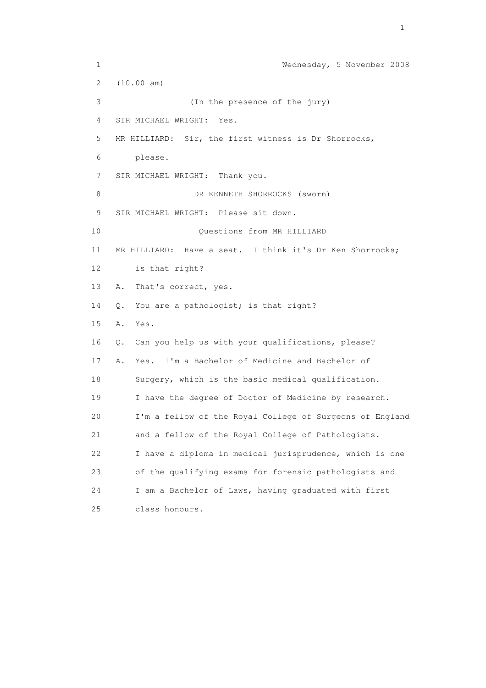1 Wednesday, 5 November 2008 2 (10.00 am) 3 (In the presence of the jury) 4 SIR MICHAEL WRIGHT: Yes. 5 MR HILLIARD: Sir, the first witness is Dr Shorrocks, 6 please. 7 SIR MICHAEL WRIGHT: Thank you. 8 DR KENNETH SHORROCKS (sworn) 9 SIR MICHAEL WRIGHT: Please sit down. 10 Questions from MR HILLIARD 11 MR HILLIARD: Have a seat. I think it's Dr Ken Shorrocks; 12 is that right? 13 A. That's correct, yes. 14 Q. You are a pathologist; is that right? 15 A. Yes. 16 Q. Can you help us with your qualifications, please? 17 A. Yes. I'm a Bachelor of Medicine and Bachelor of 18 Surgery, which is the basic medical qualification. 19 I have the degree of Doctor of Medicine by research. 20 I'm a fellow of the Royal College of Surgeons of England 21 and a fellow of the Royal College of Pathologists. 22 I have a diploma in medical jurisprudence, which is one 23 of the qualifying exams for forensic pathologists and 24 I am a Bachelor of Laws, having graduated with first 25 class honours.

the contract of the contract of the contract of the contract of the contract of the contract of the contract of the contract of the contract of the contract of the contract of the contract of the contract of the contract o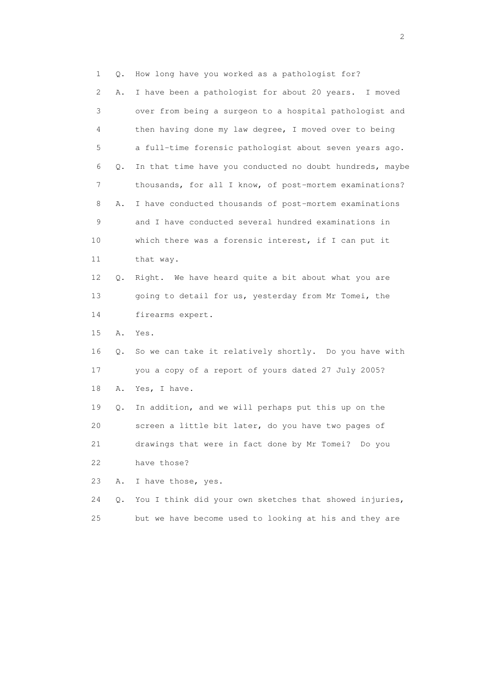1 Q. How long have you worked as a pathologist for? 2 A. I have been a pathologist for about 20 years. I moved 3 over from being a surgeon to a hospital pathologist and 4 then having done my law degree, I moved over to being 5 a full-time forensic pathologist about seven years ago. 6 Q. In that time have you conducted no doubt hundreds, maybe 7 thousands, for all I know, of post-mortem examinations? 8 A. I have conducted thousands of post-mortem examinations 9 and I have conducted several hundred examinations in 10 which there was a forensic interest, if I can put it 11 that way. 12 Q. Right. We have heard quite a bit about what you are 13 going to detail for us, yesterday from Mr Tomei, the 14 firearms expert. 15 A. Yes. 16 Q. So we can take it relatively shortly. Do you have with 17 you a copy of a report of yours dated 27 July 2005? 18 A. Yes, I have. 19 Q. In addition, and we will perhaps put this up on the 20 screen a little bit later, do you have two pages of 21 drawings that were in fact done by Mr Tomei? Do you 22 have those? 23 A. I have those, yes. 24 Q. You I think did your own sketches that showed injuries, 25 but we have become used to looking at his and they are

 $\overline{2}$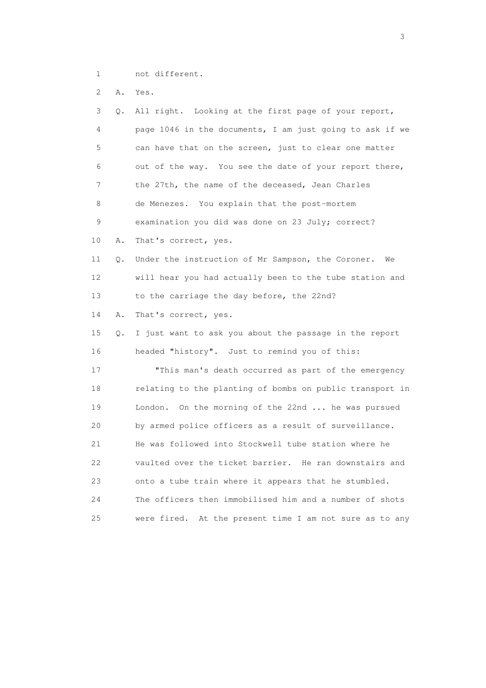1 not different.

2 A. Yes.

| 3  | Q. | All right. Looking at the first page of your report,       |
|----|----|------------------------------------------------------------|
| 4  |    | page 1046 in the documents, I am just going to ask if we   |
| 5  |    | can have that on the screen, just to clear one matter      |
| 6  |    | out of the way. You see the date of your report there,     |
| 7  |    | the 27th, the name of the deceased, Jean Charles           |
| 8  |    | de Menezes. You explain that the post-mortem               |
| 9  |    | examination you did was done on 23 July; correct?          |
| 10 | Α. | That's correct, yes.                                       |
| 11 | Q. | Under the instruction of Mr Sampson, the Coroner.<br>We    |
| 12 |    | will hear you had actually been to the tube station and    |
| 13 |    | to the carriage the day before, the 22nd?                  |
| 14 | Α. | That's correct, yes.                                       |
| 15 | Q. | I just want to ask you about the passage in the report     |
| 16 |    | headed "history". Just to remind you of this:              |
| 17 |    | "This man's death occurred as part of the emergency        |
| 18 |    | relating to the planting of bombs on public transport in   |
| 19 |    | London. On the morning of the 22nd  he was pursued         |
| 20 |    | by armed police officers as a result of surveillance.      |
| 21 |    | He was followed into Stockwell tube station where he       |
| 22 |    | vaulted over the ticket barrier. He ran downstairs and     |
| 23 |    | onto a tube train where it appears that he stumbled.       |
| 24 |    | The officers then immobilised him and a number of shots    |
| 25 |    | At the present time I am not sure as to any<br>were fired. |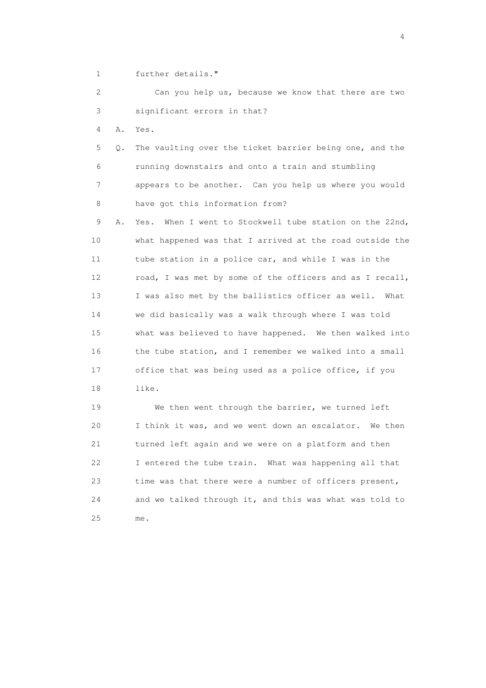1 further details."

 2 Can you help us, because we know that there are two 3 significant errors in that?

4 A. Yes.

 5 Q. The vaulting over the ticket barrier being one, and the 6 running downstairs and onto a train and stumbling 7 appears to be another. Can you help us where you would 8 have got this information from?

 9 A. Yes. When I went to Stockwell tube station on the 22nd, 10 what happened was that I arrived at the road outside the 11 tube station in a police car, and while I was in the 12 road, I was met by some of the officers and as I recall, 13 I was also met by the ballistics officer as well. What 14 we did basically was a walk through where I was told 15 what was believed to have happened. We then walked into 16 the tube station, and I remember we walked into a small 17 office that was being used as a police office, if you 18 like.

 19 We then went through the barrier, we turned left 20 I think it was, and we went down an escalator. We then 21 turned left again and we were on a platform and then 22 I entered the tube train. What was happening all that 23 time was that there were a number of officers present, 24 and we talked through it, and this was what was told to 25 me.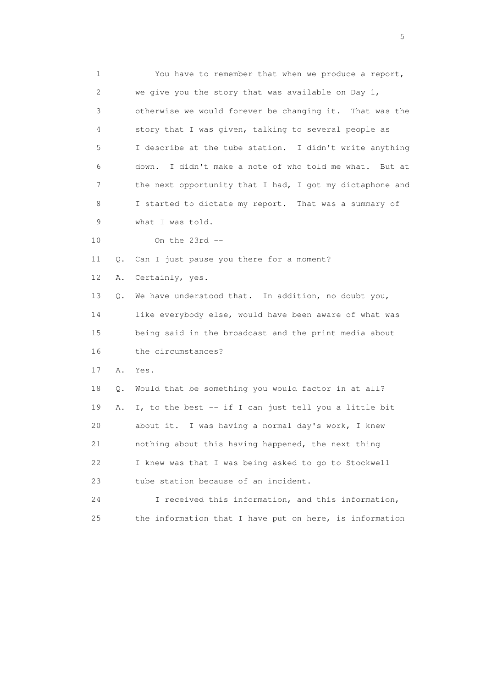1 You have to remember that when we produce a report, 2 we give you the story that was available on Day 1, 3 otherwise we would forever be changing it. That was the 4 story that I was given, talking to several people as 5 I describe at the tube station. I didn't write anything 6 down. I didn't make a note of who told me what. But at 7 the next opportunity that I had, I got my dictaphone and 8 I started to dictate my report. That was a summary of 9 what I was told. 10 On the 23rd -- 11 Q. Can I just pause you there for a moment? 12 A. Certainly, yes. 13 Q. We have understood that. In addition, no doubt you, 14 like everybody else, would have been aware of what was 15 being said in the broadcast and the print media about 16 the circumstances? 17 A. Yes. 18 Q. Would that be something you would factor in at all? 19 A. I, to the best -- if I can just tell you a little bit 20 about it. I was having a normal day's work, I knew 21 nothing about this having happened, the next thing

 22 I knew was that I was being asked to go to Stockwell 23 tube station because of an incident.

 24 I received this information, and this information, 25 the information that I have put on here, is information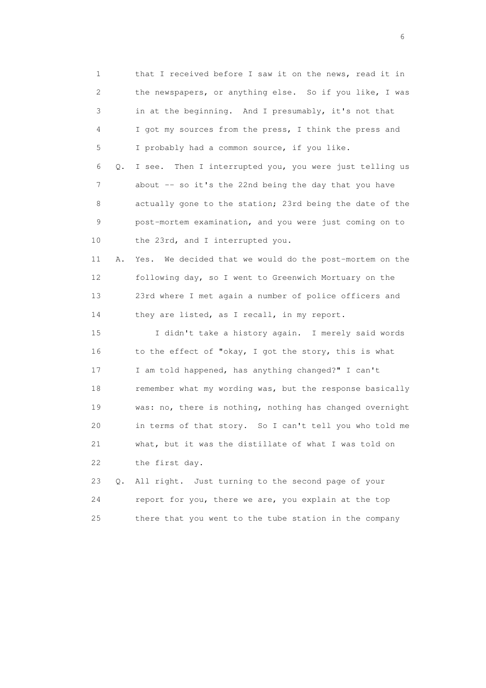1 that I received before I saw it on the news, read it in 2 the newspapers, or anything else. So if you like, I was 3 in at the beginning. And I presumably, it's not that 4 I got my sources from the press, I think the press and 5 I probably had a common source, if you like. 6 Q. I see. Then I interrupted you, you were just telling us 7 about -- so it's the 22nd being the day that you have 8 actually gone to the station; 23rd being the date of the 9 post-mortem examination, and you were just coming on to 10 the 23rd, and I interrupted you. 11 A. Yes. We decided that we would do the post-mortem on the 12 following day, so I went to Greenwich Mortuary on the 13 23rd where I met again a number of police officers and 14 they are listed, as I recall, in my report. 15 I didn't take a history again. I merely said words 16 to the effect of "okay, I got the story, this is what 17 I am told happened, has anything changed?" I can't 18 remember what my wording was, but the response basically 19 was: no, there is nothing, nothing has changed overnight 20 in terms of that story. So I can't tell you who told me 21 what, but it was the distillate of what I was told on 22 the first day. 23 Q. All right. Just turning to the second page of your

 24 report for you, there we are, you explain at the top 25 there that you went to the tube station in the company

 $\sim$  6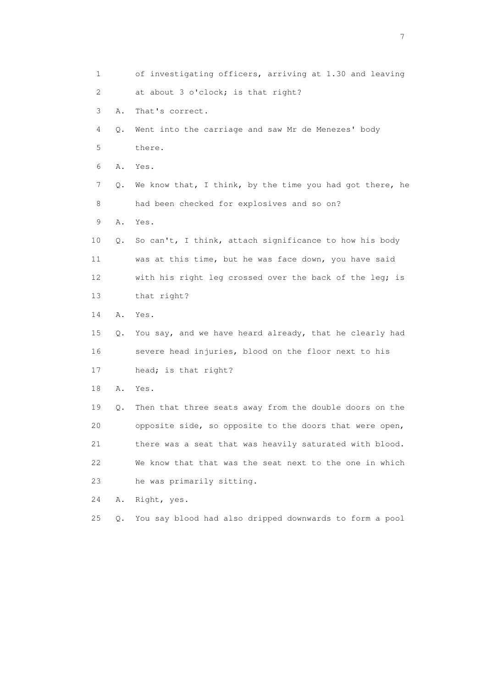1 of investigating officers, arriving at 1.30 and leaving 2 at about 3 o'clock; is that right? 3 A. That's correct. 4 Q. Went into the carriage and saw Mr de Menezes' body 5 there. 6 A. Yes. 7 Q. We know that, I think, by the time you had got there, he 8 had been checked for explosives and so on? 9 A. Yes. 10 Q. So can't, I think, attach significance to how his body 11 was at this time, but he was face down, you have said 12 with his right leg crossed over the back of the leg; is 13 that right? 14 A. Yes. 15 Q. You say, and we have heard already, that he clearly had 16 severe head injuries, blood on the floor next to his 17 head; is that right? 18 A. Yes. 19 Q. Then that three seats away from the double doors on the 20 opposite side, so opposite to the doors that were open, 21 there was a seat that was heavily saturated with blood. 22 We know that that was the seat next to the one in which 23 he was primarily sitting. 24 A. Right, yes. 25 Q. You say blood had also dripped downwards to form a pool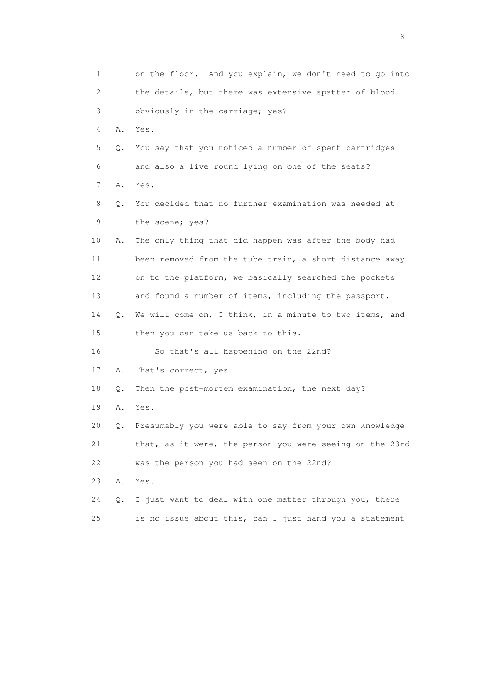1 on the floor. And you explain, we don't need to go into 2 the details, but there was extensive spatter of blood 3 obviously in the carriage; yes? 4 A. Yes. 5 Q. You say that you noticed a number of spent cartridges 6 and also a live round lying on one of the seats? 7 A. Yes. 8 Q. You decided that no further examination was needed at 9 the scene; yes? 10 A. The only thing that did happen was after the body had 11 been removed from the tube train, a short distance away 12 on to the platform, we basically searched the pockets 13 and found a number of items, including the passport. 14 Q. We will come on, I think, in a minute to two items, and 15 then you can take us back to this. 16 So that's all happening on the 22nd? 17 A. That's correct, yes. 18 Q. Then the post-mortem examination, the next day? 19 A. Yes. 20 Q. Presumably you were able to say from your own knowledge 21 that, as it were, the person you were seeing on the 23rd 22 was the person you had seen on the 22nd? 23 A. Yes. 24 Q. I just want to deal with one matter through you, there 25 is no issue about this, can I just hand you a statement

en de la construction de la construction de la construction de la construction de la construction de la constr<br>En 1980, en 1980, en 1980, en 1980, en 1980, en 1980, en 1980, en 1980, en 1980, en 1980, en 1980, en 1980, en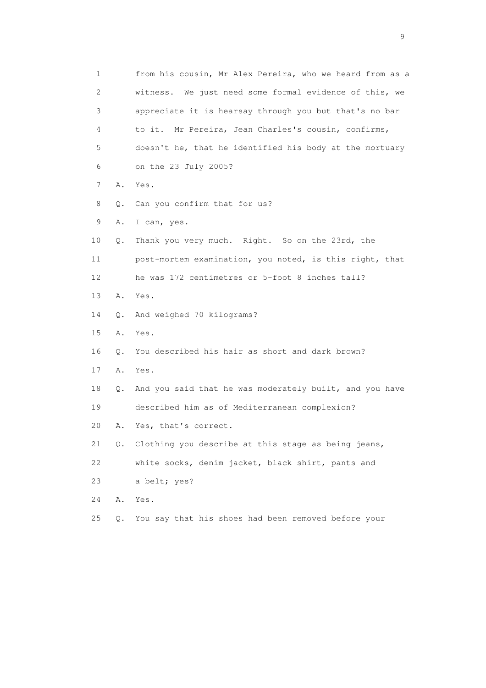1 from his cousin, Mr Alex Pereira, who we heard from as a 2 witness. We just need some formal evidence of this, we 3 appreciate it is hearsay through you but that's no bar 4 to it. Mr Pereira, Jean Charles's cousin, confirms, 5 doesn't he, that he identified his body at the mortuary 6 on the 23 July 2005? 7 A. Yes. 8 Q. Can you confirm that for us? 9 A. I can, yes. 10 Q. Thank you very much. Right. So on the 23rd, the 11 post-mortem examination, you noted, is this right, that 12 he was 172 centimetres or 5-foot 8 inches tall? 13 A. Yes. 14 Q. And weighed 70 kilograms? 15 A. Yes. 16 Q. You described his hair as short and dark brown? 17 A. Yes. 18 Q. And you said that he was moderately built, and you have 19 described him as of Mediterranean complexion? 20 A. Yes, that's correct. 21 Q. Clothing you describe at this stage as being jeans, 22 white socks, denim jacket, black shirt, pants and 23 a belt; yes? 24 A. Yes. 25 Q. You say that his shoes had been removed before your

en de la construction de la construction de la construction de la construction de la construction de la constr<br>1911 : la construction de la construction de la construction de la construction de la construction de la const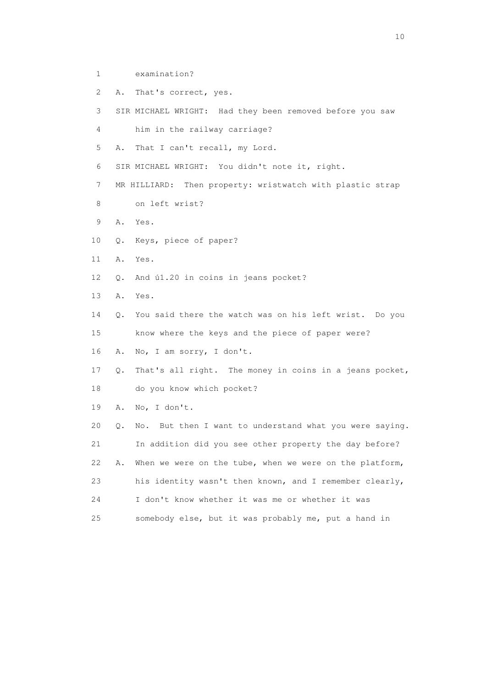- 1 examination?
- 2 A. That's correct, yes.

3 SIR MICHAEL WRIGHT: Had they been removed before you saw

4 him in the railway carriage?

5 A. That I can't recall, my Lord.

6 SIR MICHAEL WRIGHT: You didn't note it, right.

7 MR HILLIARD: Then property: wristwatch with plastic strap

- 8 on left wrist?
- 9 A. Yes.
- 10 Q. Keys, piece of paper?
- 11 A. Yes.
- 12 Q. And ú1.20 in coins in jeans pocket?
- 13 A. Yes.

 14 Q. You said there the watch was on his left wrist. Do you 15 know where the keys and the piece of paper were?

16 A. No, I am sorry, I don't.

 17 Q. That's all right. The money in coins in a jeans pocket, 18 do you know which pocket?

19 A. No, I don't.

 20 Q. No. But then I want to understand what you were saying. 21 In addition did you see other property the day before? 22 A. When we were on the tube, when we were on the platform, 23 his identity wasn't then known, and I remember clearly, 24 I don't know whether it was me or whether it was 25 somebody else, but it was probably me, put a hand in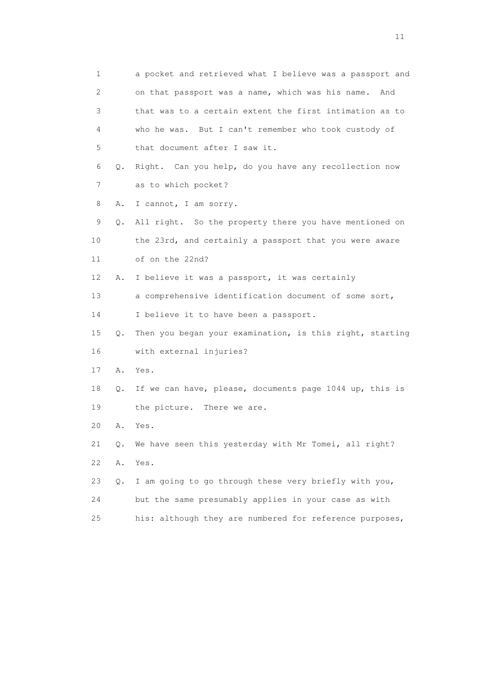1 a pocket and retrieved what I believe was a passport and 2 on that passport was a name, which was his name. And 3 that was to a certain extent the first intimation as to 4 who he was. But I can't remember who took custody of 5 that document after I saw it. 6 Q. Right. Can you help, do you have any recollection now 7 as to which pocket? 8 A. I cannot, I am sorry. 9 Q. All right. So the property there you have mentioned on 10 the 23rd, and certainly a passport that you were aware 11 of on the 22nd? 12 A. I believe it was a passport, it was certainly 13 a comprehensive identification document of some sort, 14 I believe it to have been a passport. 15 Q. Then you began your examination, is this right, starting 16 with external injuries? 17 A. Yes. 18 Q. If we can have, please, documents page 1044 up, this is 19 the picture. There we are. 20 A. Yes. 21 Q. We have seen this yesterday with Mr Tomei, all right? 22 A. Yes. 23 Q. I am going to go through these very briefly with you, 24 but the same presumably applies in your case as with 25 his: although they are numbered for reference purposes,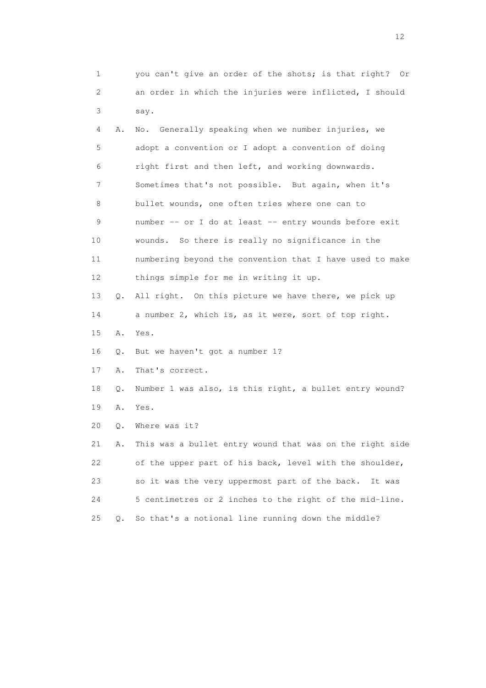1 you can't give an order of the shots; is that right? Or 2 an order in which the injuries were inflicted, I should 3 say. 4 A. No. Generally speaking when we number injuries, we 5 adopt a convention or I adopt a convention of doing 6 right first and then left, and working downwards. 7 Sometimes that's not possible. But again, when it's 8 bullet wounds, one often tries where one can to 9 number -- or I do at least -- entry wounds before exit 10 wounds. So there is really no significance in the 11 numbering beyond the convention that I have used to make 12 things simple for me in writing it up. 13 Q. All right. On this picture we have there, we pick up 14 a number 2, which is, as it were, sort of top right. 15 A. Yes. 16 Q. But we haven't got a number 1? 17 A. That's correct. 18 Q. Number 1 was also, is this right, a bullet entry wound? 19 A. Yes. 20 Q. Where was it? 21 A. This was a bullet entry wound that was on the right side 22 of the upper part of his back, level with the shoulder, 23 so it was the very uppermost part of the back. It was 24 5 centimetres or 2 inches to the right of the mid-line. 25 Q. So that's a notional line running down the middle?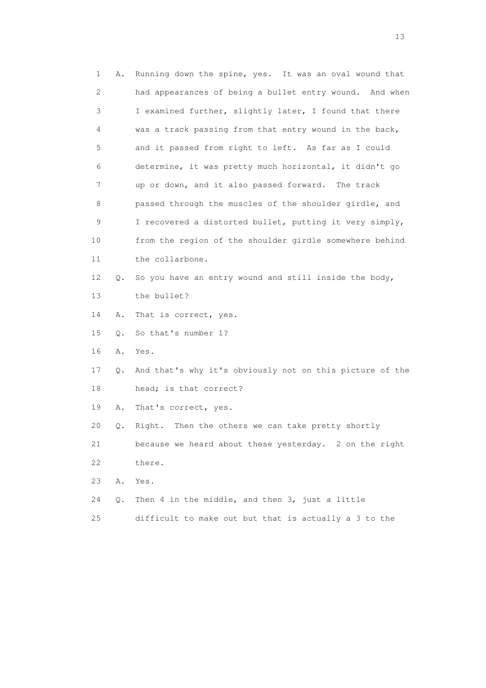| 1  | Α. | Running down the spine, yes. It was an oval wound that   |
|----|----|----------------------------------------------------------|
| 2  |    | had appearances of being a bullet entry wound. And when  |
| 3  |    | I examined further, slightly later, I found that there   |
| 4  |    | was a track passing from that entry wound in the back,   |
| 5  |    | and it passed from right to left. As far as I could      |
| 6  |    | determine, it was pretty much horizontal, it didn't go   |
| 7  |    | up or down, and it also passed forward. The track        |
| 8  |    | passed through the muscles of the shoulder girdle, and   |
| 9  |    | I recovered a distorted bullet, putting it very simply,  |
| 10 |    | from the region of the shoulder girdle somewhere behind  |
| 11 |    | the collarbone.                                          |
| 12 | Q. | So you have an entry wound and still inside the body,    |
| 13 |    | the bullet?                                              |
| 14 | Α. | That is correct, yes.                                    |
| 15 | Q. | So that's number 1?                                      |
| 16 | Α. | Yes.                                                     |
| 17 | Q. | And that's why it's obviously not on this picture of the |
| 18 |    | head; is that correct?                                   |
| 19 | Α. | That's correct, yes.                                     |
| 20 | Q. | Then the others we can take pretty shortly<br>Right.     |
| 21 |    | because we heard about these yesterday. 2 on the right   |
| 22 |    | there.                                                   |
| 23 | Α. | Yes.                                                     |
| 24 | Q. | Then 4 in the middle, and then 3, just a little          |
| 25 |    | difficult to make out but that is actually a 3 to the    |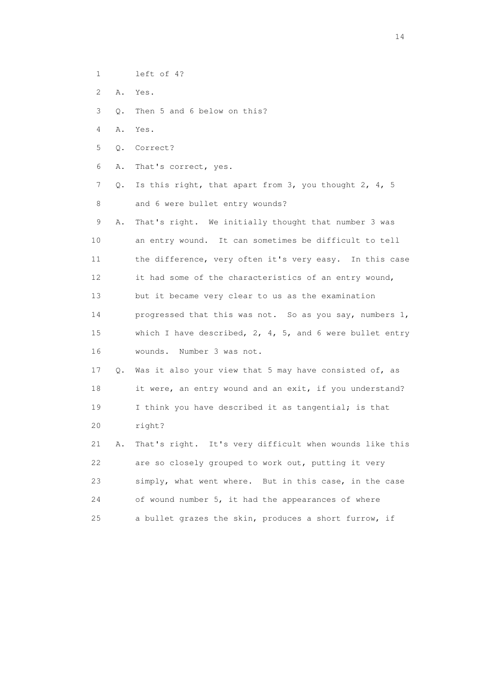- 1 left of 4?
- 2 A. Yes.

3 Q. Then 5 and 6 below on this?

- 4 A. Yes.
- 5 Q. Correct?
- 6 A. That's correct, yes.
- 7 Q. Is this right, that apart from 3, you thought 2, 4, 5 8 and 6 were bullet entry wounds?
- 9 A. That's right. We initially thought that number 3 was 10 an entry wound. It can sometimes be difficult to tell 11 the difference, very often it's very easy. In this case 12 it had some of the characteristics of an entry wound, 13 but it became very clear to us as the examination 14 progressed that this was not. So as you say, numbers 1, 15 which I have described, 2, 4, 5, and 6 were bullet entry 16 wounds. Number 3 was not.
- 17 Q. Was it also your view that 5 may have consisted of, as 18 it were, an entry wound and an exit, if you understand? 19 I think you have described it as tangential; is that 20 right?
- 21 A. That's right. It's very difficult when wounds like this 22 are so closely grouped to work out, putting it very 23 simply, what went where. But in this case, in the case 24 of wound number 5, it had the appearances of where 25 a bullet grazes the skin, produces a short furrow, if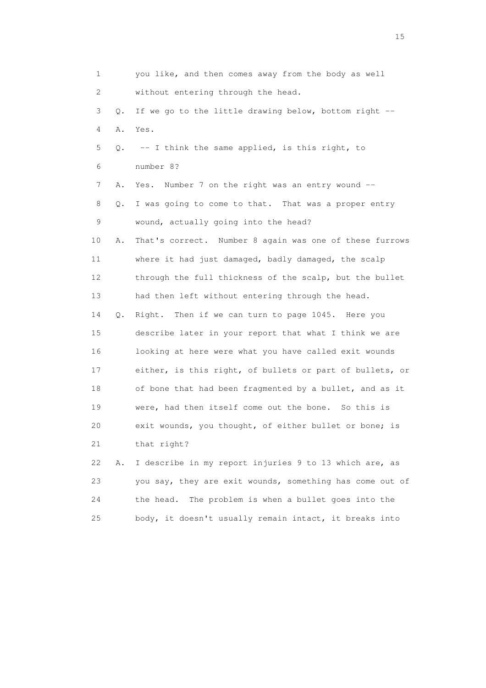| 1  |       | you like, and then comes away from the body as well      |
|----|-------|----------------------------------------------------------|
| 2  |       | without entering through the head.                       |
| 3  | $Q$ . | If we go to the little drawing below, bottom right --    |
| 4  | Α.    | Yes.                                                     |
| 5  | Q.    | -- I think the same applied, is this right, to           |
| 6  |       | number 8?                                                |
| 7  | Α.    | Yes. Number 7 on the right was an entry wound --         |
| 8  | Q.    | I was going to come to that. That was a proper entry     |
| 9  |       | wound, actually going into the head?                     |
| 10 | Α.    | That's correct. Number 8 again was one of these furrows  |
| 11 |       | where it had just damaged, badly damaged, the scalp      |
| 12 |       | through the full thickness of the scalp, but the bullet  |
| 13 |       | had then left without entering through the head.         |
| 14 | Q.    | Right. Then if we can turn to page 1045. Here you        |
| 15 |       | describe later in your report that what I think we are   |
| 16 |       | looking at here were what you have called exit wounds    |
| 17 |       | either, is this right, of bullets or part of bullets, or |
| 18 |       | of bone that had been fragmented by a bullet, and as it  |
| 19 |       | were, had then itself come out the bone. So this is      |
| 20 |       | exit wounds, you thought, of either bullet or bone; is   |
| 21 |       | that right?                                              |
| 22 | Α.    | I describe in my report injuries 9 to 13 which are, as   |
| 23 |       | you say, they are exit wounds, something has come out of |
| 24 |       | The problem is when a bullet goes into the<br>the head.  |

25 body, it doesn't usually remain intact, it breaks into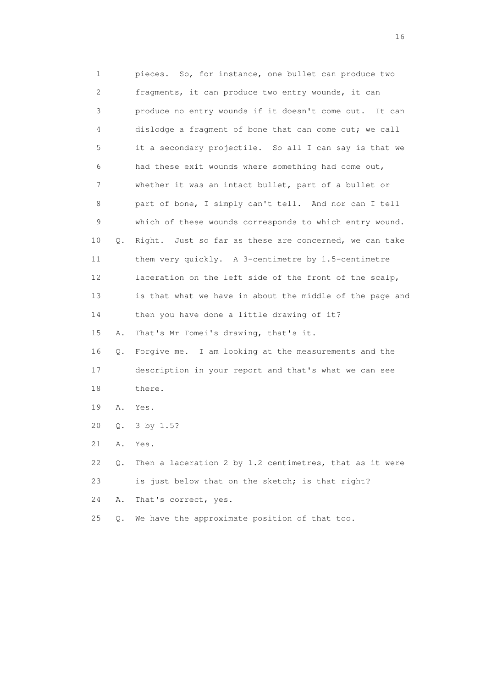1 pieces. So, for instance, one bullet can produce two 2 fragments, it can produce two entry wounds, it can 3 produce no entry wounds if it doesn't come out. It can 4 dislodge a fragment of bone that can come out; we call 5 it a secondary projectile. So all I can say is that we 6 had these exit wounds where something had come out, 7 whether it was an intact bullet, part of a bullet or 8 part of bone, I simply can't tell. And nor can I tell 9 which of these wounds corresponds to which entry wound. 10 Q. Right. Just so far as these are concerned, we can take 11 them very quickly. A 3-centimetre by 1.5-centimetre 12 laceration on the left side of the front of the scalp, 13 is that what we have in about the middle of the page and 14 then you have done a little drawing of it? 15 A. That's Mr Tomei's drawing, that's it. 16 Q. Forgive me. I am looking at the measurements and the 17 description in your report and that's what we can see 18 there. 19 A. Yes. 20 Q. 3 by 1.5? 21 A. Yes. 22 Q. Then a laceration 2 by 1.2 centimetres, that as it were 23 is just below that on the sketch; is that right? 24 A. That's correct, yes. 25 Q. We have the approximate position of that too.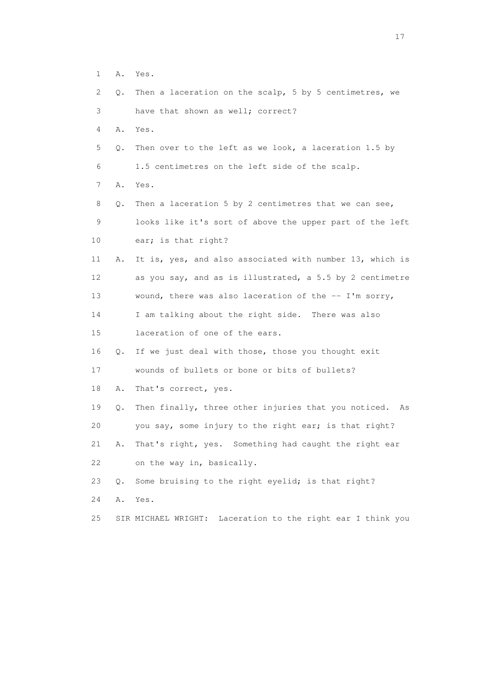- 1 A. Yes.
- 2 Q. Then a laceration on the scalp, 5 by 5 centimetres, we 3 have that shown as well; correct?
- 4 A. Yes.
- 5 Q. Then over to the left as we look, a laceration 1.5 by 6 1.5 centimetres on the left side of the scalp.
- 7 A. Yes.
- 8 Q. Then a laceration 5 by 2 centimetres that we can see, 9 looks like it's sort of above the upper part of the left 10 ear; is that right?
- 11 A. It is, yes, and also associated with number 13, which is 12 as you say, and as is illustrated, a 5.5 by 2 centimetre 13 wound, there was also laceration of the -- I'm sorry, 14 I am talking about the right side. There was also
- 15 laceration of one of the ears.
- 16 Q. If we just deal with those, those you thought exit
- 17 wounds of bullets or bone or bits of bullets?
- 18 A. That's correct, yes.
- 19 Q. Then finally, three other injuries that you noticed. As 20 you say, some injury to the right ear; is that right? 21 A. That's right, yes. Something had caught the right ear
- 22 on the way in, basically.
- 23 Q. Some bruising to the right eyelid; is that right?
- 24 A. Yes.
- 25 SIR MICHAEL WRIGHT: Laceration to the right ear I think you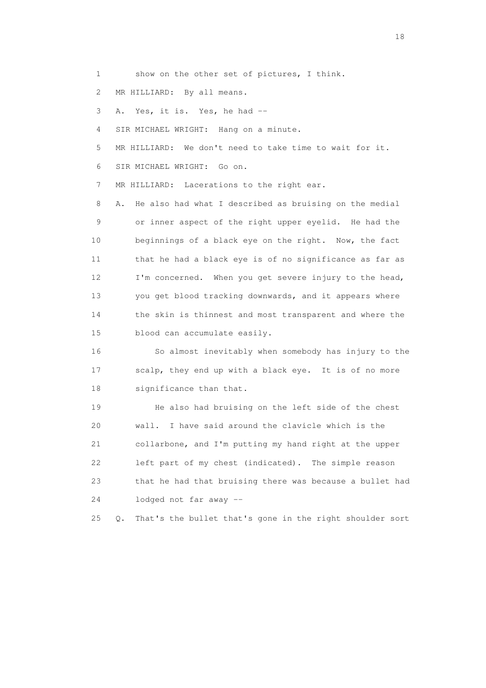1 show on the other set of pictures, I think.

2 MR HILLIARD: By all means.

3 A. Yes, it is. Yes, he had --

4 SIR MICHAEL WRIGHT: Hang on a minute.

5 MR HILLIARD: We don't need to take time to wait for it.

6 SIR MICHAEL WRIGHT: Go on.

7 MR HILLIARD: Lacerations to the right ear.

 8 A. He also had what I described as bruising on the medial 9 or inner aspect of the right upper eyelid. He had the 10 beginnings of a black eye on the right. Now, the fact 11 that he had a black eye is of no significance as far as 12 I'm concerned. When you get severe injury to the head, 13 you get blood tracking downwards, and it appears where 14 the skin is thinnest and most transparent and where the 15 blood can accumulate easily.

 16 So almost inevitably when somebody has injury to the 17 scalp, they end up with a black eye. It is of no more 18 significance than that.

 19 He also had bruising on the left side of the chest 20 wall. I have said around the clavicle which is the 21 collarbone, and I'm putting my hand right at the upper 22 left part of my chest (indicated). The simple reason 23 that he had that bruising there was because a bullet had 24 lodged not far away --

25 Q. That's the bullet that's gone in the right shoulder sort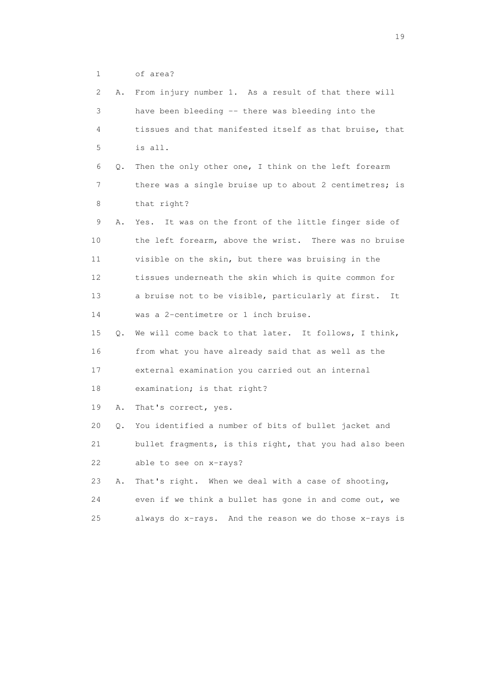1 of area?

| 2  | Α. | From injury number 1. As a result of that there will     |
|----|----|----------------------------------------------------------|
| 3  |    | have been bleeding -- there was bleeding into the        |
| 4  |    | tissues and that manifested itself as that bruise, that  |
| 5  |    | is all.                                                  |
| 6  | Q. | Then the only other one, I think on the left forearm     |
| 7  |    | there was a single bruise up to about 2 centimetres; is  |
| 8  |    | that right?                                              |
| 9  | Α. | Yes. It was on the front of the little finger side of    |
| 10 |    | the left forearm, above the wrist. There was no bruise   |
| 11 |    | visible on the skin, but there was bruising in the       |
| 12 |    | tissues underneath the skin which is quite common for    |
| 13 |    | a bruise not to be visible, particularly at first.<br>It |
| 14 |    | was a 2-centimetre or 1 inch bruise.                     |
| 15 | Q. | We will come back to that later. It follows, I think,    |
| 16 |    | from what you have already said that as well as the      |
| 17 |    | external examination you carried out an internal         |
| 18 |    | examination; is that right?                              |
| 19 | Α. | That's correct, yes.                                     |
| 20 | Q. | You identified a number of bits of bullet jacket and     |
| 21 |    | bullet fragments, is this right, that you had also been  |
| 22 |    | able to see on x-rays?                                   |
| 23 | Α. | That's right. When we deal with a case of shooting,      |
| 24 |    | even if we think a bullet has gone in and come out, we   |
| 25 |    | always do x-rays. And the reason we do those x-rays is   |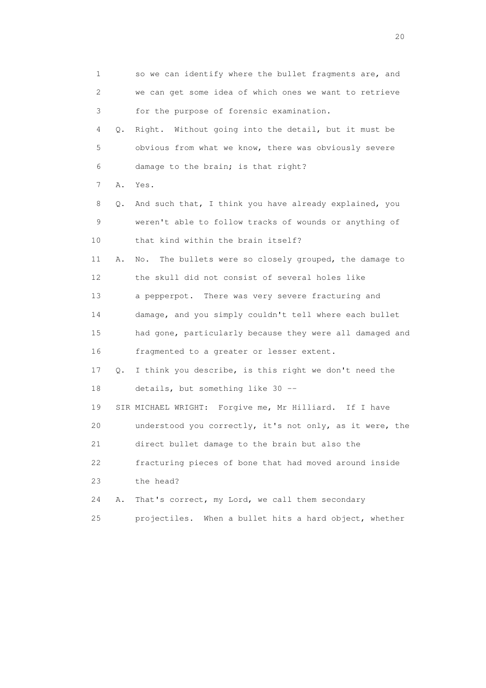| 1  |    | so we can identify where the bullet fragments are, and    |
|----|----|-----------------------------------------------------------|
| 2  |    | we can get some idea of which ones we want to retrieve    |
| 3  |    | for the purpose of forensic examination.                  |
| 4  | Q. | Right. Without going into the detail, but it must be      |
| 5  |    | obvious from what we know, there was obviously severe     |
| 6  |    | damage to the brain; is that right?                       |
| 7  | Α. | Yes.                                                      |
| 8  | Q. | And such that, I think you have already explained, you    |
| 9  |    | weren't able to follow tracks of wounds or anything of    |
| 10 |    | that kind within the brain itself?                        |
| 11 | Α. | The bullets were so closely grouped, the damage to<br>No. |
| 12 |    | the skull did not consist of several holes like           |
| 13 |    | a pepperpot. There was very severe fracturing and         |
| 14 |    | damage, and you simply couldn't tell where each bullet    |
| 15 |    | had gone, particularly because they were all damaged and  |
| 16 |    | fragmented to a greater or lesser extent.                 |
| 17 | Q. | I think you describe, is this right we don't need the     |
| 18 |    | details, but something like 30 --                         |
| 19 |    | SIR MICHAEL WRIGHT: Forgive me, Mr Hilliard. If I have    |
| 20 |    | understood you correctly, it's not only, as it were, the  |
| 21 |    | direct bullet damage to the brain but also the            |
| 22 |    | fracturing pieces of bone that had moved around inside    |
| 23 |    | the head?                                                 |
| 24 | Α. | That's correct, my Lord, we call them secondary           |
| 25 |    | projectiles.<br>When a bullet hits a hard object, whether |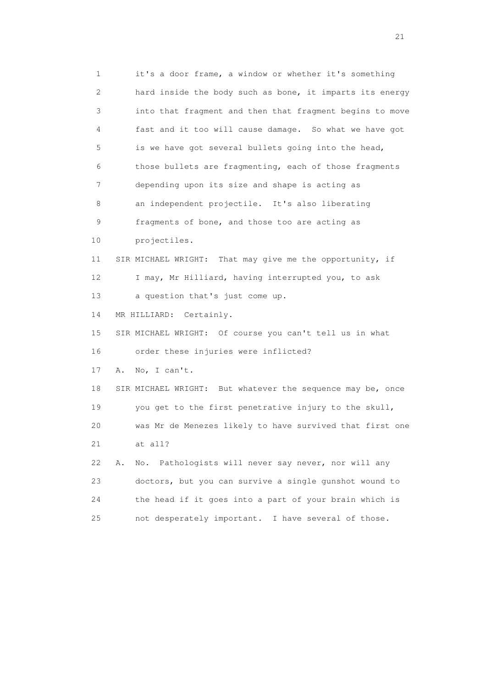1 it's a door frame, a window or whether it's something 2 hard inside the body such as bone, it imparts its energy 3 into that fragment and then that fragment begins to move 4 fast and it too will cause damage. So what we have got 5 is we have got several bullets going into the head, 6 those bullets are fragmenting, each of those fragments 7 depending upon its size and shape is acting as 8 an independent projectile. It's also liberating 9 fragments of bone, and those too are acting as 10 projectiles. 11 SIR MICHAEL WRIGHT: That may give me the opportunity, if 12 I may, Mr Hilliard, having interrupted you, to ask 13 a question that's just come up. 14 MR HILLIARD: Certainly. 15 SIR MICHAEL WRIGHT: Of course you can't tell us in what 16 order these injuries were inflicted? 17 A. No, I can't. 18 SIR MICHAEL WRIGHT: But whatever the sequence may be, once 19 you get to the first penetrative injury to the skull, 20 was Mr de Menezes likely to have survived that first one 21 at all? 22 A. No. Pathologists will never say never, nor will any 23 doctors, but you can survive a single gunshot wound to 24 the head if it goes into a part of your brain which is 25 not desperately important. I have several of those.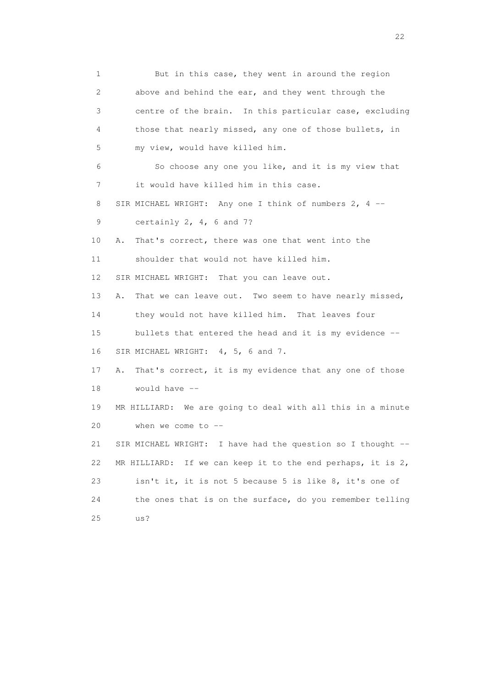1 But in this case, they went in around the region 2 above and behind the ear, and they went through the 3 centre of the brain. In this particular case, excluding 4 those that nearly missed, any one of those bullets, in 5 my view, would have killed him. 6 So choose any one you like, and it is my view that 7 it would have killed him in this case. 8 SIR MICHAEL WRIGHT: Any one I think of numbers 2, 4 -- 9 certainly 2, 4, 6 and 7? 10 A. That's correct, there was one that went into the 11 shoulder that would not have killed him. 12 SIR MICHAEL WRIGHT: That you can leave out. 13 A. That we can leave out. Two seem to have nearly missed, 14 they would not have killed him. That leaves four 15 bullets that entered the head and it is my evidence -- 16 SIR MICHAEL WRIGHT: 4, 5, 6 and 7. 17 A. That's correct, it is my evidence that any one of those 18 would have -- 19 MR HILLIARD: We are going to deal with all this in a minute 20 when we come to -- 21 SIR MICHAEL WRIGHT: I have had the question so I thought -- 22 MR HILLIARD: If we can keep it to the end perhaps, it is 2, 23 isn't it, it is not 5 because 5 is like 8, it's one of 24 the ones that is on the surface, do you remember telling 25 us?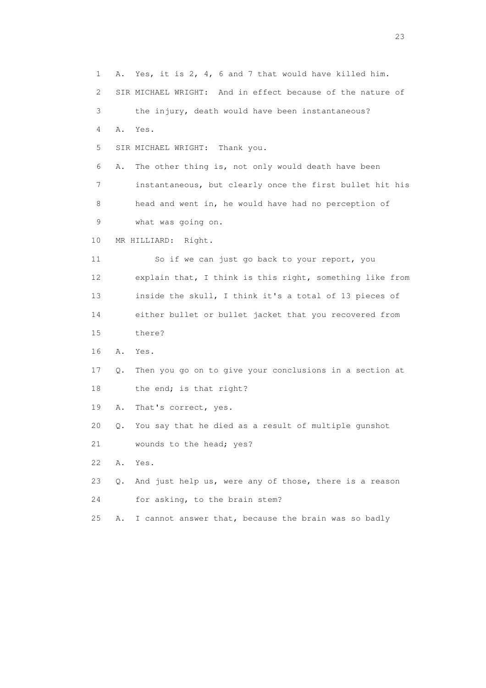1 A. Yes, it is 2, 4, 6 and 7 that would have killed him. 2 SIR MICHAEL WRIGHT: And in effect because of the nature of 3 the injury, death would have been instantaneous? 4 A. Yes. 5 SIR MICHAEL WRIGHT: Thank you. 6 A. The other thing is, not only would death have been 7 instantaneous, but clearly once the first bullet hit his 8 head and went in, he would have had no perception of 9 what was going on. 10 MR HILLIARD: Right. 11 So if we can just go back to your report, you 12 explain that, I think is this right, something like from 13 inside the skull, I think it's a total of 13 pieces of 14 either bullet or bullet jacket that you recovered from 15 there? 16 A. Yes. 17 Q. Then you go on to give your conclusions in a section at 18 the end; is that right? 19 A. That's correct, yes. 20 Q. You say that he died as a result of multiple gunshot 21 wounds to the head; yes? 22 A. Yes. 23 Q. And just help us, were any of those, there is a reason 24 for asking, to the brain stem? 25 A. I cannot answer that, because the brain was so badly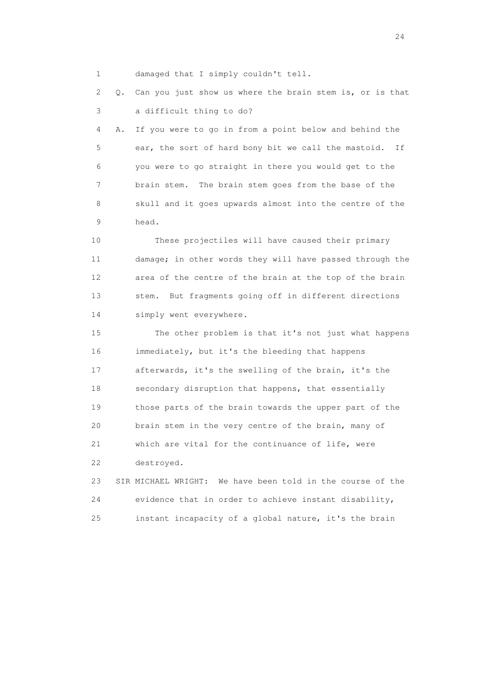1 damaged that I simply couldn't tell.

 2 Q. Can you just show us where the brain stem is, or is that 3 a difficult thing to do?

 4 A. If you were to go in from a point below and behind the 5 ear, the sort of hard bony bit we call the mastoid. If 6 you were to go straight in there you would get to the 7 brain stem. The brain stem goes from the base of the 8 skull and it goes upwards almost into the centre of the 9 head.

 10 These projectiles will have caused their primary 11 damage; in other words they will have passed through the 12 area of the centre of the brain at the top of the brain 13 stem. But fragments going off in different directions 14 simply went everywhere.

 15 The other problem is that it's not just what happens 16 immediately, but it's the bleeding that happens 17 afterwards, it's the swelling of the brain, it's the 18 secondary disruption that happens, that essentially 19 those parts of the brain towards the upper part of the 20 brain stem in the very centre of the brain, many of 21 which are vital for the continuance of life, were 22 destroyed.

 23 SIR MICHAEL WRIGHT: We have been told in the course of the 24 evidence that in order to achieve instant disability, 25 instant incapacity of a global nature, it's the brain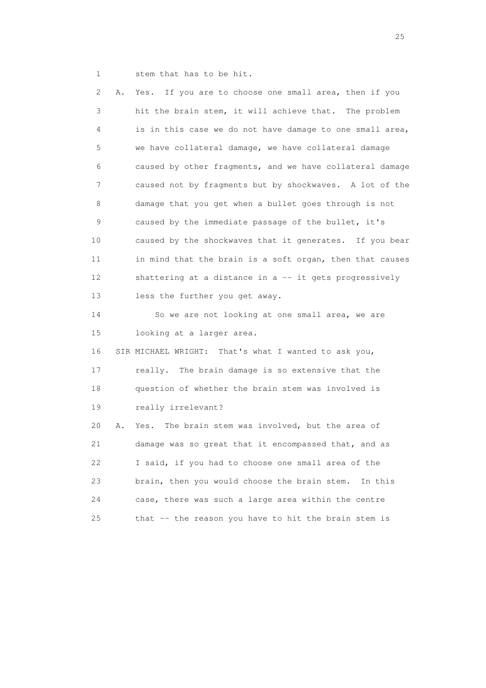1 stem that has to be hit.

 2 A. Yes. If you are to choose one small area, then if you 3 hit the brain stem, it will achieve that. The problem 4 is in this case we do not have damage to one small area, 5 we have collateral damage, we have collateral damage 6 caused by other fragments, and we have collateral damage 7 caused not by fragments but by shockwaves. A lot of the 8 damage that you get when a bullet goes through is not 9 caused by the immediate passage of the bullet, it's 10 caused by the shockwaves that it generates. If you bear 11 in mind that the brain is a soft organ, then that causes 12 shattering at a distance in a -- it gets progressively 13 less the further you get away. 14 So we are not looking at one small area, we are 15 looking at a larger area. 16 SIR MICHAEL WRIGHT: That's what I wanted to ask you, 17 really. The brain damage is so extensive that the 18 question of whether the brain stem was involved is 19 really irrelevant? 20 A. Yes. The brain stem was involved, but the area of 21 damage was so great that it encompassed that, and as 22 I said, if you had to choose one small area of the 23 brain, then you would choose the brain stem. In this 24 case, there was such a large area within the centre 25 that -- the reason you have to hit the brain stem is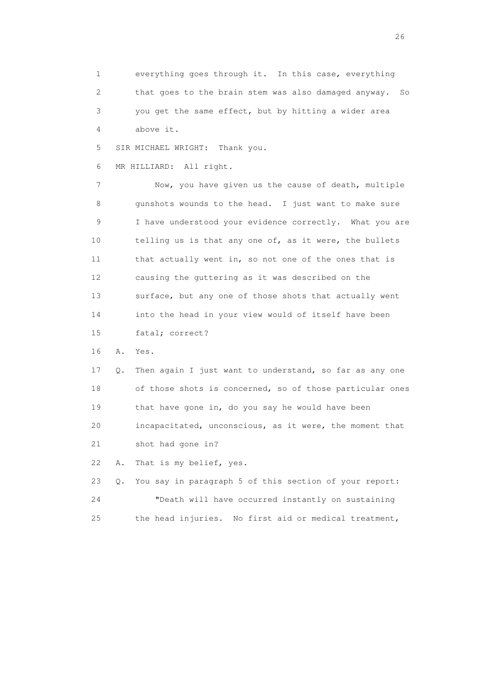1 everything goes through it. In this case, everything 2 that goes to the brain stem was also damaged anyway. So 3 you get the same effect, but by hitting a wider area 4 above it.

5 SIR MICHAEL WRIGHT: Thank you.

6 MR HILLIARD: All right.

 7 Now, you have given us the cause of death, multiple 8 gunshots wounds to the head. I just want to make sure 9 I have understood your evidence correctly. What you are 10 telling us is that any one of, as it were, the bullets 11 that actually went in, so not one of the ones that is 12 causing the guttering as it was described on the 13 surface, but any one of those shots that actually went 14 into the head in your view would of itself have been 15 fatal; correct?

16 A. Yes.

 17 Q. Then again I just want to understand, so far as any one 18 of those shots is concerned, so of those particular ones 19 that have gone in, do you say he would have been 20 incapacitated, unconscious, as it were, the moment that 21 shot had gone in?

22 A. That is my belief, yes.

 23 Q. You say in paragraph 5 of this section of your report: 24 "Death will have occurred instantly on sustaining 25 the head injuries. No first aid or medical treatment,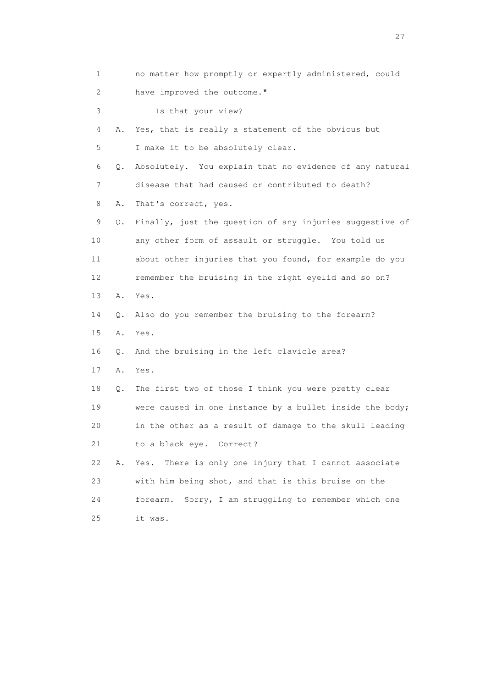1 no matter how promptly or expertly administered, could 2 have improved the outcome." 3 Is that your view? 4 A. Yes, that is really a statement of the obvious but 5 I make it to be absolutely clear. 6 Q. Absolutely. You explain that no evidence of any natural 7 disease that had caused or contributed to death? 8 A. That's correct, yes. 9 Q. Finally, just the question of any injuries suggestive of 10 any other form of assault or struggle. You told us 11 about other injuries that you found, for example do you 12 remember the bruising in the right eyelid and so on? 13 A. Yes. 14 Q. Also do you remember the bruising to the forearm? 15 A. Yes. 16 Q. And the bruising in the left clavicle area? 17 A. Yes. 18 Q. The first two of those I think you were pretty clear 19 were caused in one instance by a bullet inside the body; 20 in the other as a result of damage to the skull leading 21 to a black eye. Correct? 22 A. Yes. There is only one injury that I cannot associate 23 with him being shot, and that is this bruise on the 24 forearm. Sorry, I am struggling to remember which one 25 it was.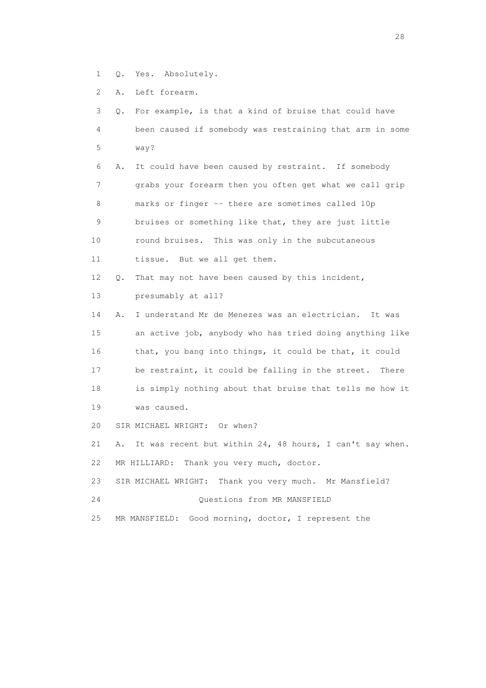- 1 Q. Yes. Absolutely.
- 2 A. Left forearm.

| 3  | 0. | For example, is that a kind of bruise that could have     |
|----|----|-----------------------------------------------------------|
| 4  |    | been caused if somebody was restraining that arm in some  |
| 5  |    | way?                                                      |
| 6  | Α. | It could have been caused by restraint. If somebody       |
| 7  |    | grabs your forearm then you often get what we call grip   |
| 8  |    | marks or finger -- there are sometimes called 10p         |
| 9  |    | bruises or something like that, they are just little      |
| 10 |    | round bruises. This was only in the subcutaneous          |
| 11 |    | tissue. But we all get them.                              |
| 12 | О. | That may not have been caused by this incident,           |
| 13 |    | presumably at all?                                        |
| 14 | Α. | I understand Mr de Menezes was an electrician. It was     |
| 15 |    | an active job, anybody who has tried doing anything like  |
| 16 |    | that, you bang into things, it could be that, it could    |
| 17 |    | be restraint, it could be falling in the street.<br>There |
| 18 |    | is simply nothing about that bruise that tells me how it  |
| 19 |    | was caused.                                               |
| 20 |    | SIR MICHAEL WRIGHT: Or when?                              |
| 21 | Α. | It was recent but within 24, 48 hours, I can't say when.  |
| 22 |    | Thank you very much, doctor.<br>MR HILLIARD:              |
| 23 |    | SIR MICHAEL WRIGHT: Thank you very much. Mr Mansfield?    |
| 24 |    | Ouestions from MR MANSFIELD                               |
| 25 |    | Good morning, doctor, I represent the<br>MR MANSFIELD:    |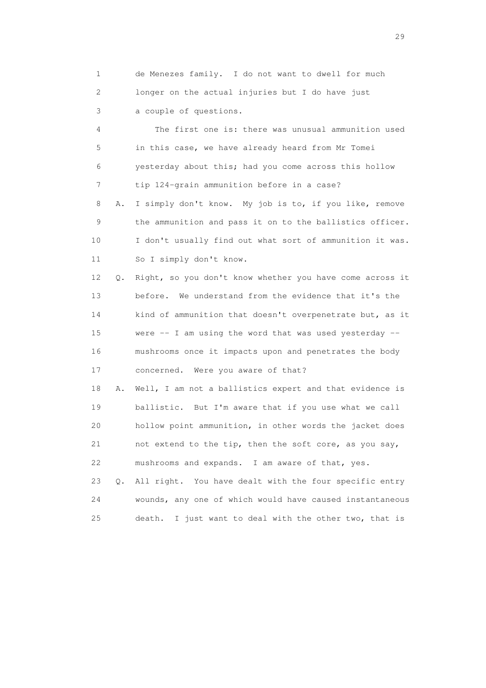1 de Menezes family. I do not want to dwell for much 2 longer on the actual injuries but I do have just 3 a couple of questions.

 4 The first one is: there was unusual ammunition used 5 in this case, we have already heard from Mr Tomei 6 yesterday about this; had you come across this hollow 7 tip 124-grain ammunition before in a case? 8 A. I simply don't know. My job is to, if you like, remove 9 the ammunition and pass it on to the ballistics officer.

 10 I don't usually find out what sort of ammunition it was. 11 So I simply don't know.

 12 Q. Right, so you don't know whether you have come across it 13 before. We understand from the evidence that it's the 14 kind of ammunition that doesn't overpenetrate but, as it 15 were -- I am using the word that was used yesterday -- 16 mushrooms once it impacts upon and penetrates the body 17 concerned. Were you aware of that?

 18 A. Well, I am not a ballistics expert and that evidence is 19 ballistic. But I'm aware that if you use what we call 20 hollow point ammunition, in other words the jacket does 21 not extend to the tip, then the soft core, as you say, 22 mushrooms and expands. I am aware of that, yes.

 23 Q. All right. You have dealt with the four specific entry 24 wounds, any one of which would have caused instantaneous 25 death. I just want to deal with the other two, that is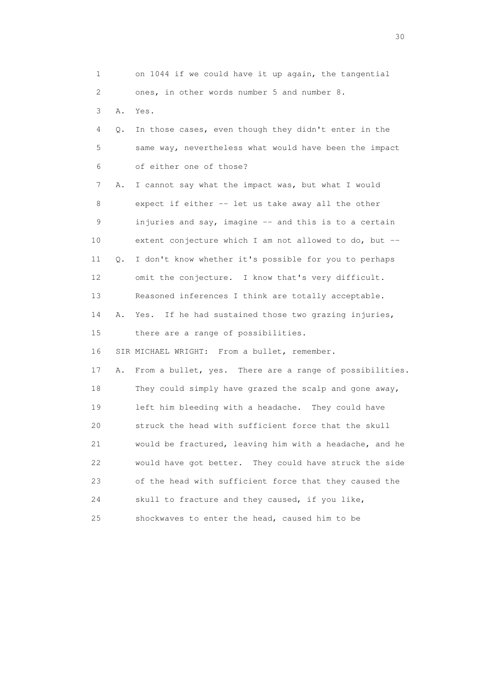| 1  |    | on 1044 if we could have it up again, the tangential      |
|----|----|-----------------------------------------------------------|
| 2  |    | ones, in other words number 5 and number 8.               |
| 3  | Α. | Yes.                                                      |
| 4  | Q. | In those cases, even though they didn't enter in the      |
| 5  |    | same way, nevertheless what would have been the impact    |
| 6  |    | of either one of those?                                   |
| 7  | Α. | I cannot say what the impact was, but what I would        |
| 8  |    | expect if either -- let us take away all the other        |
| 9  |    | injuries and say, imagine -- and this is to a certain     |
| 10 |    | extent conjecture which I am not allowed to do, but --    |
| 11 | Q. | I don't know whether it's possible for you to perhaps     |
| 12 |    | omit the conjecture. I know that's very difficult.        |
| 13 |    | Reasoned inferences I think are totally acceptable.       |
| 14 | Α. | If he had sustained those two grazing injuries,<br>Yes.   |
| 15 |    | there are a range of possibilities.                       |
| 16 |    | SIR MICHAEL WRIGHT: From a bullet, remember.              |
| 17 | Α. | From a bullet, yes. There are a range of possibilities.   |
| 18 |    | They could simply have grazed the scalp and gone away,    |
| 19 |    | left him bleeding with a headache. They could have        |
| 20 |    | struck the head with sufficient force that the skull      |
| 21 |    | would be fractured, leaving him with a headache, and he   |
| 22 |    | would have got better.<br>They could have struck the side |
| 23 |    | of the head with sufficient force that they caused the    |
| 24 |    | skull to fracture and they caused, if you like,           |
| 25 |    | shockwaves to enter the head, caused him to be            |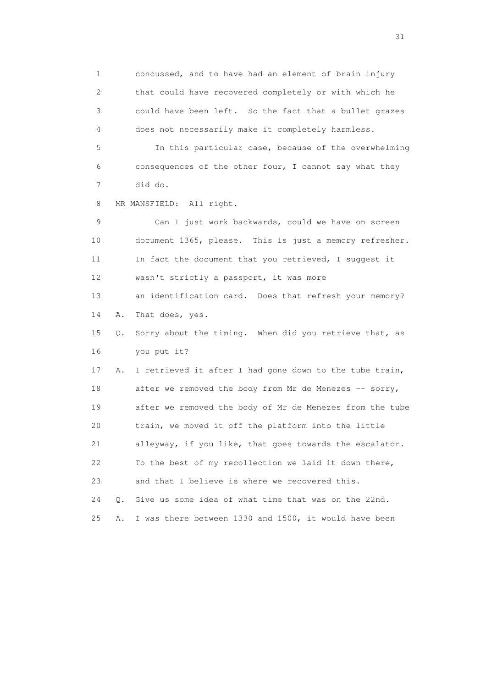1 concussed, and to have had an element of brain injury 2 that could have recovered completely or with which he 3 could have been left. So the fact that a bullet grazes 4 does not necessarily make it completely harmless.

 5 In this particular case, because of the overwhelming 6 consequences of the other four, I cannot say what they 7 did do.

8 MR MANSFIELD: All right.

 9 Can I just work backwards, could we have on screen 10 document 1365, please. This is just a memory refresher. 11 In fact the document that you retrieved, I suggest it 12 wasn't strictly a passport, it was more 13 an identification card. Does that refresh your memory? 14 A. That does, yes. 15 Q. Sorry about the timing. When did you retrieve that, as 16 you put it? 17 A. I retrieved it after I had gone down to the tube train, 18 after we removed the body from Mr de Menezes -- sorry, 19 after we removed the body of Mr de Menezes from the tube 20 train, we moved it off the platform into the little 21 alleyway, if you like, that goes towards the escalator. 22 To the best of my recollection we laid it down there, 23 and that I believe is where we recovered this. 24 Q. Give us some idea of what time that was on the 22nd. 25 A. I was there between 1330 and 1500, it would have been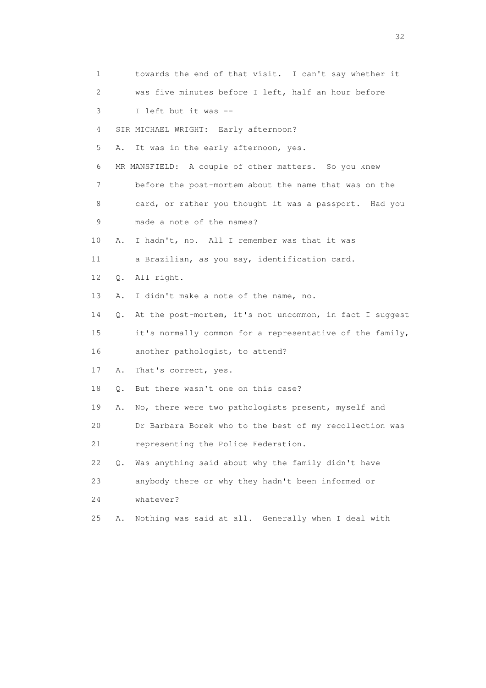1 towards the end of that visit. I can't say whether it 2 was five minutes before I left, half an hour before 3 I left but it was -- 4 SIR MICHAEL WRIGHT: Early afternoon? 5 A. It was in the early afternoon, yes. 6 MR MANSFIELD: A couple of other matters. So you knew 7 before the post-mortem about the name that was on the 8 card, or rather you thought it was a passport. Had you 9 made a note of the names? 10 A. I hadn't, no. All I remember was that it was 11 a Brazilian, as you say, identification card. 12 Q. All right. 13 A. I didn't make a note of the name, no. 14 Q. At the post-mortem, it's not uncommon, in fact I suggest 15 it's normally common for a representative of the family, 16 another pathologist, to attend? 17 A. That's correct, yes. 18 Q. But there wasn't one on this case? 19 A. No, there were two pathologists present, myself and 20 Dr Barbara Borek who to the best of my recollection was 21 representing the Police Federation. 22 Q. Was anything said about why the family didn't have 23 anybody there or why they hadn't been informed or 24 whatever? 25 A. Nothing was said at all. Generally when I deal with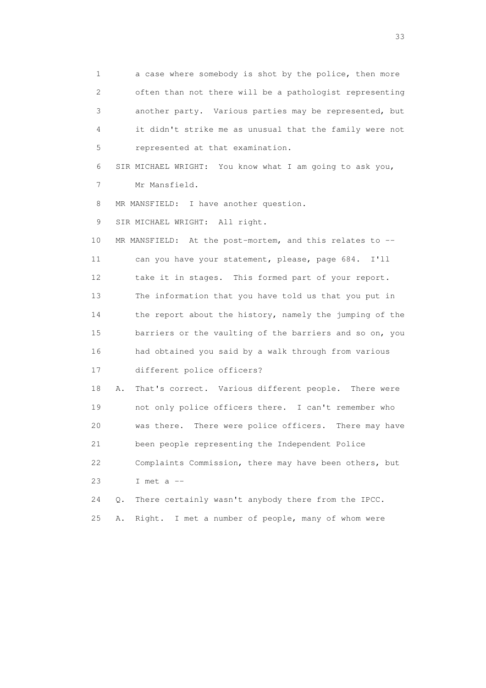1 a case where somebody is shot by the police, then more 2 often than not there will be a pathologist representing 3 another party. Various parties may be represented, but 4 it didn't strike me as unusual that the family were not 5 represented at that examination.

 6 SIR MICHAEL WRIGHT: You know what I am going to ask you, 7 Mr Mansfield.

8 MR MANSFIELD: I have another question.

9 SIR MICHAEL WRIGHT: All right.

 10 MR MANSFIELD: At the post-mortem, and this relates to -- 11 can you have your statement, please, page 684. I'll 12 take it in stages. This formed part of your report. 13 The information that you have told us that you put in 14 the report about the history, namely the jumping of the 15 barriers or the vaulting of the barriers and so on, you 16 had obtained you said by a walk through from various 17 different police officers?

 18 A. That's correct. Various different people. There were 19 not only police officers there. I can't remember who 20 was there. There were police officers. There may have 21 been people representing the Independent Police 22 Complaints Commission, there may have been others, but 23 I met a --

 24 Q. There certainly wasn't anybody there from the IPCC. 25 A. Right. I met a number of people, many of whom were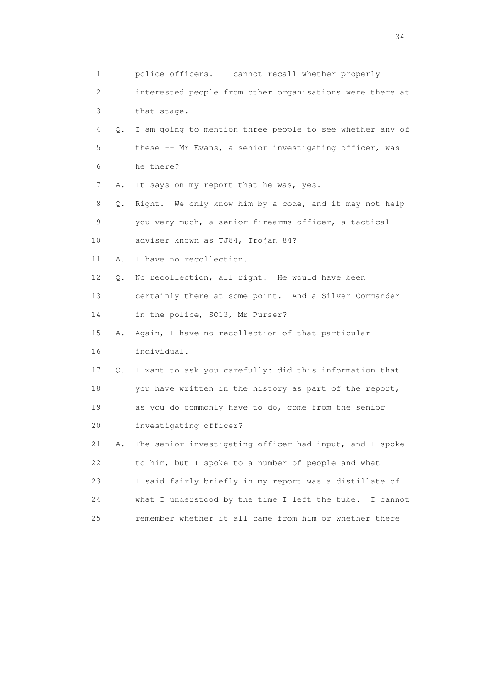| 1  |    | police officers. I cannot recall whether properly           |
|----|----|-------------------------------------------------------------|
| 2  |    | interested people from other organisations were there at    |
| 3  |    | that stage.                                                 |
| 4  |    | Q. I am going to mention three people to see whether any of |
| 5  |    | these -- Mr Evans, a senior investigating officer, was      |
| 6  |    | he there?                                                   |
| 7  | Α. | It says on my report that he was, yes.                      |
| 8  | Q. | Right. We only know him by a code, and it may not help      |
| 9  |    | you very much, a senior firearms officer, a tactical        |
| 10 |    | adviser known as TJ84, Trojan 84?                           |
| 11 | Α. | I have no recollection.                                     |
| 12 | Q. | No recollection, all right. He would have been              |
| 13 |    | certainly there at some point. And a Silver Commander       |
| 14 |    | in the police, SO13, Mr Purser?                             |
| 15 | Α. | Again, I have no recollection of that particular            |
| 16 |    | individual.                                                 |
| 17 | Q. | I want to ask you carefully: did this information that      |
| 18 |    | you have written in the history as part of the report,      |
| 19 |    | as you do commonly have to do, come from the senior         |
| 20 |    | investigating officer?                                      |
| 21 | Α. | The senior investigating officer had input, and I spoke     |
| 22 |    | to him, but I spoke to a number of people and what          |
| 23 |    | I said fairly briefly in my report was a distillate of      |
| 24 |    | what I understood by the time I left the tube.<br>I cannot  |
| 25 |    | remember whether it all came from him or whether there      |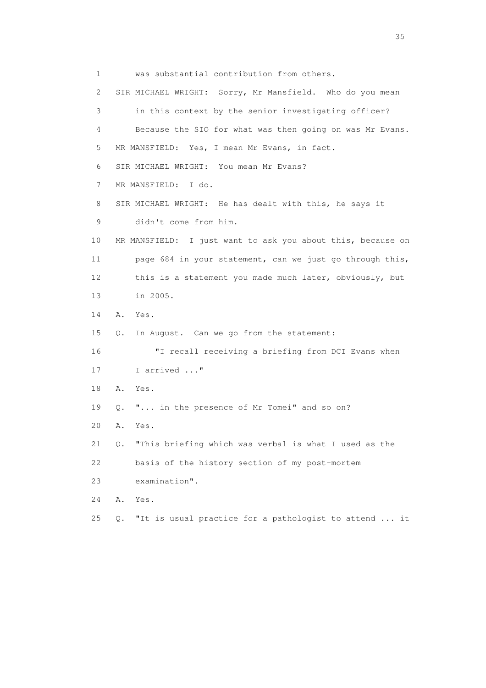1 was substantial contribution from others. 2 SIR MICHAEL WRIGHT: Sorry, Mr Mansfield. Who do you mean 3 in this context by the senior investigating officer? 4 Because the SIO for what was then going on was Mr Evans. 5 MR MANSFIELD: Yes, I mean Mr Evans, in fact. 6 SIR MICHAEL WRIGHT: You mean Mr Evans? 7 MR MANSFIELD: I do. 8 SIR MICHAEL WRIGHT: He has dealt with this, he says it 9 didn't come from him. 10 MR MANSFIELD: I just want to ask you about this, because on 11 page 684 in your statement, can we just go through this, 12 this is a statement you made much later, obviously, but 13 in 2005. 14 A. Yes. 15 Q. In August. Can we go from the statement: 16 "I recall receiving a briefing from DCI Evans when 17 I arrived ..." 18 A. Yes. 19 Q. "... in the presence of Mr Tomei" and so on? 20 A. Yes. 21 Q. "This briefing which was verbal is what I used as the 22 basis of the history section of my post-mortem 23 examination". 24 A. Yes. 25 Q. "It is usual practice for a pathologist to attend ... it

<u>35</u> and the state of the state of the state of the state of the state of the state of the state of the state of the state of the state of the state of the state of the state of the state of the state of the state of the s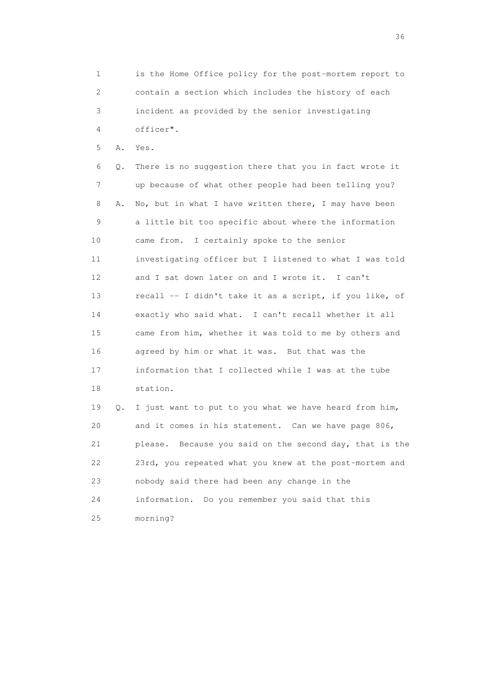1 is the Home Office policy for the post-mortem report to 2 contain a section which includes the history of each 3 incident as provided by the senior investigating 4 officer".

5 A. Yes.

 6 Q. There is no suggestion there that you in fact wrote it 7 up because of what other people had been telling you? 8 A. No, but in what I have written there, I may have been 9 a little bit too specific about where the information 10 came from. I certainly spoke to the senior 11 investigating officer but I listened to what I was told 12 and I sat down later on and I wrote it. I can't 13 recall -- I didn't take it as a script, if you like, of 14 exactly who said what. I can't recall whether it all 15 came from him, whether it was told to me by others and 16 agreed by him or what it was. But that was the 17 information that I collected while I was at the tube 18 station. 19 Q. I just want to put to you what we have heard from him, 20 and it comes in his statement. Can we have page 806,

 21 please. Because you said on the second day, that is the 22 23rd, you repeated what you knew at the post-mortem and 23 nobody said there had been any change in the

24 information. Do you remember you said that this

25 morning?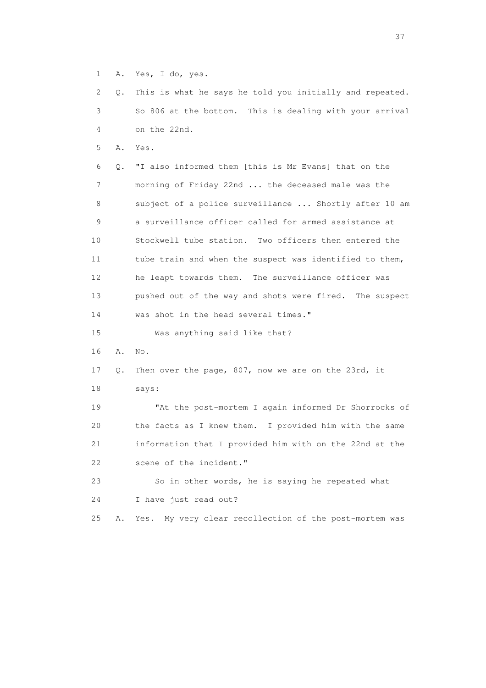1 A. Yes, I do, yes.

 2 Q. This is what he says he told you initially and repeated. 3 So 806 at the bottom. This is dealing with your arrival 4 on the 22nd.

5 A. Yes.

 6 Q. "I also informed them [this is Mr Evans] that on the 7 morning of Friday 22nd ... the deceased male was the 8 subject of a police surveillance ... Shortly after 10 am 9 a surveillance officer called for armed assistance at 10 Stockwell tube station. Two officers then entered the 11 tube train and when the suspect was identified to them, 12 he leapt towards them. The surveillance officer was 13 pushed out of the way and shots were fired. The suspect 14 was shot in the head several times." 15 Was anything said like that?

16 A. No.

## 17 Q. Then over the page, 807, now we are on the 23rd, it

18 says:

 19 "At the post-mortem I again informed Dr Shorrocks of 20 the facts as I knew them. I provided him with the same 21 information that I provided him with on the 22nd at the 22 scene of the incident."

 23 So in other words, he is saying he repeated what 24 I have just read out?

25 A. Yes. My very clear recollection of the post-mortem was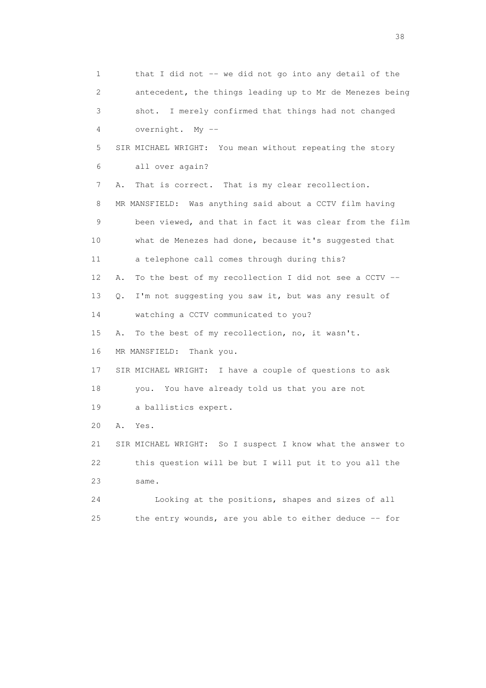1 that I did not -- we did not go into any detail of the 2 antecedent, the things leading up to Mr de Menezes being 3 shot. I merely confirmed that things had not changed 4 overnight. My -- 5 SIR MICHAEL WRIGHT: You mean without repeating the story 6 all over again? 7 A. That is correct. That is my clear recollection. 8 MR MANSFIELD: Was anything said about a CCTV film having 9 been viewed, and that in fact it was clear from the film 10 what de Menezes had done, because it's suggested that 11 a telephone call comes through during this? 12 A. To the best of my recollection I did not see a CCTV -- 13 Q. I'm not suggesting you saw it, but was any result of 14 watching a CCTV communicated to you? 15 A. To the best of my recollection, no, it wasn't. 16 MR MANSFIELD: Thank you. 17 SIR MICHAEL WRIGHT: I have a couple of questions to ask 18 you. You have already told us that you are not 19 a ballistics expert. 20 A. Yes. 21 SIR MICHAEL WRIGHT: So I suspect I know what the answer to 22 this question will be but I will put it to you all the 23 same. 24 Looking at the positions, shapes and sizes of all 25 the entry wounds, are you able to either deduce -- for

and the state of the state of the state of the state of the state of the state of the state of the state of the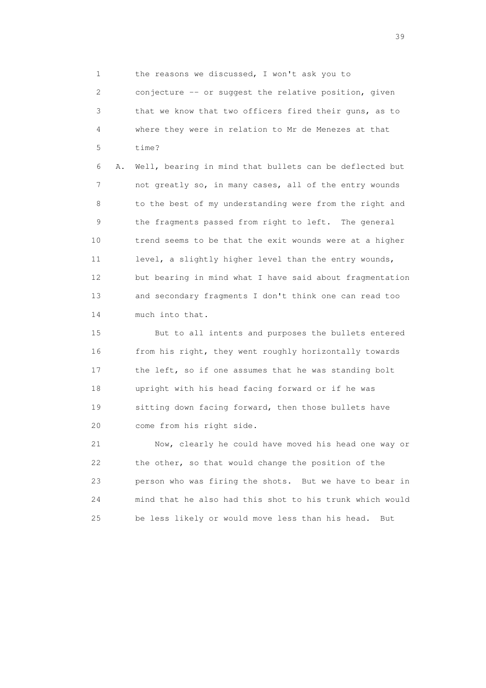1 the reasons we discussed, I won't ask you to

 2 conjecture -- or suggest the relative position, given 3 that we know that two officers fired their guns, as to 4 where they were in relation to Mr de Menezes at that 5 time?

 6 A. Well, bearing in mind that bullets can be deflected but 7 not greatly so, in many cases, all of the entry wounds 8 to the best of my understanding were from the right and 9 the fragments passed from right to left. The general 10 trend seems to be that the exit wounds were at a higher 11 level, a slightly higher level than the entry wounds, 12 but bearing in mind what I have said about fragmentation 13 and secondary fragments I don't think one can read too 14 much into that.

 15 But to all intents and purposes the bullets entered 16 from his right, they went roughly horizontally towards 17 the left, so if one assumes that he was standing bolt 18 upright with his head facing forward or if he was 19 sitting down facing forward, then those bullets have 20 come from his right side.

 21 Now, clearly he could have moved his head one way or 22 the other, so that would change the position of the 23 person who was firing the shots. But we have to bear in 24 mind that he also had this shot to his trunk which would 25 be less likely or would move less than his head. But

 $39<sup>2</sup>$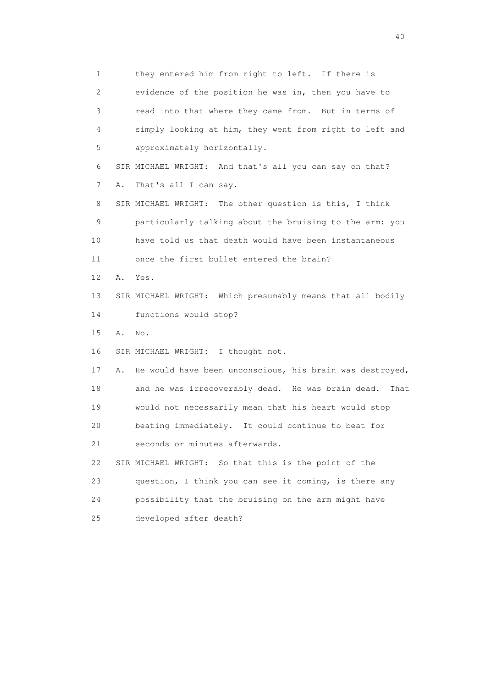1 they entered him from right to left. If there is 2 evidence of the position he was in, then you have to 3 read into that where they came from. But in terms of 4 simply looking at him, they went from right to left and 5 approximately horizontally. 6 SIR MICHAEL WRIGHT: And that's all you can say on that? 7 A. That's all I can say. 8 SIR MICHAEL WRIGHT: The other question is this, I think 9 particularly talking about the bruising to the arm: you 10 have told us that death would have been instantaneous 11 once the first bullet entered the brain? 12 A. Yes. 13 SIR MICHAEL WRIGHT: Which presumably means that all bodily 14 functions would stop? 15 A. No. 16 SIR MICHAEL WRIGHT: I thought not. 17 A. He would have been unconscious, his brain was destroyed, 18 and he was irrecoverably dead. He was brain dead. That 19 would not necessarily mean that his heart would stop 20 beating immediately. It could continue to beat for 21 seconds or minutes afterwards. 22 SIR MICHAEL WRIGHT: So that this is the point of the 23 question, I think you can see it coming, is there any 24 possibility that the bruising on the arm might have 25 developed after death?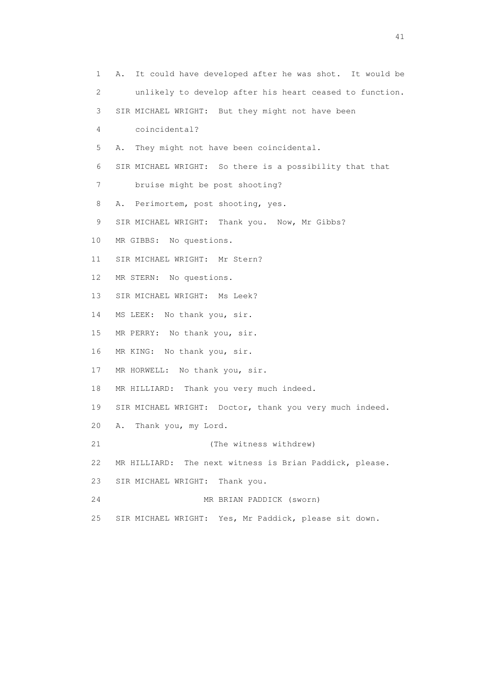1 A. It could have developed after he was shot. It would be 2 unlikely to develop after his heart ceased to function. 3 SIR MICHAEL WRIGHT: But they might not have been 4 coincidental? 5 A. They might not have been coincidental. 6 SIR MICHAEL WRIGHT: So there is a possibility that that 7 bruise might be post shooting? 8 A. Perimortem, post shooting, yes. 9 SIR MICHAEL WRIGHT: Thank you. Now, Mr Gibbs? 10 MR GIBBS: No questions. 11 SIR MICHAEL WRIGHT: Mr Stern? 12 MR STERN: No questions. 13 SIR MICHAEL WRIGHT: Ms Leek? 14 MS LEEK: No thank you, sir. 15 MR PERRY: No thank you, sir. 16 MR KING: No thank you, sir. 17 MR HORWELL: No thank you, sir. 18 MR HILLIARD: Thank you very much indeed. 19 SIR MICHAEL WRIGHT: Doctor, thank you very much indeed. 20 A. Thank you, my Lord. 21 (The witness withdrew) 22 MR HILLIARD: The next witness is Brian Paddick, please. 23 SIR MICHAEL WRIGHT: Thank you. 24 MR BRIAN PADDICK (sworn) 25 SIR MICHAEL WRIGHT: Yes, Mr Paddick, please sit down.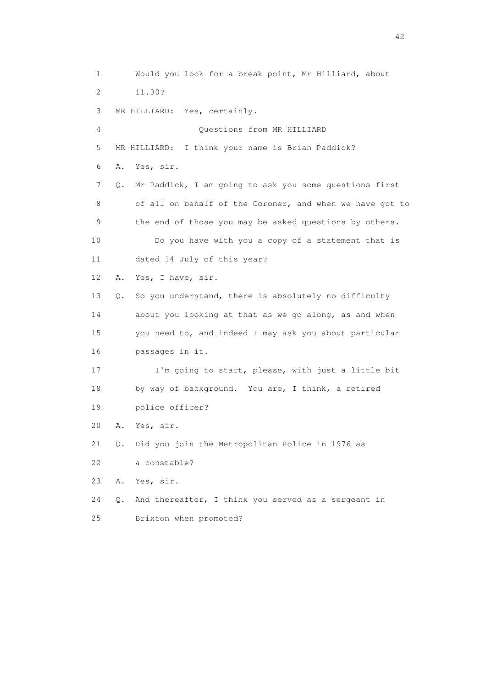1 Would you look for a break point, Mr Hilliard, about 2 11.30? 3 MR HILLIARD: Yes, certainly. 4 Questions from MR HILLIARD 5 MR HILLIARD: I think your name is Brian Paddick? 6 A. Yes, sir. 7 Q. Mr Paddick, I am going to ask you some questions first 8 of all on behalf of the Coroner, and when we have got to 9 the end of those you may be asked questions by others. 10 Do you have with you a copy of a statement that is 11 dated 14 July of this year? 12 A. Yes, I have, sir. 13 Q. So you understand, there is absolutely no difficulty 14 about you looking at that as we go along, as and when 15 you need to, and indeed I may ask you about particular 16 passages in it. 17 I'm going to start, please, with just a little bit 18 by way of background. You are, I think, a retired 19 police officer? 20 A. Yes, sir. 21 Q. Did you join the Metropolitan Police in 1976 as 22 a constable? 23 A. Yes, sir. 24 Q. And thereafter, I think you served as a sergeant in 25 Brixton when promoted?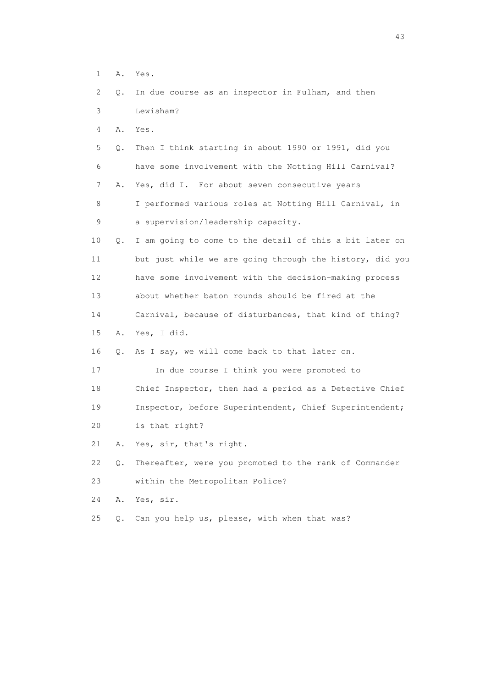- 1 A. Yes.
- 2 Q. In due course as an inspector in Fulham, and then 3 Lewisham?
- 4 A. Yes.
- 5 Q. Then I think starting in about 1990 or 1991, did you 6 have some involvement with the Notting Hill Carnival? 7 A. Yes, did I. For about seven consecutive years 8 I performed various roles at Notting Hill Carnival, in 9 a supervision/leadership capacity. 10 Q. I am going to come to the detail of this a bit later on
- 11 but just while we are going through the history, did you 12 have some involvement with the decision-making process 13 about whether baton rounds should be fired at the
- 14 Carnival, because of disturbances, that kind of thing?
- 15 A. Yes, I did.
- 16 Q. As I say, we will come back to that later on.
- 17 In due course I think you were promoted to
- 18 Chief Inspector, then had a period as a Detective Chief 19 Inspector, before Superintendent, Chief Superintendent;
- 20 is that right?
- 21 A. Yes, sir, that's right.
- 22 Q. Thereafter, were you promoted to the rank of Commander 23 within the Metropolitan Police?
- 24 A. Yes, sir.
- 25 Q. Can you help us, please, with when that was?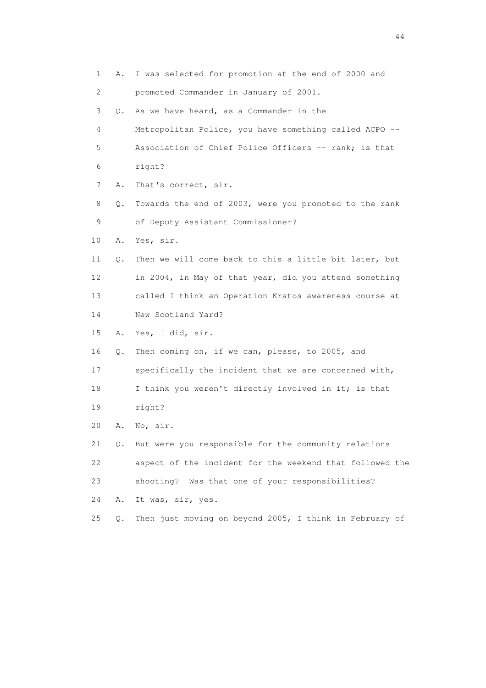1 A. I was selected for promotion at the end of 2000 and 2 promoted Commander in January of 2001. 3 Q. As we have heard, as a Commander in the 4 Metropolitan Police, you have something called ACPO -- 5 Association of Chief Police Officers -- rank; is that 6 right? 7 A. That's correct, sir. 8 Q. Towards the end of 2003, were you promoted to the rank 9 of Deputy Assistant Commissioner? 10 A. Yes, sir. 11 Q. Then we will come back to this a little bit later, but 12 in 2004, in May of that year, did you attend something 13 called I think an Operation Kratos awareness course at 14 New Scotland Yard? 15 A. Yes, I did, sir. 16 Q. Then coming on, if we can, please, to 2005, and 17 specifically the incident that we are concerned with, 18 I think you weren't directly involved in it; is that 19 right? 20 A. No, sir. 21 Q. But were you responsible for the community relations 22 aspect of the incident for the weekend that followed the 23 shooting? Was that one of your responsibilities? 24 A. It was, sir, yes. 25 Q. Then just moving on beyond 2005, I think in February of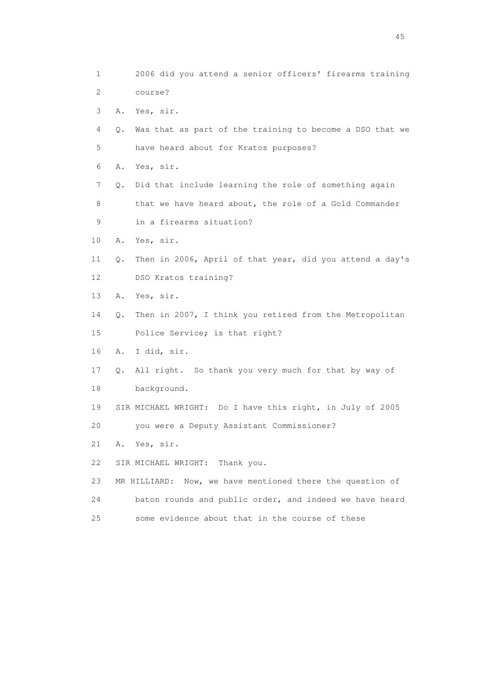1 2006 did you attend a senior officers' firearms training 2 course? 3 A. Yes, sir. 4 Q. Was that as part of the training to become a DSO that we 5 have heard about for Kratos purposes? 6 A. Yes, sir. 7 Q. Did that include learning the role of something again 8 that we have heard about, the role of a Gold Commander 9 in a firearms situation? 10 A. Yes, sir. 11 Q. Then in 2006, April of that year, did you attend a day's 12 DSO Kratos training? 13 A. Yes, sir. 14 Q. Then in 2007, I think you retired from the Metropolitan 15 Police Service; is that right? 16 A. I did, sir. 17 Q. All right. So thank you very much for that by way of 18 background. 19 SIR MICHAEL WRIGHT: Do I have this right, in July of 2005 20 you were a Deputy Assistant Commissioner? 21 A. Yes, sir. 22 SIR MICHAEL WRIGHT: Thank you. 23 MR HILLIARD: Now, we have mentioned there the question of 24 baton rounds and public order, and indeed we have heard 25 some evidence about that in the course of these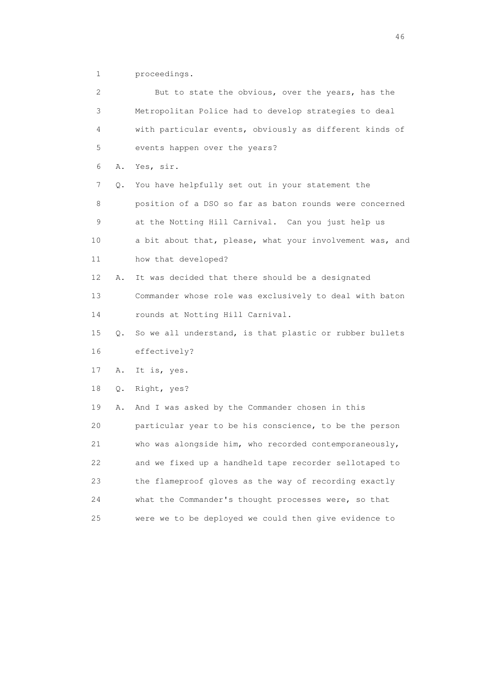1 proceedings.

| 2           |    | But to state the obvious, over the years, has the        |
|-------------|----|----------------------------------------------------------|
| 3           |    | Metropolitan Police had to develop strategies to deal    |
| 4           |    | with particular events, obviously as different kinds of  |
| 5           |    | events happen over the years?                            |
| 6           | Α. | Yes, sir.                                                |
| 7           | Q. | You have helpfully set out in your statement the         |
| 8           |    | position of a DSO so far as baton rounds were concerned  |
| $\mathsf 9$ |    | at the Notting Hill Carnival. Can you just help us       |
| 10          |    | a bit about that, please, what your involvement was, and |
| 11          |    | how that developed?                                      |
| 12          | Α. | It was decided that there should be a designated         |
| 13          |    | Commander whose role was exclusively to deal with baton  |
| 14          |    | rounds at Notting Hill Carnival.                         |
| 15          | Q. | So we all understand, is that plastic or rubber bullets  |
| 16          |    | effectively?                                             |
| 17          | Α. | It is, yes.                                              |
| 18          | Q. | Right, yes?                                              |
| 19          | Α. | And I was asked by the Commander chosen in this          |
| 20          |    | particular year to be his conscience, to be the person   |
| 21          |    | who was alongside him, who recorded contemporaneously,   |
| 22          |    | and we fixed up a handheld tape recorder sellotaped to   |
| 23          |    | the flameproof gloves as the way of recording exactly    |
| 24          |    | what the Commander's thought processes were, so that     |
| 25          |    | were we to be deployed we could then give evidence to    |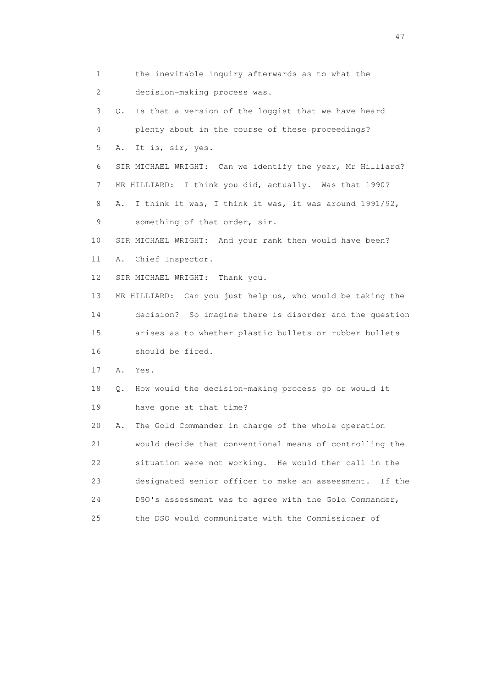1 the inevitable inquiry afterwards as to what the 2 decision-making process was. 3 Q. Is that a version of the loggist that we have heard 4 plenty about in the course of these proceedings? 5 A. It is, sir, yes. 6 SIR MICHAEL WRIGHT: Can we identify the year, Mr Hilliard? 7 MR HILLIARD: I think you did, actually. Was that 1990? 8 A. I think it was, I think it was, it was around 1991/92, 9 something of that order, sir. 10 SIR MICHAEL WRIGHT: And your rank then would have been? 11 A. Chief Inspector. 12 SIR MICHAEL WRIGHT: Thank you. 13 MR HILLIARD: Can you just help us, who would be taking the 14 decision? So imagine there is disorder and the question 15 arises as to whether plastic bullets or rubber bullets 16 should be fired. 17 A. Yes. 18 Q. How would the decision-making process go or would it 19 have gone at that time? 20 A. The Gold Commander in charge of the whole operation 21 would decide that conventional means of controlling the 22 situation were not working. He would then call in the 23 designated senior officer to make an assessment. If the 24 DSO's assessment was to agree with the Gold Commander, 25 the DSO would communicate with the Commissioner of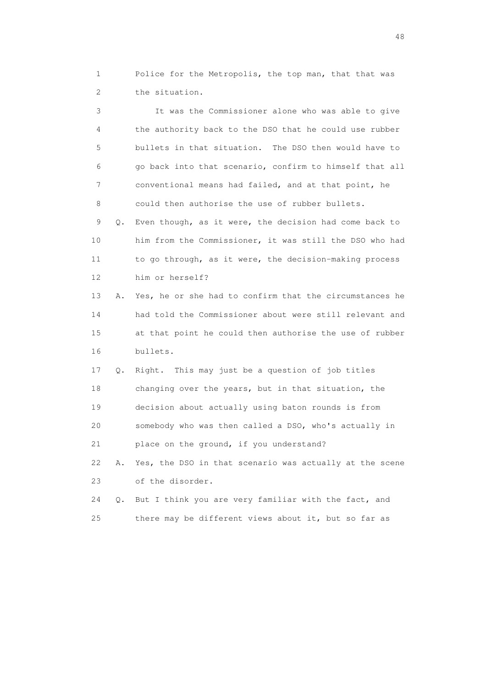1 Police for the Metropolis, the top man, that that was 2 the situation.

 3 It was the Commissioner alone who was able to give 4 the authority back to the DSO that he could use rubber 5 bullets in that situation. The DSO then would have to 6 go back into that scenario, confirm to himself that all 7 conventional means had failed, and at that point, he 8 could then authorise the use of rubber bullets.

 9 Q. Even though, as it were, the decision had come back to 10 him from the Commissioner, it was still the DSO who had 11 to go through, as it were, the decision-making process 12 him or herself?

 13 A. Yes, he or she had to confirm that the circumstances he 14 had told the Commissioner about were still relevant and 15 at that point he could then authorise the use of rubber 16 bullets.

 17 Q. Right. This may just be a question of job titles 18 changing over the years, but in that situation, the 19 decision about actually using baton rounds is from 20 somebody who was then called a DSO, who's actually in 21 place on the ground, if you understand?

 22 A. Yes, the DSO in that scenario was actually at the scene 23 of the disorder.

 24 Q. But I think you are very familiar with the fact, and 25 there may be different views about it, but so far as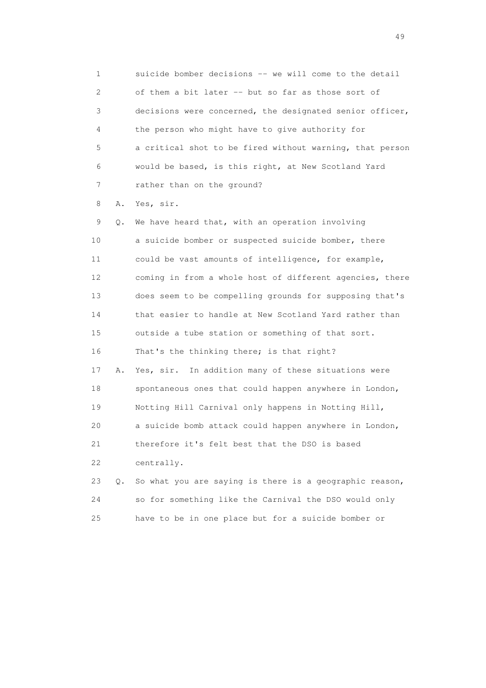1 suicide bomber decisions -- we will come to the detail 2 of them a bit later -- but so far as those sort of 3 decisions were concerned, the designated senior officer, 4 the person who might have to give authority for 5 a critical shot to be fired without warning, that person 6 would be based, is this right, at New Scotland Yard 7 rather than on the ground?

8 A. Yes, sir.

 9 Q. We have heard that, with an operation involving 10 a suicide bomber or suspected suicide bomber, there 11 could be vast amounts of intelligence, for example, 12 coming in from a whole host of different agencies, there 13 does seem to be compelling grounds for supposing that's 14 that easier to handle at New Scotland Yard rather than 15 outside a tube station or something of that sort. 16 That's the thinking there; is that right? 17 A. Yes, sir. In addition many of these situations were 18 spontaneous ones that could happen anywhere in London, 19 Notting Hill Carnival only happens in Notting Hill, 20 a suicide bomb attack could happen anywhere in London, 21 therefore it's felt best that the DSO is based

22 centrally.

|    | 23 Q. So what you are saying is there is a geographic reason, |
|----|---------------------------------------------------------------|
| 24 | so for something like the Carnival the DSO would only         |
| 25 | have to be in one place but for a suicide bomber or           |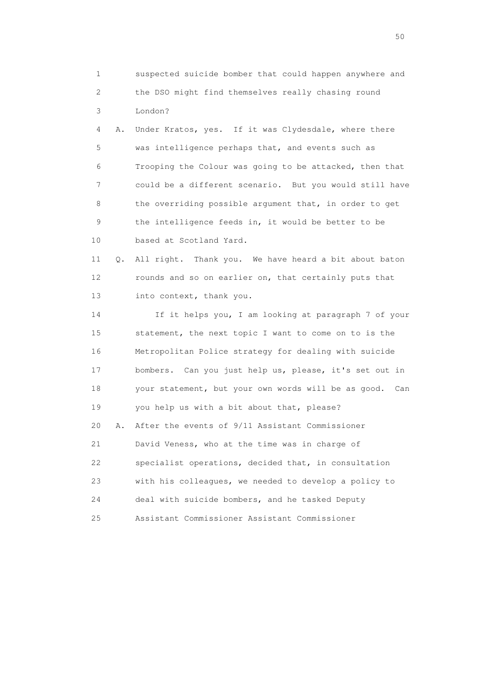1 suspected suicide bomber that could happen anywhere and 2 the DSO might find themselves really chasing round 3 London?

 4 A. Under Kratos, yes. If it was Clydesdale, where there 5 was intelligence perhaps that, and events such as 6 Trooping the Colour was going to be attacked, then that 7 could be a different scenario. But you would still have 8 the overriding possible argument that, in order to get 9 the intelligence feeds in, it would be better to be 10 based at Scotland Yard.

 11 Q. All right. Thank you. We have heard a bit about baton 12 rounds and so on earlier on, that certainly puts that 13 into context, thank you.

 14 If it helps you, I am looking at paragraph 7 of your 15 statement, the next topic I want to come on to is the 16 Metropolitan Police strategy for dealing with suicide 17 bombers. Can you just help us, please, it's set out in 18 your statement, but your own words will be as good. Can 19 you help us with a bit about that, please? 20 A. After the events of 9/11 Assistant Commissioner 21 David Veness, who at the time was in charge of 22 specialist operations, decided that, in consultation 23 with his colleagues, we needed to develop a policy to 24 deal with suicide bombers, and he tasked Deputy 25 Assistant Commissioner Assistant Commissioner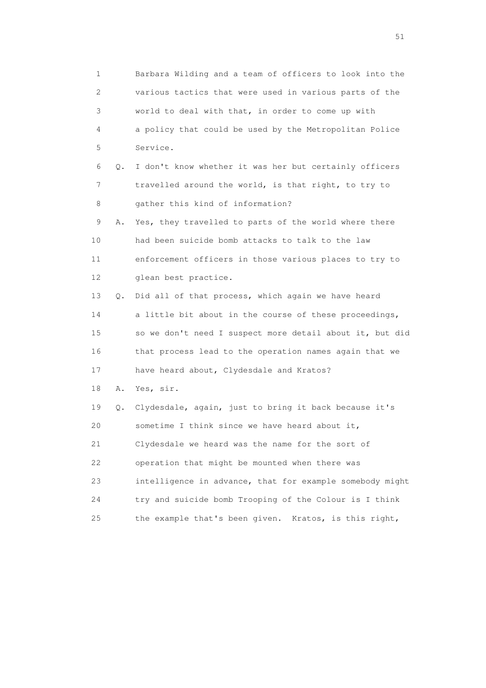1 Barbara Wilding and a team of officers to look into the 2 various tactics that were used in various parts of the 3 world to deal with that, in order to come up with 4 a policy that could be used by the Metropolitan Police 5 Service. 6 Q. I don't know whether it was her but certainly officers 7 travelled around the world, is that right, to try to 8 gather this kind of information? 9 A. Yes, they travelled to parts of the world where there 10 had been suicide bomb attacks to talk to the law 11 enforcement officers in those various places to try to 12 glean best practice. 13 Q. Did all of that process, which again we have heard 14 a little bit about in the course of these proceedings, 15 so we don't need I suspect more detail about it, but did 16 that process lead to the operation names again that we 17 have heard about, Clydesdale and Kratos? 18 A. Yes, sir. 19 Q. Clydesdale, again, just to bring it back because it's 20 sometime I think since we have heard about it, 21 Clydesdale we heard was the name for the sort of 22 operation that might be mounted when there was 23 intelligence in advance, that for example somebody might 24 try and suicide bomb Trooping of the Colour is I think 25 the example that's been given. Kratos, is this right,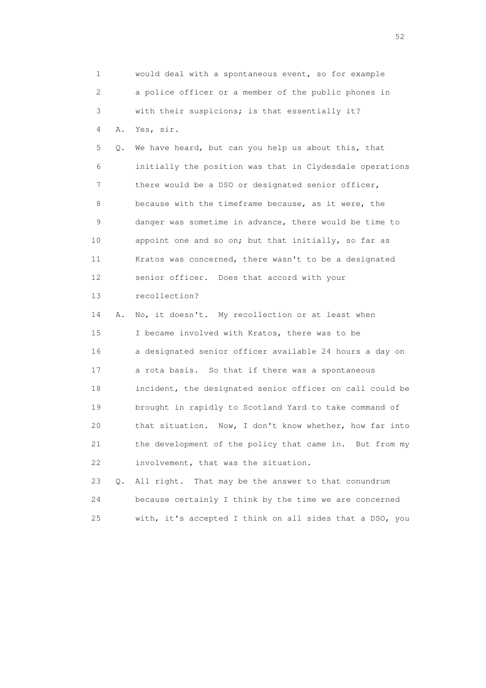1 would deal with a spontaneous event, so for example 2 a police officer or a member of the public phones in 3 with their suspicions; is that essentially it? 4 A. Yes, sir. 5 Q. We have heard, but can you help us about this, that 6 initially the position was that in Clydesdale operations 7 there would be a DSO or designated senior officer, 8 because with the timeframe because, as it were, the 9 danger was sometime in advance, there would be time to 10 appoint one and so on; but that initially, so far as 11 Kratos was concerned, there wasn't to be a designated 12 senior officer. Does that accord with your 13 recollection? 14 A. No, it doesn't. My recollection or at least when 15 I became involved with Kratos, there was to be 16 a designated senior officer available 24 hours a day on 17 a rota basis. So that if there was a spontaneous 18 incident, the designated senior officer on call could be 19 brought in rapidly to Scotland Yard to take command of 20 that situation. Now, I don't know whether, how far into 21 the development of the policy that came in. But from my 22 involvement, that was the situation. 23 Q. All right. That may be the answer to that conundrum 24 because certainly I think by the time we are concerned

25 with, it's accepted I think on all sides that a DSO, you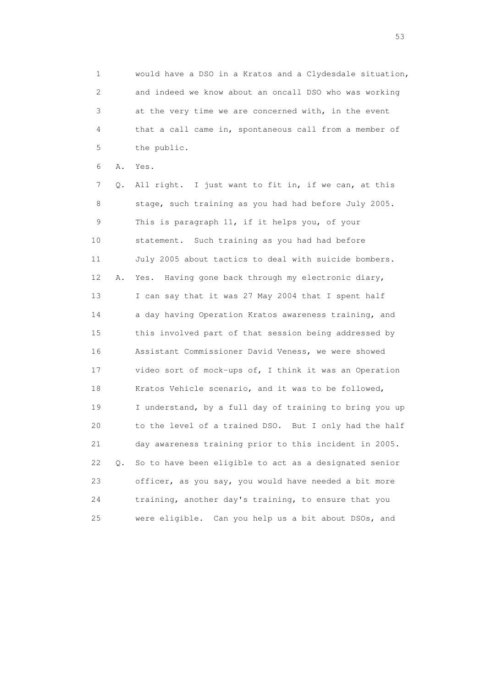1 would have a DSO in a Kratos and a Clydesdale situation, 2 and indeed we know about an oncall DSO who was working 3 at the very time we are concerned with, in the event 4 that a call came in, spontaneous call from a member of 5 the public.

6 A. Yes.

 7 Q. All right. I just want to fit in, if we can, at this 8 stage, such training as you had had before July 2005. 9 This is paragraph 11, if it helps you, of your 10 statement. Such training as you had had before 11 July 2005 about tactics to deal with suicide bombers. 12 A. Yes. Having gone back through my electronic diary, 13 I can say that it was 27 May 2004 that I spent half 14 a day having Operation Kratos awareness training, and 15 this involved part of that session being addressed by 16 Assistant Commissioner David Veness, we were showed 17 video sort of mock-ups of, I think it was an Operation 18 Kratos Vehicle scenario, and it was to be followed, 19 I understand, by a full day of training to bring you up 20 to the level of a trained DSO. But I only had the half 21 day awareness training prior to this incident in 2005. 22 Q. So to have been eligible to act as a designated senior 23 officer, as you say, you would have needed a bit more 24 training, another day's training, to ensure that you 25 were eligible. Can you help us a bit about DSOs, and

 $\sim$  53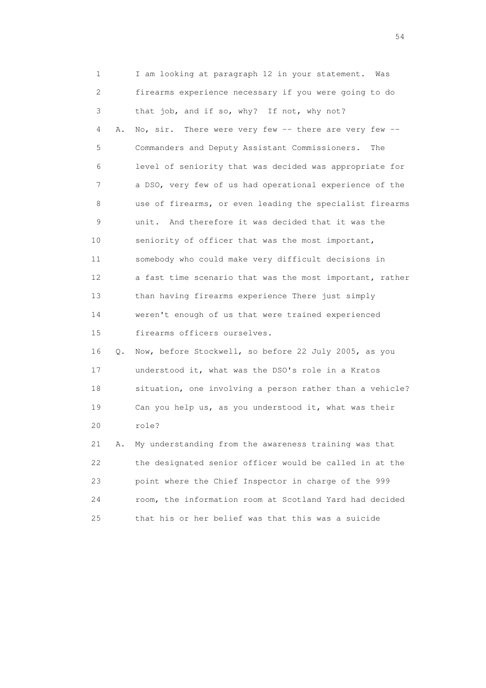1 I am looking at paragraph 12 in your statement. Was 2 firearms experience necessary if you were going to do 3 that job, and if so, why? If not, why not? 4 A. No, sir. There were very few -- there are very few -- 5 Commanders and Deputy Assistant Commissioners. The 6 level of seniority that was decided was appropriate for 7 a DSO, very few of us had operational experience of the 8 use of firearms, or even leading the specialist firearms 9 unit. And therefore it was decided that it was the 10 seniority of officer that was the most important, 11 somebody who could make very difficult decisions in 12 a fast time scenario that was the most important, rather 13 than having firearms experience There just simply 14 weren't enough of us that were trained experienced 15 firearms officers ourselves. 16 Q. Now, before Stockwell, so before 22 July 2005, as you 17 understood it, what was the DSO's role in a Kratos 18 situation, one involving a person rather than a vehicle?

 19 Can you help us, as you understood it, what was their 20 role?

 21 A. My understanding from the awareness training was that 22 the designated senior officer would be called in at the 23 point where the Chief Inspector in charge of the 999 24 room, the information room at Scotland Yard had decided 25 that his or her belief was that this was a suicide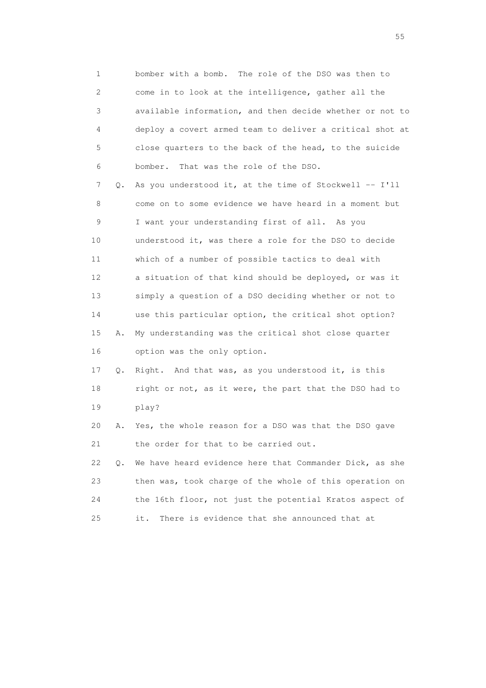1 bomber with a bomb. The role of the DSO was then to 2 come in to look at the intelligence, gather all the 3 available information, and then decide whether or not to 4 deploy a covert armed team to deliver a critical shot at 5 close quarters to the back of the head, to the suicide 6 bomber. That was the role of the DSO.

 7 Q. As you understood it, at the time of Stockwell -- I'll 8 come on to some evidence we have heard in a moment but 9 I want your understanding first of all. As you 10 understood it, was there a role for the DSO to decide 11 which of a number of possible tactics to deal with 12 a situation of that kind should be deployed, or was it 13 simply a question of a DSO deciding whether or not to 14 use this particular option, the critical shot option? 15 A. My understanding was the critical shot close quarter 16 option was the only option.

 17 Q. Right. And that was, as you understood it, is this 18 right or not, as it were, the part that the DSO had to 19 play?

 20 A. Yes, the whole reason for a DSO was that the DSO gave 21 the order for that to be carried out.

 22 Q. We have heard evidence here that Commander Dick, as she 23 then was, took charge of the whole of this operation on 24 the 16th floor, not just the potential Kratos aspect of 25 it. There is evidence that she announced that at

the state of the state of the state of the state of the state of the state of the state of the state of the state of the state of the state of the state of the state of the state of the state of the state of the state of t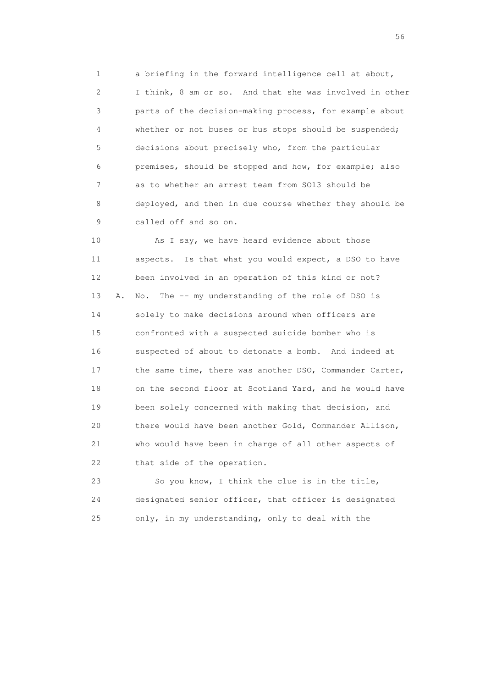1 a briefing in the forward intelligence cell at about, 2 I think, 8 am or so. And that she was involved in other 3 parts of the decision-making process, for example about 4 whether or not buses or bus stops should be suspended; 5 decisions about precisely who, from the particular 6 premises, should be stopped and how, for example; also 7 as to whether an arrest team from SO13 should be 8 deployed, and then in due course whether they should be 9 called off and so on.

 10 As I say, we have heard evidence about those 11 aspects. Is that what you would expect, a DSO to have 12 been involved in an operation of this kind or not? 13 A. No. The -- my understanding of the role of DSO is 14 solely to make decisions around when officers are 15 confronted with a suspected suicide bomber who is 16 suspected of about to detonate a bomb. And indeed at 17 the same time, there was another DSO, Commander Carter, 18 on the second floor at Scotland Yard, and he would have 19 been solely concerned with making that decision, and 20 there would have been another Gold, Commander Allison, 21 who would have been in charge of all other aspects of 22 that side of the operation.

 23 So you know, I think the clue is in the title, 24 designated senior officer, that officer is designated 25 only, in my understanding, only to deal with the

 $56<sup>o</sup>$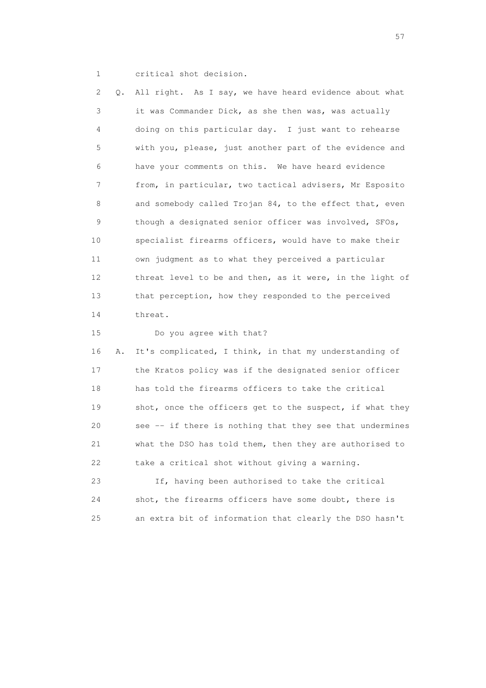1 critical shot decision.

 2 Q. All right. As I say, we have heard evidence about what 3 it was Commander Dick, as she then was, was actually 4 doing on this particular day. I just want to rehearse 5 with you, please, just another part of the evidence and 6 have your comments on this. We have heard evidence 7 from, in particular, two tactical advisers, Mr Esposito 8 and somebody called Trojan 84, to the effect that, even 9 though a designated senior officer was involved, SFOs, 10 specialist firearms officers, would have to make their 11 own judgment as to what they perceived a particular 12 threat level to be and then, as it were, in the light of 13 that perception, how they responded to the perceived 14 threat. 15 Do you agree with that? 16 A. It's complicated, I think, in that my understanding of 17 the Kratos policy was if the designated senior officer 18 has told the firearms officers to take the critical 19 shot, once the officers get to the suspect, if what they 20 see -- if there is nothing that they see that undermines 21 what the DSO has told them, then they are authorised to 22 take a critical shot without giving a warning. 23 If, having been authorised to take the critical 24 shot, the firearms officers have some doubt, there is

25 an extra bit of information that clearly the DSO hasn't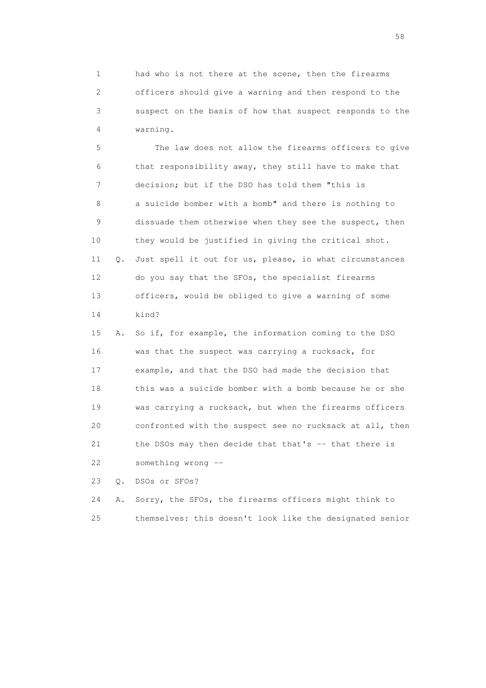1 had who is not there at the scene, then the firearms 2 officers should give a warning and then respond to the 3 suspect on the basis of how that suspect responds to the 4 warning.

 5 The law does not allow the firearms officers to give 6 that responsibility away, they still have to make that 7 decision; but if the DSO has told them "this is 8 a suicide bomber with a bomb" and there is nothing to 9 dissuade them otherwise when they see the suspect, then 10 they would be justified in giving the critical shot. 11 Q. Just spell it out for us, please, in what circumstances 12 do you say that the SFOs, the specialist firearms 13 officers, would be obliged to give a warning of some 14 kind?

 15 A. So if, for example, the information coming to the DSO 16 was that the suspect was carrying a rucksack, for 17 example, and that the DSO had made the decision that 18 this was a suicide bomber with a bomb because he or she 19 was carrying a rucksack, but when the firearms officers 20 confronted with the suspect see no rucksack at all, then 21 the DSOs may then decide that that's -- that there is 22 something wrong --

23 Q. DSOs or SFOs?

 24 A. Sorry, the SFOs, the firearms officers might think to 25 themselves: this doesn't look like the designated senior

the state of the state of the state of the state of the state of the state of the state of the state of the state of the state of the state of the state of the state of the state of the state of the state of the state of t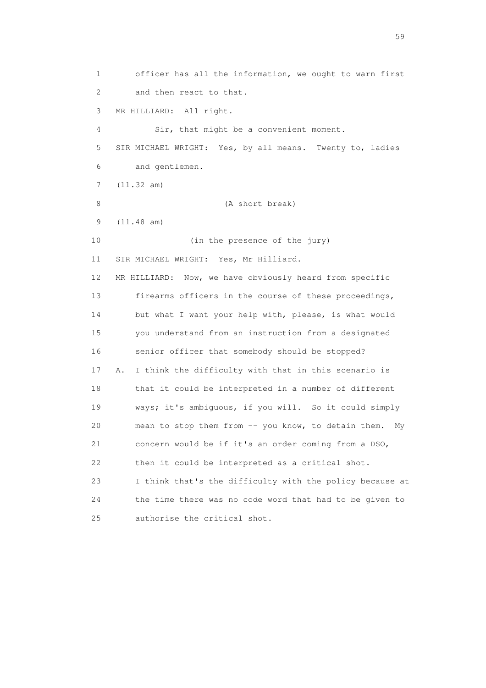1 officer has all the information, we ought to warn first 2 and then react to that. 3 MR HILLIARD: All right. 4 Sir, that might be a convenient moment. 5 SIR MICHAEL WRIGHT: Yes, by all means. Twenty to, ladies 6 and gentlemen. 7 (11.32 am) 8 (A short break) 9 (11.48 am) 10 (in the presence of the jury) 11 SIR MICHAEL WRIGHT: Yes, Mr Hilliard. 12 MR HILLIARD: Now, we have obviously heard from specific 13 firearms officers in the course of these proceedings, 14 but what I want your help with, please, is what would 15 you understand from an instruction from a designated 16 senior officer that somebody should be stopped? 17 A. I think the difficulty with that in this scenario is 18 that it could be interpreted in a number of different 19 ways; it's ambiguous, if you will. So it could simply 20 mean to stop them from -- you know, to detain them. My 21 concern would be if it's an order coming from a DSO, 22 then it could be interpreted as a critical shot. 23 I think that's the difficulty with the policy because at 24 the time there was no code word that had to be given to 25 authorise the critical shot.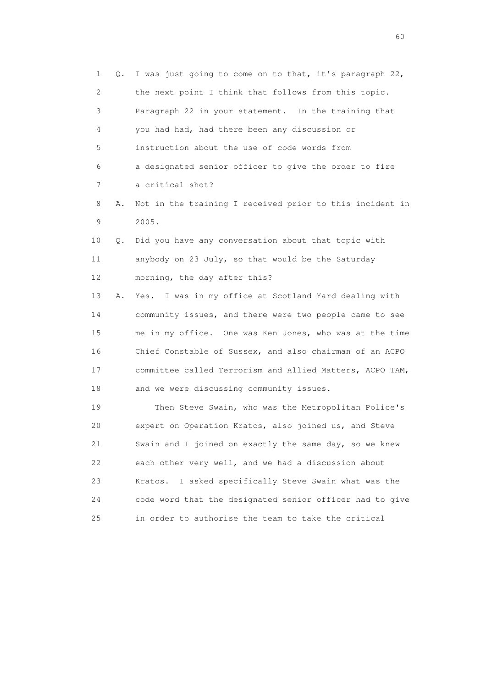1 Q. I was just going to come on to that, it's paragraph 22, 2 the next point I think that follows from this topic. 3 Paragraph 22 in your statement. In the training that 4 you had had, had there been any discussion or 5 instruction about the use of code words from 6 a designated senior officer to give the order to fire 7 a critical shot? 8 A. Not in the training I received prior to this incident in 9 2005. 10 Q. Did you have any conversation about that topic with 11 anybody on 23 July, so that would be the Saturday 12 morning, the day after this? 13 A. Yes. I was in my office at Scotland Yard dealing with 14 community issues, and there were two people came to see 15 me in my office. One was Ken Jones, who was at the time 16 Chief Constable of Sussex, and also chairman of an ACPO 17 committee called Terrorism and Allied Matters, ACPO TAM, 18 and we were discussing community issues. 19 Then Steve Swain, who was the Metropolitan Police's 20 expert on Operation Kratos, also joined us, and Steve 21 Swain and I joined on exactly the same day, so we knew 22 each other very well, and we had a discussion about 23 Kratos. I asked specifically Steve Swain what was the 24 code word that the designated senior officer had to give

25 in order to authorise the team to take the critical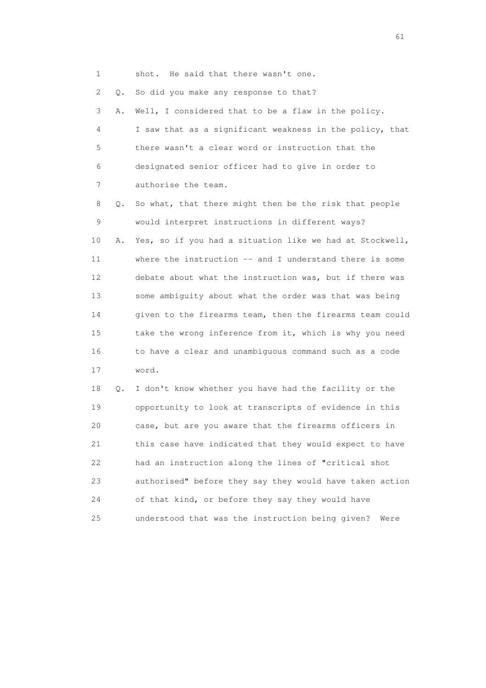1 shot. He said that there wasn't one. 2 Q. So did you make any response to that? 3 A. Well, I considered that to be a flaw in the policy. 4 I saw that as a significant weakness in the policy, that 5 there wasn't a clear word or instruction that the 6 designated senior officer had to give in order to 7 authorise the team. 8 Q. So what, that there might then be the risk that people 9 would interpret instructions in different ways? 10 A. Yes, so if you had a situation like we had at Stockwell, 11 where the instruction -- and I understand there is some 12 debate about what the instruction was, but if there was 13 some ambiguity about what the order was that was being 14 given to the firearms team, then the firearms team could 15 take the wrong inference from it, which is why you need 16 to have a clear and unambiguous command such as a code 17 word.

 18 Q. I don't know whether you have had the facility or the 19 opportunity to look at transcripts of evidence in this 20 case, but are you aware that the firearms officers in 21 this case have indicated that they would expect to have 22 had an instruction along the lines of "critical shot 23 authorised" before they say they would have taken action 24 of that kind, or before they say they would have 25 understood that was the instruction being given? Were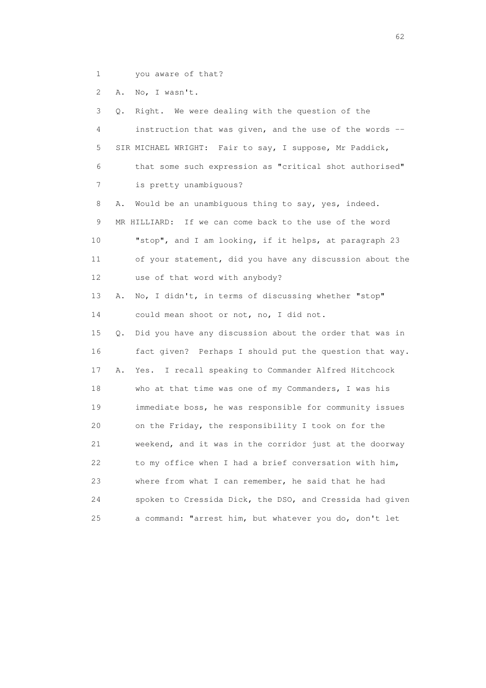1 you aware of that?

2 A. No, I wasn't.

| 3  | Q. | Right.<br>We were dealing with the question of the       |
|----|----|----------------------------------------------------------|
| 4  |    | instruction that was given, and the use of the words --  |
| 5  |    | SIR MICHAEL WRIGHT: Fair to say, I suppose, Mr Paddick,  |
| 6  |    | that some such expression as "critical shot authorised"  |
| 7  |    | is pretty unambiguous?                                   |
| 8  | Α. | Would be an unambiguous thing to say, yes, indeed.       |
| 9  |    | MR HILLIARD: If we can come back to the use of the word  |
| 10 |    | "stop", and I am looking, if it helps, at paragraph 23   |
| 11 |    | of your statement, did you have any discussion about the |
| 12 |    | use of that word with anybody?                           |
| 13 | Α. | No, I didn't, in terms of discussing whether "stop"      |
| 14 |    | could mean shoot or not, no, I did not.                  |
| 15 | Q. | Did you have any discussion about the order that was in  |
| 16 |    | fact given? Perhaps I should put the question that way.  |
| 17 | Α. | Yes. I recall speaking to Commander Alfred Hitchcock     |
| 18 |    | who at that time was one of my Commanders, I was his     |
| 19 |    | immediate boss, he was responsible for community issues  |
| 20 |    | on the Friday, the responsibility I took on for the      |
| 21 |    | weekend, and it was in the corridor just at the doorway  |
| 22 |    | to my office when I had a brief conversation with him,   |
| 23 |    | where from what I can remember, he said that he had      |
| 24 |    | spoken to Cressida Dick, the DSO, and Cressida had given |
| 25 |    | a command: "arrest him, but whatever you do, don't let   |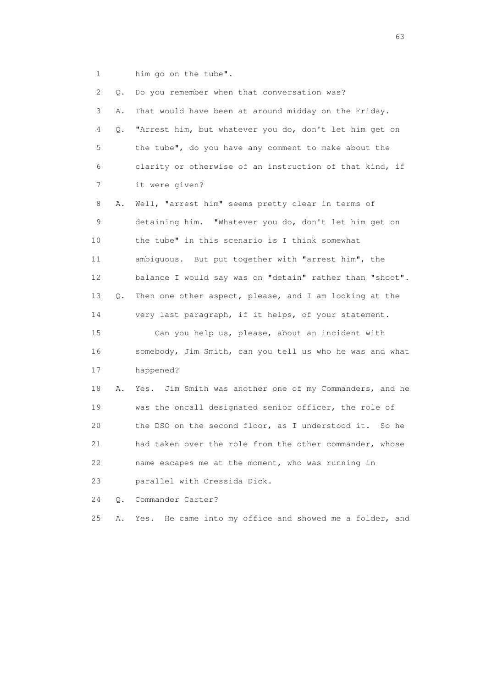1 him go on the tube".

| 2  | Q. | Do you remember when that conversation was?                |
|----|----|------------------------------------------------------------|
| 3  | Α. | That would have been at around midday on the Friday.       |
| 4  | Q. | "Arrest him, but whatever you do, don't let him get on     |
| 5  |    | the tube", do you have any comment to make about the       |
| 6  |    | clarity or otherwise of an instruction of that kind, if    |
| 7  |    | it were given?                                             |
| 8  | Α. | Well, "arrest him" seems pretty clear in terms of          |
| 9  |    | detaining him. "Whatever you do, don't let him get on      |
| 10 |    | the tube" in this scenario is I think somewhat             |
| 11 |    | ambiguous. But put together with "arrest him", the         |
| 12 |    | balance I would say was on "detain" rather than "shoot".   |
| 13 | Q. | Then one other aspect, please, and I am looking at the     |
| 14 |    | very last paragraph, if it helps, of your statement.       |
| 15 |    | Can you help us, please, about an incident with            |
| 16 |    | somebody, Jim Smith, can you tell us who he was and what   |
| 17 |    | happened?                                                  |
| 18 | Α. | Jim Smith was another one of my Commanders, and he<br>Yes. |
| 19 |    | was the oncall designated senior officer, the role of      |
| 20 |    | the DSO on the second floor, as I understood it. So he     |
| 21 |    | had taken over the role from the other commander, whose    |
| 22 |    | name escapes me at the moment, who was running in          |
| 23 |    | parallel with Cressida Dick.                               |
| 24 | О. | Commander Carter?                                          |
| 25 | Α. | He came into my office and showed me a folder, and<br>Yes. |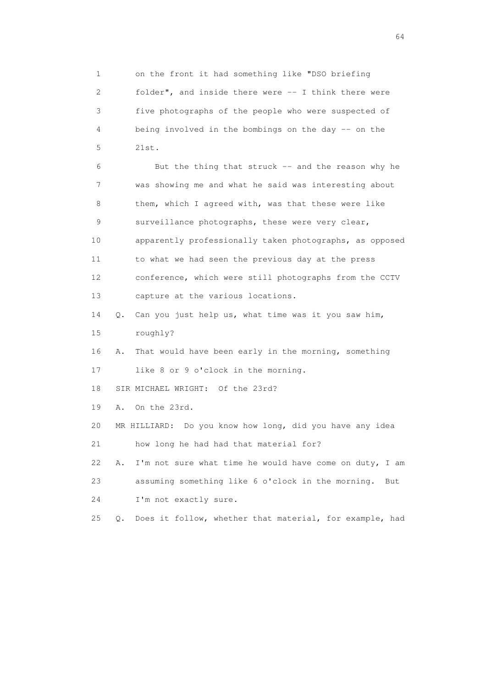1 on the front it had something like "DSO briefing 2 folder", and inside there were -- I think there were 3 five photographs of the people who were suspected of 4 being involved in the bombings on the day -- on the 5 21st. 6 But the thing that struck -- and the reason why he 7 was showing me and what he said was interesting about 8 them, which I agreed with, was that these were like 9 surveillance photographs, these were very clear, 10 apparently professionally taken photographs, as opposed 11 to what we had seen the previous day at the press 12 conference, which were still photographs from the CCTV 13 capture at the various locations. 14 Q. Can you just help us, what time was it you saw him, 15 roughly? 16 A. That would have been early in the morning, something 17 like 8 or 9 o'clock in the morning. 18 SIR MICHAEL WRIGHT: Of the 23rd? 19 A. On the 23rd. 20 MR HILLIARD: Do you know how long, did you have any idea 21 how long he had had that material for? 22 A. I'm not sure what time he would have come on duty, I am 23 assuming something like 6 o'clock in the morning. But 24 I'm not exactly sure. 25 Q. Does it follow, whether that material, for example, had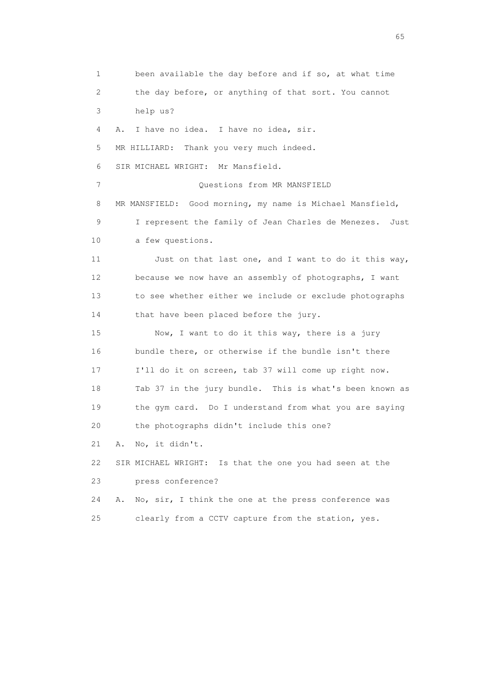1 been available the day before and if so, at what time 2 the day before, or anything of that sort. You cannot 3 help us? 4 A. I have no idea. I have no idea, sir. 5 MR HILLIARD: Thank you very much indeed. 6 SIR MICHAEL WRIGHT: Mr Mansfield. 7 Ouestions from MR MANSFIELD 8 MR MANSFIELD: Good morning, my name is Michael Mansfield, 9 I represent the family of Jean Charles de Menezes. Just 10 a few questions. 11 Just on that last one, and I want to do it this way, 12 because we now have an assembly of photographs, I want 13 to see whether either we include or exclude photographs 14 that have been placed before the jury. 15 Now, I want to do it this way, there is a jury 16 bundle there, or otherwise if the bundle isn't there 17 I'll do it on screen, tab 37 will come up right now. 18 Tab 37 in the jury bundle. This is what's been known as 19 the gym card. Do I understand from what you are saying 20 the photographs didn't include this one? 21 A. No, it didn't. 22 SIR MICHAEL WRIGHT: Is that the one you had seen at the 23 press conference? 24 A. No, sir, I think the one at the press conference was 25 clearly from a CCTV capture from the station, yes.

 $\sim$  65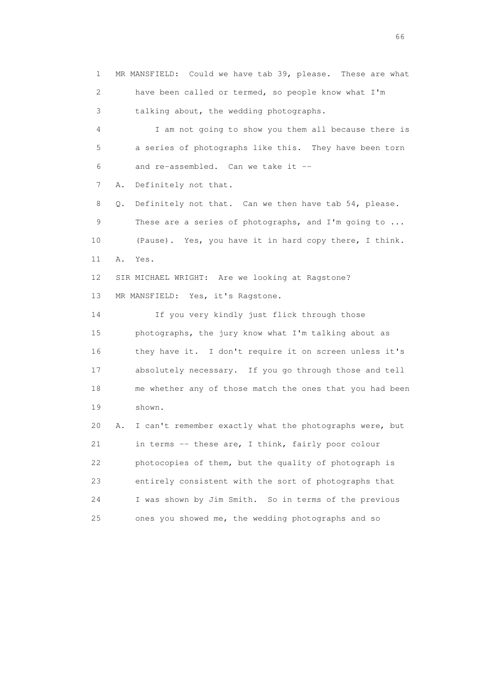1 MR MANSFIELD: Could we have tab 39, please. These are what 2 have been called or termed, so people know what I'm 3 talking about, the wedding photographs. 4 I am not going to show you them all because there is 5 a series of photographs like this. They have been torn 6 and re-assembled. Can we take it -- 7 A. Definitely not that. 8 Q. Definitely not that. Can we then have tab 54, please. 9 These are a series of photographs, and I'm going to ... 10 (Pause). Yes, you have it in hard copy there, I think. 11 A. Yes. 12 SIR MICHAEL WRIGHT: Are we looking at Ragstone? 13 MR MANSFIELD: Yes, it's Ragstone. 14 If you very kindly just flick through those 15 photographs, the jury know what I'm talking about as 16 they have it. I don't require it on screen unless it's 17 absolutely necessary. If you go through those and tell 18 me whether any of those match the ones that you had been 19 shown. 20 A. I can't remember exactly what the photographs were, but 21 in terms -- these are, I think, fairly poor colour 22 photocopies of them, but the quality of photograph is 23 entirely consistent with the sort of photographs that 24 I was shown by Jim Smith. So in terms of the previous 25 ones you showed me, the wedding photographs and so

 $\sim$  66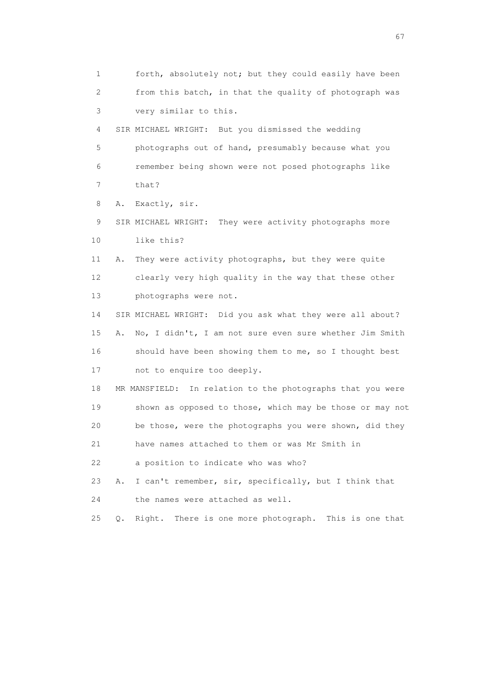1 forth, absolutely not; but they could easily have been 2 from this batch, in that the quality of photograph was 3 very similar to this.

 4 SIR MICHAEL WRIGHT: But you dismissed the wedding 5 photographs out of hand, presumably because what you 6 remember being shown were not posed photographs like 7 that?

8 A. Exactly, sir.

 9 SIR MICHAEL WRIGHT: They were activity photographs more 10 like this?

 11 A. They were activity photographs, but they were quite 12 clearly very high quality in the way that these other 13 photographs were not.

 14 SIR MICHAEL WRIGHT: Did you ask what they were all about? 15 A. No, I didn't, I am not sure even sure whether Jim Smith 16 should have been showing them to me, so I thought best 17 not to enquire too deeply.

 18 MR MANSFIELD: In relation to the photographs that you were 19 shown as opposed to those, which may be those or may not 20 be those, were the photographs you were shown, did they

21 have names attached to them or was Mr Smith in

22 a position to indicate who was who?

 23 A. I can't remember, sir, specifically, but I think that 24 the names were attached as well.

25 Q. Right. There is one more photograph. This is one that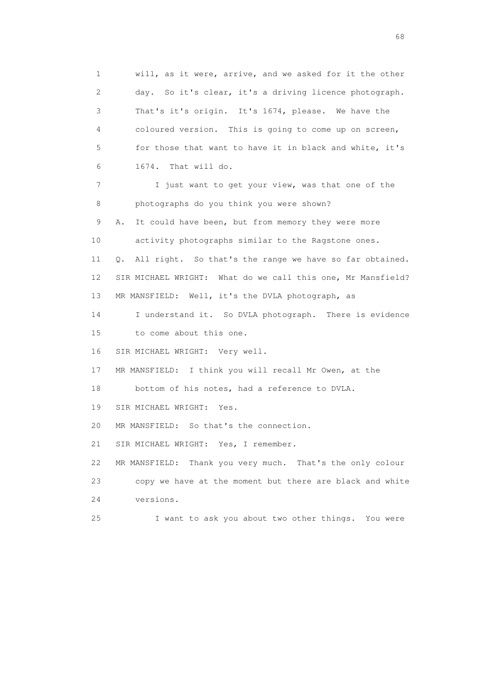1 will, as it were, arrive, and we asked for it the other 2 day. So it's clear, it's a driving licence photograph. 3 That's it's origin. It's 1674, please. We have the 4 coloured version. This is going to come up on screen, 5 for those that want to have it in black and white, it's 6 1674. That will do. 7 I just want to get your view, was that one of the 8 photographs do you think you were shown? 9 A. It could have been, but from memory they were more 10 activity photographs similar to the Ragstone ones. 11 Q. All right. So that's the range we have so far obtained. 12 SIR MICHAEL WRIGHT: What do we call this one, Mr Mansfield? 13 MR MANSFIELD: Well, it's the DVLA photograph, as 14 I understand it. So DVLA photograph. There is evidence 15 to come about this one. 16 SIR MICHAEL WRIGHT: Very well. 17 MR MANSFIELD: I think you will recall Mr Owen, at the 18 bottom of his notes, had a reference to DVLA. 19 SIR MICHAEL WRIGHT: Yes. 20 MR MANSFIELD: So that's the connection. 21 SIR MICHAEL WRIGHT: Yes, I remember. 22 MR MANSFIELD: Thank you very much. That's the only colour 23 copy we have at the moment but there are black and white 24 versions. 25 I want to ask you about two other things. You were

en de la construction de la construction de la construction de la construction de la construction de la construction de la construction de la construction de la construction de la construction de la construction de la cons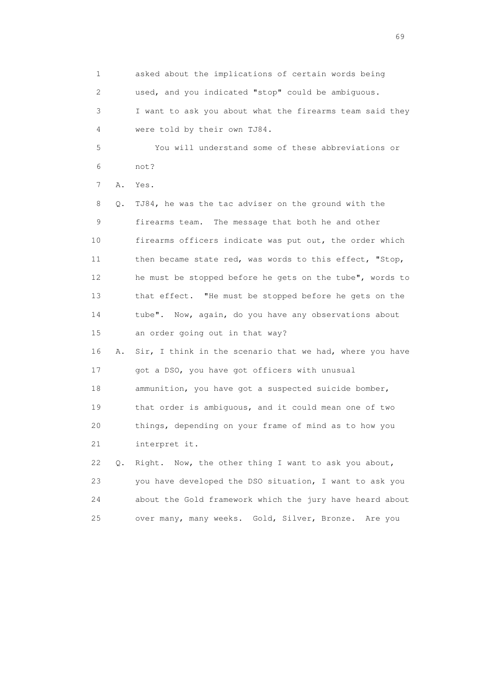1 asked about the implications of certain words being 2 used, and you indicated "stop" could be ambiguous. 3 I want to ask you about what the firearms team said they 4 were told by their own TJ84. 5 You will understand some of these abbreviations or 6 not? 7 A. Yes. 8 Q. TJ84, he was the tac adviser on the ground with the 9 firearms team. The message that both he and other 10 firearms officers indicate was put out, the order which

 11 then became state red, was words to this effect, "Stop, 12 he must be stopped before he gets on the tube", words to 13 that effect. "He must be stopped before he gets on the 14 tube". Now, again, do you have any observations about 15 an order going out in that way?

 16 A. Sir, I think in the scenario that we had, where you have 17 got a DSO, you have got officers with unusual 18 ammunition, you have got a suspected suicide bomber, 19 that order is ambiguous, and it could mean one of two 20 things, depending on your frame of mind as to how you 21 interpret it.

 22 Q. Right. Now, the other thing I want to ask you about, 23 you have developed the DSO situation, I want to ask you 24 about the Gold framework which the jury have heard about 25 over many, many weeks. Gold, Silver, Bronze. Are you

entral de la construction de la construction de la construction de la construction de la construction de la co<br>1990 : la construction de la construction de la construction de la construction de la construction de la const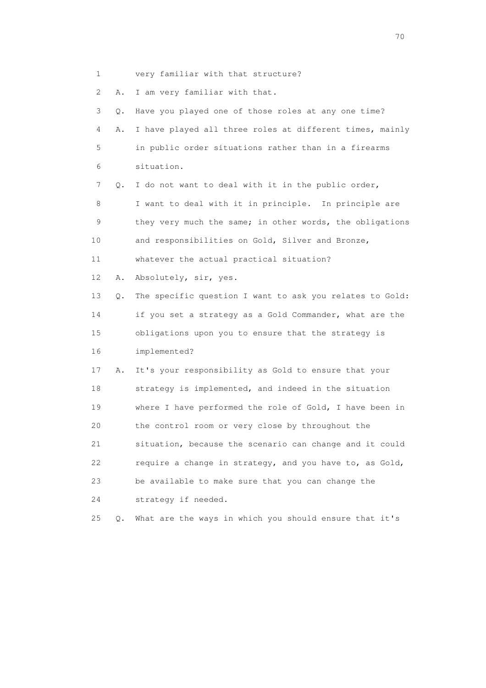1 very familiar with that structure? 2 A. I am very familiar with that. 3 Q. Have you played one of those roles at any one time? 4 A. I have played all three roles at different times, mainly 5 in public order situations rather than in a firearms 6 situation. 7 Q. I do not want to deal with it in the public order, 8 I want to deal with it in principle. In principle are 9 they very much the same; in other words, the obligations 10 and responsibilities on Gold, Silver and Bronze, 11 whatever the actual practical situation? 12 A. Absolutely, sir, yes. 13 Q. The specific question I want to ask you relates to Gold: 14 if you set a strategy as a Gold Commander, what are the 15 obligations upon you to ensure that the strategy is 16 implemented? 17 A. It's your responsibility as Gold to ensure that your 18 strategy is implemented, and indeed in the situation 19 where I have performed the role of Gold, I have been in 20 the control room or very close by throughout the 21 situation, because the scenario can change and it could 22 require a change in strategy, and you have to, as Gold, 23 be available to make sure that you can change the 24 strategy if needed. 25 Q. What are the ways in which you should ensure that it's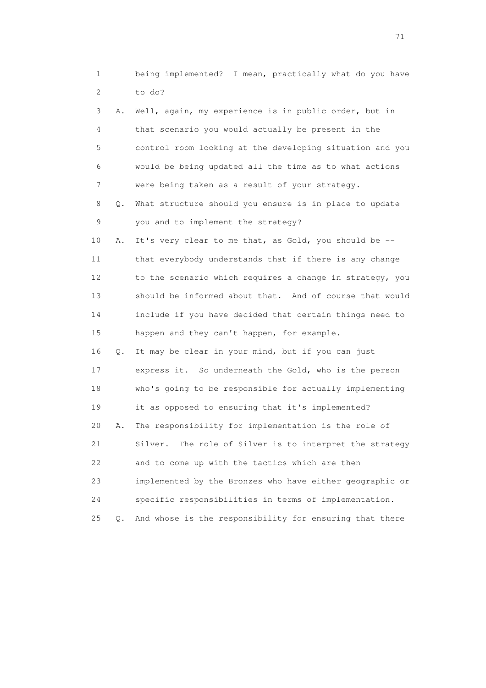|          | being implemented? I mean, practically what do you have |  |  |  |  |
|----------|---------------------------------------------------------|--|--|--|--|
| 2 to do? |                                                         |  |  |  |  |

| 3              | Α. | Well, again, my experience is in public order, but in      |
|----------------|----|------------------------------------------------------------|
| 4              |    | that scenario you would actually be present in the         |
| 5              |    | control room looking at the developing situation and you   |
| 6              |    | would be being updated all the time as to what actions     |
| $7\phantom{.}$ |    | were being taken as a result of your strategy.             |
| 8              | Q. | What structure should you ensure is in place to update     |
| 9              |    | you and to implement the strategy?                         |
| 10             | Α. | It's very clear to me that, as Gold, you should be --      |
| 11             |    | that everybody understands that if there is any change     |
| 12             |    | to the scenario which requires a change in strategy, you   |
| 13             |    | should be informed about that. And of course that would    |
| 14             |    | include if you have decided that certain things need to    |
| 15             |    | happen and they can't happen, for example.                 |
| 16             | О. | It may be clear in your mind, but if you can just          |
| 17             |    | express it. So underneath the Gold, who is the person      |
| 18             |    | who's going to be responsible for actually implementing    |
| 19             |    | it as opposed to ensuring that it's implemented?           |
| 20             | Α. | The responsibility for implementation is the role of       |
| 21             |    | Silver.<br>The role of Silver is to interpret the strategy |
| 22             |    | and to come up with the tactics which are then             |
| 23             |    | implemented by the Bronzes who have either geographic or   |

24 specific responsibilities in terms of implementation.

25 Q. And whose is the responsibility for ensuring that there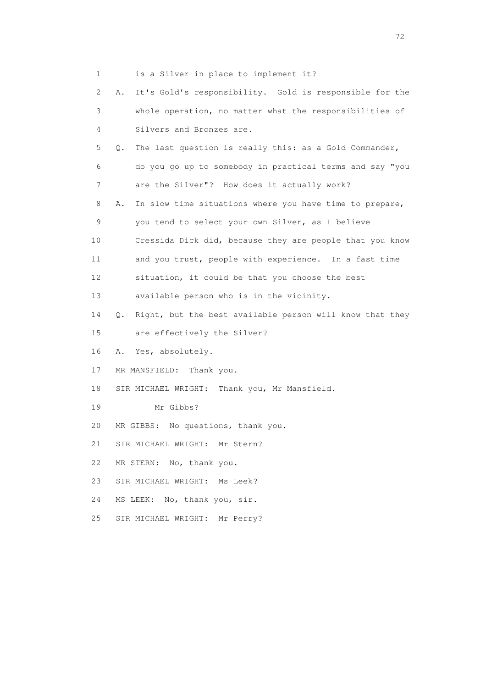1 is a Silver in place to implement it?

| $\mathbf{2}^{\mathsf{I}}$ | It's Gold's responsibility. Gold is responsible for the<br>Α.  |
|---------------------------|----------------------------------------------------------------|
|                           |                                                                |
| 3                         | whole operation, no matter what the responsibilities of        |
| 4                         | Silvers and Bronzes are.                                       |
| 5                         | The last question is really this: as a Gold Commander,<br>Q.   |
| 6                         | do you go up to somebody in practical terms and say "you       |
| 7                         | are the Silver"? How does it actually work?                    |
| 8                         | In slow time situations where you have time to prepare,<br>Α.  |
| 9                         | you tend to select your own Silver, as I believe               |
| 10                        | Cressida Dick did, because they are people that you know       |
| 11                        | and you trust, people with experience. In a fast time          |
| 12                        | situation, it could be that you choose the best                |
| 13                        | available person who is in the vicinity.                       |
| 14                        | Right, but the best available person will know that they<br>Q. |
| 15                        | are effectively the Silver?                                    |
| 16                        | Yes, absolutely.<br>Α.                                         |
| 17                        | MR MANSFIELD: Thank you.                                       |
| 18                        | SIR MICHAEL WRIGHT: Thank you, Mr Mansfield.                   |
| 19                        | Mr Gibbs?                                                      |
| 20                        | No questions, thank you.<br>MR GIBBS:                          |
| 21                        | SIR MICHAEL WRIGHT:<br>Mr Stern?                               |
| 22                        | MR STERN: No, thank you.                                       |
| 23                        | SIR MICHAEL WRIGHT: Ms Leek?                                   |
| 24                        | MS LEEK: No, thank you, sir.                                   |
| 25                        | SIR MICHAEL WRIGHT:<br>Mr Perry?                               |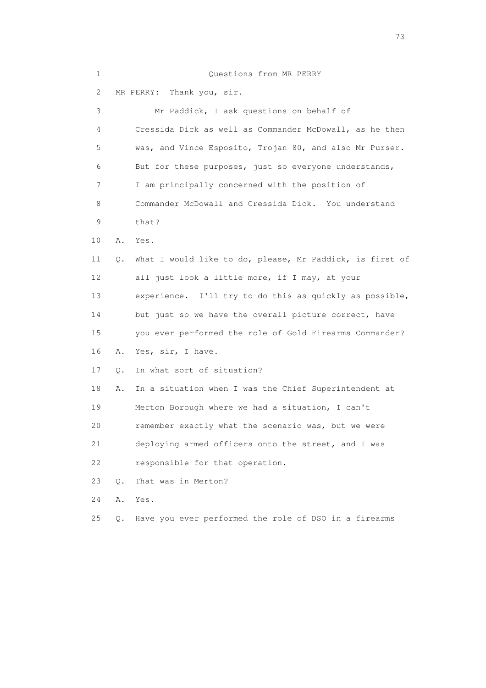| $\mathbf 1$ |    | Questions from MR PERRY                                  |
|-------------|----|----------------------------------------------------------|
| 2           |    | Thank you, sir.<br>MR PERRY:                             |
| 3           |    | Mr Paddick, I ask questions on behalf of                 |
| 4           |    | Cressida Dick as well as Commander McDowall, as he then  |
| 5           |    | was, and Vince Esposito, Trojan 80, and also Mr Purser.  |
| 6           |    | But for these purposes, just so everyone understands,    |
| 7           |    | I am principally concerned with the position of          |
| 8           |    | Commander McDowall and Cressida Dick. You understand     |
| 9           |    | that?                                                    |
| 10          | Α. | Yes.                                                     |
| 11          | Q. | What I would like to do, please, Mr Paddick, is first of |
| 12          |    | all just look a little more, if I may, at your           |
| 13          |    | experience. I'll try to do this as quickly as possible,  |
| 14          |    | but just so we have the overall picture correct, have    |
| 15          |    | you ever performed the role of Gold Firearms Commander?  |
| 16          | Α. | Yes, sir, I have.                                        |
| 17          | Q. | In what sort of situation?                               |
| 18          | Α. | In a situation when I was the Chief Superintendent at    |
| 19          |    | Merton Borough where we had a situation, I can't         |
| 20          |    | remember exactly what the scenario was, but we were      |
| 21          |    | deploying armed officers onto the street, and I was      |
| 22          |    | responsible for that operation.                          |
| 23          | Q. | That was in Merton?                                      |
| 24          | Α. | Yes.                                                     |
| 25          | Q. | Have you ever performed the role of DSO in a firearms    |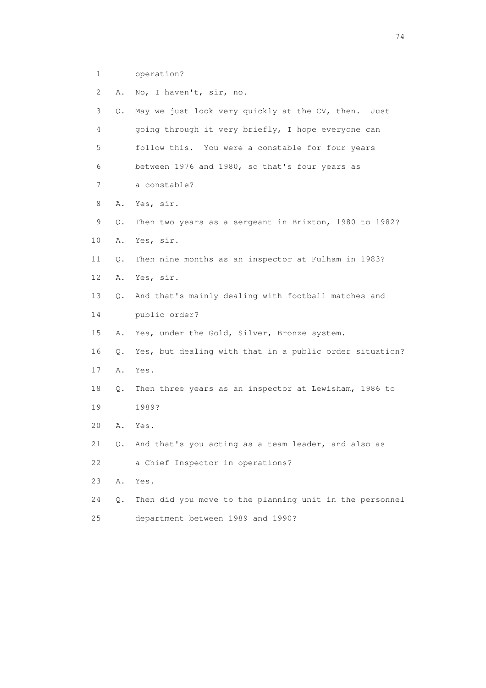1 operation?

| 2  | Α. | No, I haven't, sir, no.                                 |
|----|----|---------------------------------------------------------|
| 3  | Q. | May we just look very quickly at the CV, then.<br>Just  |
| 4  |    | going through it very briefly, I hope everyone can      |
| 5  |    | follow this. You were a constable for four years        |
| 6  |    | between 1976 and 1980, so that's four years as          |
| 7  |    | a constable?                                            |
| 8  | Α. | Yes, sir.                                               |
| 9  | Q. | Then two years as a sergeant in Brixton, 1980 to 1982?  |
| 10 | Α. | Yes, sir.                                               |
| 11 | Q. | Then nine months as an inspector at Fulham in 1983?     |
| 12 | Α. | Yes, sir.                                               |
| 13 | Q. | And that's mainly dealing with football matches and     |
| 14 |    | public order?                                           |
| 15 | Α. | Yes, under the Gold, Silver, Bronze system.             |
| 16 | Q. | Yes, but dealing with that in a public order situation? |
| 17 | Α. | Yes.                                                    |
| 18 | Q. | Then three years as an inspector at Lewisham, 1986 to   |
| 19 |    | 1989?                                                   |
| 20 | Α. | Yes.                                                    |
| 21 | Q. | And that's you acting as a team leader, and also as     |
| 22 |    | a Chief Inspector in operations?                        |
| 23 | Α. | Yes.                                                    |
| 24 | Q. | Then did you move to the planning unit in the personnel |
| 25 |    | department between 1989 and 1990?                       |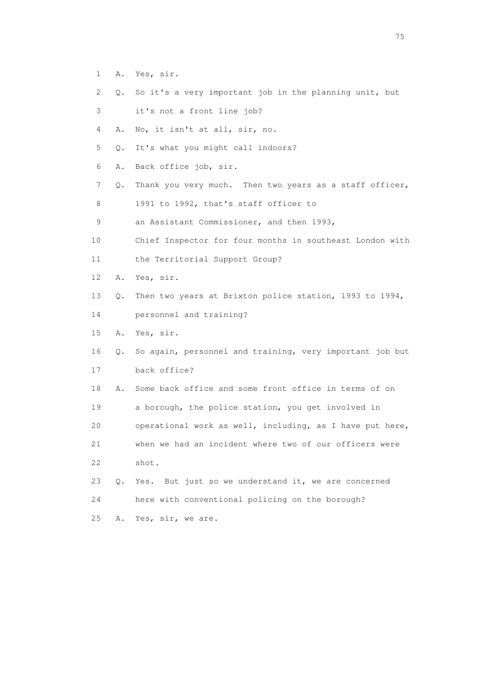- 1 A. Yes, sir.
- 2 Q. So it's a very important job in the planning unit, but
- 3 it's not a front line job?
- 4 A. No, it isn't at all, sir, no.
- 5 Q. It's what you might call indoors?
- 6 A. Back office job, sir.
- 7 Q. Thank you very much. Then two years as a staff officer,
- 8 1991 to 1992, that's staff officer to
- 9 an Assistant Commissioner, and then 1993,
- 10 Chief Inspector for four months in southeast London with
- 11 the Territorial Support Group?
- 12 A. Yes, sir.
- 13 Q. Then two years at Brixton police station, 1993 to 1994,
- 14 personnel and training?
- 15 A. Yes, sir.
- 16 Q. So again, personnel and training, very important job but 17 back office?
- 18 A. Some back office and some front office in terms of on 19 a borough, the police station, you get involved in 20 operational work as well, including, as I have put here,
- 21 when we had an incident where two of our officers were 22 shot.
- 23 Q. Yes. But just so we understand it, we are concerned 24 here with conventional policing on the borough?
- 25 A. Yes, sir, we are.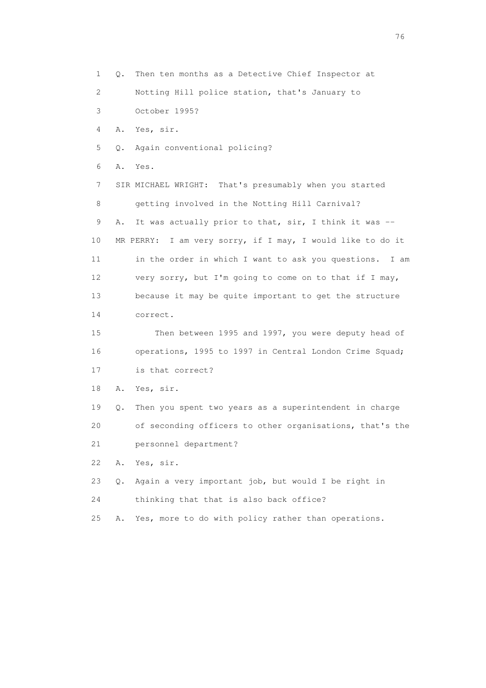1 Q. Then ten months as a Detective Chief Inspector at 2 Notting Hill police station, that's January to 3 October 1995? 4 A. Yes, sir. 5 Q. Again conventional policing? 6 A. Yes. 7 SIR MICHAEL WRIGHT: That's presumably when you started 8 getting involved in the Notting Hill Carnival? 9 A. It was actually prior to that, sir, I think it was -- 10 MR PERRY: I am very sorry, if I may, I would like to do it 11 in the order in which I want to ask you questions. I am 12 very sorry, but I'm going to come on to that if I may, 13 because it may be quite important to get the structure 14 correct. 15 Then between 1995 and 1997, you were deputy head of 16 operations, 1995 to 1997 in Central London Crime Squad; 17 is that correct? 18 A. Yes, sir. 19 Q. Then you spent two years as a superintendent in charge 20 of seconding officers to other organisations, that's the 21 personnel department? 22 A. Yes, sir. 23 Q. Again a very important job, but would I be right in 24 thinking that that is also back office? 25 A. Yes, more to do with policy rather than operations.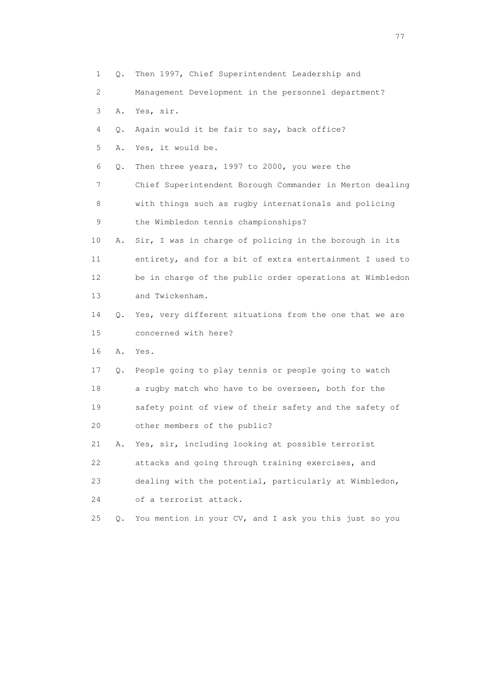1 Q. Then 1997, Chief Superintendent Leadership and 2 Management Development in the personnel department? 3 A. Yes, sir. 4 Q. Again would it be fair to say, back office? 5 A. Yes, it would be. 6 Q. Then three years, 1997 to 2000, you were the 7 Chief Superintendent Borough Commander in Merton dealing 8 with things such as rugby internationals and policing 9 the Wimbledon tennis championships? 10 A. Sir, I was in charge of policing in the borough in its 11 entirety, and for a bit of extra entertainment I used to 12 be in charge of the public order operations at Wimbledon 13 and Twickenham. 14 Q. Yes, very different situations from the one that we are 15 concerned with here? 16 A. Yes. 17 Q. People going to play tennis or people going to watch 18 a rugby match who have to be overseen, both for the 19 safety point of view of their safety and the safety of 20 other members of the public? 21 A. Yes, sir, including looking at possible terrorist 22 attacks and going through training exercises, and 23 dealing with the potential, particularly at Wimbledon, 24 of a terrorist attack. 25 Q. You mention in your CV, and I ask you this just so you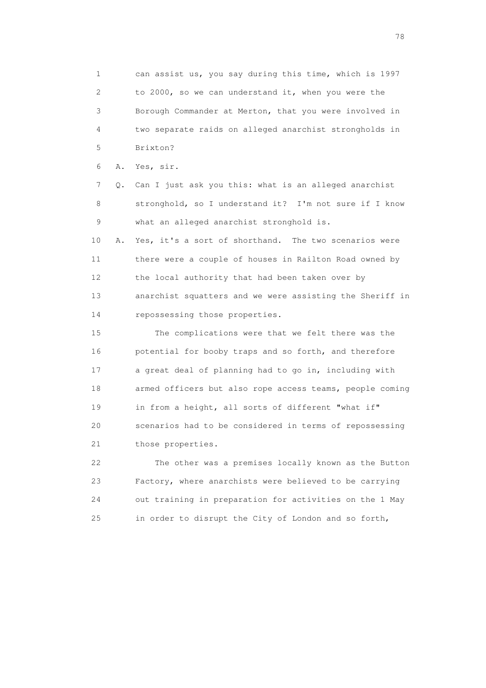1 can assist us, you say during this time, which is 1997 2 to 2000, so we can understand it, when you were the 3 Borough Commander at Merton, that you were involved in 4 two separate raids on alleged anarchist strongholds in 5 Brixton? 6 A. Yes, sir. 7 Q. Can I just ask you this: what is an alleged anarchist 8 stronghold, so I understand it? I'm not sure if I know 9 what an alleged anarchist stronghold is. 10 A. Yes, it's a sort of shorthand. The two scenarios were 11 there were a couple of houses in Railton Road owned by 12 the local authority that had been taken over by 13 anarchist squatters and we were assisting the Sheriff in 14 repossessing those properties.

 15 The complications were that we felt there was the 16 potential for booby traps and so forth, and therefore 17 a great deal of planning had to go in, including with 18 armed officers but also rope access teams, people coming 19 in from a height, all sorts of different "what if" 20 scenarios had to be considered in terms of repossessing 21 those properties.

 22 The other was a premises locally known as the Button 23 Factory, where anarchists were believed to be carrying 24 out training in preparation for activities on the 1 May 25 in order to disrupt the City of London and so forth,

n and the state of the state of the state of the state of the state of the state of the state of the state of the state of the state of the state of the state of the state of the state of the state of the state of the stat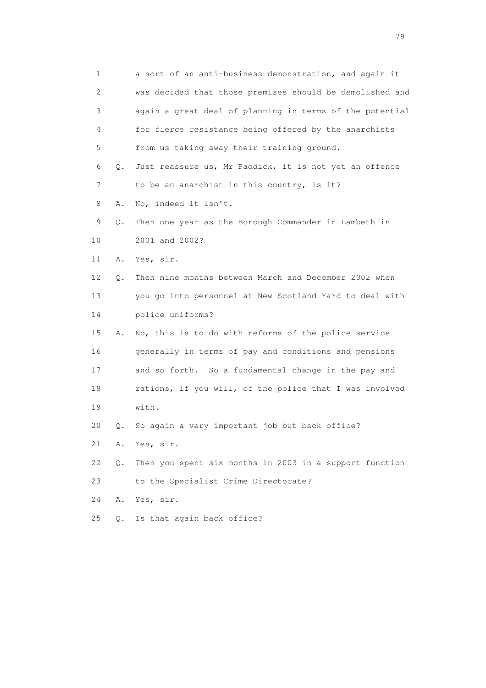1 a sort of an anti-business demonstration, and again it 2 was decided that those premises should be demolished and 3 again a great deal of planning in terms of the potential 4 for fierce resistance being offered by the anarchists 5 from us taking away their training ground. 6 Q. Just reassure us, Mr Paddick, it is not yet an offence 7 to be an anarchist in this country, is it? 8 A. No, indeed it isn't. 9 Q. Then one year as the Borough Commander in Lambeth in 10 2001 and 2002? 11 A. Yes, sir. 12 Q. Then nine months between March and December 2002 when 13 you go into personnel at New Scotland Yard to deal with 14 police uniforms? 15 A. No, this is to do with reforms of the police service 16 generally in terms of pay and conditions and pensions 17 and so forth. So a fundamental change in the pay and 18 rations, if you will, of the police that I was involved 19 with. 20 Q. So again a very important job but back office? 21 A. Yes, sir. 22 Q. Then you spent six months in 2003 in a support function 23 to the Specialist Crime Directorate? 24 A. Yes, sir. 25 Q. Is that again back office?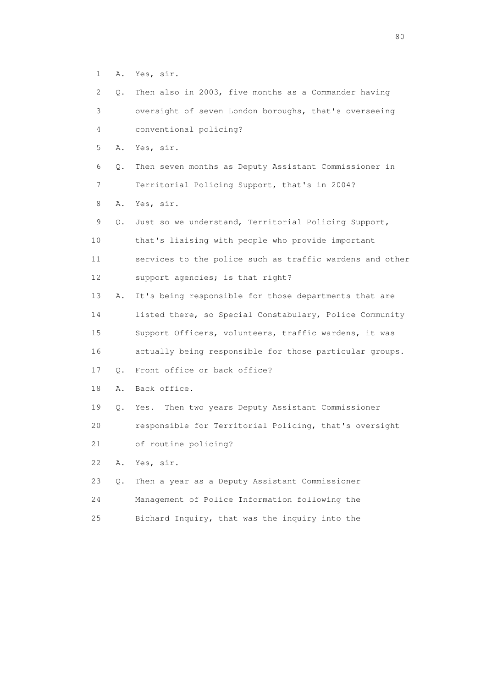1 A. Yes, sir.

| $\overline{2}$    |           | Q. Then also in 2003, five months as a Commander having  |
|-------------------|-----------|----------------------------------------------------------|
| 3                 |           | oversight of seven London boroughs, that's overseeing    |
| 4                 |           | conventional policing?                                   |
| 5                 |           | A. Yes, sir.                                             |
| 6                 | $\circ$ . | Then seven months as Deputy Assistant Commissioner in    |
| 7                 |           | Territorial Policing Support, that's in 2004?            |
| 8                 |           | A. Yes, sir.                                             |
| 9                 | $\circ$ . | Just so we understand, Territorial Policing Support,     |
| 10                |           | that's liaising with people who provide important        |
| 11                |           | services to the police such as traffic wardens and other |
| $12 \overline{c}$ |           | support agencies; is that right?                         |
| 13                | Α.        | It's being responsible for those departments that are    |
| 14                |           | listed there, so Special Constabulary, Police Community  |
| 15                |           | Support Officers, volunteers, traffic wardens, it was    |

16 actually being responsible for those particular groups.

17 Q. Front office or back office?

18 A. Back office.

19 Q. Yes. Then two years Deputy Assistant Commissioner

20 responsible for Territorial Policing, that's oversight

21 of routine policing?

22 A. Yes, sir.

|    | 23 Q. Then a year as a Deputy Assistant Commissioner |
|----|------------------------------------------------------|
| 24 | Management of Police Information following the       |
| 25 | Bichard Inquiry, that was the inquiry into the       |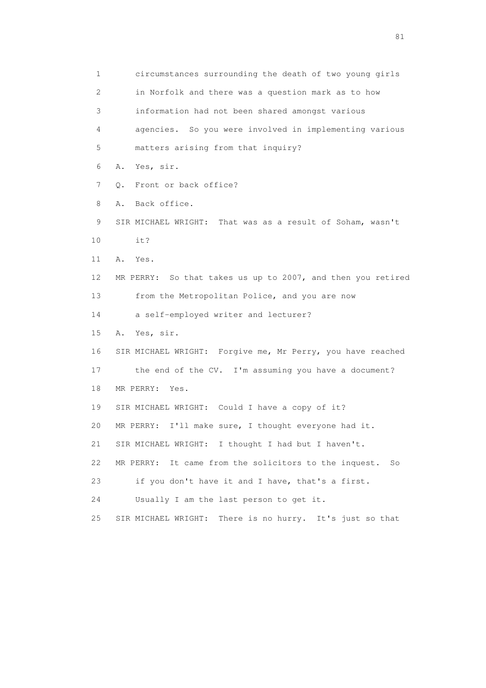1 circumstances surrounding the death of two young girls 2 in Norfolk and there was a question mark as to how 3 information had not been shared amongst various 4 agencies. So you were involved in implementing various 5 matters arising from that inquiry? 6 A. Yes, sir. 7 Q. Front or back office? 8 A. Back office. 9 SIR MICHAEL WRIGHT: That was as a result of Soham, wasn't 10 it? 11 A. Yes. 12 MR PERRY: So that takes us up to 2007, and then you retired 13 from the Metropolitan Police, and you are now 14 a self-employed writer and lecturer? 15 A. Yes, sir. 16 SIR MICHAEL WRIGHT: Forgive me, Mr Perry, you have reached 17 the end of the CV. I'm assuming you have a document? 18 MR PERRY: Yes. 19 SIR MICHAEL WRIGHT: Could I have a copy of it? 20 MR PERRY: I'll make sure, I thought everyone had it. 21 SIR MICHAEL WRIGHT: I thought I had but I haven't. 22 MR PERRY: It came from the solicitors to the inquest. So 23 if you don't have it and I have, that's a first. 24 Usually I am the last person to get it. 25 SIR MICHAEL WRIGHT: There is no hurry. It's just so that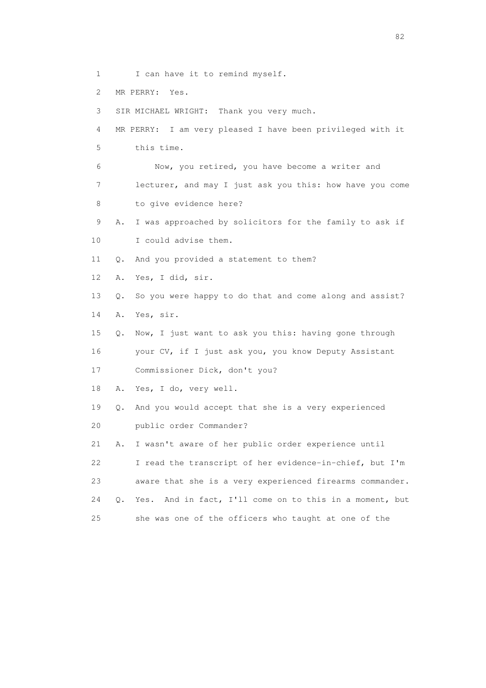- 1 I can have it to remind myself.
- 2 MR PERRY: Yes.

3 SIR MICHAEL WRIGHT: Thank you very much.

 4 MR PERRY: I am very pleased I have been privileged with it 5 this time.

 6 Now, you retired, you have become a writer and 7 lecturer, and may I just ask you this: how have you come 8 to give evidence here?

9 A. I was approached by solicitors for the family to ask if

10 I could advise them.

11 Q. And you provided a statement to them?

12 A. Yes, I did, sir.

13 Q. So you were happy to do that and come along and assist?

14 A. Yes, sir.

 15 Q. Now, I just want to ask you this: having gone through 16 your CV, if I just ask you, you know Deputy Assistant

17 Commissioner Dick, don't you?

18 A. Yes, I do, very well.

 19 Q. And you would accept that she is a very experienced 20 public order Commander?

 21 A. I wasn't aware of her public order experience until 22 I read the transcript of her evidence-in-chief, but I'm 23 aware that she is a very experienced firearms commander. 24 Q. Yes. And in fact, I'll come on to this in a moment, but 25 she was one of the officers who taught at one of the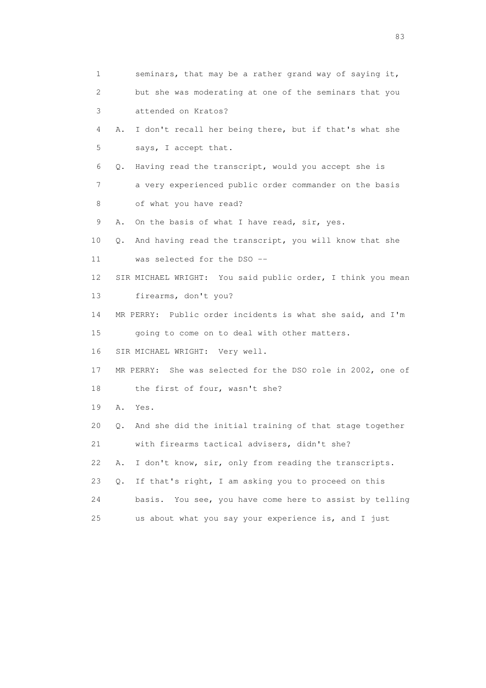| 1  | seminars, that may be a rather grand way of saying it,        |
|----|---------------------------------------------------------------|
| 2  | but she was moderating at one of the seminars that you        |
| 3  | attended on Kratos?                                           |
| 4  | I don't recall her being there, but if that's what she<br>Α.  |
| 5  | says, I accept that.                                          |
| 6  | Having read the transcript, would you accept she is<br>Q.     |
| 7  | a very experienced public order commander on the basis        |
| 8  | of what you have read?                                        |
| 9  | On the basis of what I have read, sir, yes.<br>Α.             |
| 10 | And having read the transcript, you will know that she<br>Q.  |
| 11 | was selected for the DSO --                                   |
| 12 | SIR MICHAEL WRIGHT: You said public order, I think you mean   |
| 13 | firearms, don't you?                                          |
| 14 | MR PERRY: Public order incidents is what she said, and I'm    |
| 15 | going to come on to deal with other matters.                  |
| 16 | SIR MICHAEL WRIGHT: Very well.                                |
| 17 | MR PERRY: She was selected for the DSO role in 2002, one of   |
| 18 | the first of four, wasn't she?                                |
| 19 | Α.<br>Yes.                                                    |
| 20 | And she did the initial training of that stage together<br>Q. |
| 21 | with firearms tactical advisers, didn't she?                  |
| 22 | I don't know, sir, only from reading the transcripts.<br>Α.   |
| 23 | If that's right, I am asking you to proceed on this<br>$Q$ .  |
| 24 | basis. You see, you have come here to assist by telling       |
| 25 | us about what you say your experience is, and I just          |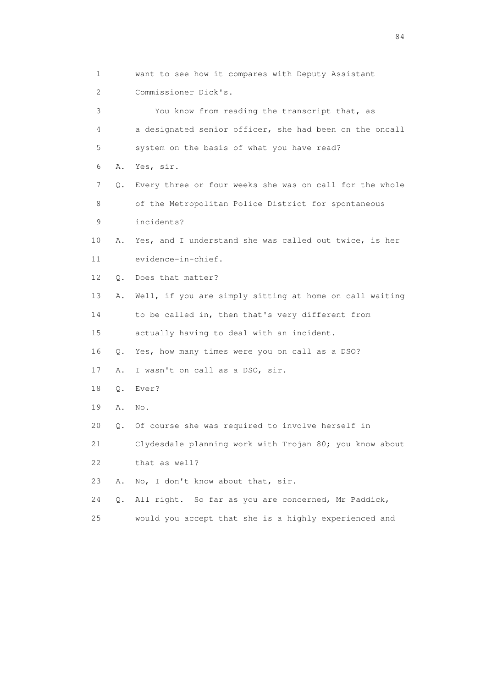1 want to see how it compares with Deputy Assistant 2 Commissioner Dick's. 3 You know from reading the transcript that, as 4 a designated senior officer, she had been on the oncall 5 system on the basis of what you have read? 6 A. Yes, sir. 7 Q. Every three or four weeks she was on call for the whole 8 of the Metropolitan Police District for spontaneous 9 incidents? 10 A. Yes, and I understand she was called out twice, is her 11 evidence-in-chief. 12 Q. Does that matter? 13 A. Well, if you are simply sitting at home on call waiting 14 to be called in, then that's very different from 15 actually having to deal with an incident. 16 Q. Yes, how many times were you on call as a DSO? 17 A. I wasn't on call as a DSO, sir. 18 Q. Ever? 19 A. No. 20 Q. Of course she was required to involve herself in 21 Clydesdale planning work with Trojan 80; you know about 22 that as well? 23 A. No, I don't know about that, sir. 24 Q. All right. So far as you are concerned, Mr Paddick,

25 would you accept that she is a highly experienced and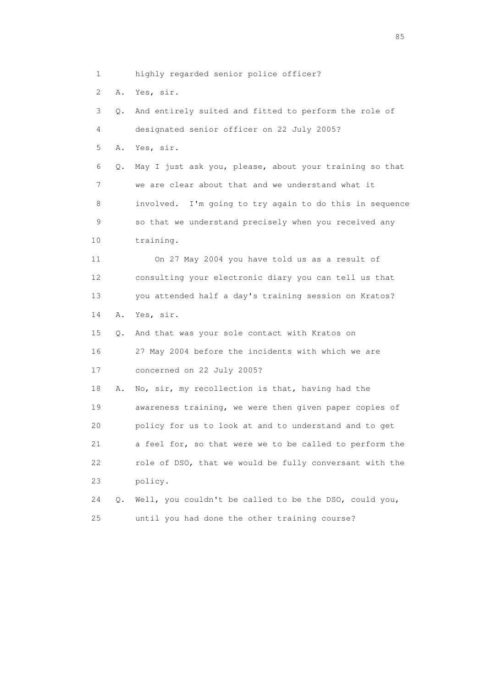1 highly regarded senior police officer?

2 A. Yes, sir.

 3 Q. And entirely suited and fitted to perform the role of 4 designated senior officer on 22 July 2005? 5 A. Yes, sir. 6 Q. May I just ask you, please, about your training so that 7 we are clear about that and we understand what it 8 involved. I'm going to try again to do this in sequence 9 so that we understand precisely when you received any 10 training. 11 On 27 May 2004 you have told us as a result of 12 consulting your electronic diary you can tell us that 13 you attended half a day's training session on Kratos? 14 A. Yes, sir. 15 Q. And that was your sole contact with Kratos on 16 27 May 2004 before the incidents with which we are 17 concerned on 22 July 2005? 18 A. No, sir, my recollection is that, having had the 19 awareness training, we were then given paper copies of 20 policy for us to look at and to understand and to get 21 a feel for, so that were we to be called to perform the 22 role of DSO, that we would be fully conversant with the 23 policy. 24 Q. Well, you couldn't be called to be the DSO, could you, 25 until you had done the other training course?

experience of the contract of the contract of the contract of the contract of the contract of the contract of the contract of the contract of the contract of the contract of the contract of the contract of the contract of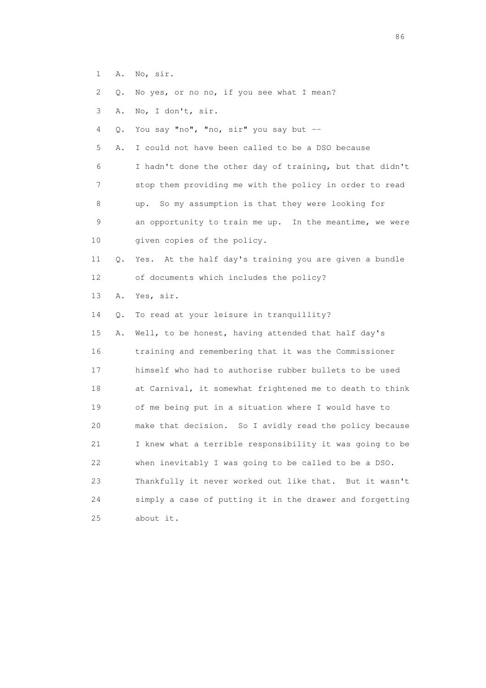- 1 A. No, sir.
- 2 Q. No yes, or no no, if you see what I mean?
- 3 A. No, I don't, sir.
- 4 Q. You say "no", "no, sir" you say but --

 5 A. I could not have been called to be a DSO because 6 I hadn't done the other day of training, but that didn't 7 stop them providing me with the policy in order to read 8 up. So my assumption is that they were looking for 9 an opportunity to train me up. In the meantime, we were 10 given copies of the policy.

- 11 Q. Yes. At the half day's training you are given a bundle 12 of documents which includes the policy?
- 13 A. Yes, sir.
- 14 Q. To read at your leisure in tranquillity?

 15 A. Well, to be honest, having attended that half day's 16 training and remembering that it was the Commissioner 17 himself who had to authorise rubber bullets to be used 18 at Carnival, it somewhat frightened me to death to think 19 of me being put in a situation where I would have to 20 make that decision. So I avidly read the policy because 21 I knew what a terrible responsibility it was going to be 22 when inevitably I was going to be called to be a DSO. 23 Thankfully it never worked out like that. But it wasn't 24 simply a case of putting it in the drawer and forgetting 25 about it.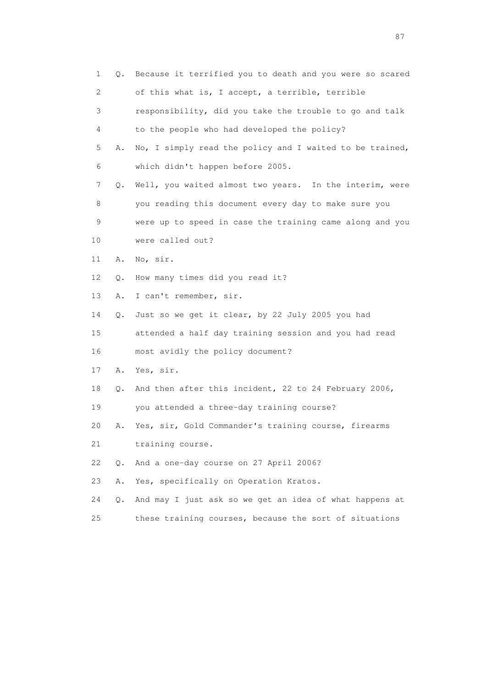| 1                         | Q. | Because it terrified you to death and you were so scared |
|---------------------------|----|----------------------------------------------------------|
| $\mathbf{2}^{\mathsf{I}}$ |    | of this what is, I accept, a terrible, terrible          |
| 3                         |    | responsibility, did you take the trouble to go and talk  |
| 4                         |    | to the people who had developed the policy?              |
| 5                         | Α. | No, I simply read the policy and I waited to be trained, |
| 6                         |    | which didn't happen before 2005.                         |
| 7                         | Q. | Well, you waited almost two years. In the interim, were  |
| 8                         |    | you reading this document every day to make sure you     |
| 9                         |    | were up to speed in case the training came along and you |
| 10                        |    | were called out?                                         |
| 11                        | Α. | No, sir.                                                 |
| 12                        | Q. | How many times did you read it?                          |
| 13                        | Α. | I can't remember, sir.                                   |
| 14                        | Q. | Just so we get it clear, by 22 July 2005 you had         |
| 15                        |    | attended a half day training session and you had read    |
| 16                        |    | most avidly the policy document?                         |
| 17                        | Α. | Yes, sir.                                                |
| 18                        | Q. | And then after this incident, 22 to 24 February 2006,    |
| 19                        |    | you attended a three-day training course?                |
| 20                        | Α. | Yes, sir, Gold Commander's training course, firearms     |
| 21                        |    | training course.                                         |
| 22                        | 0. | And a one-day course on 27 April 2006?                   |
| 23                        | Α. | Yes, specifically on Operation Kratos.                   |
| 24                        | О. | And may I just ask so we get an idea of what happens at  |
| 25                        |    | these training courses, because the sort of situations   |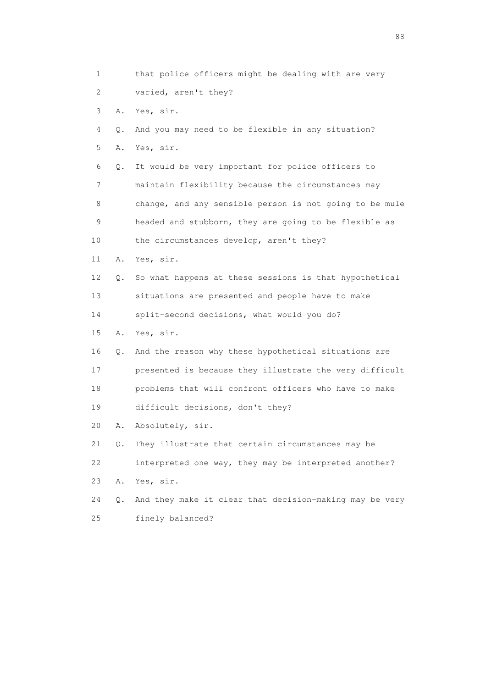1 that police officers might be dealing with are very 2 varied, aren't they? 3 A. Yes, sir. 4 Q. And you may need to be flexible in any situation? 5 A. Yes, sir. 6 Q. It would be very important for police officers to 7 maintain flexibility because the circumstances may 8 change, and any sensible person is not going to be mule 9 headed and stubborn, they are going to be flexible as 10 the circumstances develop, aren't they? 11 A. Yes, sir. 12 Q. So what happens at these sessions is that hypothetical 13 situations are presented and people have to make 14 split-second decisions, what would you do? 15 A. Yes, sir. 16 Q. And the reason why these hypothetical situations are 17 presented is because they illustrate the very difficult 18 problems that will confront officers who have to make 19 difficult decisions, don't they? 20 A. Absolutely, sir. 21 Q. They illustrate that certain circumstances may be 22 interpreted one way, they may be interpreted another? 23 A. Yes, sir. 24 Q. And they make it clear that decision-making may be very 25 finely balanced?

en de la construction de la construction de la construction de la construction de la construction de la constr<br>1880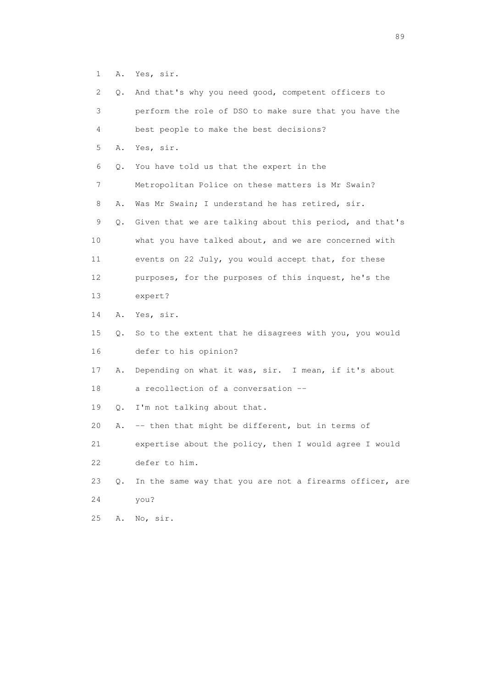1 A. Yes, sir.

| 2               | Q. | And that's why you need good, competent officers to      |
|-----------------|----|----------------------------------------------------------|
| 3               |    | perform the role of DSO to make sure that you have the   |
| 4               |    | best people to make the best decisions?                  |
| 5               | Α. | Yes, sir.                                                |
| 6               | Q. | You have told us that the expert in the                  |
| 7               |    | Metropolitan Police on these matters is Mr Swain?        |
| 8               | Α. | Was Mr Swain; I understand he has retired, sir.          |
| 9               | Q. | Given that we are talking about this period, and that's  |
| 10              |    | what you have talked about, and we are concerned with    |
| 11              |    | events on 22 July, you would accept that, for these      |
| 12 <sup>°</sup> |    | purposes, for the purposes of this inquest, he's the     |
| 13              |    | expert?                                                  |
| 14              | Α. | Yes, sir.                                                |
| 15              | Q. | So to the extent that he disagrees with you, you would   |
| 16              |    | defer to his opinion?                                    |
| 17              | Α. | Depending on what it was, sir. I mean, if it's about     |
| 18              |    | a recollection of a conversation --                      |
| 19              | Q. | I'm not talking about that.                              |
| 20              | Α. | -- then that might be different, but in terms of         |
| 21              |    | expertise about the policy, then I would agree I would   |
| 22              |    | defer to him.                                            |
| 23              | Q. | In the same way that you are not a firearms officer, are |
| 24              |    | you?                                                     |
| 25              | Α. | No, sir.                                                 |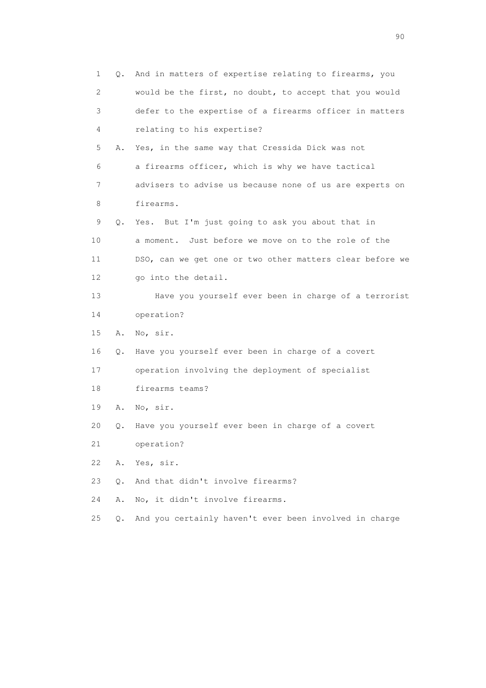| 1  | Q.        | And in matters of expertise relating to firearms, you    |
|----|-----------|----------------------------------------------------------|
| 2  |           | would be the first, no doubt, to accept that you would   |
| 3  |           | defer to the expertise of a firearms officer in matters  |
| 4  |           | relating to his expertise?                               |
| 5  | Α.        | Yes, in the same way that Cressida Dick was not          |
| 6  |           | a firearms officer, which is why we have tactical        |
| 7  |           | advisers to advise us because none of us are experts on  |
| 8  |           | firearms.                                                |
| 9  | Q.        | Yes. But I'm just going to ask you about that in         |
| 10 |           | a moment. Just before we move on to the role of the      |
| 11 |           | DSO, can we get one or two other matters clear before we |
| 12 |           | go into the detail.                                      |
| 13 |           | Have you yourself ever been in charge of a terrorist     |
| 14 |           | operation?                                               |
| 15 | Α.        | No, sir.                                                 |
| 16 | Q.        | Have you yourself ever been in charge of a covert        |
| 17 |           | operation involving the deployment of specialist         |
| 18 |           | firearms teams?                                          |
| 19 | Α.        | No, sir.                                                 |
| 20 | Q.        | Have you yourself ever been in charge of a covert        |
| 21 |           | operation?                                               |
| 22 | Α.        | Yes, sir.                                                |
| 23 | О.        | And that didn't involve firearms?                        |
| 24 | Α.        | No, it didn't involve firearms.                          |
| 25 | $\circ$ . | And you certainly haven't ever been involved in charge   |

entration of the contract of the contract of the contract of the contract of the contract of the contract of the contract of the contract of the contract of the contract of the contract of the contract of the contract of t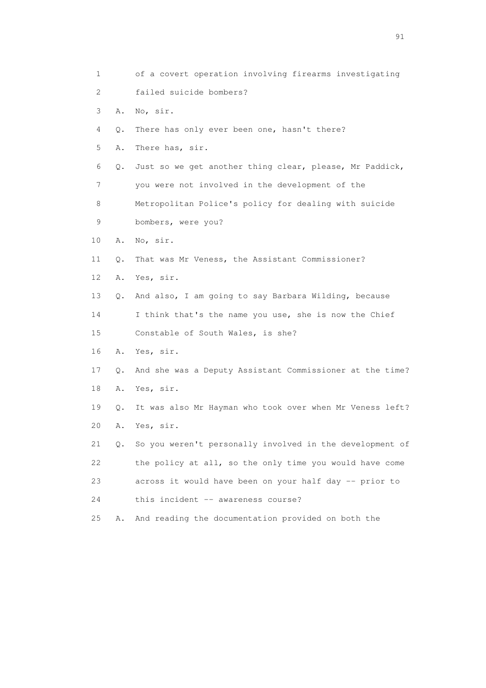1 of a covert operation involving firearms investigating 2 failed suicide bombers? 3 A. No, sir. 4 Q. There has only ever been one, hasn't there? 5 A. There has, sir. 6 Q. Just so we get another thing clear, please, Mr Paddick, 7 you were not involved in the development of the 8 Metropolitan Police's policy for dealing with suicide 9 bombers, were you? 10 A. No, sir. 11 Q. That was Mr Veness, the Assistant Commissioner? 12 A. Yes, sir. 13 Q. And also, I am going to say Barbara Wilding, because 14 I think that's the name you use, she is now the Chief 15 Constable of South Wales, is she? 16 A. Yes, sir. 17 Q. And she was a Deputy Assistant Commissioner at the time? 18 A. Yes, sir. 19 Q. It was also Mr Hayman who took over when Mr Veness left? 20 A. Yes, sir. 21 Q. So you weren't personally involved in the development of 22 the policy at all, so the only time you would have come 23 across it would have been on your half day -- prior to 24 this incident -- awareness course? 25 A. And reading the documentation provided on both the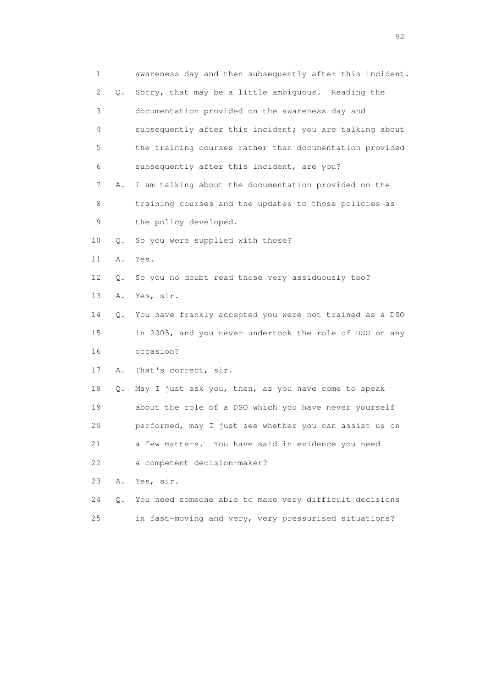| 1           |    | awareness day and then subsequently after this incident. |
|-------------|----|----------------------------------------------------------|
| 2           | Q. | Sorry, that may be a little ambiguous. Reading the       |
| 3           |    | documentation provided on the awareness day and          |
| 4           |    | subsequently after this incident; you are talking about  |
| 5           |    | the training courses rather than documentation provided  |
| 6           |    | subsequently after this incident, are you?               |
| 7           | Α. | I am talking about the documentation provided on the     |
| 8           |    | training courses and the updates to those policies as    |
| $\mathsf 9$ |    | the policy developed.                                    |
| 10          | Q. | So you were supplied with those?                         |
| 11          | Α. | Yes.                                                     |
| 12          | Q. | So you no doubt read those very assiduously too?         |
| 13          | Α. | Yes, sir.                                                |
| 14          | Q. | You have frankly accepted you were not trained as a DSO  |
| 15          |    | in 2005, and you never undertook the role of DSO on any  |
| 16          |    | occasion?                                                |
| 17          | Α. | That's correct, sir.                                     |
| 18          | Q. | May I just ask you, then, as you have come to speak      |
| 19          |    | about the role of a DSO which you have never yourself    |
| 20          |    | performed, may I just see whether you can assist us on   |
| 21          |    | a few matters. You have said in evidence you need        |
| 22          |    | a competent decision-maker?                              |
| 23          | Α. | Yes, sir.                                                |
| 24          | О. | You need someone able to make very difficult decisions   |
| 25          |    | in fast-moving and very, very pressurised situations?    |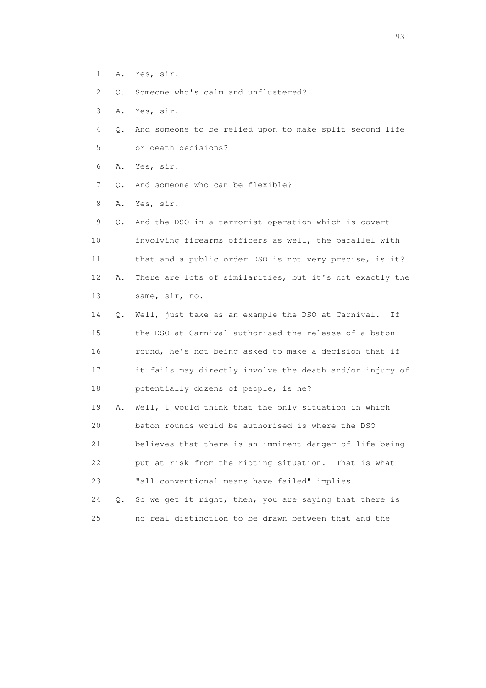- 1 A. Yes, sir.
- 2 Q. Someone who's calm and unflustered?
- 3 A. Yes, sir.
- 4 Q. And someone to be relied upon to make split second life 5 or death decisions?
- 6 A. Yes, sir.
- 7 Q. And someone who can be flexible?
- 8 A. Yes, sir.

 9 Q. And the DSO in a terrorist operation which is covert 10 involving firearms officers as well, the parallel with 11 that and a public order DSO is not very precise, is it? 12 A. There are lots of similarities, but it's not exactly the 13 same, sir, no. 14 Q. Well, just take as an example the DSO at Carnival. If 15 the DSO at Carnival authorised the release of a baton 16 round, he's not being asked to make a decision that if

- 17 it fails may directly involve the death and/or injury of 18 potentially dozens of people, is he?
- 19 A. Well, I would think that the only situation in which 20 baton rounds would be authorised is where the DSO 21 believes that there is an imminent danger of life being 22 put at risk from the rioting situation. That is what 23 "all conventional means have failed" implies.
- 24 Q. So we get it right, then, you are saying that there is 25 no real distinction to be drawn between that and the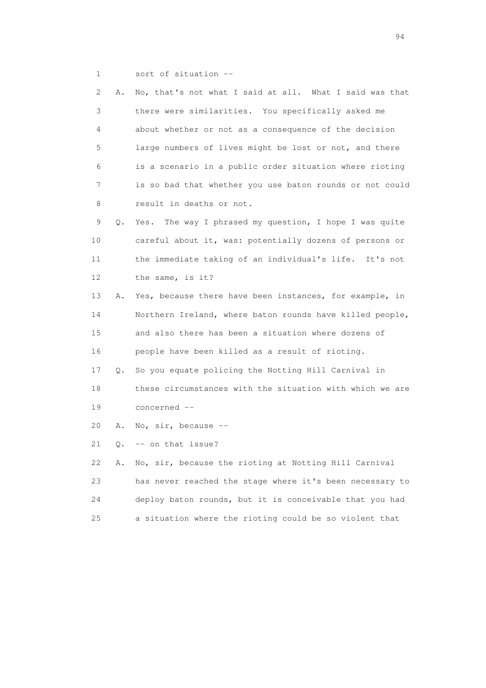1 sort of situation --

| 2      | Α. | No, that's not what I said at all. What I said was that   |
|--------|----|-----------------------------------------------------------|
| 3      |    | there were similarities. You specifically asked me        |
| 4      |    | about whether or not as a consequence of the decision     |
| 5      |    | large numbers of lives might be lost or not, and there    |
| 6      |    | is a scenario in a public order situation where rioting   |
| 7      |    | is so bad that whether you use baton rounds or not could  |
| 8      |    | result in deaths or not.                                  |
| 9      | Q. | The way I phrased my question, I hope I was quite<br>Yes. |
| 10     |    | careful about it, was: potentially dozens of persons or   |
| 11     |    | the immediate taking of an individual's life. It's not    |
| 12     |    | the same, is it?                                          |
| 13     | Α. | Yes, because there have been instances, for example, in   |
| 14     |    | Northern Ireland, where baton rounds have killed people,  |
| 15     |    | and also there has been a situation where dozens of       |
| 16     |    | people have been killed as a result of rioting.           |
| 17     | Q. | So you equate policing the Notting Hill Carnival in       |
| 18     |    | these circumstances with the situation with which we are  |
| 19     |    | concerned --                                              |
| 20     | Α. | No, $\sin$ , because --                                   |
| 21     | О. | -- on that issue?                                         |
| 22     | Α. | No, sir, because the rioting at Notting Hill Carnival     |
| 23     |    | has never reached the stage where it's been necessary to  |
| 24     |    | deploy baton rounds, but it is conceivable that you had   |
| $2\,5$ |    | a situation where the rioting could be so violent that    |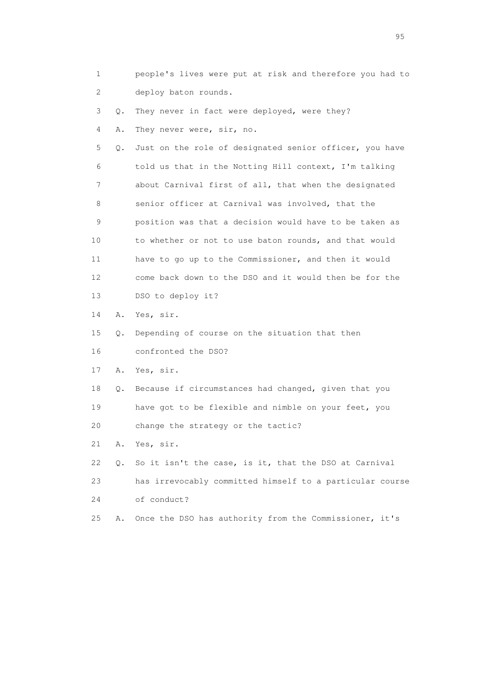1 people's lives were put at risk and therefore you had to 2 deploy baton rounds.

 3 Q. They never in fact were deployed, were they? 4 A. They never were, sir, no.

 5 Q. Just on the role of designated senior officer, you have 6 told us that in the Notting Hill context, I'm talking 7 about Carnival first of all, that when the designated 8 senior officer at Carnival was involved, that the 9 position was that a decision would have to be taken as 10 to whether or not to use baton rounds, and that would 11 have to go up to the Commissioner, and then it would 12 come back down to the DSO and it would then be for the 13 DSO to deploy it?

14 A. Yes, sir.

 15 Q. Depending of course on the situation that then 16 confronted the DSO?

17 A. Yes, sir.

 18 Q. Because if circumstances had changed, given that you 19 have got to be flexible and nimble on your feet, you 20 change the strategy or the tactic?

21 A. Yes, sir.

 22 Q. So it isn't the case, is it, that the DSO at Carnival 23 has irrevocably committed himself to a particular course 24 of conduct?

25 A. Once the DSO has authority from the Commissioner, it's

experience of the contract of the contract of the contract of the contract of the contract of the contract of the contract of the contract of the contract of the contract of the contract of the contract of the contract of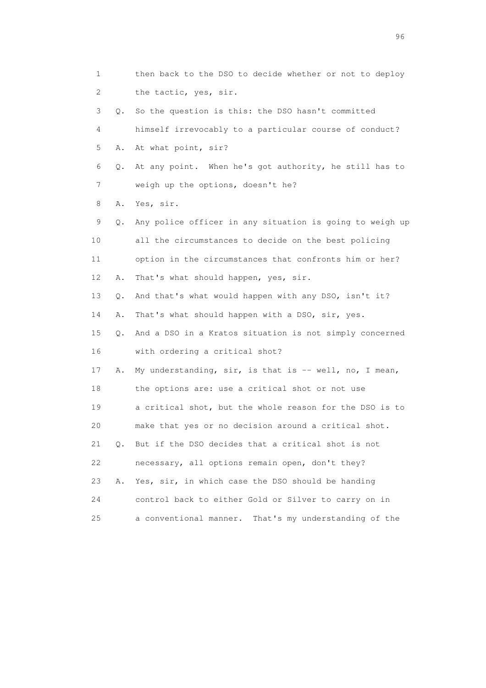1 then back to the DSO to decide whether or not to deploy 2 the tactic, yes, sir. 3 Q. So the question is this: the DSO hasn't committed 4 himself irrevocably to a particular course of conduct? 5 A. At what point, sir? 6 Q. At any point. When he's got authority, he still has to 7 weigh up the options, doesn't he? 8 A. Yes, sir. 9 Q. Any police officer in any situation is going to weigh up 10 all the circumstances to decide on the best policing 11 option in the circumstances that confronts him or her? 12 A. That's what should happen, yes, sir. 13 Q. And that's what would happen with any DSO, isn't it? 14 A. That's what should happen with a DSO, sir, yes. 15 Q. And a DSO in a Kratos situation is not simply concerned 16 with ordering a critical shot? 17 A. My understanding, sir, is that is -- well, no, I mean, 18 the options are: use a critical shot or not use 19 a critical shot, but the whole reason for the DSO is to 20 make that yes or no decision around a critical shot. 21 Q. But if the DSO decides that a critical shot is not 22 necessary, all options remain open, don't they? 23 A. Yes, sir, in which case the DSO should be handing 24 control back to either Gold or Silver to carry on in 25 a conventional manner. That's my understanding of the

<u>96 and the state of the state of the state of the state of the state of the state of the state of the state of the state of the state of the state of the state of the state of the state of the state of the state of the st</u>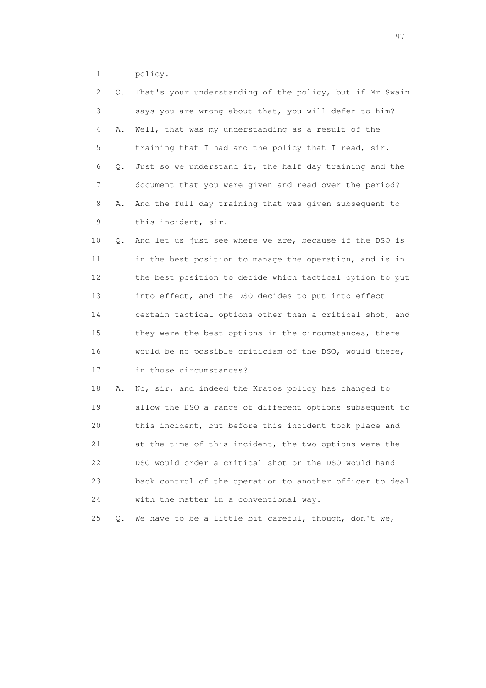1 policy.

| 2  | Q. | That's your understanding of the policy, but if Mr Swain |
|----|----|----------------------------------------------------------|
| 3  |    | says you are wrong about that, you will defer to him?    |
| 4  | Α. | Well, that was my understanding as a result of the       |
| 5  |    | training that I had and the policy that I read, sir.     |
| 6  | Q. | Just so we understand it, the half day training and the  |
| 7  |    | document that you were given and read over the period?   |
| 8  | Α. | And the full day training that was given subsequent to   |
| 9  |    | this incident, sir.                                      |
| 10 | Q. | And let us just see where we are, because if the DSO is  |
| 11 |    | in the best position to manage the operation, and is in  |
| 12 |    | the best position to decide which tactical option to put |
| 13 |    | into effect, and the DSO decides to put into effect      |
| 14 |    | certain tactical options other than a critical shot, and |
| 15 |    | they were the best options in the circumstances, there   |
| 16 |    | would be no possible criticism of the DSO, would there,  |
| 17 |    | in those circumstances?                                  |
| 18 | Α. | No, sir, and indeed the Kratos policy has changed to     |
| 19 |    | allow the DSO a range of different options subsequent to |
| 20 |    | this incident, but before this incident took place and   |
| 21 |    | at the time of this incident, the two options were the   |
| 22 |    | DSO would order a critical shot or the DSO would hand    |
| 23 |    | back control of the operation to another officer to deal |
| 24 |    | with the matter in a conventional way.                   |
| 25 | Q. | We have to be a little bit careful, though, don't we,    |

experience of the contract of the contract of the contract of the contract of the contract of the contract of the contract of the contract of the contract of the contract of the contract of the contract of the contract of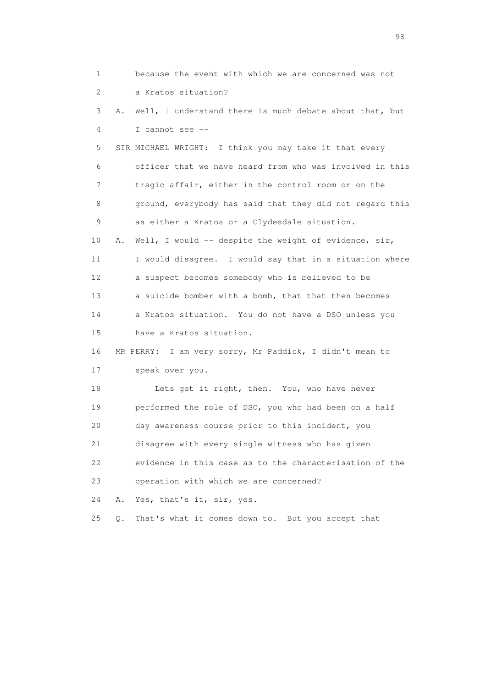1 because the event with which we are concerned was not 2 a Kratos situation? 3 A. Well, I understand there is much debate about that, but 4 I cannot see -- 5 SIR MICHAEL WRIGHT: I think you may take it that every 6 officer that we have heard from who was involved in this 7 tragic affair, either in the control room or on the 8 ground, everybody has said that they did not regard this 9 as either a Kratos or a Clydesdale situation. 10 A. Well, I would -- despite the weight of evidence, sir, 11 I would disagree. I would say that in a situation where 12 a suspect becomes somebody who is believed to be 13 a suicide bomber with a bomb, that that then becomes 14 a Kratos situation. You do not have a DSO unless you 15 have a Kratos situation. 16 MR PERRY: I am very sorry, Mr Paddick, I didn't mean to 17 speak over you. 18 Lets get it right, then. You, who have never 19 performed the role of DSO, you who had been on a half 20 day awareness course prior to this incident, you 21 disagree with every single witness who has given 22 evidence in this case as to the characterisation of the 23 operation with which we are concerned? 24 A. Yes, that's it, sir, yes. 25 Q. That's what it comes down to. But you accept that

en 1988 en 1989 en 1989 en 1989 en 1989 en 1989 en 1989 en 1989 en 1989 en 1989 en 1989 en 1989 en 1989 en 19<br>De grote en 1989 en 1989 en 1989 en 1989 en 1989 en 1989 en 1989 en 1989 en 1989 en 1989 en 1989 en 1989 en 19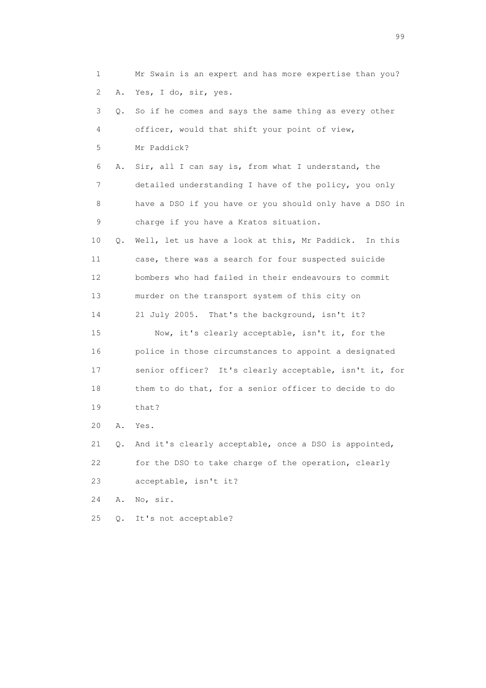1 Mr Swain is an expert and has more expertise than you? 2 A. Yes, I do, sir, yes. 3 Q. So if he comes and says the same thing as every other 4 officer, would that shift your point of view, 5 Mr Paddick? 6 A. Sir, all I can say is, from what I understand, the 7 detailed understanding I have of the policy, you only 8 have a DSO if you have or you should only have a DSO in 9 charge if you have a Kratos situation. 10 Q. Well, let us have a look at this, Mr Paddick. In this 11 case, there was a search for four suspected suicide 12 bombers who had failed in their endeavours to commit 13 murder on the transport system of this city on 14 21 July 2005. That's the background, isn't it? 15 Now, it's clearly acceptable, isn't it, for the 16 police in those circumstances to appoint a designated 17 senior officer? It's clearly acceptable, isn't it, for 18 them to do that, for a senior officer to decide to do 19 that? 20 A. Yes. 21 Q. And it's clearly acceptable, once a DSO is appointed, 22 for the DSO to take charge of the operation, clearly 23 acceptable, isn't it? 24 A. No, sir. 25 Q. It's not acceptable?

en de la construction de la construction de la construction de la construction de la construction de la constr<br>1990 : le construction de la construction de la construction de la construction de la construction de la const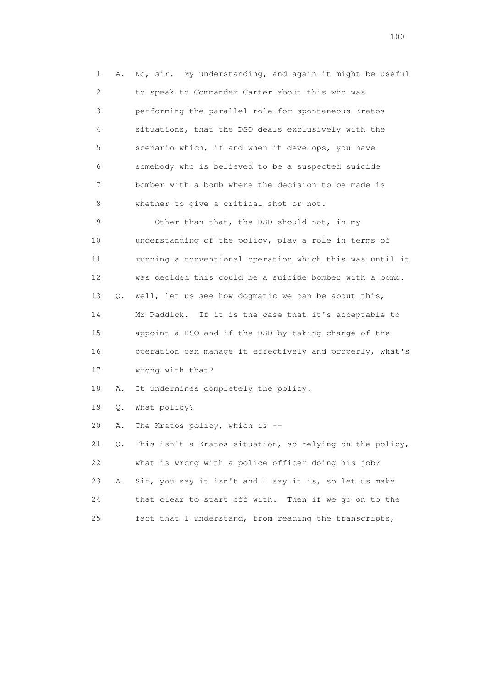1 A. No, sir. My understanding, and again it might be useful 2 to speak to Commander Carter about this who was 3 performing the parallel role for spontaneous Kratos 4 situations, that the DSO deals exclusively with the 5 scenario which, if and when it develops, you have 6 somebody who is believed to be a suspected suicide 7 bomber with a bomb where the decision to be made is 8 whether to give a critical shot or not. 9 Other than that, the DSO should not, in my 10 understanding of the policy, play a role in terms of 11 running a conventional operation which this was until it 12 was decided this could be a suicide bomber with a bomb. 13 Q. Well, let us see how dogmatic we can be about this, 14 Mr Paddick. If it is the case that it's acceptable to 15 appoint a DSO and if the DSO by taking charge of the 16 operation can manage it effectively and properly, what's 17 wrong with that? 18 A. It undermines completely the policy. 19 Q. What policy?

20 A. The Kratos policy, which is --

 21 Q. This isn't a Kratos situation, so relying on the policy, 22 what is wrong with a police officer doing his job? 23 A. Sir, you say it isn't and I say it is, so let us make 24 that clear to start off with. Then if we go on to the 25 fact that I understand, from reading the transcripts,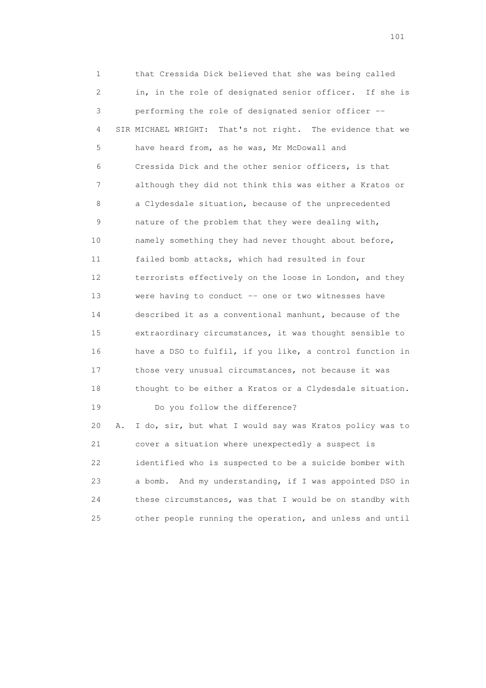1 that Cressida Dick believed that she was being called 2 in, in the role of designated senior officer. If she is 3 performing the role of designated senior officer -- 4 SIR MICHAEL WRIGHT: That's not right. The evidence that we 5 have heard from, as he was, Mr McDowall and 6 Cressida Dick and the other senior officers, is that 7 although they did not think this was either a Kratos or 8 a Clydesdale situation, because of the unprecedented 9 nature of the problem that they were dealing with, 10 namely something they had never thought about before, 11 failed bomb attacks, which had resulted in four 12 terrorists effectively on the loose in London, and they 13 were having to conduct -- one or two witnesses have 14 described it as a conventional manhunt, because of the 15 extraordinary circumstances, it was thought sensible to 16 have a DSO to fulfil, if you like, a control function in 17 those very unusual circumstances, not because it was 18 thought to be either a Kratos or a Clydesdale situation. 19 Do you follow the difference? 20 A. I do, sir, but what I would say was Kratos policy was to 21 cover a situation where unexpectedly a suspect is 22 identified who is suspected to be a suicide bomber with

 23 a bomb. And my understanding, if I was appointed DSO in 24 these circumstances, was that I would be on standby with 25 other people running the operation, and unless and until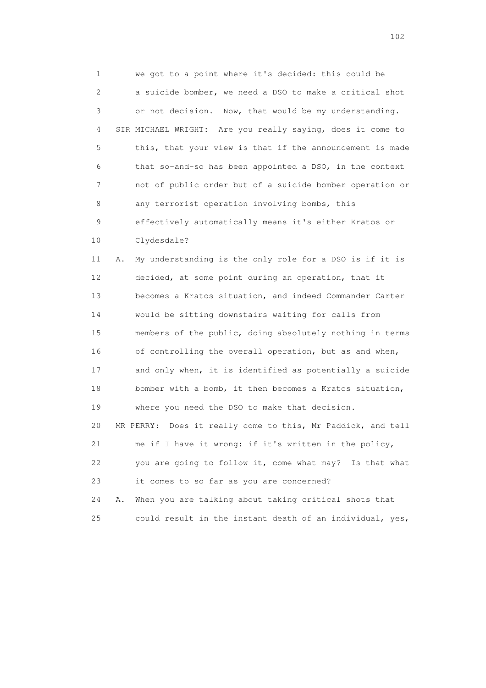1 we got to a point where it's decided: this could be 2 a suicide bomber, we need a DSO to make a critical shot 3 or not decision. Now, that would be my understanding. 4 SIR MICHAEL WRIGHT: Are you really saying, does it come to 5 this, that your view is that if the announcement is made 6 that so-and-so has been appointed a DSO, in the context 7 not of public order but of a suicide bomber operation or 8 any terrorist operation involving bombs, this 9 effectively automatically means it's either Kratos or 10 Clydesdale?

 11 A. My understanding is the only role for a DSO is if it is 12 decided, at some point during an operation, that it 13 becomes a Kratos situation, and indeed Commander Carter 14 would be sitting downstairs waiting for calls from 15 members of the public, doing absolutely nothing in terms 16 of controlling the overall operation, but as and when, 17 and only when, it is identified as potentially a suicide 18 bomber with a bomb, it then becomes a Kratos situation, 19 where you need the DSO to make that decision. 20 MR PERRY: Does it really come to this, Mr Paddick, and tell 21 me if I have it wrong: if it's written in the policy, 22 you are going to follow it, come what may? Is that what 23 it comes to so far as you are concerned? 24 A. When you are talking about taking critical shots that

25 could result in the instant death of an individual, yes,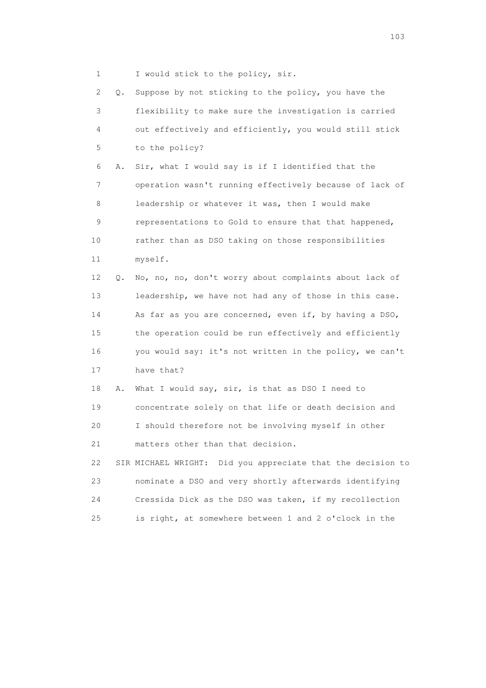1 I would stick to the policy, sir.

 2 Q. Suppose by not sticking to the policy, you have the 3 flexibility to make sure the investigation is carried 4 out effectively and efficiently, you would still stick 5 to the policy? 6 A. Sir, what I would say is if I identified that the 7 operation wasn't running effectively because of lack of 8 leadership or whatever it was, then I would make 9 representations to Gold to ensure that that happened, 10 rather than as DSO taking on those responsibilities 11 myself. 12 Q. No, no, no, don't worry about complaints about lack of 13 leadership, we have not had any of those in this case. 14 As far as you are concerned, even if, by having a DSO, 15 the operation could be run effectively and efficiently 16 you would say: it's not written in the policy, we can't 17 have that? 18 A. What I would say, sir, is that as DSO I need to 19 concentrate solely on that life or death decision and 20 I should therefore not be involving myself in other 21 matters other than that decision. 22 SIR MICHAEL WRIGHT: Did you appreciate that the decision to 23 nominate a DSO and very shortly afterwards identifying 24 Cressida Dick as the DSO was taken, if my recollection 25 is right, at somewhere between 1 and 2 o'clock in the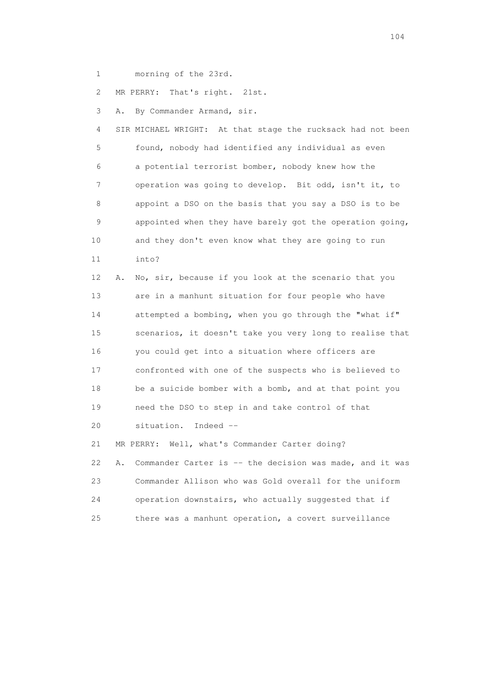1 morning of the 23rd.

2 MR PERRY: That's right. 21st.

3 A. By Commander Armand, sir.

 4 SIR MICHAEL WRIGHT: At that stage the rucksack had not been 5 found, nobody had identified any individual as even 6 a potential terrorist bomber, nobody knew how the 7 operation was going to develop. Bit odd, isn't it, to 8 appoint a DSO on the basis that you say a DSO is to be 9 appointed when they have barely got the operation going, 10 and they don't even know what they are going to run 11 into?

 12 A. No, sir, because if you look at the scenario that you 13 are in a manhunt situation for four people who have 14 attempted a bombing, when you go through the "what if" 15 scenarios, it doesn't take you very long to realise that 16 you could get into a situation where officers are 17 confronted with one of the suspects who is believed to 18 be a suicide bomber with a bomb, and at that point you 19 need the DSO to step in and take control of that 20 situation. Indeed --

 21 MR PERRY: Well, what's Commander Carter doing? 22 A. Commander Carter is -- the decision was made, and it was 23 Commander Allison who was Gold overall for the uniform 24 operation downstairs, who actually suggested that if 25 there was a manhunt operation, a covert surveillance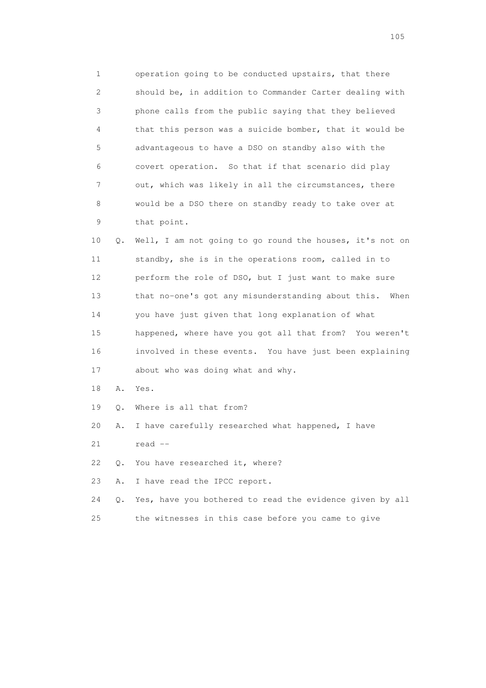1 operation going to be conducted upstairs, that there 2 should be, in addition to Commander Carter dealing with 3 phone calls from the public saying that they believed 4 that this person was a suicide bomber, that it would be 5 advantageous to have a DSO on standby also with the 6 covert operation. So that if that scenario did play 7 out, which was likely in all the circumstances, there 8 would be a DSO there on standby ready to take over at 9 that point.

 10 Q. Well, I am not going to go round the houses, it's not on 11 standby, she is in the operations room, called in to 12 perform the role of DSO, but I just want to make sure 13 that no-one's got any misunderstanding about this. When 14 you have just given that long explanation of what 15 happened, where have you got all that from? You weren't 16 involved in these events. You have just been explaining 17 about who was doing what and why.

- 18 A. Yes.
- 19 Q. Where is all that from?
- 20 A. I have carefully researched what happened, I have
- $21$  read  $-$
- 22 Q. You have researched it, where?
- 23 A. I have read the IPCC report.

24 Q. Yes, have you bothered to read the evidence given by all

25 the witnesses in this case before you came to give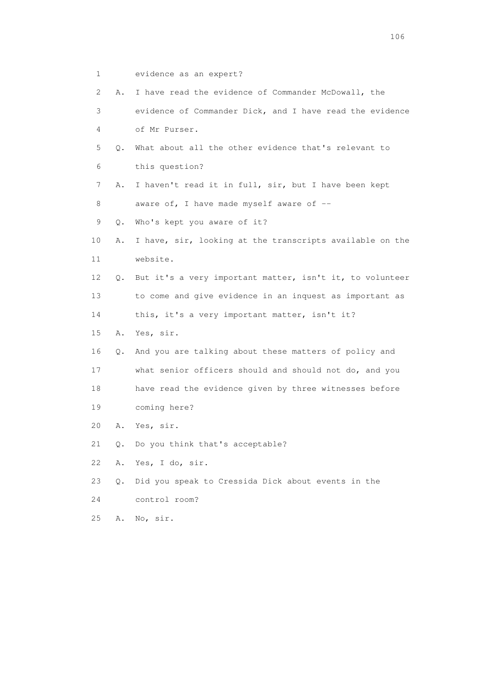- 1 evidence as an expert?
- 2 A. I have read the evidence of Commander McDowall, the 3 evidence of Commander Dick, and I have read the evidence 4 of Mr Purser. 5 Q. What about all the other evidence that's relevant to 6 this question?
- 7 A. I haven't read it in full, sir, but I have been kept 8 aware of, I have made myself aware of --
- 9 Q. Who's kept you aware of it?
- 10 A. I have, sir, looking at the transcripts available on the 11 website.
- 12 Q. But it's a very important matter, isn't it, to volunteer 13 to come and give evidence in an inquest as important as
- 14 this, it's a very important matter, isn't it?
- 15 A. Yes, sir.
- 16 Q. And you are talking about these matters of policy and
- 17 what senior officers should and should not do, and you 18 have read the evidence given by three witnesses before
- 19 coming here?
- 20 A. Yes, sir.
- 21 Q. Do you think that's acceptable?
- 22 A. Yes, I do, sir.
- 23 Q. Did you speak to Cressida Dick about events in the
- 24 control room?
- 25 A. No, sir.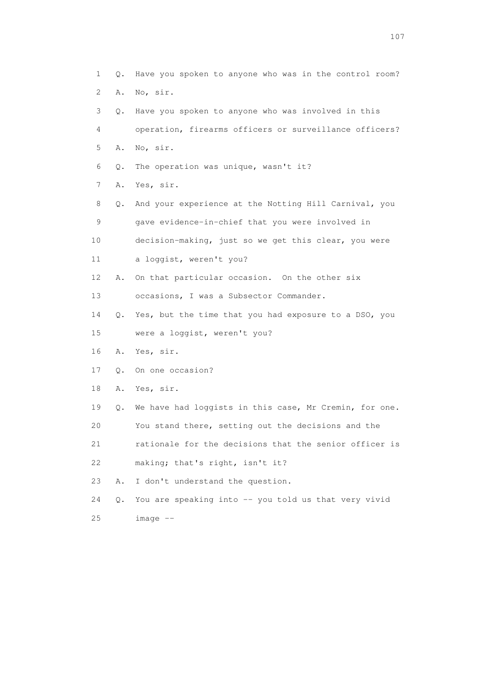1 Q. Have you spoken to anyone who was in the control room? 2 A. No, sir. 3 Q. Have you spoken to anyone who was involved in this 4 operation, firearms officers or surveillance officers? 5 A. No, sir. 6 Q. The operation was unique, wasn't it? 7 A. Yes, sir. 8 Q. And your experience at the Notting Hill Carnival, you 9 gave evidence-in-chief that you were involved in 10 decision-making, just so we get this clear, you were 11 a loggist, weren't you? 12 A. On that particular occasion. On the other six 13 occasions, I was a Subsector Commander. 14 Q. Yes, but the time that you had exposure to a DSO, you 15 were a loggist, weren't you? 16 A. Yes, sir. 17 Q. On one occasion? 18 A. Yes, sir. 19 Q. We have had loggists in this case, Mr Cremin, for one. 20 You stand there, setting out the decisions and the 21 rationale for the decisions that the senior officer is 22 making; that's right, isn't it? 23 A. I don't understand the question. 24 Q. You are speaking into -- you told us that very vivid 25 image --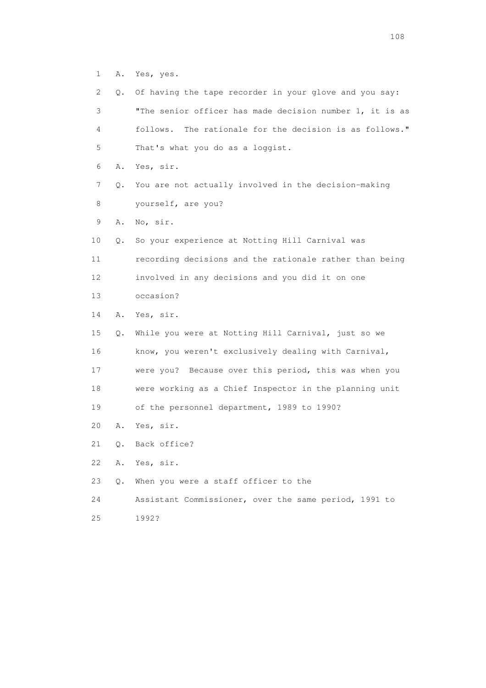1 A. Yes, yes.

| $\mathbf{2}^{\mathsf{I}}$ | О. | Of having the tape recorder in your glove and you say:     |
|---------------------------|----|------------------------------------------------------------|
| 3                         |    | "The senior officer has made decision number 1, it is as   |
| 4                         |    | The rationale for the decision is as follows."<br>follows. |
| 5                         |    | That's what you do as a loggist.                           |
| 6                         | Α. | Yes, sir.                                                  |
| 7                         | Q. | You are not actually involved in the decision-making       |
| 8                         |    | yourself, are you?                                         |
| 9                         | Α. | No, sir.                                                   |
| 10                        | Q. | So your experience at Notting Hill Carnival was            |
| 11                        |    | recording decisions and the rationale rather than being    |
| 12                        |    | involved in any decisions and you did it on one            |
| 13                        |    | occasion?                                                  |
| 14                        | Α. | Yes, sir.                                                  |
| 15                        | Q. | While you were at Notting Hill Carnival, just so we        |
| 16                        |    | know, you weren't exclusively dealing with Carnival,       |
| 17                        |    | were you? Because over this period, this was when you      |
| 18                        |    | were working as a Chief Inspector in the planning unit     |
| 19                        |    | of the personnel department, 1989 to 1990?                 |
| 20                        | Α. | Yes, sir.                                                  |
| 21                        | Q. | Back office?                                               |
| 22                        | Α. | Yes, sir.                                                  |
| 23                        | Q. | When you were a staff officer to the                       |
| 24                        |    | Assistant Commissioner, over the same period, 1991 to      |
| 25                        |    | 1992?                                                      |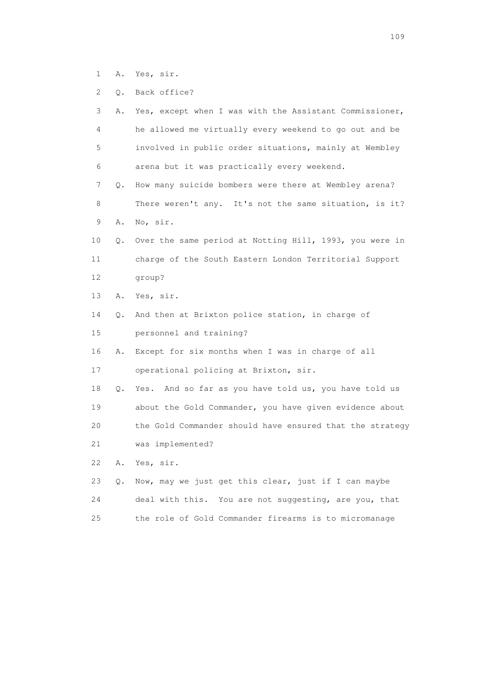- 1 A. Yes, sir.
- 2 Q. Back office?

| 3               | Α. | Yes, except when I was with the Assistant Commissioner,  |
|-----------------|----|----------------------------------------------------------|
| 4               |    | he allowed me virtually every weekend to go out and be   |
| 5               |    | involved in public order situations, mainly at Wembley   |
| 6               |    | arena but it was practically every weekend.              |
| 7               | О. | How many suicide bombers were there at Wembley arena?    |
| 8               |    | There weren't any. It's not the same situation, is it?   |
| 9               | Α. | No, sir.                                                 |
| 10              | Q. | Over the same period at Notting Hill, 1993, you were in  |
| 11              |    | charge of the South Eastern London Territorial Support   |
| 12 <sup>°</sup> |    | group?                                                   |
| 13              | Α. | Yes, sir.                                                |
| 14              | Q. | And then at Brixton police station, in charge of         |
| 15              |    | personnel and training?                                  |
| 16              | Α. | Except for six months when I was in charge of all        |
| 17              |    | operational policing at Brixton, sir.                    |
| 18              | Q. | And so far as you have told us, you have told us<br>Yes. |
| 19              |    | about the Gold Commander, you have given evidence about  |
| 20              |    | the Gold Commander should have ensured that the strategy |
| 21              |    | was implemented?                                         |
| 22              | Α. | Yes, sir.                                                |
| 23              | Q. | Now, may we just get this clear, just if I can maybe     |
| 24              |    | deal with this. You are not suggesting, are you, that    |
| 25              |    | the role of Gold Commander firearms is to micromanage    |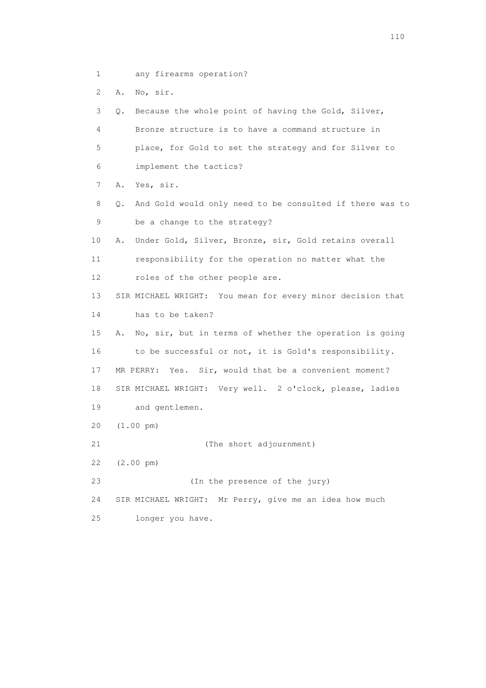1 any firearms operation?

2 A. No, sir.

 3 Q. Because the whole point of having the Gold, Silver, 4 Bronze structure is to have a command structure in 5 place, for Gold to set the strategy and for Silver to 6 implement the tactics? 7 A. Yes, sir. 8 Q. And Gold would only need to be consulted if there was to 9 be a change to the strategy? 10 A. Under Gold, Silver, Bronze, sir, Gold retains overall 11 responsibility for the operation no matter what the 12 roles of the other people are. 13 SIR MICHAEL WRIGHT: You mean for every minor decision that 14 has to be taken? 15 A. No, sir, but in terms of whether the operation is going 16 to be successful or not, it is Gold's responsibility. 17 MR PERRY: Yes. Sir, would that be a convenient moment? 18 SIR MICHAEL WRIGHT: Very well. 2 o'clock, please, ladies 19 and gentlemen. 20 (1.00 pm) 21 (The short adjournment) 22 (2.00 pm) 23 (In the presence of the jury) 24 SIR MICHAEL WRIGHT: Mr Perry, give me an idea how much 25 longer you have.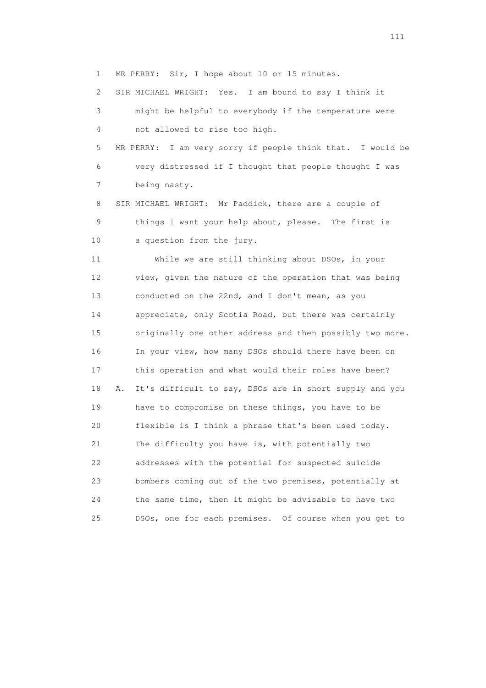1 MR PERRY: Sir, I hope about 10 or 15 minutes.

2 SIR MICHAEL WRIGHT: Yes. I am bound to say I think it

 3 might be helpful to everybody if the temperature were 4 not allowed to rise too high.

 5 MR PERRY: I am very sorry if people think that. I would be 6 very distressed if I thought that people thought I was 7 being nasty.

 8 SIR MICHAEL WRIGHT: Mr Paddick, there are a couple of 9 things I want your help about, please. The first is 10 a question from the jury.

 11 While we are still thinking about DSOs, in your 12 view, given the nature of the operation that was being 13 conducted on the 22nd, and I don't mean, as you 14 appreciate, only Scotia Road, but there was certainly 15 originally one other address and then possibly two more. 16 In your view, how many DSOs should there have been on 17 this operation and what would their roles have been? 18 A. It's difficult to say, DSOs are in short supply and you 19 have to compromise on these things, you have to be 20 flexible is I think a phrase that's been used today. 21 The difficulty you have is, with potentially two 22 addresses with the potential for suspected suicide 23 bombers coming out of the two premises, potentially at 24 the same time, then it might be advisable to have two 25 DSOs, one for each premises. Of course when you get to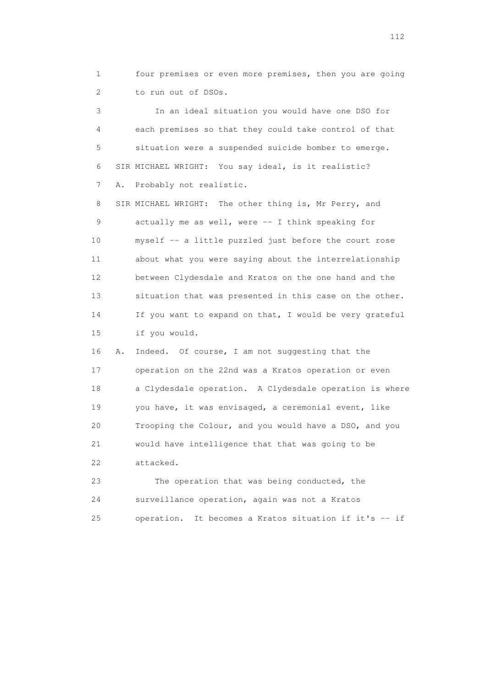1 four premises or even more premises, then you are going 2 to run out of DSOs.

 3 In an ideal situation you would have one DSO for 4 each premises so that they could take control of that 5 situation were a suspended suicide bomber to emerge. 6 SIR MICHAEL WRIGHT: You say ideal, is it realistic? 7 A. Probably not realistic.

 8 SIR MICHAEL WRIGHT: The other thing is, Mr Perry, and 9 actually me as well, were -- I think speaking for 10 myself -- a little puzzled just before the court rose 11 about what you were saying about the interrelationship 12 between Clydesdale and Kratos on the one hand and the 13 situation that was presented in this case on the other. 14 If you want to expand on that, I would be very grateful 15 if you would.

 16 A. Indeed. Of course, I am not suggesting that the 17 operation on the 22nd was a Kratos operation or even 18 a Clydesdale operation. A Clydesdale operation is where 19 you have, it was envisaged, a ceremonial event, like 20 Trooping the Colour, and you would have a DSO, and you 21 would have intelligence that that was going to be 22 attacked.

 23 The operation that was being conducted, the 24 surveillance operation, again was not a Kratos 25 operation. It becomes a Kratos situation if it's -- if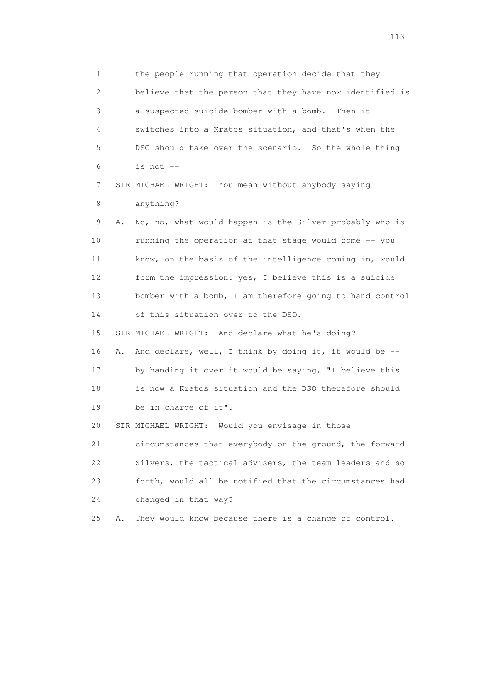1 the people running that operation decide that they 2 believe that the person that they have now identified is 3 a suspected suicide bomber with a bomb. Then it 4 switches into a Kratos situation, and that's when the 5 DSO should take over the scenario. So the whole thing  $6$  is not  $-$  7 SIR MICHAEL WRIGHT: You mean without anybody saying 8 anything? 9 A. No, no, what would happen is the Silver probably who is 10 running the operation at that stage would come -- you

 11 know, on the basis of the intelligence coming in, would 12 form the impression: yes, I believe this is a suicide 13 bomber with a bomb, I am therefore going to hand control 14 of this situation over to the DSO.

 15 SIR MICHAEL WRIGHT: And declare what he's doing? 16 A. And declare, well, I think by doing it, it would be -- 17 by handing it over it would be saying, "I believe this 18 is now a Kratos situation and the DSO therefore should 19 be in charge of it".

20 SIR MICHAEL WRIGHT: Would you envisage in those

 21 circumstances that everybody on the ground, the forward 22 Silvers, the tactical advisers, the team leaders and so 23 forth, would all be notified that the circumstances had 24 changed in that way?

25 A. They would know because there is a change of control.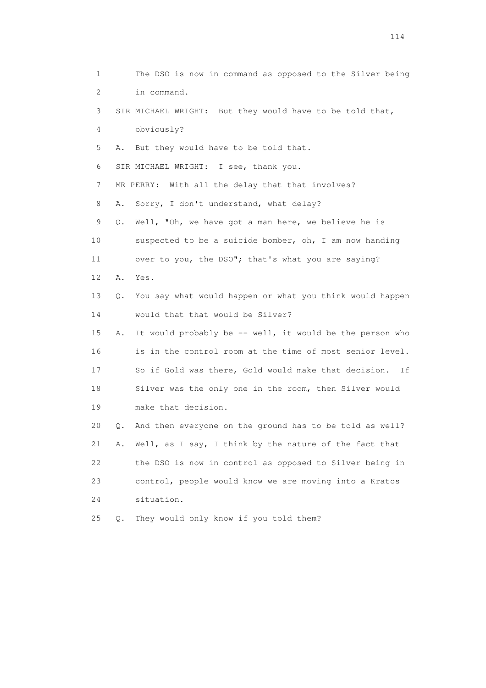1 The DSO is now in command as opposed to the Silver being 2 in command. 3 SIR MICHAEL WRIGHT: But they would have to be told that, 4 obviously? 5 A. But they would have to be told that. 6 SIR MICHAEL WRIGHT: I see, thank you. 7 MR PERRY: With all the delay that that involves? 8 A. Sorry, I don't understand, what delay? 9 Q. Well, "Oh, we have got a man here, we believe he is 10 suspected to be a suicide bomber, oh, I am now handing 11 over to you, the DSO"; that's what you are saying? 12 A. Yes. 13 Q. You say what would happen or what you think would happen 14 would that that would be Silver? 15 A. It would probably be -- well, it would be the person who 16 is in the control room at the time of most senior level. 17 So if Gold was there, Gold would make that decision. If 18 Silver was the only one in the room, then Silver would 19 make that decision. 20 Q. And then everyone on the ground has to be told as well? 21 A. Well, as I say, I think by the nature of the fact that 22 the DSO is now in control as opposed to Silver being in 23 control, people would know we are moving into a Kratos 24 situation. 25 Q. They would only know if you told them?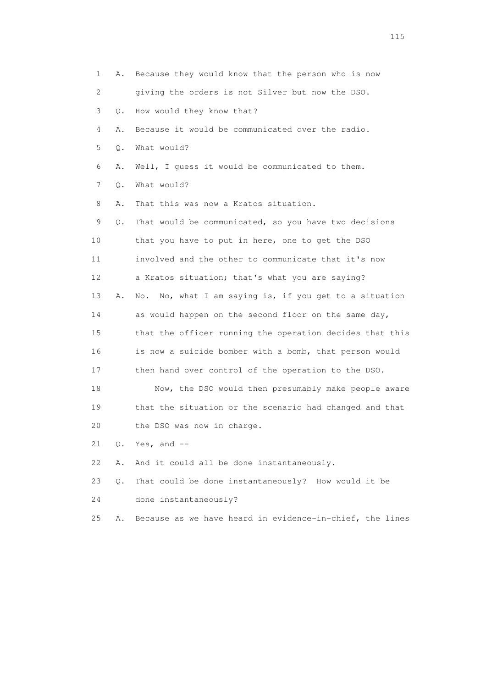1 A. Because they would know that the person who is now 2 giving the orders is not Silver but now the DSO. 3 Q. How would they know that? 4 A. Because it would be communicated over the radio. 5 Q. What would? 6 A. Well, I guess it would be communicated to them. 7 Q. What would? 8 A. That this was now a Kratos situation. 9 Q. That would be communicated, so you have two decisions 10 that you have to put in here, one to get the DSO 11 involved and the other to communicate that it's now 12 a Kratos situation; that's what you are saying? 13 A. No. No, what I am saying is, if you get to a situation 14 as would happen on the second floor on the same day, 15 that the officer running the operation decides that this 16 is now a suicide bomber with a bomb, that person would 17 then hand over control of the operation to the DSO. 18 Now, the DSO would then presumably make people aware 19 that the situation or the scenario had changed and that 20 the DSO was now in charge. 21 Q. Yes, and -- 22 A. And it could all be done instantaneously. 23 Q. That could be done instantaneously? How would it be 24 done instantaneously? 25 A. Because as we have heard in evidence-in-chief, the lines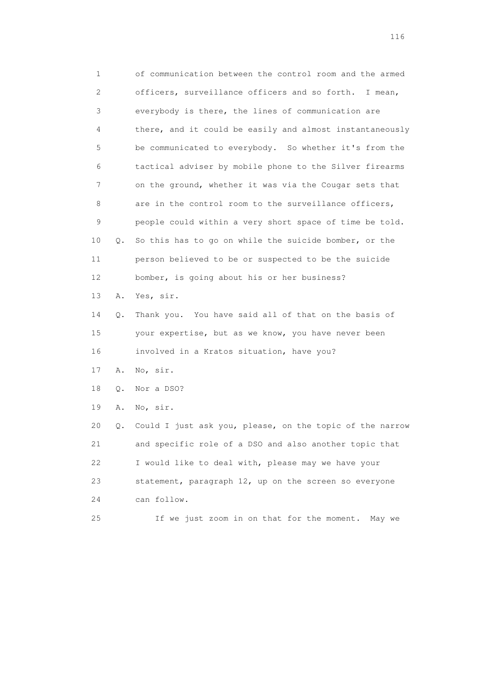1 of communication between the control room and the armed 2 officers, surveillance officers and so forth. I mean, 3 everybody is there, the lines of communication are 4 there, and it could be easily and almost instantaneously 5 be communicated to everybody. So whether it's from the 6 tactical adviser by mobile phone to the Silver firearms 7 on the ground, whether it was via the Cougar sets that 8 are in the control room to the surveillance officers, 9 people could within a very short space of time be told. 10 Q. So this has to go on while the suicide bomber, or the 11 person believed to be or suspected to be the suicide 12 bomber, is going about his or her business? 13 A. Yes, sir. 14 Q. Thank you. You have said all of that on the basis of 15 your expertise, but as we know, you have never been 16 involved in a Kratos situation, have you? 17 A. No, sir. 18 Q. Nor a DSO? 19 A. No, sir. 20 Q. Could I just ask you, please, on the topic of the narrow 21 and specific role of a DSO and also another topic that 22 I would like to deal with, please may we have your 23 statement, paragraph 12, up on the screen so everyone 24 can follow. 25 If we just zoom in on that for the moment. May we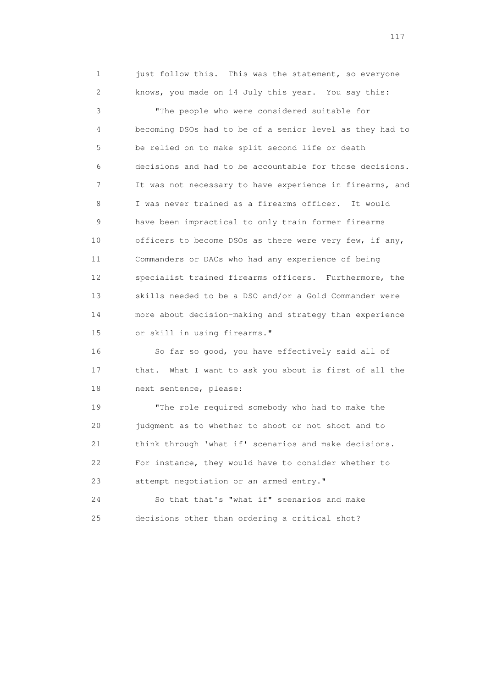1 just follow this. This was the statement, so everyone 2 knows, you made on 14 July this year. You say this: 3 "The people who were considered suitable for 4 becoming DSOs had to be of a senior level as they had to 5 be relied on to make split second life or death 6 decisions and had to be accountable for those decisions. 7 It was not necessary to have experience in firearms, and 8 I was never trained as a firearms officer. It would 9 have been impractical to only train former firearms 10 officers to become DSOs as there were very few, if any, 11 Commanders or DACs who had any experience of being 12 specialist trained firearms officers. Furthermore, the 13 skills needed to be a DSO and/or a Gold Commander were 14 more about decision-making and strategy than experience 15 or skill in using firearms."

 16 So far so good, you have effectively said all of 17 that. What I want to ask you about is first of all the 18 next sentence, please:

 19 "The role required somebody who had to make the 20 judgment as to whether to shoot or not shoot and to 21 think through 'what if' scenarios and make decisions. 22 For instance, they would have to consider whether to 23 attempt negotiation or an armed entry."

 24 So that that's "what if" scenarios and make 25 decisions other than ordering a critical shot?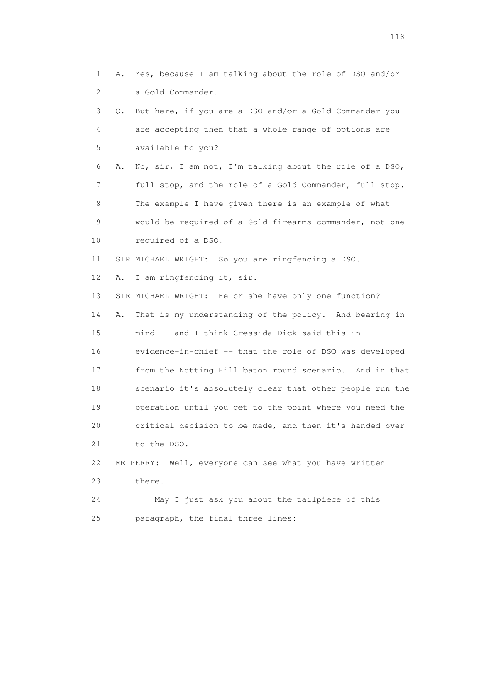1 A. Yes, because I am talking about the role of DSO and/or 2 a Gold Commander. 3 Q. But here, if you are a DSO and/or a Gold Commander you 4 are accepting then that a whole range of options are 5 available to you? 6 A. No, sir, I am not, I'm talking about the role of a DSO, 7 full stop, and the role of a Gold Commander, full stop. 8 The example I have given there is an example of what 9 would be required of a Gold firearms commander, not one 10 required of a DSO. 11 SIR MICHAEL WRIGHT: So you are ringfencing a DSO. 12 A. I am ringfencing it, sir. 13 SIR MICHAEL WRIGHT: He or she have only one function? 14 A. That is my understanding of the policy. And bearing in 15 mind -- and I think Cressida Dick said this in 16 evidence-in-chief -- that the role of DSO was developed 17 from the Notting Hill baton round scenario. And in that 18 scenario it's absolutely clear that other people run the 19 operation until you get to the point where you need the 20 critical decision to be made, and then it's handed over 21 to the DSO. 22 MR PERRY: Well, everyone can see what you have written 23 there. 24 May I just ask you about the tailpiece of this

25 paragraph, the final three lines: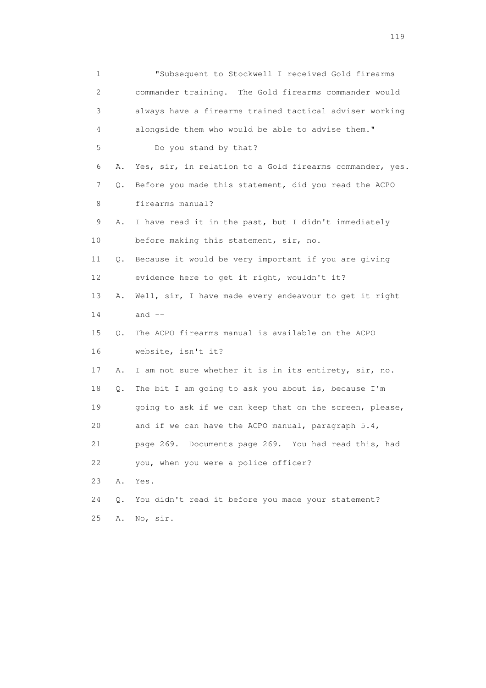| $\mathbf 1$               |    | "Subsequent to Stockwell I received Gold firearms        |
|---------------------------|----|----------------------------------------------------------|
| $\mathbf{2}^{\mathsf{I}}$ |    | commander training. The Gold firearms commander would    |
| 3                         |    | always have a firearms trained tactical adviser working  |
| 4                         |    | alongside them who would be able to advise them."        |
| 5                         |    | Do you stand by that?                                    |
| 6                         | Α. | Yes, sir, in relation to a Gold firearms commander, yes. |
| 7                         | Q. | Before you made this statement, did you read the ACPO    |
| 8                         |    | firearms manual?                                         |
| 9                         | Α. | I have read it in the past, but I didn't immediately     |
| 10                        |    | before making this statement, sir, no.                   |
| 11                        | Q. | Because it would be very important if you are giving     |
| 12                        |    | evidence here to get it right, wouldn't it?              |
| 13                        | Α. | Well, sir, I have made every endeavour to get it right   |
| 14                        |    | and $--$                                                 |
| 15                        | Q. | The ACPO firearms manual is available on the ACPO        |
| 16                        |    | website, isn't it?                                       |
| 17                        | Α. | I am not sure whether it is in its entirety, sir, no.    |
| 18                        | Q. | The bit I am going to ask you about is, because I'm      |
| 19                        |    | going to ask if we can keep that on the screen, please,  |
| 20                        |    | and if we can have the ACPO manual, paragraph 5.4,       |
| 21                        |    | page 269. Documents page 269. You had read this, had     |
| 22                        |    | you, when you were a police officer?                     |
| 23                        | Α. | Yes.                                                     |
| 24                        | Q. | You didn't read it before you made your statement?       |
| 25                        | Α. | No, sir.                                                 |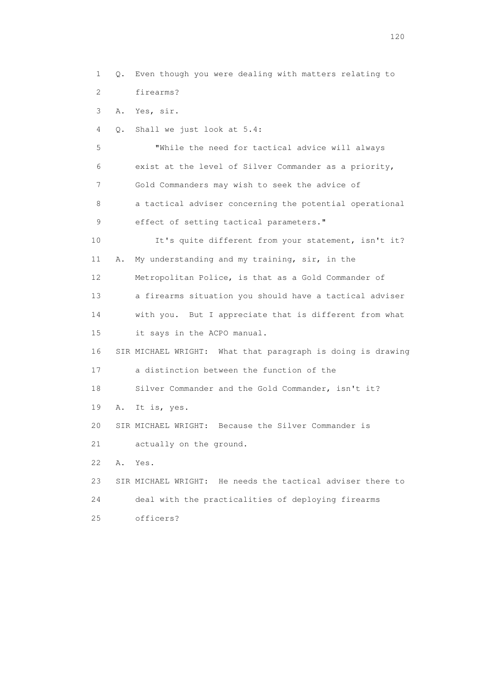1 Q. Even though you were dealing with matters relating to 2 firearms? 3 A. Yes, sir. 4 Q. Shall we just look at 5.4: 5 "While the need for tactical advice will always 6 exist at the level of Silver Commander as a priority, 7 Gold Commanders may wish to seek the advice of 8 a tactical adviser concerning the potential operational 9 effect of setting tactical parameters." 10 It's quite different from your statement, isn't it? 11 A. My understanding and my training, sir, in the 12 Metropolitan Police, is that as a Gold Commander of 13 a firearms situation you should have a tactical adviser 14 with you. But I appreciate that is different from what 15 it says in the ACPO manual. 16 SIR MICHAEL WRIGHT: What that paragraph is doing is drawing 17 a distinction between the function of the 18 Silver Commander and the Gold Commander, isn't it? 19 A. It is, yes. 20 SIR MICHAEL WRIGHT: Because the Silver Commander is 21 actually on the ground. 22 A. Yes. 23 SIR MICHAEL WRIGHT: He needs the tactical adviser there to 24 deal with the practicalities of deploying firearms 25 officers?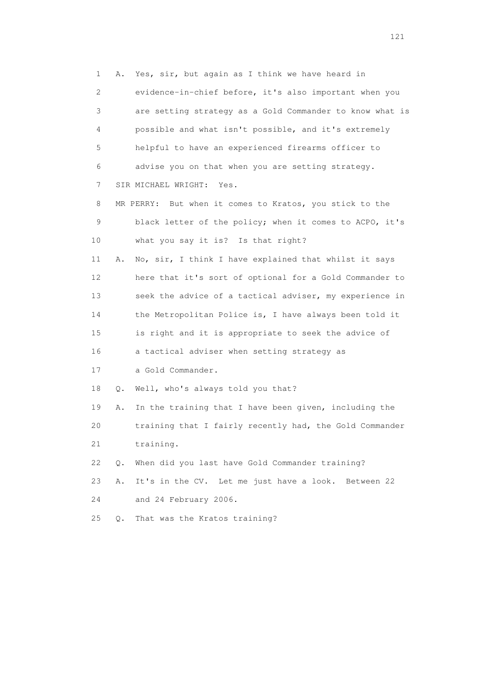1 A. Yes, sir, but again as I think we have heard in 2 evidence-in-chief before, it's also important when you 3 are setting strategy as a Gold Commander to know what is 4 possible and what isn't possible, and it's extremely 5 helpful to have an experienced firearms officer to 6 advise you on that when you are setting strategy. 7 SIR MICHAEL WRIGHT: Yes. 8 MR PERRY: But when it comes to Kratos, you stick to the 9 black letter of the policy; when it comes to ACPO, it's 10 what you say it is? Is that right? 11 A. No, sir, I think I have explained that whilst it says 12 here that it's sort of optional for a Gold Commander to 13 seek the advice of a tactical adviser, my experience in 14 the Metropolitan Police is, I have always been told it 15 is right and it is appropriate to seek the advice of 16 a tactical adviser when setting strategy as 17 a Gold Commander. 18 Q. Well, who's always told you that? 19 A. In the training that I have been given, including the 20 training that I fairly recently had, the Gold Commander 21 training. 22 Q. When did you last have Gold Commander training? 23 A. It's in the CV. Let me just have a look. Between 22 24 and 24 February 2006. 25 Q. That was the Kratos training?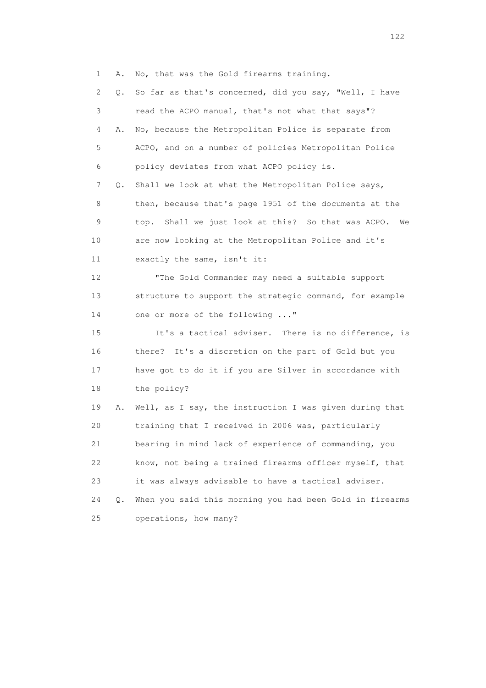1 A. No, that was the Gold firearms training.

 2 Q. So far as that's concerned, did you say, "Well, I have 3 read the ACPO manual, that's not what that says"? 4 A. No, because the Metropolitan Police is separate from 5 ACPO, and on a number of policies Metropolitan Police 6 policy deviates from what ACPO policy is. 7 Q. Shall we look at what the Metropolitan Police says, 8 then, because that's page 1951 of the documents at the 9 top. Shall we just look at this? So that was ACPO. We 10 are now looking at the Metropolitan Police and it's 11 exactly the same, isn't it: 12 "The Gold Commander may need a suitable support 13 structure to support the strategic command, for example 14 one or more of the following ..." 15 It's a tactical adviser. There is no difference, is 16 there? It's a discretion on the part of Gold but you 17 have got to do it if you are Silver in accordance with 18 the policy? 19 A. Well, as I say, the instruction I was given during that 20 training that I received in 2006 was, particularly 21 bearing in mind lack of experience of commanding, you 22 know, not being a trained firearms officer myself, that 23 it was always advisable to have a tactical adviser. 24 Q. When you said this morning you had been Gold in firearms 25 operations, how many?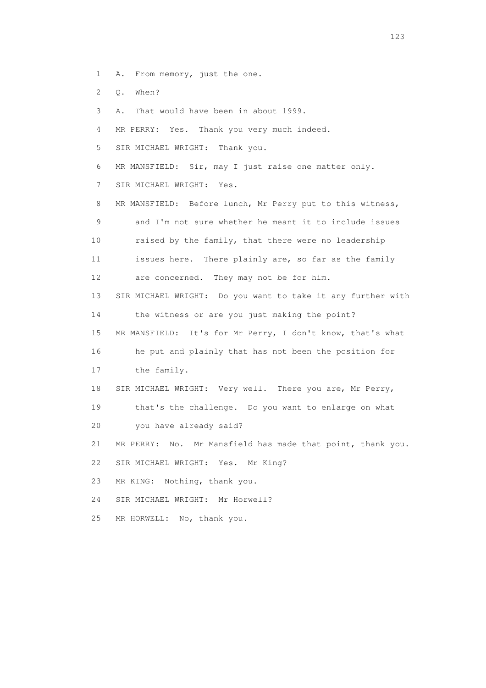- 1 A. From memory, just the one.
- 2 Q. When?
- 3 A. That would have been in about 1999.
- 4 MR PERRY: Yes. Thank you very much indeed.
- 5 SIR MICHAEL WRIGHT: Thank you.
- 6 MR MANSFIELD: Sir, may I just raise one matter only.
- 7 SIR MICHAEL WRIGHT: Yes.
- 8 MR MANSFIELD: Before lunch, Mr Perry put to this witness, 9 and I'm not sure whether he meant it to include issues 10 raised by the family, that there were no leadership 11 issues here. There plainly are, so far as the family
- 12 are concerned. They may not be for him.
- 13 SIR MICHAEL WRIGHT: Do you want to take it any further with
- 14 the witness or are you just making the point?
- 15 MR MANSFIELD: It's for Mr Perry, I don't know, that's what
- 16 he put and plainly that has not been the position for
- 17 the family.
- 18 SIR MICHAEL WRIGHT: Very well. There you are, Mr Perry,
- 19 that's the challenge. Do you want to enlarge on what
- 20 you have already said?
- 21 MR PERRY: No. Mr Mansfield has made that point, thank you.
- 22 SIR MICHAEL WRIGHT: Yes. Mr King?
- 23 MR KING: Nothing, thank you.
- 24 SIR MICHAEL WRIGHT: Mr Horwell?
- 25 MR HORWELL: No, thank you.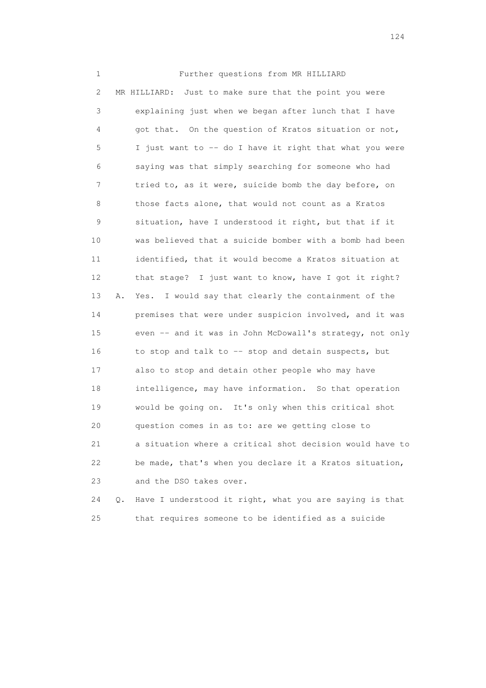1 Further questions from MR HILLIARD 2 MR HILLIARD: Just to make sure that the point you were 3 explaining just when we began after lunch that I have 4 got that. On the question of Kratos situation or not, 5 I just want to -- do I have it right that what you were 6 saying was that simply searching for someone who had 7 tried to, as it were, suicide bomb the day before, on 8 those facts alone, that would not count as a Kratos 9 situation, have I understood it right, but that if it 10 was believed that a suicide bomber with a bomb had been 11 identified, that it would become a Kratos situation at 12 that stage? I just want to know, have I got it right? 13 A. Yes. I would say that clearly the containment of the 14 premises that were under suspicion involved, and it was 15 even -- and it was in John McDowall's strategy, not only 16 to stop and talk to -- stop and detain suspects, but 17 also to stop and detain other people who may have 18 intelligence, may have information. So that operation 19 would be going on. It's only when this critical shot 20 question comes in as to: are we getting close to 21 a situation where a critical shot decision would have to 22 be made, that's when you declare it a Kratos situation, 23 and the DSO takes over.

 24 Q. Have I understood it right, what you are saying is that 25 that requires someone to be identified as a suicide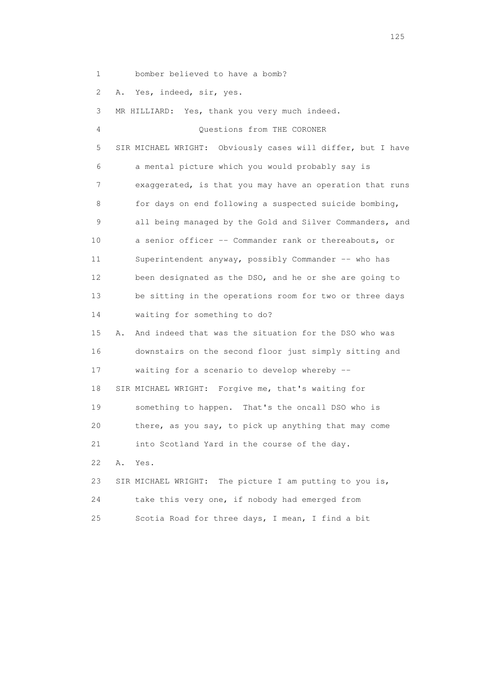1 bomber believed to have a bomb?

2 A. Yes, indeed, sir, yes.

 3 MR HILLIARD: Yes, thank you very much indeed. 4 Questions from THE CORONER 5 SIR MICHAEL WRIGHT: Obviously cases will differ, but I have 6 a mental picture which you would probably say is 7 exaggerated, is that you may have an operation that runs 8 for days on end following a suspected suicide bombing, 9 all being managed by the Gold and Silver Commanders, and 10 a senior officer -- Commander rank or thereabouts, or 11 Superintendent anyway, possibly Commander -- who has 12 been designated as the DSO, and he or she are going to 13 be sitting in the operations room for two or three days 14 waiting for something to do? 15 A. And indeed that was the situation for the DSO who was

 16 downstairs on the second floor just simply sitting and 17 waiting for a scenario to develop whereby -- 18 SIR MICHAEL WRIGHT: Forgive me, that's waiting for 19 something to happen. That's the oncall DSO who is 20 there, as you say, to pick up anything that may come 21 into Scotland Yard in the course of the day. 22 A. Yes. 23 SIR MICHAEL WRIGHT: The picture I am putting to you is,

| 24  | take this very one, if nobody had emerged from   |
|-----|--------------------------------------------------|
| 2.5 | Scotia Road for three days, I mean, I find a bit |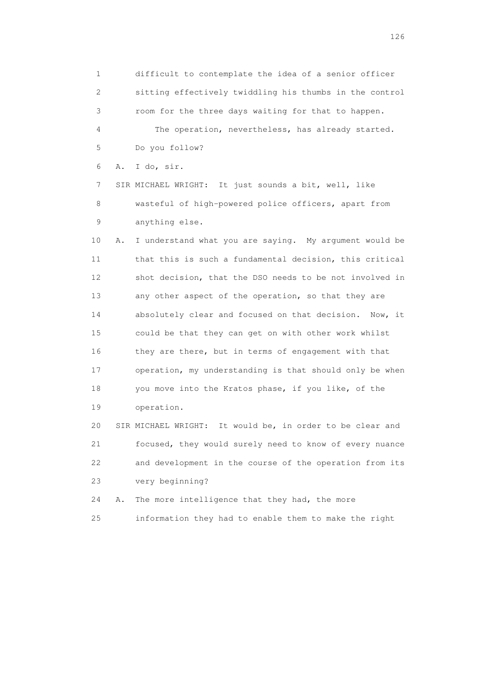1 difficult to contemplate the idea of a senior officer 2 sitting effectively twiddling his thumbs in the control 3 room for the three days waiting for that to happen. 4 The operation, nevertheless, has already started. 5 Do you follow? 6 A. I do, sir. 7 SIR MICHAEL WRIGHT: It just sounds a bit, well, like 8 wasteful of high-powered police officers, apart from 9 anything else. 10 A. I understand what you are saying. My argument would be 11 that this is such a fundamental decision, this critical 12 shot decision, that the DSO needs to be not involved in 13 any other aspect of the operation, so that they are 14 absolutely clear and focused on that decision. Now, it 15 could be that they can get on with other work whilst 16 they are there, but in terms of engagement with that 17 operation, my understanding is that should only be when 18 you move into the Kratos phase, if you like, of the 19 operation. 20 SIR MICHAEL WRIGHT: It would be, in order to be clear and 21 focused, they would surely need to know of every nuance 22 and development in the course of the operation from its 23 very beginning?

24 A. The more intelligence that they had, the more

25 information they had to enable them to make the right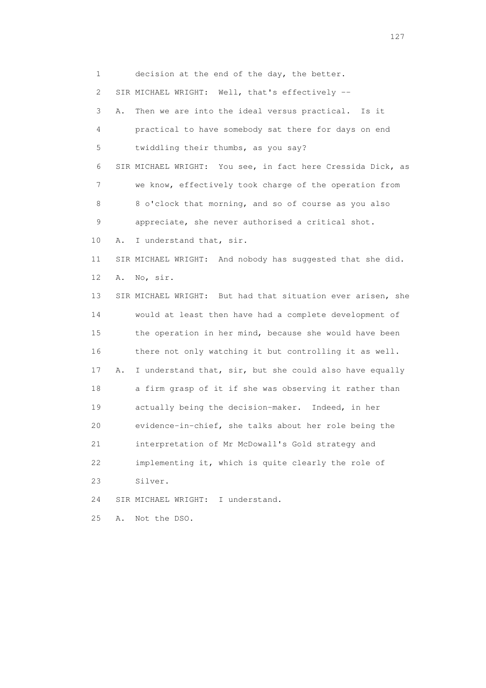1 decision at the end of the day, the better. 2 SIR MICHAEL WRIGHT: Well, that's effectively -- 3 A. Then we are into the ideal versus practical. Is it 4 practical to have somebody sat there for days on end 5 twiddling their thumbs, as you say? 6 SIR MICHAEL WRIGHT: You see, in fact here Cressida Dick, as 7 we know, effectively took charge of the operation from 8 8 o'clock that morning, and so of course as you also 9 appreciate, she never authorised a critical shot. 10 A. I understand that, sir. 11 SIR MICHAEL WRIGHT: And nobody has suggested that she did. 12 A. No, sir. 13 SIR MICHAEL WRIGHT: But had that situation ever arisen, she 14 would at least then have had a complete development of 15 the operation in her mind, because she would have been 16 there not only watching it but controlling it as well. 17 A. I understand that, sir, but she could also have equally 18 a firm grasp of it if she was observing it rather than 19 actually being the decision-maker. Indeed, in her 20 evidence-in-chief, she talks about her role being the 21 interpretation of Mr McDowall's Gold strategy and 22 implementing it, which is quite clearly the role of 23 Silver. 24 SIR MICHAEL WRIGHT: I understand. 25 A. Not the DSO.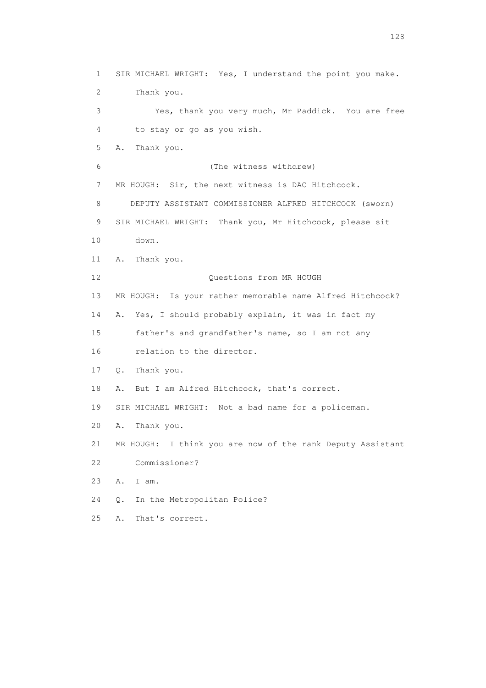1 SIR MICHAEL WRIGHT: Yes, I understand the point you make. 2 Thank you. 3 Yes, thank you very much, Mr Paddick. You are free 4 to stay or go as you wish. 5 A. Thank you. 6 (The witness withdrew) 7 MR HOUGH: Sir, the next witness is DAC Hitchcock. 8 DEPUTY ASSISTANT COMMISSIONER ALFRED HITCHCOCK (sworn) 9 SIR MICHAEL WRIGHT: Thank you, Mr Hitchcock, please sit 10 down. 11 A. Thank you. 12 Ouestions from MR HOUGH 13 MR HOUGH: Is your rather memorable name Alfred Hitchcock? 14 A. Yes, I should probably explain, it was in fact my 15 father's and grandfather's name, so I am not any 16 relation to the director. 17 Q. Thank you. 18 A. But I am Alfred Hitchcock, that's correct. 19 SIR MICHAEL WRIGHT: Not a bad name for a policeman. 20 A. Thank you. 21 MR HOUGH: I think you are now of the rank Deputy Assistant 22 Commissioner? 23 A. I am. 24 Q. In the Metropolitan Police? 25 A. That's correct.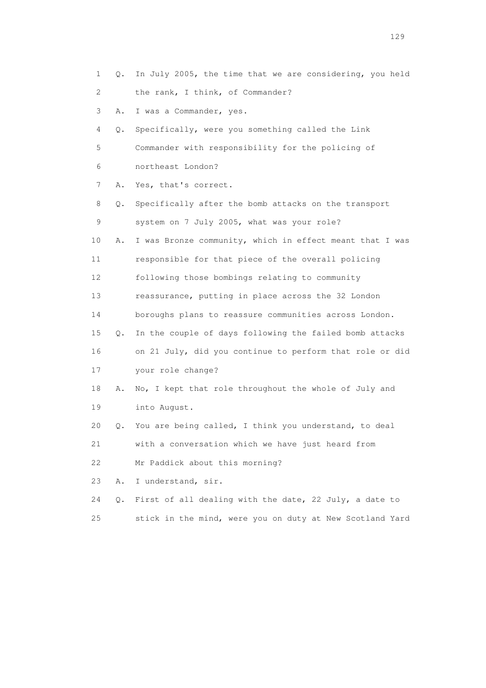|    | 1<br>Q.  | In July 2005, the time that we are considering, you held |
|----|----------|----------------------------------------------------------|
|    | 2        | the rank, I think, of Commander?                         |
|    | 3<br>Α.  | I was a Commander, yes.                                  |
|    | 4<br>Q.  | Specifically, were you something called the Link         |
|    | 5        | Commander with responsibility for the policing of        |
|    | 6        | northeast London?                                        |
|    | 7<br>Α.  | Yes, that's correct.                                     |
|    | 8<br>Q.  | Specifically after the bomb attacks on the transport     |
|    | 9        | system on 7 July 2005, what was your role?               |
| 10 | Α.       | I was Bronze community, which in effect meant that I was |
| 11 |          | responsible for that piece of the overall policing       |
|    | 12       | following those bombings relating to community           |
|    | 13       | reassurance, putting in place across the 32 London       |
| 14 |          | boroughs plans to reassure communities across London.    |
| 15 | Q.       | In the couple of days following the failed bomb attacks  |
| 16 |          | on 21 July, did you continue to perform that role or did |
| 17 |          | your role change?                                        |
|    | 18<br>Α. | No, I kept that role throughout the whole of July and    |
|    | 19       | into August.                                             |
| 20 | Q.       | You are being called, I think you understand, to deal    |
| 21 |          | with a conversation which we have just heard from        |
| 22 |          | Mr Paddick about this morning?                           |
| 23 | Α.       | I understand, sir.                                       |
| 24 | Q.       | First of all dealing with the date, 22 July, a date to   |
| 25 |          | stick in the mind, were you on duty at New Scotland Yard |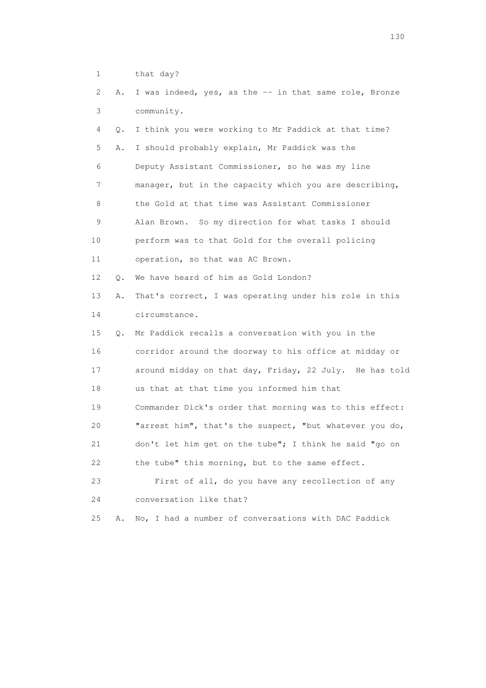1 that day?

| 2  | Α. | I was indeed, yes, as the -- in that same role, Bronze  |
|----|----|---------------------------------------------------------|
| 3  |    | community.                                              |
| 4  | Q. | I think you were working to Mr Paddick at that time?    |
| 5  | Α. | I should probably explain, Mr Paddick was the           |
| 6  |    | Deputy Assistant Commissioner, so he was my line        |
| 7  |    | manager, but in the capacity which you are describing,  |
| 8  |    | the Gold at that time was Assistant Commissioner        |
| 9  |    | Alan Brown. So my direction for what tasks I should     |
| 10 |    | perform was to that Gold for the overall policing       |
| 11 |    | operation, so that was AC Brown.                        |
| 12 | Q. | We have heard of him as Gold London?                    |
| 13 | Α. | That's correct, I was operating under his role in this  |
| 14 |    | circumstance.                                           |
| 15 | Q. | Mr Paddick recalls a conversation with you in the       |
| 16 |    | corridor around the doorway to his office at midday or  |
| 17 |    | around midday on that day, Friday, 22 July. He has told |
| 18 |    | us that at that time you informed him that              |
| 19 |    | Commander Dick's order that morning was to this effect: |
| 20 |    | "arrest him", that's the suspect, "but whatever you do, |
| 21 |    | don't let him get on the tube"; I think he said "go on  |
| 22 |    | the tube" this morning, but to the same effect.         |
| 23 |    | First of all, do you have any recollection of any       |
| 24 |    | conversation like that?                                 |
| 25 | Α. | No, I had a number of conversations with DAC Paddick    |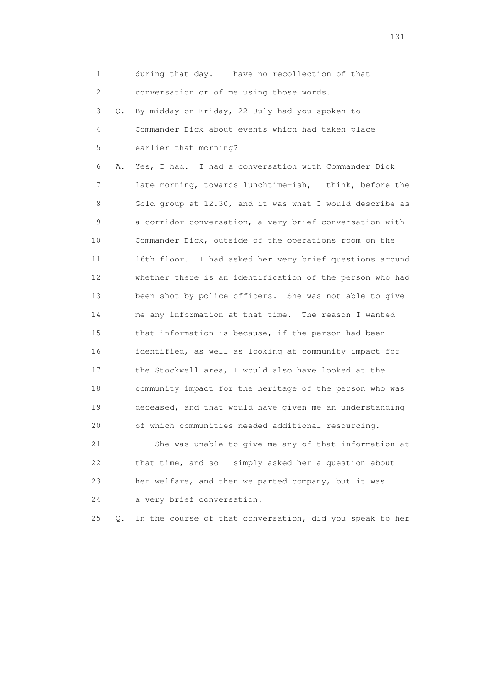1 during that day. I have no recollection of that 2 conversation or of me using those words. 3 Q. By midday on Friday, 22 July had you spoken to 4 Commander Dick about events which had taken place 5 earlier that morning? 6 A. Yes, I had. I had a conversation with Commander Dick 7 late morning, towards lunchtime-ish, I think, before the 8 Gold group at 12.30, and it was what I would describe as 9 a corridor conversation, a very brief conversation with 10 Commander Dick, outside of the operations room on the 11 16th floor. I had asked her very brief questions around 12 whether there is an identification of the person who had 13 been shot by police officers. She was not able to give 14 me any information at that time. The reason I wanted 15 that information is because, if the person had been 16 identified, as well as looking at community impact for 17 the Stockwell area, I would also have looked at the 18 community impact for the heritage of the person who was 19 deceased, and that would have given me an understanding 20 of which communities needed additional resourcing. 21 She was unable to give me any of that information at 22 that time, and so I simply asked her a question about 23 her welfare, and then we parted company, but it was

24 a very brief conversation.

25 Q. In the course of that conversation, did you speak to her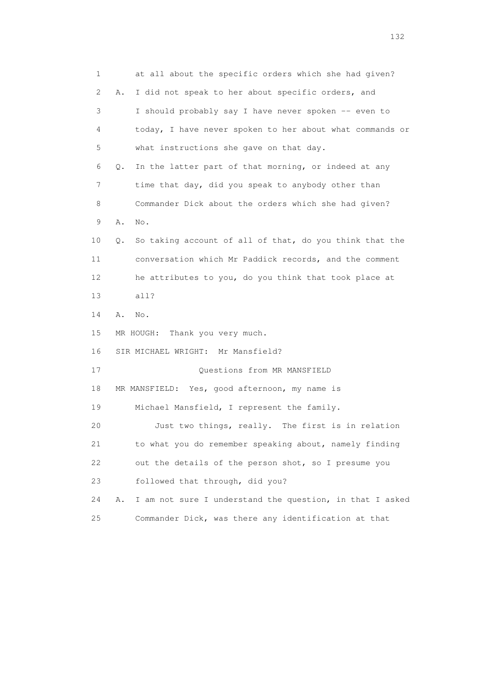1 at all about the specific orders which she had given? 2 A. I did not speak to her about specific orders, and 3 I should probably say I have never spoken -- even to 4 today, I have never spoken to her about what commands or 5 what instructions she gave on that day. 6 Q. In the latter part of that morning, or indeed at any 7 time that day, did you speak to anybody other than 8 Commander Dick about the orders which she had given? 9 A. No. 10 Q. So taking account of all of that, do you think that the 11 conversation which Mr Paddick records, and the comment 12 he attributes to you, do you think that took place at 13 all? 14 A. No. 15 MR HOUGH: Thank you very much. 16 SIR MICHAEL WRIGHT: Mr Mansfield? 17 Questions from MR MANSFIELD 18 MR MANSFIELD: Yes, good afternoon, my name is 19 Michael Mansfield, I represent the family. 20 Just two things, really. The first is in relation 21 to what you do remember speaking about, namely finding 22 out the details of the person shot, so I presume you 23 followed that through, did you? 24 A. I am not sure I understand the question, in that I asked 25 Commander Dick, was there any identification at that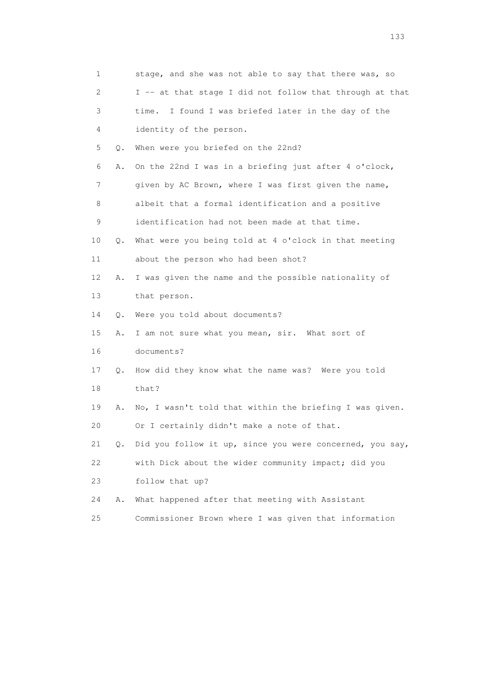| 1                         |    | stage, and she was not able to say that there was, so    |
|---------------------------|----|----------------------------------------------------------|
| $\mathbf{2}^{\mathsf{I}}$ |    | I -- at that stage I did not follow that through at that |
| 3                         |    | I found I was briefed later in the day of the<br>time.   |
| 4                         |    | identity of the person.                                  |
| 5                         | Q. | When were you briefed on the 22nd?                       |
| 6                         | Α. | On the 22nd I was in a briefing just after 4 o'clock,    |
| 7                         |    | given by AC Brown, where I was first given the name,     |
| 8                         |    | albeit that a formal identification and a positive       |
| 9                         |    | identification had not been made at that time.           |
| 10                        | Q. | What were you being told at 4 o'clock in that meeting    |
| 11                        |    | about the person who had been shot?                      |
| 12                        | Α. | I was given the name and the possible nationality of     |
| 13                        |    | that person.                                             |
| 14                        | Q. | Were you told about documents?                           |
| 15                        | Α. | I am not sure what you mean, sir. What sort of           |
| 16                        |    | documents?                                               |
| 17                        | Q. | How did they know what the name was? Were you told       |
| 18                        |    | that?                                                    |
| 19                        | Α. | No, I wasn't told that within the briefing I was given.  |
| 20                        |    | Or I certainly didn't make a note of that.               |
| 21                        | Q. | Did you follow it up, since you were concerned, you say, |
| 22                        |    | with Dick about the wider community impact; did you      |
| 23                        |    | follow that up?                                          |
| 24                        | Α. | What happened after that meeting with Assistant          |
| 25                        |    | Commissioner Brown where I was given that information    |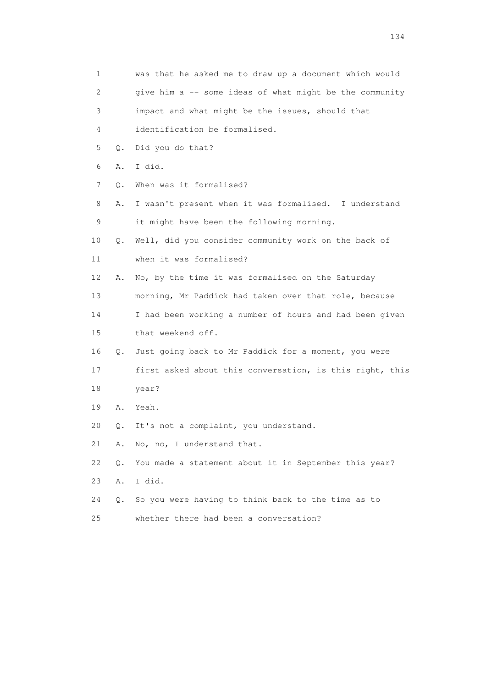| 1  |    | was that he asked me to draw up a document which would   |
|----|----|----------------------------------------------------------|
| 2  |    | give him a -- some ideas of what might be the community  |
| 3  |    | impact and what might be the issues, should that         |
| 4  |    | identification be formalised.                            |
| 5  | Q. | Did you do that?                                         |
| 6  | Α. | I did.                                                   |
| 7  | Q. | When was it formalised?                                  |
| 8  | Α. | I wasn't present when it was formalised. I understand    |
| 9  |    | it might have been the following morning.                |
| 10 | О. | Well, did you consider community work on the back of     |
| 11 |    | when it was formalised?                                  |
| 12 | Α. | No, by the time it was formalised on the Saturday        |
| 13 |    | morning, Mr Paddick had taken over that role, because    |
| 14 |    | I had been working a number of hours and had been given  |
| 15 |    | that weekend off.                                        |
| 16 | Q. | Just going back to Mr Paddick for a moment, you were     |
| 17 |    | first asked about this conversation, is this right, this |
| 18 |    | year?                                                    |
| 19 | Α. | Yeah.                                                    |
| 20 | Q. | It's not a complaint, you understand.                    |
| 21 | Α. | No, no, I understand that.                               |
| 22 | Q. | You made a statement about it in September this year?    |
| 23 | Α. | I did.                                                   |
| 24 | О. | So you were having to think back to the time as to       |
| 25 |    | whether there had been a conversation?                   |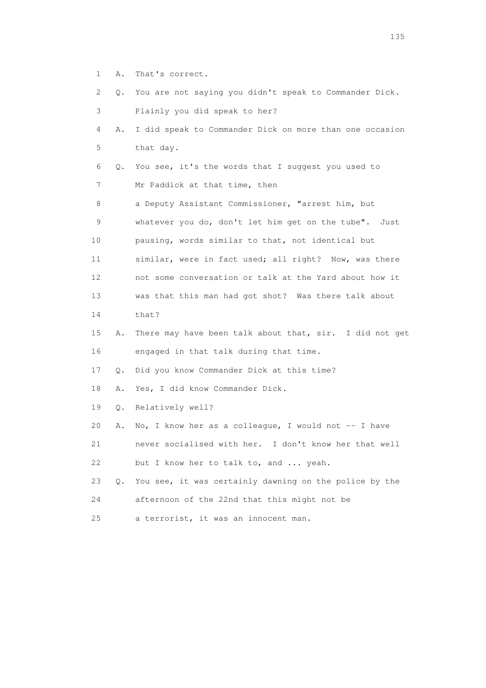1 A. That's correct.

2 Q. You are not saying you didn't speak to Commander Dick.

 3 Plainly you did speak to her? 4 A. I did speak to Commander Dick on more than one occasion 5 that day. 6 Q. You see, it's the words that I suggest you used to 7 Mr Paddick at that time, then 8 a Deputy Assistant Commissioner, "arrest him, but 9 whatever you do, don't let him get on the tube". Just 10 pausing, words similar to that, not identical but 11 similar, were in fact used; all right? Now, was there 12 not some conversation or talk at the Yard about how it 13 was that this man had got shot? Was there talk about 14 that? 15 A. There may have been talk about that, sir. I did not get 16 engaged in that talk during that time. 17 Q. Did you know Commander Dick at this time? 18 A. Yes, I did know Commander Dick. 19 Q. Relatively well? 20 A. No, I know her as a colleague, I would not -- I have 21 never socialised with her. I don't know her that well 22 but I know her to talk to, and ... yeah. 23 Q. You see, it was certainly dawning on the police by the 24 afternoon of the 22nd that this might not be 25 a terrorist, it was an innocent man.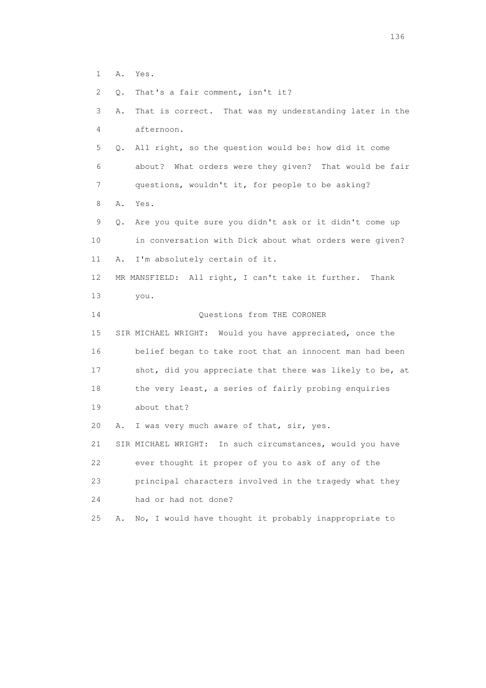- 1 A. Yes.
- 2 Q. That's a fair comment, isn't it?

 3 A. That is correct. That was my understanding later in the 4 afternoon. 5 Q. All right, so the question would be: how did it come 6 about? What orders were they given? That would be fair 7 questions, wouldn't it, for people to be asking? 8 A. Yes. 9 Q. Are you quite sure you didn't ask or it didn't come up 10 in conversation with Dick about what orders were given? 11 A. I'm absolutely certain of it. 12 MR MANSFIELD: All right, I can't take it further. Thank 13 you. 14 Questions from THE CORONER 15 SIR MICHAEL WRIGHT: Would you have appreciated, once the 16 belief began to take root that an innocent man had been 17 shot, did you appreciate that there was likely to be, at 18 the very least, a series of fairly probing enquiries 19 about that? 20 A. I was very much aware of that, sir, yes. 21 SIR MICHAEL WRIGHT: In such circumstances, would you have 22 ever thought it proper of you to ask of any of the 23 principal characters involved in the tragedy what they 24 had or had not done? 25 A. No, I would have thought it probably inappropriate to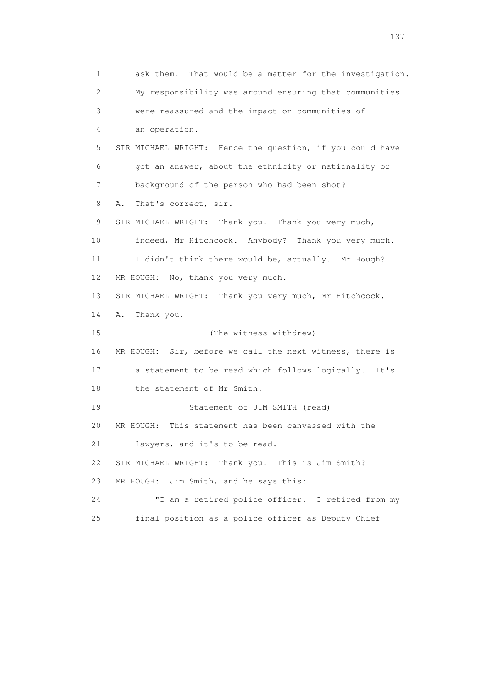1 ask them. That would be a matter for the investigation. 2 My responsibility was around ensuring that communities 3 were reassured and the impact on communities of 4 an operation. 5 SIR MICHAEL WRIGHT: Hence the question, if you could have 6 got an answer, about the ethnicity or nationality or 7 background of the person who had been shot? 8 A. That's correct, sir. 9 SIR MICHAEL WRIGHT: Thank you. Thank you very much, 10 indeed, Mr Hitchcock. Anybody? Thank you very much. 11 I didn't think there would be, actually. Mr Hough? 12 MR HOUGH: No, thank you very much. 13 SIR MICHAEL WRIGHT: Thank you very much, Mr Hitchcock. 14 A. Thank you. 15 (The witness withdrew) 16 MR HOUGH: Sir, before we call the next witness, there is 17 a statement to be read which follows logically. It's 18 the statement of Mr Smith. 19 Statement of JIM SMITH (read) 20 MR HOUGH: This statement has been canvassed with the 21 lawyers, and it's to be read. 22 SIR MICHAEL WRIGHT: Thank you. This is Jim Smith? 23 MR HOUGH: Jim Smith, and he says this: 24 "I am a retired police officer. I retired from my 25 final position as a police officer as Deputy Chief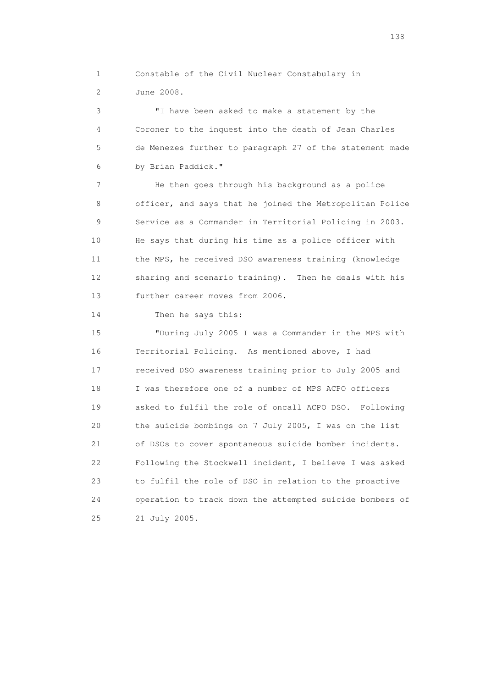1 Constable of the Civil Nuclear Constabulary in 2 June 2008.

 3 "I have been asked to make a statement by the 4 Coroner to the inquest into the death of Jean Charles 5 de Menezes further to paragraph 27 of the statement made 6 by Brian Paddick."

 7 He then goes through his background as a police 8 officer, and says that he joined the Metropolitan Police 9 Service as a Commander in Territorial Policing in 2003. 10 He says that during his time as a police officer with 11 the MPS, he received DSO awareness training (knowledge 12 sharing and scenario training). Then he deals with his 13 further career moves from 2006.

14 Then he says this:

 15 "During July 2005 I was a Commander in the MPS with 16 Territorial Policing. As mentioned above, I had 17 received DSO awareness training prior to July 2005 and 18 I was therefore one of a number of MPS ACPO officers 19 asked to fulfil the role of oncall ACPO DSO. Following 20 the suicide bombings on 7 July 2005, I was on the list 21 of DSOs to cover spontaneous suicide bomber incidents. 22 Following the Stockwell incident, I believe I was asked 23 to fulfil the role of DSO in relation to the proactive 24 operation to track down the attempted suicide bombers of 25 21 July 2005.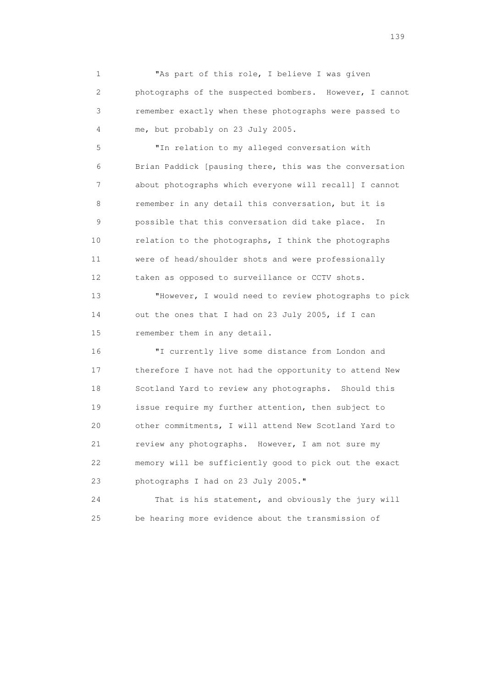1 "As part of this role, I believe I was given 2 photographs of the suspected bombers. However, I cannot 3 remember exactly when these photographs were passed to 4 me, but probably on 23 July 2005.

 5 "In relation to my alleged conversation with 6 Brian Paddick [pausing there, this was the conversation 7 about photographs which everyone will recall] I cannot 8 remember in any detail this conversation, but it is 9 possible that this conversation did take place. In 10 relation to the photographs, I think the photographs 11 were of head/shoulder shots and were professionally 12 taken as opposed to surveillance or CCTV shots.

 13 "However, I would need to review photographs to pick 14 out the ones that I had on 23 July 2005, if I can 15 remember them in any detail.

 16 "I currently live some distance from London and 17 therefore I have not had the opportunity to attend New 18 Scotland Yard to review any photographs. Should this 19 issue require my further attention, then subject to 20 other commitments, I will attend New Scotland Yard to 21 review any photographs. However, I am not sure my 22 memory will be sufficiently good to pick out the exact 23 photographs I had on 23 July 2005."

 24 That is his statement, and obviously the jury will 25 be hearing more evidence about the transmission of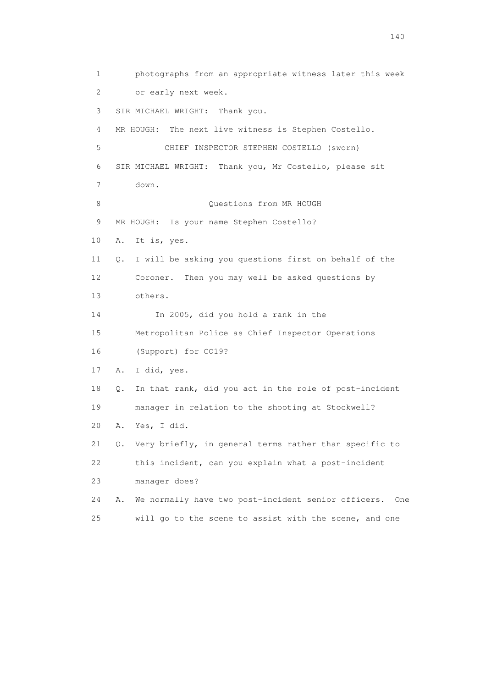1 photographs from an appropriate witness later this week 2 or early next week. 3 SIR MICHAEL WRIGHT: Thank you. 4 MR HOUGH: The next live witness is Stephen Costello. 5 CHIEF INSPECTOR STEPHEN COSTELLO (sworn) 6 SIR MICHAEL WRIGHT: Thank you, Mr Costello, please sit 7 down. 8 Ouestions from MR HOUGH 9 MR HOUGH: Is your name Stephen Costello? 10 A. It is, yes. 11 Q. I will be asking you questions first on behalf of the 12 Coroner. Then you may well be asked questions by 13 others. 14 In 2005, did you hold a rank in the 15 Metropolitan Police as Chief Inspector Operations 16 (Support) for CO19? 17 A. I did, yes. 18 Q. In that rank, did you act in the role of post-incident 19 manager in relation to the shooting at Stockwell? 20 A. Yes, I did. 21 Q. Very briefly, in general terms rather than specific to 22 this incident, can you explain what a post-incident 23 manager does? 24 A. We normally have two post-incident senior officers. One 25 will go to the scene to assist with the scene, and one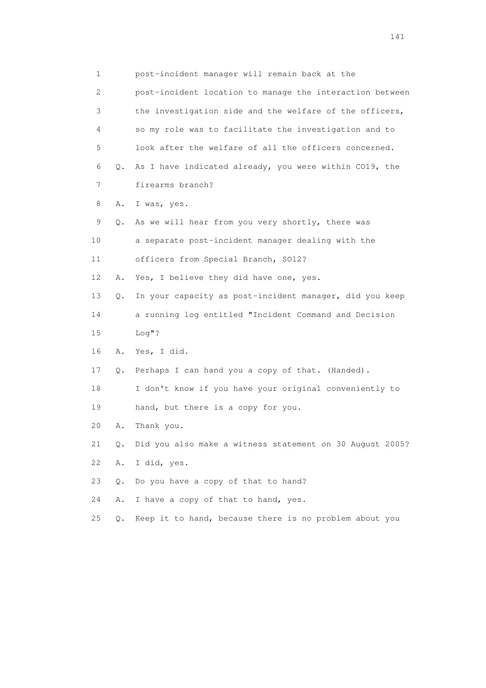1 post-incident manager will remain back at the 2 post-incident location to manage the interaction between 3 the investigation side and the welfare of the officers, 4 so my role was to facilitate the investigation and to 5 look after the welfare of all the officers concerned. 6 Q. As I have indicated already, you were within CO19, the 7 firearms branch? 8 A. I was, yes. 9 Q. As we will hear from you very shortly, there was 10 a separate post-incident manager dealing with the 11 officers from Special Branch, SO12? 12 A. Yes, I believe they did have one, yes. 13 Q. In your capacity as post-incident manager, did you keep 14 a running log entitled "Incident Command and Decision 15 Log"? 16 A. Yes, I did. 17 Q. Perhaps I can hand you a copy of that. (Handed). 18 I don't know if you have your original conveniently to 19 hand, but there is a copy for you. 20 A. Thank you. 21 Q. Did you also make a witness statement on 30 August 2005? 22 A. I did, yes. 23 Q. Do you have a copy of that to hand? 24 A. I have a copy of that to hand, yes. 25 Q. Keep it to hand, because there is no problem about you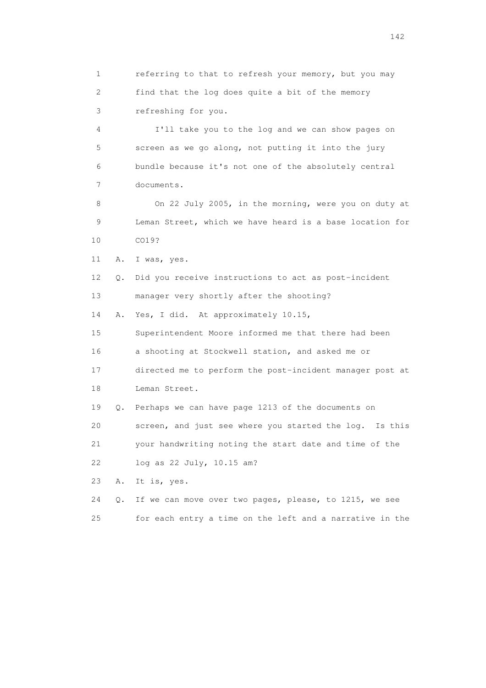1 referring to that to refresh your memory, but you may 2 find that the log does quite a bit of the memory 3 refreshing for you.

 4 I'll take you to the log and we can show pages on 5 screen as we go along, not putting it into the jury 6 bundle because it's not one of the absolutely central 7 documents.

 8 On 22 July 2005, in the morning, were you on duty at 9 Leman Street, which we have heard is a base location for 10 CO19?

11 A. I was, yes.

 12 Q. Did you receive instructions to act as post-incident 13 manager very shortly after the shooting?

14 A. Yes, I did. At approximately 10.15,

 15 Superintendent Moore informed me that there had been 16 a shooting at Stockwell station, and asked me or 17 directed me to perform the post-incident manager post at 18 Leman Street.

 19 Q. Perhaps we can have page 1213 of the documents on 20 screen, and just see where you started the log. Is this 21 your handwriting noting the start date and time of the

22 log as 22 July, 10.15 am?

23 A. It is, yes.

|  |  |  |  |  |  | 24 Q. If we can move over two pages, please, to 1215, we see |  |  |
|--|--|--|--|--|--|--------------------------------------------------------------|--|--|
|  |  |  |  |  |  | for each entry a time on the left and a narrative in the     |  |  |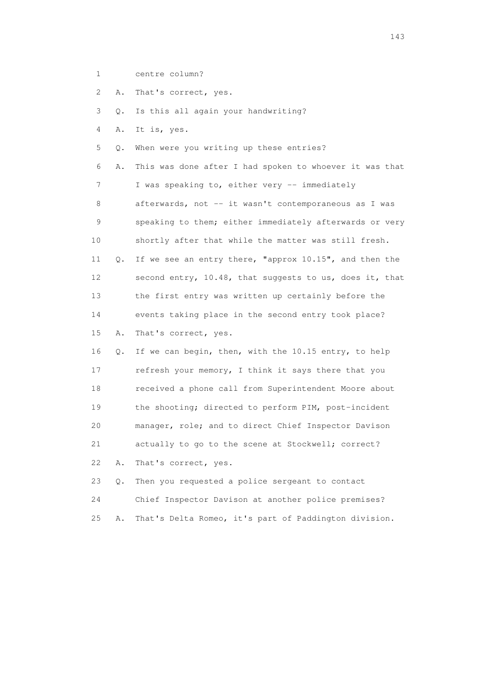- 1 centre column?
- 2 A. That's correct, yes.

3 Q. Is this all again your handwriting?

- 4 A. It is, yes.
- 5 Q. When were you writing up these entries?

 6 A. This was done after I had spoken to whoever it was that 7 I was speaking to, either very -- immediately 8 afterwards, not -- it wasn't contemporaneous as I was 9 speaking to them; either immediately afterwards or very 10 shortly after that while the matter was still fresh. 11 Q. If we see an entry there, "approx 10.15", and then the 12 second entry, 10.48, that suggests to us, does it, that 13 the first entry was written up certainly before the 14 events taking place in the second entry took place? 15 A. That's correct, yes. 16 Q. If we can begin, then, with the 10.15 entry, to help

 17 refresh your memory, I think it says there that you 18 received a phone call from Superintendent Moore about 19 the shooting; directed to perform PIM, post-incident 20 manager, role; and to direct Chief Inspector Davison 21 actually to go to the scene at Stockwell; correct? 22 A. That's correct, yes.

 23 Q. Then you requested a police sergeant to contact 24 Chief Inspector Davison at another police premises? 25 A. That's Delta Romeo, it's part of Paddington division.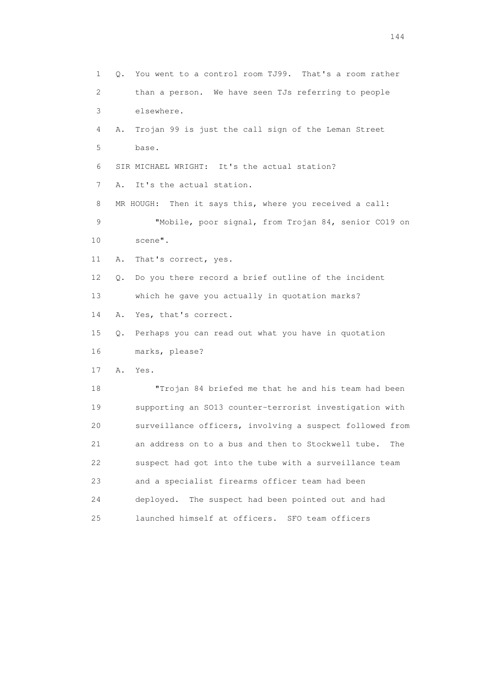1 Q. You went to a control room TJ99. That's a room rather 2 than a person. We have seen TJs referring to people 3 elsewhere. 4 A. Trojan 99 is just the call sign of the Leman Street 5 base. 6 SIR MICHAEL WRIGHT: It's the actual station? 7 A. It's the actual station. 8 MR HOUGH: Then it says this, where you received a call: 9 "Mobile, poor signal, from Trojan 84, senior CO19 on 10 scene". 11 A. That's correct, yes. 12 Q. Do you there record a brief outline of the incident 13 which he gave you actually in quotation marks? 14 A. Yes, that's correct. 15 Q. Perhaps you can read out what you have in quotation 16 marks, please? 17 A. Yes. 18 "Trojan 84 briefed me that he and his team had been 19 supporting an SO13 counter-terrorist investigation with 20 surveillance officers, involving a suspect followed from 21 an address on to a bus and then to Stockwell tube. The 22 suspect had got into the tube with a surveillance team 23 and a specialist firearms officer team had been 24 deployed. The suspect had been pointed out and had 25 launched himself at officers. SFO team officers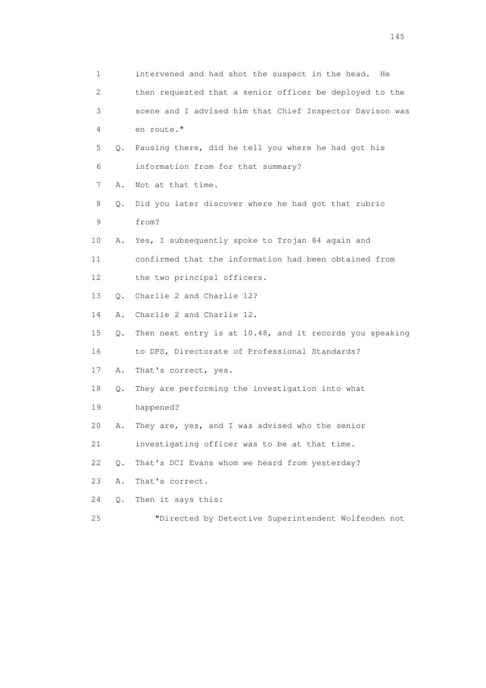| 1                         |       | intervened and had shot the suspect in the head.<br>He   |
|---------------------------|-------|----------------------------------------------------------|
| $\mathbf{2}^{\mathsf{I}}$ |       | then requested that a senior officer be deployed to the  |
| 3                         |       | scene and I advised him that Chief Inspector Davison was |
| 4                         |       | en route."                                               |
| 5                         | Q.    | Pausing there, did he tell you where he had got his      |
| 6                         |       | information from for that summary?                       |
| 7                         | Α.    | Not at that time.                                        |
| 8                         | Q.    | Did you later discover where he had got that rubric      |
| 9                         |       | from?                                                    |
| 10                        | Α.    | Yes, I subsequently spoke to Trojan 84 again and         |
| 11                        |       | confirmed that the information had been obtained from    |
| 12                        |       | the two principal officers.                              |
| 13                        | Q.    | Charlie 2 and Charlie 12?                                |
| 14                        | Α.    | Charlie 2 and Charlie 12.                                |
| 15                        | Q.    | Then next entry is at 10.48, and it records you speaking |
| 16                        |       | to DPS, Directorate of Professional Standards?           |
| 17                        | Α.    | That's correct, yes.                                     |
| 18                        | Q.    | They are performing the investigation into what          |
| 19                        |       | happened?                                                |
| 20                        | Α.    | They are, yes, and I was advised who the senior          |
| 21                        |       | investigating officer was to be at that time.            |
| 22                        | $Q$ . | That's DCI Evans whom we heard from yesterday?           |
| 23                        | Α.    | That's correct.                                          |
| 24                        | Q.    | Then it says this:                                       |
|                           |       |                                                          |

25 "Directed by Detective Superintendent Wolfenden not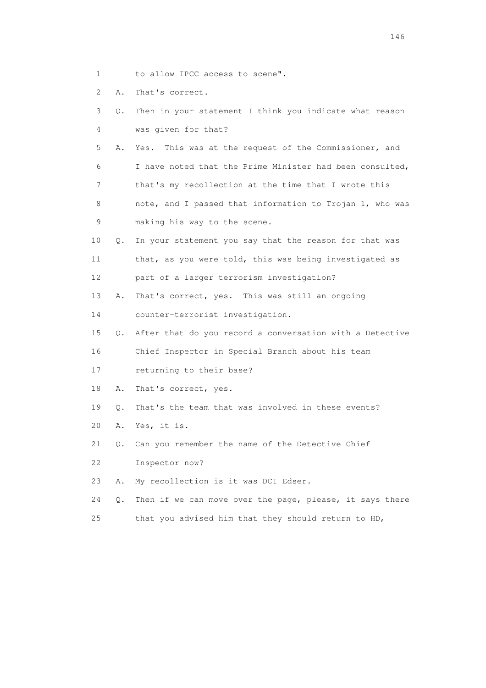1 to allow IPCC access to scene".

2 A. That's correct.

|  |  | 3 0. Then in your statement I think you indicate what reason |  |  |  |
|--|--|--------------------------------------------------------------|--|--|--|
|  |  | was given for that?                                          |  |  |  |

 5 A. Yes. This was at the request of the Commissioner, and 6 I have noted that the Prime Minister had been consulted, 7 that's my recollection at the time that I wrote this 8 note, and I passed that information to Trojan 1, who was 9 making his way to the scene.

- 10 Q. In your statement you say that the reason for that was 11 that, as you were told, this was being investigated as 12 part of a larger terrorism investigation?
- 13 A. That's correct, yes. This was still an ongoing

14 counter-terrorist investigation.

15 Q. After that do you record a conversation with a Detective

16 Chief Inspector in Special Branch about his team

- 17 returning to their base?
- 18 A. That's correct, yes.
- 19 Q. That's the team that was involved in these events?
- 20 A. Yes, it is.
- 21 Q. Can you remember the name of the Detective Chief

22 Inspector now?

- 23 A. My recollection is it was DCI Edser.
- 24 Q. Then if we can move over the page, please, it says there
- 25 that you advised him that they should return to HD,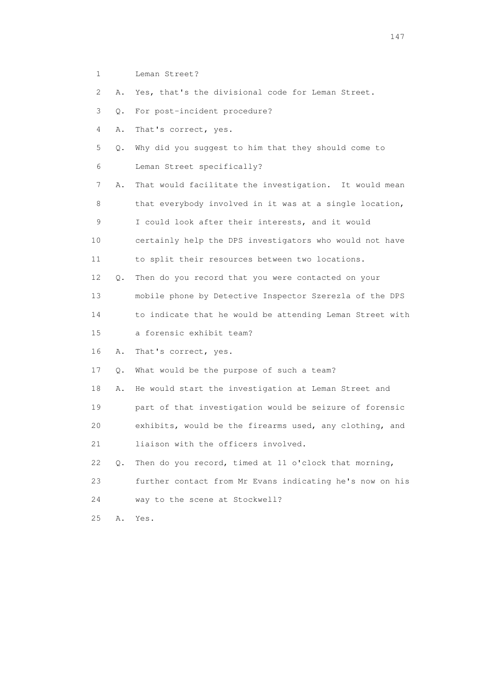1 Leman Street?

2 A. Yes, that's the divisional code for Leman Street.

3 Q. For post-incident procedure?

4 A. That's correct, yes.

 5 Q. Why did you suggest to him that they should come to 6 Leman Street specifically?

 7 A. That would facilitate the investigation. It would mean 8 that everybody involved in it was at a single location,

9 I could look after their interests, and it would

 10 certainly help the DPS investigators who would not have 11 to split their resources between two locations.

 12 Q. Then do you record that you were contacted on your 13 mobile phone by Detective Inspector Szerezla of the DPS 14 to indicate that he would be attending Leman Street with

15 a forensic exhibit team?

16 A. That's correct, yes.

17 Q. What would be the purpose of such a team?

 18 A. He would start the investigation at Leman Street and 19 part of that investigation would be seizure of forensic 20 exhibits, would be the firearms used, any clothing, and 21 liaison with the officers involved.

 22 Q. Then do you record, timed at 11 o'clock that morning, 23 further contact from Mr Evans indicating he's now on his 24 way to the scene at Stockwell?

25 A. Yes.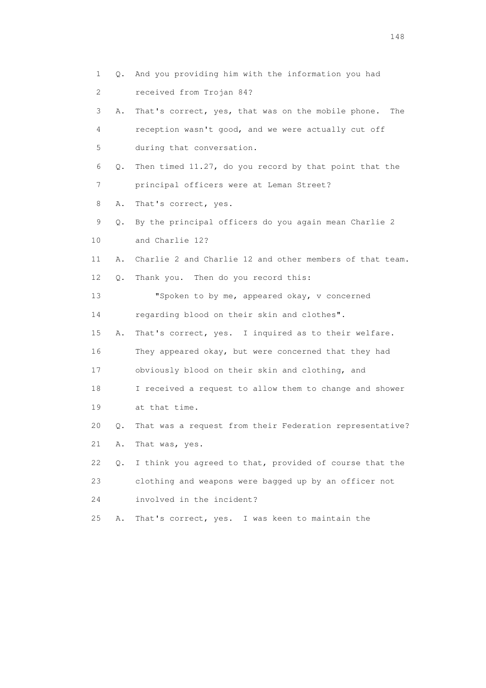1 Q. And you providing him with the information you had 2 received from Trojan 84? 3 A. That's correct, yes, that was on the mobile phone. The 4 reception wasn't good, and we were actually cut off 5 during that conversation. 6 Q. Then timed 11.27, do you record by that point that the 7 principal officers were at Leman Street? 8 A. That's correct, yes. 9 Q. By the principal officers do you again mean Charlie 2 10 and Charlie 12? 11 A. Charlie 2 and Charlie 12 and other members of that team. 12 Q. Thank you. Then do you record this: 13 "Spoken to by me, appeared okay, v concerned 14 regarding blood on their skin and clothes". 15 A. That's correct, yes. I inquired as to their welfare. 16 They appeared okay, but were concerned that they had 17 obviously blood on their skin and clothing, and 18 I received a request to allow them to change and shower 19 at that time. 20 Q. That was a request from their Federation representative? 21 A. That was, yes. 22 Q. I think you agreed to that, provided of course that the 23 clothing and weapons were bagged up by an officer not 24 involved in the incident? 25 A. That's correct, yes. I was keen to maintain the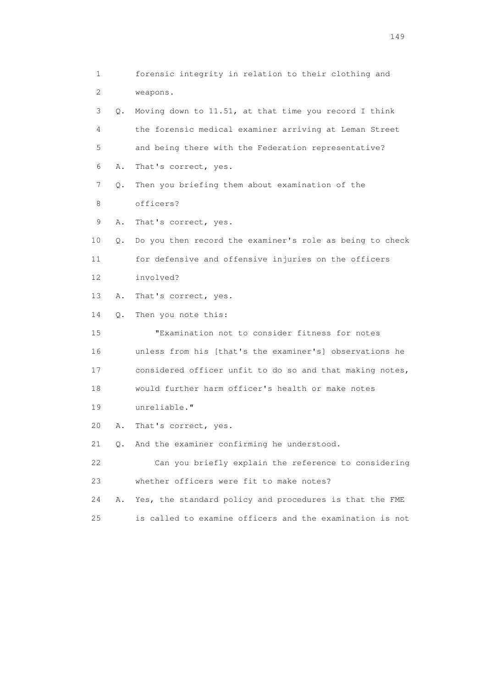1 forensic integrity in relation to their clothing and 2 weapons. 3 Q. Moving down to 11.51, at that time you record I think 4 the forensic medical examiner arriving at Leman Street 5 and being there with the Federation representative? 6 A. That's correct, yes. 7 Q. Then you briefing them about examination of the 8 officers? 9 A. That's correct, yes. 10 Q. Do you then record the examiner's role as being to check 11 for defensive and offensive injuries on the officers 12 involved? 13 A. That's correct, yes. 14 Q. Then you note this: 15 "Examination not to consider fitness for notes 16 unless from his [that's the examiner's] observations he 17 considered officer unfit to do so and that making notes, 18 would further harm officer's health or make notes 19 unreliable." 20 A. That's correct, yes. 21 Q. And the examiner confirming he understood. 22 Can you briefly explain the reference to considering 23 whether officers were fit to make notes? 24 A. Yes, the standard policy and procedures is that the FME 25 is called to examine officers and the examination is not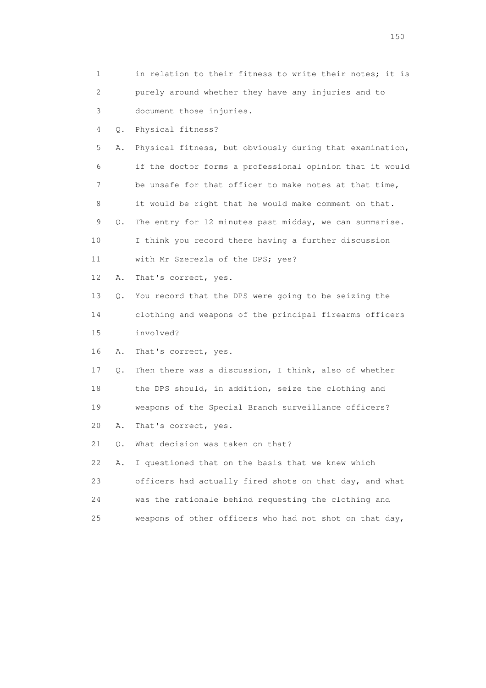| 1  |       | in relation to their fitness to write their notes; it is |
|----|-------|----------------------------------------------------------|
| 2  |       | purely around whether they have any injuries and to      |
| 3  |       | document those injuries.                                 |
| 4  | Q.    | Physical fitness?                                        |
| 5  | Α.    | Physical fitness, but obviously during that examination, |
| 6  |       | if the doctor forms a professional opinion that it would |
| 7  |       | be unsafe for that officer to make notes at that time,   |
| 8  |       | it would be right that he would make comment on that.    |
| 9  | Q.    | The entry for 12 minutes past midday, we can summarise.  |
| 10 |       | I think you record there having a further discussion     |
| 11 |       | with Mr Szerezla of the DPS; yes?                        |
| 12 | Α.    | That's correct, yes.                                     |
| 13 | Q.    | You record that the DPS were going to be seizing the     |
| 14 |       | clothing and weapons of the principal firearms officers  |
| 15 |       | involved?                                                |
| 16 | Α.    | That's correct, yes.                                     |
| 17 | Q.    | Then there was a discussion, I think, also of whether    |
| 18 |       | the DPS should, in addition, seize the clothing and      |
| 19 |       | weapons of the Special Branch surveillance officers?     |
| 20 | Α.    | That's correct, yes.                                     |
| 21 | $Q$ . | What decision was taken on that?                         |
| 22 | Α.    | I questioned that on the basis that we knew which        |
| 23 |       | officers had actually fired shots on that day, and what  |
| 24 |       | was the rationale behind requesting the clothing and     |
| 25 |       | weapons of other officers who had not shot on that day,  |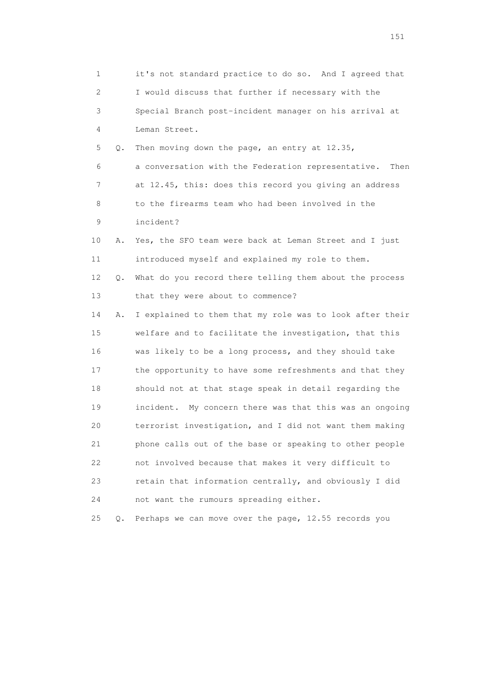1 it's not standard practice to do so. And I agreed that 2 I would discuss that further if necessary with the 3 Special Branch post-incident manager on his arrival at 4 Leman Street. 5 Q. Then moving down the page, an entry at 12.35, 6 a conversation with the Federation representative. Then 7 at 12.45, this: does this record you giving an address 8 to the firearms team who had been involved in the 9 incident? 10 A. Yes, the SFO team were back at Leman Street and I just 11 introduced myself and explained my role to them. 12 Q. What do you record there telling them about the process 13 that they were about to commence? 14 A. I explained to them that my role was to look after their 15 welfare and to facilitate the investigation, that this 16 was likely to be a long process, and they should take 17 the opportunity to have some refreshments and that they 18 should not at that stage speak in detail regarding the 19 incident. My concern there was that this was an ongoing 20 terrorist investigation, and I did not want them making 21 phone calls out of the base or speaking to other people 22 not involved because that makes it very difficult to 23 retain that information centrally, and obviously I did 24 not want the rumours spreading either. 25 Q. Perhaps we can move over the page, 12.55 records you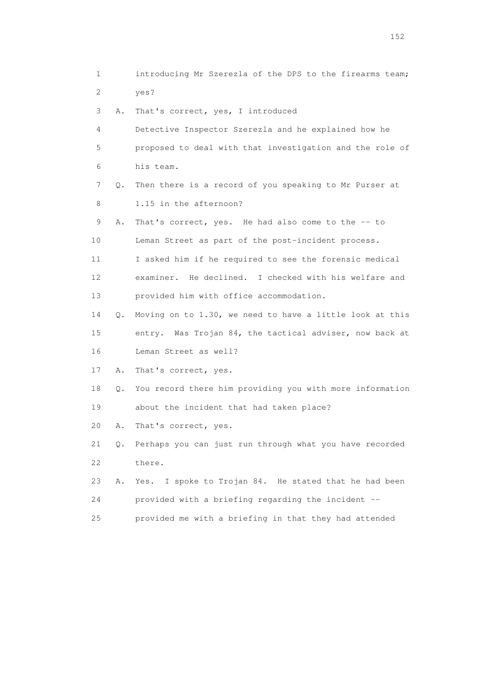1 introducing Mr Szerezla of the DPS to the firearms team; 2 yes? 3 A. That's correct, yes, I introduced 4 Detective Inspector Szerezla and he explained how he 5 proposed to deal with that investigation and the role of 6 his team. 7 Q. Then there is a record of you speaking to Mr Purser at 8 1.15 in the afternoon? 9 A. That's correct, yes. He had also come to the -- to 10 Leman Street as part of the post-incident process. 11 I asked him if he required to see the forensic medical 12 examiner. He declined. I checked with his welfare and 13 provided him with office accommodation. 14 Q. Moving on to 1.30, we need to have a little look at this 15 entry. Was Trojan 84, the tactical adviser, now back at 16 Leman Street as well? 17 A. That's correct, yes. 18 Q. You record there him providing you with more information 19 about the incident that had taken place? 20 A. That's correct, yes. 21 Q. Perhaps you can just run through what you have recorded 22 there. 23 A. Yes. I spoke to Trojan 84. He stated that he had been 24 provided with a briefing regarding the incident -- 25 provided me with a briefing in that they had attended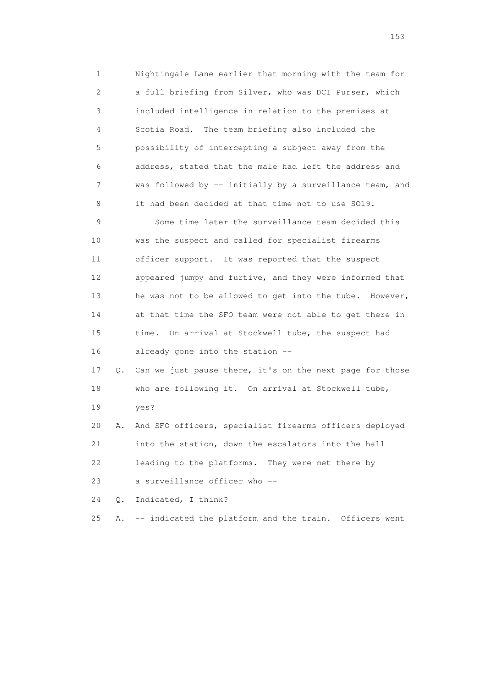1 Nightingale Lane earlier that morning with the team for 2 a full briefing from Silver, who was DCI Purser, which 3 included intelligence in relation to the premises at 4 Scotia Road. The team briefing also included the 5 possibility of intercepting a subject away from the 6 address, stated that the male had left the address and 7 was followed by -- initially by a surveillance team, and 8 it had been decided at that time not to use SO19. 9 Some time later the surveillance team decided this

 10 was the suspect and called for specialist firearms 11 officer support. It was reported that the suspect 12 appeared jumpy and furtive, and they were informed that 13 he was not to be allowed to get into the tube. However, 14 at that time the SFO team were not able to get there in 15 time. On arrival at Stockwell tube, the suspect had 16 already gone into the station --

 17 Q. Can we just pause there, it's on the next page for those 18 who are following it. On arrival at Stockwell tube, 19 yes?

 20 A. And SFO officers, specialist firearms officers deployed 21 into the station, down the escalators into the hall 22 leading to the platforms. They were met there by 23 a surveillance officer who --

24 Q. Indicated, I think?

25 A. -- indicated the platform and the train. Officers went

<u>153</u>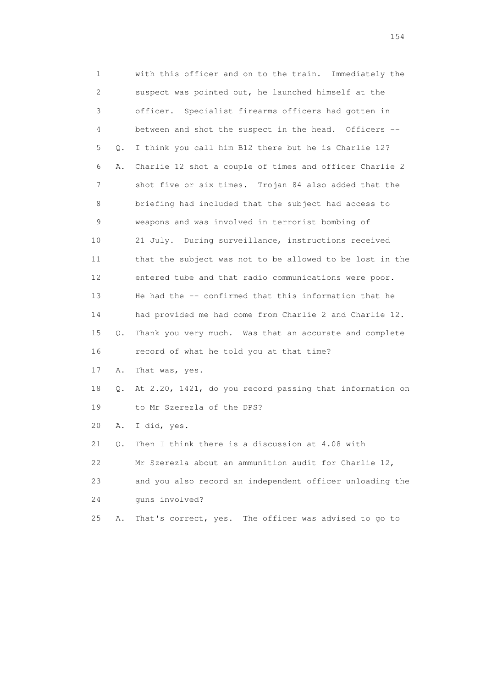1 with this officer and on to the train. Immediately the 2 suspect was pointed out, he launched himself at the 3 officer. Specialist firearms officers had gotten in 4 between and shot the suspect in the head. Officers -- 5 Q. I think you call him B12 there but he is Charlie 12? 6 A. Charlie 12 shot a couple of times and officer Charlie 2 7 shot five or six times. Trojan 84 also added that the 8 briefing had included that the subject had access to 9 weapons and was involved in terrorist bombing of 10 21 July. During surveillance, instructions received 11 that the subject was not to be allowed to be lost in the 12 entered tube and that radio communications were poor. 13 He had the -- confirmed that this information that he 14 had provided me had come from Charlie 2 and Charlie 12. 15 Q. Thank you very much. Was that an accurate and complete 16 record of what he told you at that time? 17 A. That was, yes. 18 Q. At 2.20, 1421, do you record passing that information on 19 to Mr Szerezla of the DPS? 20 A. I did, yes. 21 Q. Then I think there is a discussion at 4.08 with 22 Mr Szerezla about an ammunition audit for Charlie 12, 23 and you also record an independent officer unloading the 24 guns involved?

25 A. That's correct, yes. The officer was advised to go to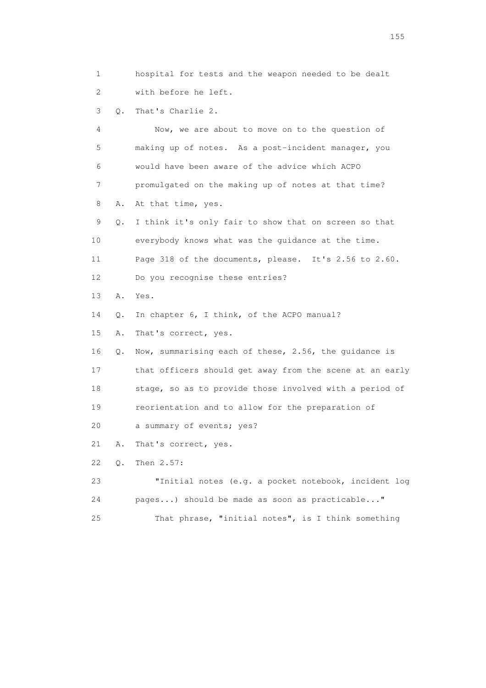1 hospital for tests and the weapon needed to be dealt 2 with before he left.

3 Q. That's Charlie 2.

 4 Now, we are about to move on to the question of 5 making up of notes. As a post-incident manager, you 6 would have been aware of the advice which ACPO 7 promulgated on the making up of notes at that time? 8 A. At that time, yes. 9 Q. I think it's only fair to show that on screen so that 10 everybody knows what was the guidance at the time. 11 Page 318 of the documents, please. It's 2.56 to 2.60.

12 Do you recognise these entries?

13 A. Yes.

14 Q. In chapter 6, I think, of the ACPO manual?

15 A. That's correct, yes.

16 Q. Now, summarising each of these, 2.56, the guidance is

 17 that officers should get away from the scene at an early 18 stage, so as to provide those involved with a period of

19 reorientation and to allow for the preparation of

20 a summary of events; yes?

21 A. That's correct, yes.

22 Q. Then 2.57:

 23 "Initial notes (e.g. a pocket notebook, incident log 24 pages...) should be made as soon as practicable..."

25 That phrase, "initial notes", is I think something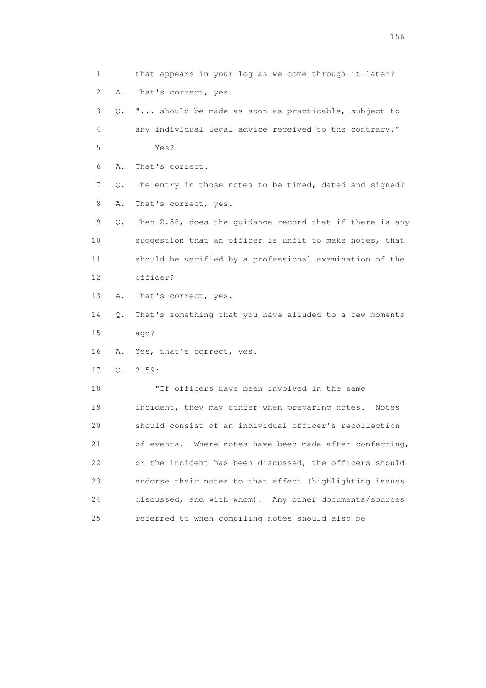1 that appears in your log as we come through it later? 2 A. That's correct, yes. 3 Q. "... should be made as soon as practicable, subject to 4 any individual legal advice received to the contrary." 5 Yes? 6 A. That's correct. 7 Q. The entry in those notes to be timed, dated and signed? 8 A. That's correct, yes. 9 Q. Then 2.58, does the guidance record that if there is any 10 suggestion that an officer is unfit to make notes, that 11 should be verified by a professional examination of the 12 officer? 13 A. That's correct, yes. 14 Q. That's something that you have alluded to a few moments 15 ago? 16 A. Yes, that's correct, yes. 17 Q. 2.59: 18 "If officers have been involved in the same 19 incident, they may confer when preparing notes. Notes 20 should consist of an individual officer's recollection 21 of events. Where notes have been made after conferring, 22 or the incident has been discussed, the officers should 23 endorse their notes to that effect (highlighting issues 24 discussed, and with whom). Any other documents/sources 25 referred to when compiling notes should also be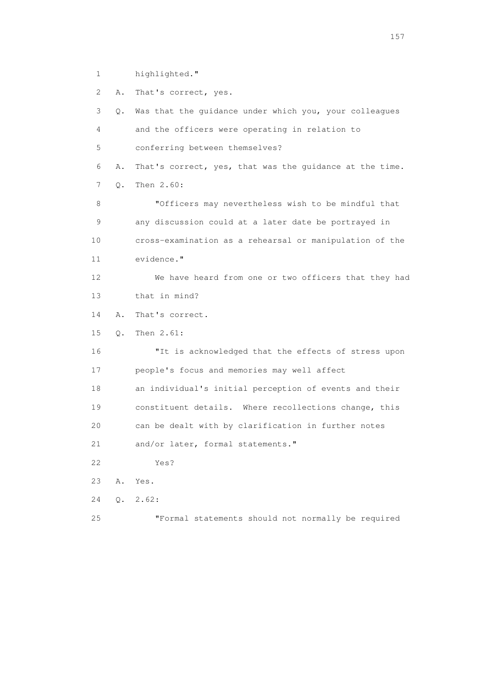1 highlighted."

 2 A. That's correct, yes. 3 Q. Was that the guidance under which you, your colleagues 4 and the officers were operating in relation to 5 conferring between themselves? 6 A. That's correct, yes, that was the guidance at the time. 7 Q. Then 2.60: 8 "Officers may nevertheless wish to be mindful that 9 any discussion could at a later date be portrayed in 10 cross-examination as a rehearsal or manipulation of the 11 evidence." 12 We have heard from one or two officers that they had 13 that in mind? 14 A. That's correct. 15 Q. Then 2.61: 16 "It is acknowledged that the effects of stress upon 17 people's focus and memories may well affect 18 an individual's initial perception of events and their 19 constituent details. Where recollections change, this 20 can be dealt with by clarification in further notes 21 and/or later, formal statements." 22 Yes? 23 A. Yes. 24 Q. 2.62: 25 "Formal statements should not normally be required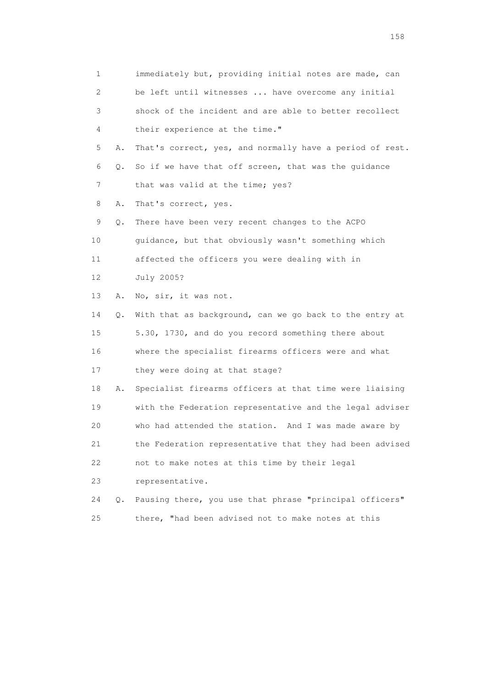1 immediately but, providing initial notes are made, can 2 be left until witnesses ... have overcome any initial 3 shock of the incident and are able to better recollect 4 their experience at the time." 5 A. That's correct, yes, and normally have a period of rest. 6 Q. So if we have that off screen, that was the guidance 7 that was valid at the time; yes? 8 A. That's correct, yes. 9 Q. There have been very recent changes to the ACPO 10 guidance, but that obviously wasn't something which 11 affected the officers you were dealing with in 12 July 2005? 13 A. No, sir, it was not. 14 Q. With that as background, can we go back to the entry at 15 5.30, 1730, and do you record something there about 16 where the specialist firearms officers were and what 17 they were doing at that stage? 18 A. Specialist firearms officers at that time were liaising 19 with the Federation representative and the legal adviser 20 who had attended the station. And I was made aware by 21 the Federation representative that they had been advised 22 not to make notes at this time by their legal 23 representative. 24 Q. Pausing there, you use that phrase "principal officers" 25 there, "had been advised not to make notes at this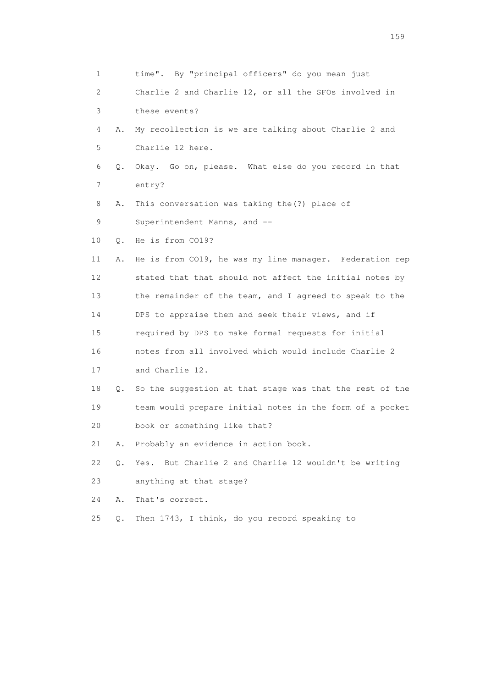1 time". By "principal officers" do you mean just 2 Charlie 2 and Charlie 12, or all the SFOs involved in 3 these events? 4 A. My recollection is we are talking about Charlie 2 and 5 Charlie 12 here. 6 Q. Okay. Go on, please. What else do you record in that 7 entry? 8 A. This conversation was taking the(?) place of 9 Superintendent Manns, and -- 10 Q. He is from CO19? 11 A. He is from CO19, he was my line manager. Federation rep 12 stated that that should not affect the initial notes by 13 the remainder of the team, and I agreed to speak to the 14 DPS to appraise them and seek their views, and if 15 required by DPS to make formal requests for initial 16 notes from all involved which would include Charlie 2 17 and Charlie 12. 18 Q. So the suggestion at that stage was that the rest of the 19 team would prepare initial notes in the form of a pocket 20 book or something like that? 21 A. Probably an evidence in action book. 22 Q. Yes. But Charlie 2 and Charlie 12 wouldn't be writing 23 anything at that stage? 24 A. That's correct. 25 Q. Then 1743, I think, do you record speaking to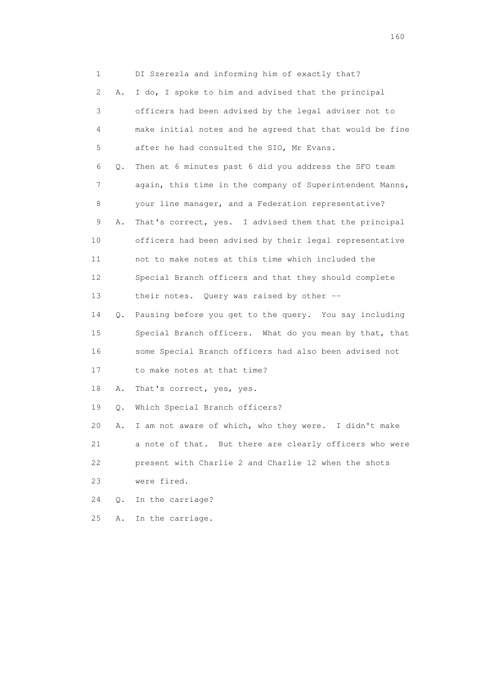1 DI Szerezla and informing him of exactly that? 2 A. I do, I spoke to him and advised that the principal 3 officers had been advised by the legal adviser not to 4 make initial notes and he agreed that that would be fine 5 after he had consulted the SIO, Mr Evans. 6 Q. Then at 6 minutes past 6 did you address the SFO team 7 again, this time in the company of Superintendent Manns, 8 your line manager, and a Federation representative? 9 A. That's correct, yes. I advised them that the principal 10 officers had been advised by their legal representative 11 not to make notes at this time which included the 12 Special Branch officers and that they should complete 13 their notes. Query was raised by other -- 14 Q. Pausing before you get to the query. You say including 15 Special Branch officers. What do you mean by that, that 16 some Special Branch officers had also been advised not 17 to make notes at that time? 18 A. That's correct, yes, yes. 19 Q. Which Special Branch officers? 20 A. I am not aware of which, who they were. I didn't make 21 a note of that. But there are clearly officers who were 22 present with Charlie 2 and Charlie 12 when the shots 23 were fired. 24 Q. In the carriage? 25 A. In the carriage.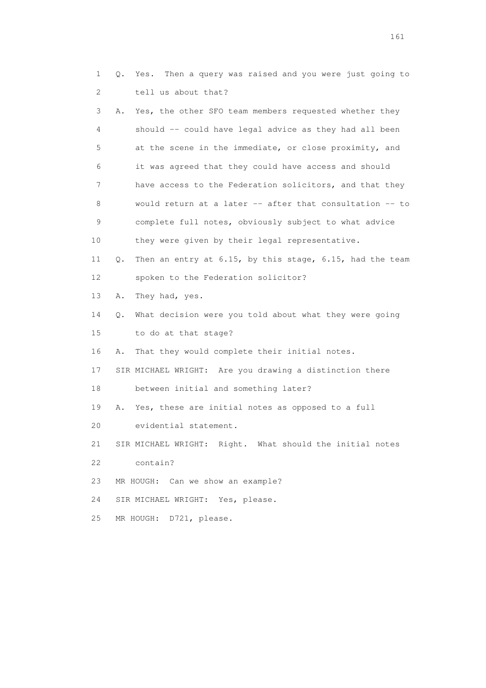1 Q. Yes. Then a query was raised and you were just going to 2 tell us about that? 3 A. Yes, the other SFO team members requested whether they 4 should -- could have legal advice as they had all been 5 at the scene in the immediate, or close proximity, and 6 it was agreed that they could have access and should 7 have access to the Federation solicitors, and that they 8 would return at a later -- after that consultation -- to 9 complete full notes, obviously subject to what advice 10 they were given by their legal representative. 11 Q. Then an entry at 6.15, by this stage, 6.15, had the team 12 spoken to the Federation solicitor? 13 A. They had, yes. 14 Q. What decision were you told about what they were going 15 to do at that stage? 16 A. That they would complete their initial notes. 17 SIR MICHAEL WRIGHT: Are you drawing a distinction there 18 between initial and something later? 19 A. Yes, these are initial notes as opposed to a full 20 evidential statement. 21 SIR MICHAEL WRIGHT: Right. What should the initial notes 22 contain? 23 MR HOUGH: Can we show an example? 24 SIR MICHAEL WRIGHT: Yes, please. 25 MR HOUGH: D721, please.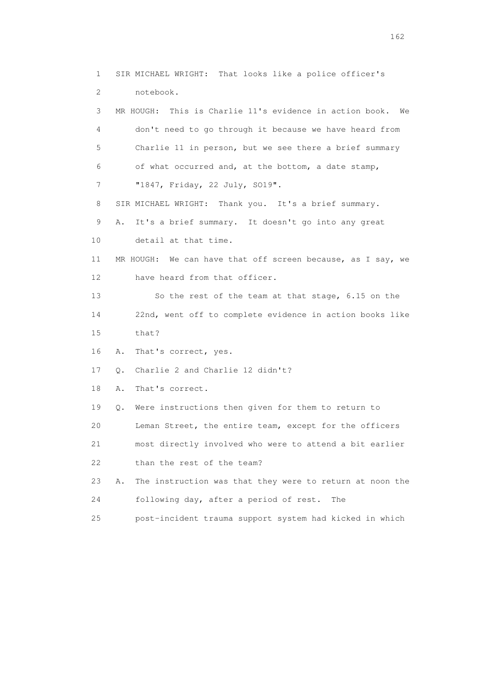1 SIR MICHAEL WRIGHT: That looks like a police officer's 2 notebook. 3 MR HOUGH: This is Charlie 11's evidence in action book. We 4 don't need to go through it because we have heard from 5 Charlie 11 in person, but we see there a brief summary 6 of what occurred and, at the bottom, a date stamp, 7 "1847, Friday, 22 July, SO19". 8 SIR MICHAEL WRIGHT: Thank you. It's a brief summary. 9 A. It's a brief summary. It doesn't go into any great 10 detail at that time. 11 MR HOUGH: We can have that off screen because, as I say, we 12 have heard from that officer. 13 So the rest of the team at that stage, 6.15 on the 14 22nd, went off to complete evidence in action books like 15 that? 16 A. That's correct, yes. 17 Q. Charlie 2 and Charlie 12 didn't? 18 A. That's correct. 19 Q. Were instructions then given for them to return to 20 Leman Street, the entire team, except for the officers 21 most directly involved who were to attend a bit earlier 22 than the rest of the team? 23 A. The instruction was that they were to return at noon the 24 following day, after a period of rest. The 25 post-incident trauma support system had kicked in which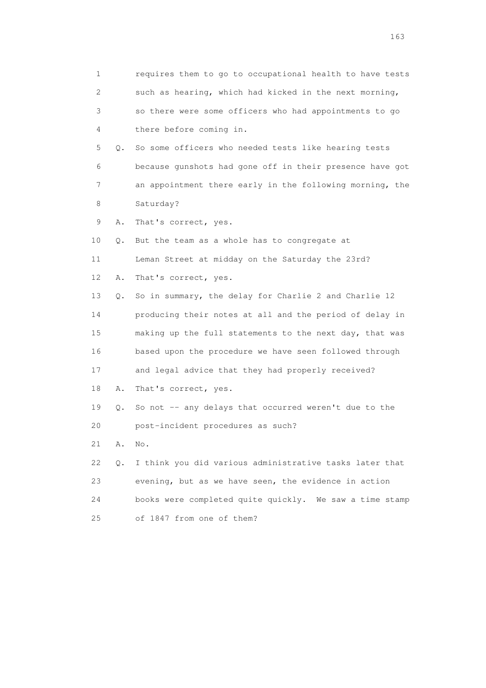1 requires them to go to occupational health to have tests 2 such as hearing, which had kicked in the next morning, 3 so there were some officers who had appointments to go 4 there before coming in. 5 Q. So some officers who needed tests like hearing tests 6 because gunshots had gone off in their presence have got 7 an appointment there early in the following morning, the 8 Saturday? 9 A. That's correct, yes. 10 Q. But the team as a whole has to congregate at 11 Leman Street at midday on the Saturday the 23rd? 12 A. That's correct, yes. 13 Q. So in summary, the delay for Charlie 2 and Charlie 12 14 producing their notes at all and the period of delay in 15 making up the full statements to the next day, that was 16 based upon the procedure we have seen followed through 17 and legal advice that they had properly received? 18 A. That's correct, yes. 19 Q. So not -- any delays that occurred weren't due to the 20 post-incident procedures as such? 21 A. No. 22 Q. I think you did various administrative tasks later that 23 evening, but as we have seen, the evidence in action 24 books were completed quite quickly. We saw a time stamp 25 of 1847 from one of them?

<u>163</u>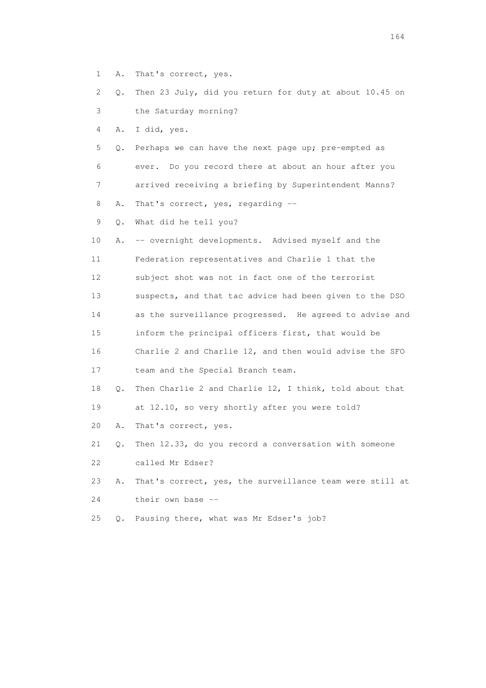- 1 A. That's correct, yes.
- 2 Q. Then 23 July, did you return for duty at about 10.45 on 3 the Saturday morning?

4 A. I did, yes.

 5 Q. Perhaps we can have the next page up; pre-empted as 6 ever. Do you record there at about an hour after you 7 arrived receiving a briefing by Superintendent Manns? 8 A. That's correct, yes, regarding --

9 Q. What did he tell you?

- 10 A. -- overnight developments. Advised myself and the 11 Federation representatives and Charlie 1 that the 12 subject shot was not in fact one of the terrorist 13 suspects, and that tac advice had been given to the DSO 14 as the surveillance progressed. He agreed to advise and 15 inform the principal officers first, that would be 16 Charlie 2 and Charlie 12, and then would advise the SFO 17 team and the Special Branch team. 18 Q. Then Charlie 2 and Charlie 12, I think, told about that 19 at 12.10, so very shortly after you were told? 20 A. That's correct, yes.
- 21 Q. Then 12.33, do you record a conversation with someone 22 called Mr Edser?
- 23 A. That's correct, yes, the surveillance team were still at 24 their own base --
- 25 Q. Pausing there, what was Mr Edser's job?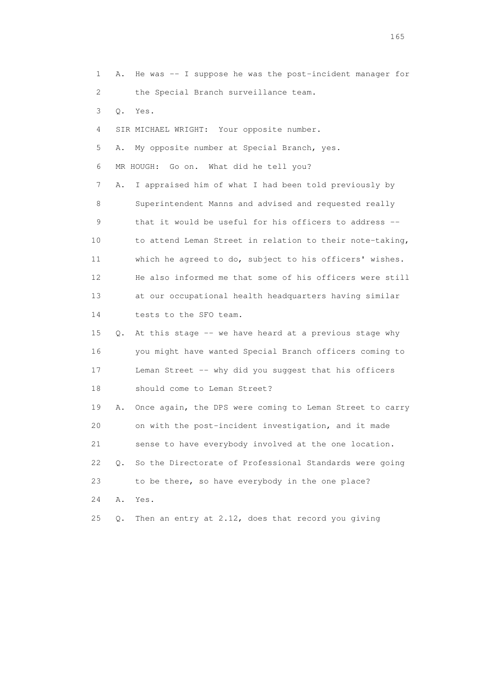1 A. He was -- I suppose he was the post-incident manager for 2 the Special Branch surveillance team. 3 Q. Yes. 4 SIR MICHAEL WRIGHT: Your opposite number. 5 A. My opposite number at Special Branch, yes. 6 MR HOUGH: Go on. What did he tell you? 7 A. I appraised him of what I had been told previously by 8 Superintendent Manns and advised and requested really 9 that it would be useful for his officers to address -- 10 to attend Leman Street in relation to their note-taking, 11 which he agreed to do, subject to his officers' wishes. 12 He also informed me that some of his officers were still 13 at our occupational health headquarters having similar 14 tests to the SFO team. 15 Q. At this stage -- we have heard at a previous stage why 16 you might have wanted Special Branch officers coming to 17 Leman Street -- why did you suggest that his officers 18 should come to Leman Street? 19 A. Once again, the DPS were coming to Leman Street to carry 20 on with the post-incident investigation, and it made 21 sense to have everybody involved at the one location. 22 Q. So the Directorate of Professional Standards were going 23 to be there, so have everybody in the one place? 24 A. Yes. 25 Q. Then an entry at 2.12, does that record you giving

<u>165</u>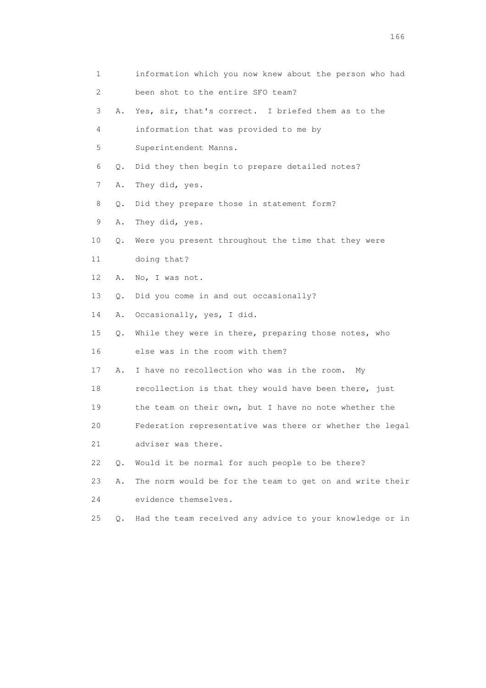1 information which you now knew about the person who had 2 been shot to the entire SFO team? 3 A. Yes, sir, that's correct. I briefed them as to the 4 information that was provided to me by 5 Superintendent Manns. 6 Q. Did they then begin to prepare detailed notes? 7 A. They did, yes. 8 Q. Did they prepare those in statement form? 9 A. They did, yes. 10 Q. Were you present throughout the time that they were 11 doing that? 12 A. No, I was not. 13 Q. Did you come in and out occasionally? 14 A. Occasionally, yes, I did. 15 Q. While they were in there, preparing those notes, who 16 else was in the room with them? 17 A. I have no recollection who was in the room. My 18 recollection is that they would have been there, just 19 the team on their own, but I have no note whether the 20 Federation representative was there or whether the legal 21 adviser was there. 22 Q. Would it be normal for such people to be there? 23 A. The norm would be for the team to get on and write their 24 evidence themselves. 25 Q. Had the team received any advice to your knowledge or in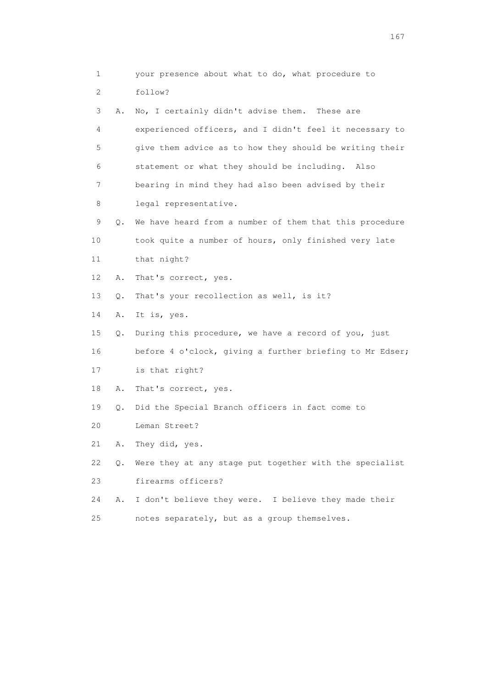| 1                         |       | your presence about what to do, what procedure to        |
|---------------------------|-------|----------------------------------------------------------|
| $\mathbf{2}^{\mathsf{I}}$ |       | follow?                                                  |
| 3                         | Α.    | No, I certainly didn't advise them. These are            |
| 4                         |       | experienced officers, and I didn't feel it necessary to  |
| 5                         |       | give them advice as to how they should be writing their  |
| 6                         |       | statement or what they should be including. Also         |
| 7                         |       | bearing in mind they had also been advised by their      |
| 8                         |       | legal representative.                                    |
| 9                         | Q.    | We have heard from a number of them that this procedure  |
| 10                        |       | took quite a number of hours, only finished very late    |
| 11                        |       | that night?                                              |
| 12 <sup>°</sup>           | Α.    | That's correct, yes.                                     |
| 13                        | Q.    | That's your recollection as well, is it?                 |
| 14                        | Α.    | It is, yes.                                              |
| 15                        | Q.    | During this procedure, we have a record of you, just     |
| 16                        |       | before 4 o'clock, giving a further briefing to Mr Edser; |
| 17                        |       | is that right?                                           |
| 18                        | Α.    | That's correct, yes.                                     |
| 19                        | Q.    | Did the Special Branch officers in fact come to          |
| 20                        |       | Leman Street?                                            |
| 21                        | Α.    | They did, yes.                                           |
| 22                        | $Q$ . | Were they at any stage put together with the specialist  |
| 23                        |       | firearms officers?                                       |
| 24                        | Α.    | I don't believe they were. I believe they made their     |
| 25                        |       | notes separately, but as a group themselves.             |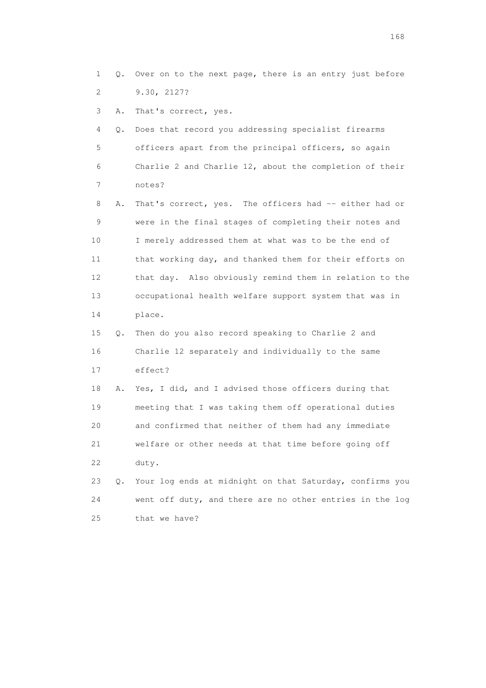1 Q. Over on to the next page, there is an entry just before 2 9.30, 2127?

3 A. That's correct, yes.

 4 Q. Does that record you addressing specialist firearms 5 officers apart from the principal officers, so again 6 Charlie 2 and Charlie 12, about the completion of their 7 notes?

 8 A. That's correct, yes. The officers had -- either had or 9 were in the final stages of completing their notes and 10 I merely addressed them at what was to be the end of 11 that working day, and thanked them for their efforts on 12 that day. Also obviously remind them in relation to the 13 occupational health welfare support system that was in 14 place.

 15 Q. Then do you also record speaking to Charlie 2 and 16 Charlie 12 separately and individually to the same 17 effect?

 18 A. Yes, I did, and I advised those officers during that 19 meeting that I was taking them off operational duties 20 and confirmed that neither of them had any immediate 21 welfare or other needs at that time before going off 22 duty.

 23 Q. Your log ends at midnight on that Saturday, confirms you 24 went off duty, and there are no other entries in the log 25 that we have?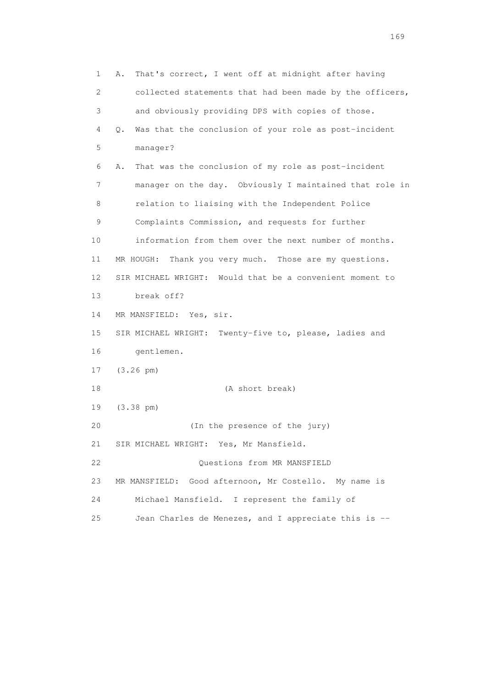1 A. That's correct, I went off at midnight after having 2 collected statements that had been made by the officers, 3 and obviously providing DPS with copies of those. 4 Q. Was that the conclusion of your role as post-incident 5 manager? 6 A. That was the conclusion of my role as post-incident 7 manager on the day. Obviously I maintained that role in 8 relation to liaising with the Independent Police 9 Complaints Commission, and requests for further 10 information from them over the next number of months. 11 MR HOUGH: Thank you very much. Those are my questions. 12 SIR MICHAEL WRIGHT: Would that be a convenient moment to 13 break off? 14 MR MANSFIELD: Yes, sir. 15 SIR MICHAEL WRIGHT: Twenty-five to, please, ladies and 16 gentlemen. 17 (3.26 pm) 18 (A short break) 19 (3.38 pm) 20 (In the presence of the jury) 21 SIR MICHAEL WRIGHT: Yes, Mr Mansfield. 22 Questions from MR MANSFIELD 23 MR MANSFIELD: Good afternoon, Mr Costello. My name is 24 Michael Mansfield. I represent the family of 25 Jean Charles de Menezes, and I appreciate this is --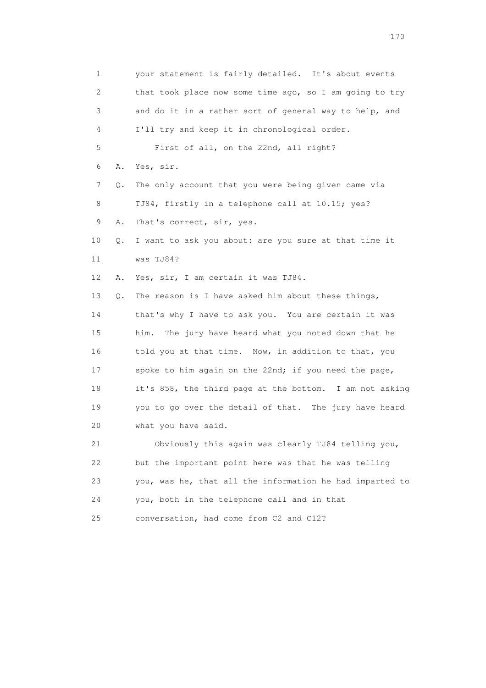1 your statement is fairly detailed. It's about events 2 that took place now some time ago, so I am going to try 3 and do it in a rather sort of general way to help, and 4 I'll try and keep it in chronological order. 5 First of all, on the 22nd, all right? 6 A. Yes, sir. 7 Q. The only account that you were being given came via 8 TJ84, firstly in a telephone call at 10.15; yes? 9 A. That's correct, sir, yes. 10 Q. I want to ask you about: are you sure at that time it 11 was TJ84? 12 A. Yes, sir, I am certain it was TJ84. 13 Q. The reason is I have asked him about these things, 14 that's why I have to ask you. You are certain it was 15 him. The jury have heard what you noted down that he 16 told you at that time. Now, in addition to that, you 17 spoke to him again on the 22nd; if you need the page, 18 it's 858, the third page at the bottom. I am not asking 19 you to go over the detail of that. The jury have heard 20 what you have said. 21 Obviously this again was clearly TJ84 telling you, 22 but the important point here was that he was telling 23 you, was he, that all the information he had imparted to 24 you, both in the telephone call and in that

25 conversation, had come from C2 and C12?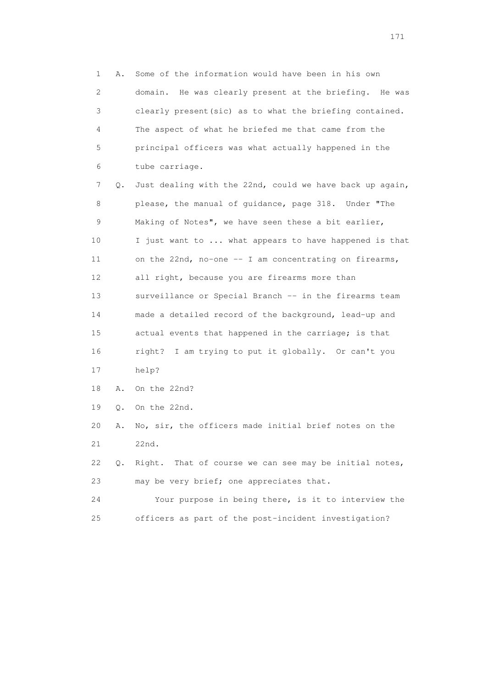1 A. Some of the information would have been in his own 2 domain. He was clearly present at the briefing. He was 3 clearly present(sic) as to what the briefing contained. 4 The aspect of what he briefed me that came from the 5 principal officers was what actually happened in the 6 tube carriage. 7 Q. Just dealing with the 22nd, could we have back up again, 8 please, the manual of guidance, page 318. Under "The 9 Making of Notes", we have seen these a bit earlier, 10 I just want to ... what appears to have happened is that 11 on the 22nd, no-one -- I am concentrating on firearms, 12 all right, because you are firearms more than 13 surveillance or Special Branch -- in the firearms team 14 made a detailed record of the background, lead-up and 15 actual events that happened in the carriage; is that 16 right? I am trying to put it globally. Or can't you 17 help? 18 A. On the 22nd? 19 Q. On the 22nd. 20 A. No, sir, the officers made initial brief notes on the 21 22nd. 22 Q. Right. That of course we can see may be initial notes, 23 may be very brief; one appreciates that. 24 Your purpose in being there, is it to interview the 25 officers as part of the post-incident investigation?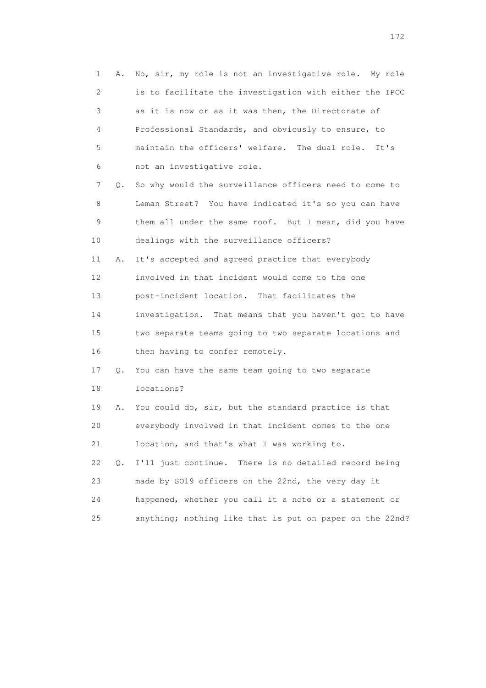| $\mathbf 1$ | Α.    | No, sir, my role is not an investigative role. My role   |
|-------------|-------|----------------------------------------------------------|
| 2           |       | is to facilitate the investigation with either the IPCC  |
| 3           |       | as it is now or as it was then, the Directorate of       |
| 4           |       | Professional Standards, and obviously to ensure, to      |
| 5           |       | maintain the officers' welfare. The dual role.<br>It's   |
| 6           |       | not an investigative role.                               |
| 7           | Q.    | So why would the surveillance officers need to come to   |
| 8           |       | Leman Street? You have indicated it's so you can have    |
| 9           |       | them all under the same roof. But I mean, did you have   |
| 10          |       | dealings with the surveillance officers?                 |
| 11          | Α.    | It's accepted and agreed practice that everybody         |
| 12          |       | involved in that incident would come to the one          |
| 13          |       | post-incident location. That facilitates the             |
| 14          |       | investigation. That means that you haven't got to have   |
| 15          |       | two separate teams going to two separate locations and   |
| 16          |       | then having to confer remotely.                          |
| 17          | Q.    | You can have the same team going to two separate         |
| 18          |       | locations?                                               |
| 19          | Α.    | You could do, sir, but the standard practice is that     |
| 20          |       | everybody involved in that incident comes to the one     |
| 21          |       | location, and that's what I was working to.              |
| 22          | $Q$ . | I'll just continue.<br>There is no detailed record being |
| 23          |       | made by SO19 officers on the 22nd, the very day it       |
| 24          |       | happened, whether you call it a note or a statement or   |
| 25          |       | anything; nothing like that is put on paper on the 22nd? |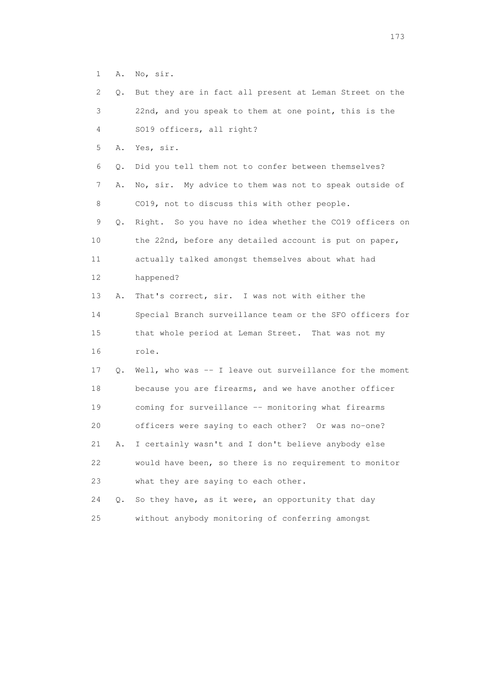1 A. No, sir.

| 2  | Q.    | But they are in fact all present at Leman Street on the  |
|----|-------|----------------------------------------------------------|
| 3  |       | 22nd, and you speak to them at one point, this is the    |
| 4  |       | SO19 officers, all right?                                |
| 5  | Α.    | Yes, sir.                                                |
| 6  | Q.    | Did you tell them not to confer between themselves?      |
| 7  | Α.    | No, sir. My advice to them was not to speak outside of   |
| 8  |       | CO19, not to discuss this with other people.             |
| 9  | Q.    | Right. So you have no idea whether the CO19 officers on  |
| 10 |       | the 22nd, before any detailed account is put on paper,   |
| 11 |       | actually talked amongst themselves about what had        |
| 12 |       | happened?                                                |
| 13 | Α.    | That's correct, sir. I was not with either the           |
| 14 |       | Special Branch surveillance team or the SFO officers for |
| 15 |       | that whole period at Leman Street. That was not my       |
| 16 |       | role.                                                    |
| 17 | Q.    | Well, who was -- I leave out surveillance for the moment |
| 18 |       | because you are firearms, and we have another officer    |
| 19 |       | coming for surveillance -- monitoring what firearms      |
| 20 |       | officers were saying to each other? Or was no-one?       |
| 21 | Α.    | I certainly wasn't and I don't believe anybody else      |
| 22 |       | would have been, so there is no requirement to monitor   |
| 23 |       | what they are saying to each other.                      |
| 24 | $Q$ . | So they have, as it were, an opportunity that day        |
| 25 |       | without anybody monitoring of conferring amongst         |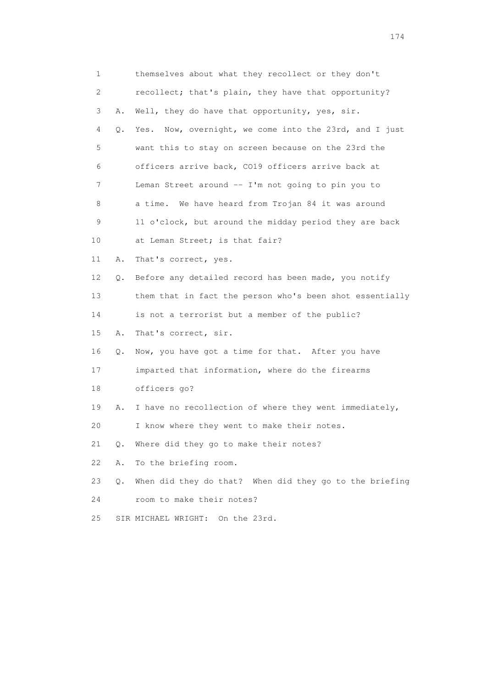| 1  |    | themselves about what they recollect or they don't       |
|----|----|----------------------------------------------------------|
| 2  |    | recollect; that's plain, they have that opportunity?     |
| 3  | Α. | Well, they do have that opportunity, yes, sir.           |
| 4  | Q. | Yes. Now, overnight, we come into the 23rd, and I just   |
| 5  |    | want this to stay on screen because on the 23rd the      |
| 6  |    | officers arrive back, CO19 officers arrive back at       |
| 7  |    | Leman Street around -- I'm not going to pin you to       |
| 8  |    | a time. We have heard from Trojan 84 it was around       |
| 9  |    | 11 o'clock, but around the midday period they are back   |
| 10 |    | at Leman Street; is that fair?                           |
| 11 | Α. | That's correct, yes.                                     |
| 12 | Q. | Before any detailed record has been made, you notify     |
| 13 |    | them that in fact the person who's been shot essentially |
| 14 |    | is not a terrorist but a member of the public?           |
| 15 | Α. | That's correct, sir.                                     |
| 16 | Q. | Now, you have got a time for that. After you have        |
| 17 |    | imparted that information, where do the firearms         |
| 18 |    | officers go?                                             |
| 19 | Α. | I have no recollection of where they went immediately,   |
| 20 |    | I know where they went to make their notes.              |
| 21 | Q. | Where did they go to make their notes?                   |
| 22 | Α. | To the briefing room.                                    |
| 23 | Q. | When did they do that? When did they go to the briefing  |
| 24 |    | room to make their notes?                                |
| 25 |    | SIR MICHAEL WRIGHT: On the 23rd.                         |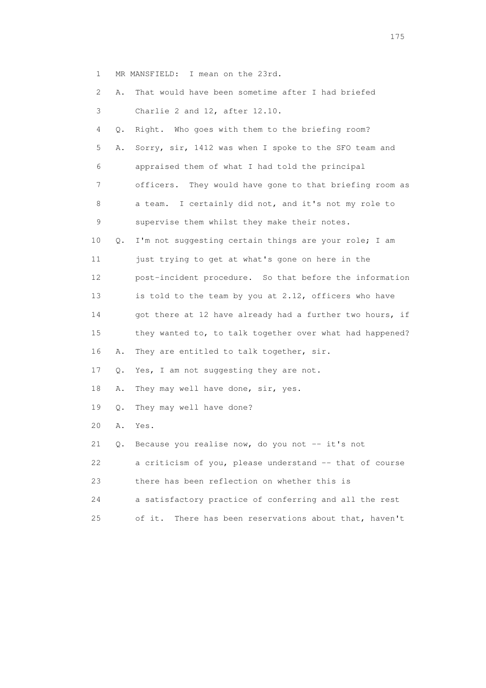1 MR MANSFIELD: I mean on the 23rd.

| $\mathbf{2}^{\mathsf{I}}$ | Α. | That would have been sometime after I had briefed         |
|---------------------------|----|-----------------------------------------------------------|
| 3                         |    | Charlie 2 and 12, after 12.10.                            |
| 4                         | Q. | Right. Who goes with them to the briefing room?           |
| 5                         | Α. | Sorry, sir, 1412 was when I spoke to the SFO team and     |
| 6                         |    | appraised them of what I had told the principal           |
| 7                         |    | officers. They would have gone to that briefing room as   |
| 8                         |    | a team. I certainly did not, and it's not my role to      |
| 9                         |    | supervise them whilst they make their notes.              |
| 10                        | Q. | I'm not suggesting certain things are your role; I am     |
| 11                        |    | just trying to get at what's gone on here in the          |
| 12                        |    | post-incident procedure. So that before the information   |
| 13                        |    | is told to the team by you at 2.12, officers who have     |
| 14                        |    | got there at 12 have already had a further two hours, if  |
| 15                        |    | they wanted to, to talk together over what had happened?  |
| 16                        | Α. | They are entitled to talk together, sir.                  |
| 17                        | Q. | Yes, I am not suggesting they are not.                    |
| 18                        | Α. | They may well have done, sir, yes.                        |
| 19                        | Q. | They may well have done?                                  |
| 20                        | Α. | Yes.                                                      |
| 21                        | Q. | Because you realise now, do you not -- it's not           |
| 22                        |    | a criticism of you, please understand -- that of course   |
| 23                        |    | there has been reflection on whether this is              |
| 24                        |    | a satisfactory practice of conferring and all the rest    |
| 25                        |    | There has been reservations about that, haven't<br>of it. |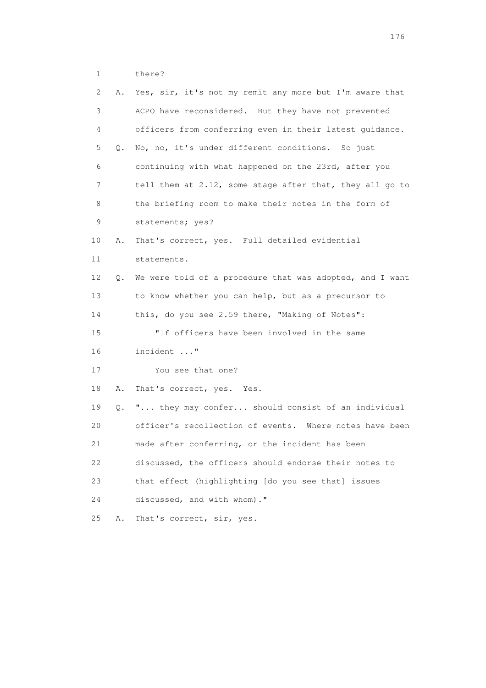1 there?

| 2. | Α. | Yes, sir, it's not my remit any more but I'm aware that  |
|----|----|----------------------------------------------------------|
| 3  |    | ACPO have reconsidered. But they have not prevented      |
| 4  |    | officers from conferring even in their latest quidance.  |
| 5  | Q. | No, no, it's under different conditions. So just         |
| 6  |    | continuing with what happened on the 23rd, after you     |
| 7  |    | tell them at 2.12, some stage after that, they all go to |
| 8  |    | the briefing room to make their notes in the form of     |
| 9  |    | statements; yes?                                         |
| 10 | Α. | That's correct, yes. Full detailed evidential            |
| 11 |    | statements.                                              |
| 12 | Q. | We were told of a procedure that was adopted, and I want |
| 13 |    | to know whether you can help, but as a precursor to      |
| 14 |    | this, do you see 2.59 there, "Making of Notes":          |
| 15 |    | "If officers have been involved in the same              |
| 16 |    | incident "                                               |
| 17 |    | You see that one?                                        |
| 18 | Α. | That's correct, yes. Yes.                                |
| 19 | Q. | " they may confer should consist of an individual        |
| 20 |    | officer's recollection of events. Where notes have been  |
| 21 |    | made after conferring, or the incident has been          |
| 22 |    | discussed, the officers should endorse their notes to    |
| 23 |    | that effect (highlighting [do you see that] issues       |
| 24 |    | discussed, and with whom)."                              |
| 25 | Α. | That's correct, sir, yes.                                |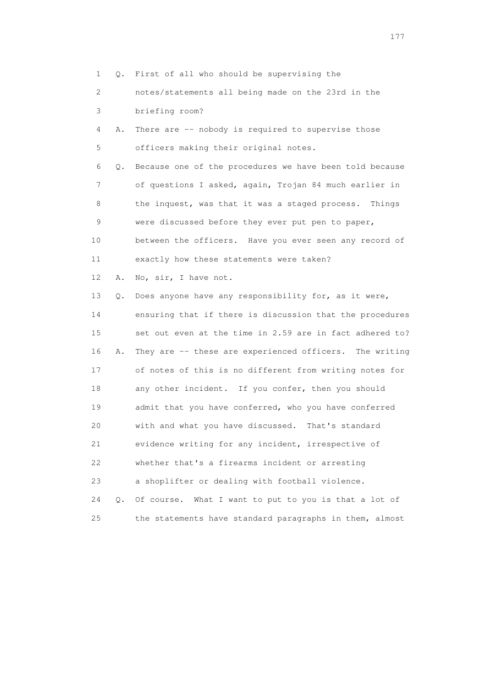1 Q. First of all who should be supervising the

 2 notes/statements all being made on the 23rd in the 3 briefing room?

 4 A. There are -- nobody is required to supervise those 5 officers making their original notes.

 6 Q. Because one of the procedures we have been told because 7 of questions I asked, again, Trojan 84 much earlier in 8 the inquest, was that it was a staged process. Things 9 were discussed before they ever put pen to paper, 10 between the officers. Have you ever seen any record of 11 exactly how these statements were taken?

12 A. No, sir, I have not.

 13 Q. Does anyone have any responsibility for, as it were, 14 ensuring that if there is discussion that the procedures 15 set out even at the time in 2.59 are in fact adhered to? 16 A. They are -- these are experienced officers. The writing 17 of notes of this is no different from writing notes for 18 any other incident. If you confer, then you should 19 admit that you have conferred, who you have conferred 20 with and what you have discussed. That's standard 21 evidence writing for any incident, irrespective of 22 whether that's a firearms incident or arresting 23 a shoplifter or dealing with football violence. 24 Q. Of course. What I want to put to you is that a lot of

25 the statements have standard paragraphs in them, almost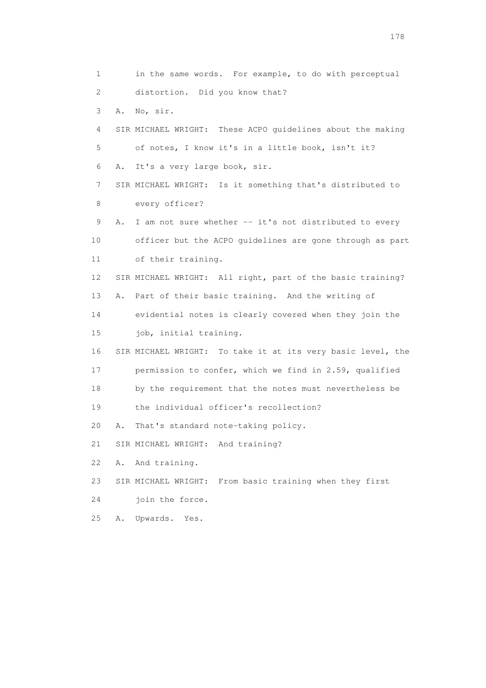1 in the same words. For example, to do with perceptual 2 distortion. Did you know that? 3 A. No, sir. 4 SIR MICHAEL WRIGHT: These ACPO guidelines about the making 5 of notes, I know it's in a little book, isn't it? 6 A. It's a very large book, sir. 7 SIR MICHAEL WRIGHT: Is it something that's distributed to 8 every officer? 9 A. I am not sure whether -- it's not distributed to every 10 officer but the ACPO guidelines are gone through as part 11 of their training. 12 SIR MICHAEL WRIGHT: All right, part of the basic training? 13 A. Part of their basic training. And the writing of 14 evidential notes is clearly covered when they join the 15 job, initial training. 16 SIR MICHAEL WRIGHT: To take it at its very basic level, the 17 permission to confer, which we find in 2.59, qualified 18 by the requirement that the notes must nevertheless be 19 the individual officer's recollection? 20 A. That's standard note-taking policy. 21 SIR MICHAEL WRIGHT: And training? 22 A. And training. 23 SIR MICHAEL WRIGHT: From basic training when they first 24 join the force. 25 A. Upwards. Yes.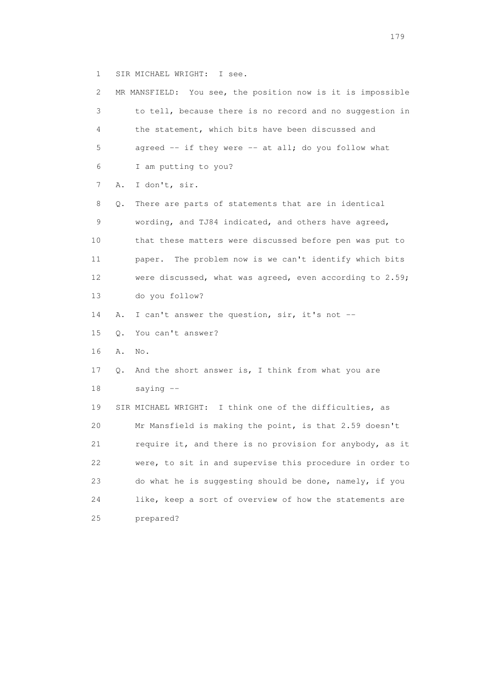1 SIR MICHAEL WRIGHT: I see.

| 2  |    | MR MANSFIELD: You see, the position now is it is impossible |
|----|----|-------------------------------------------------------------|
| 3  |    | to tell, because there is no record and no suggestion in    |
| 4  |    | the statement, which bits have been discussed and           |
| 5  |    | agreed -- if they were -- at all; do you follow what        |
| 6  |    | I am putting to you?                                        |
| 7  | Α. | I don't, sir.                                               |
| 8  | Q. | There are parts of statements that are in identical         |
| 9  |    | wording, and TJ84 indicated, and others have agreed,        |
| 10 |    | that these matters were discussed before pen was put to     |
| 11 |    | The problem now is we can't identify which bits<br>paper.   |
| 12 |    | were discussed, what was agreed, even according to 2.59;    |
| 13 |    | do you follow?                                              |
| 14 | Α. | I can't answer the question, sir, it's not --               |
| 15 | Q. | You can't answer?                                           |
| 16 | Α. | No.                                                         |
| 17 | Q. | And the short answer is, I think from what you are          |
| 18 |    | saying $--$                                                 |
| 19 |    | SIR MICHAEL WRIGHT: I think one of the difficulties, as     |
| 20 |    | Mr Mansfield is making the point, is that 2.59 doesn't      |
| 21 |    | require it, and there is no provision for anybody, as it    |
| 22 |    | were, to sit in and supervise this procedure in order to    |
| 23 |    | do what he is suggesting should be done, namely, if you     |
| 24 |    | like, keep a sort of overview of how the statements are     |
| 25 |    | prepared?                                                   |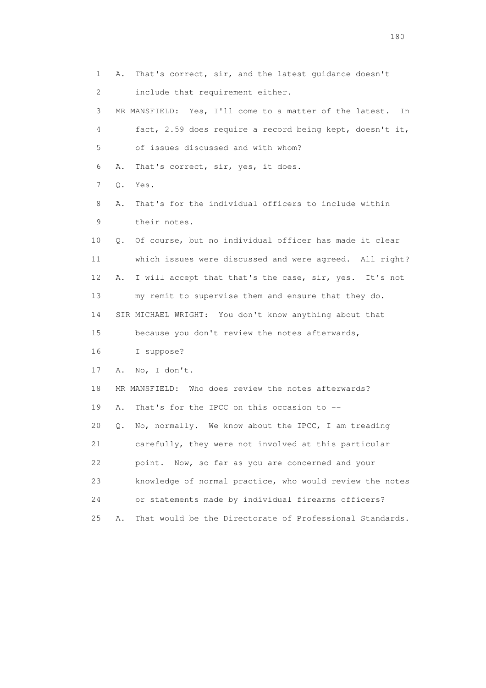1 A. That's correct, sir, and the latest guidance doesn't 2 include that requirement either. 3 MR MANSFIELD: Yes, I'll come to a matter of the latest. In 4 fact, 2.59 does require a record being kept, doesn't it, 5 of issues discussed and with whom? 6 A. That's correct, sir, yes, it does. 7 Q. Yes. 8 A. That's for the individual officers to include within 9 their notes. 10 Q. Of course, but no individual officer has made it clear 11 which issues were discussed and were agreed. All right? 12 A. I will accept that that's the case, sir, yes. It's not 13 my remit to supervise them and ensure that they do. 14 SIR MICHAEL WRIGHT: You don't know anything about that 15 because you don't review the notes afterwards, 16 I suppose? 17 A. No, I don't. 18 MR MANSFIELD: Who does review the notes afterwards? 19 A. That's for the IPCC on this occasion to -- 20 Q. No, normally. We know about the IPCC, I am treading 21 carefully, they were not involved at this particular 22 point. Now, so far as you are concerned and your 23 knowledge of normal practice, who would review the notes 24 or statements made by individual firearms officers? 25 A. That would be the Directorate of Professional Standards.

180 and 180 and 180 and 180 and 180 and 180 and 180 and 180 and 180 and 180 and 180 and 180 and 180 and 180 and 180 and 180 and 180 and 180 and 180 and 180 and 180 and 180 and 180 and 180 and 180 and 180 and 180 and 180 an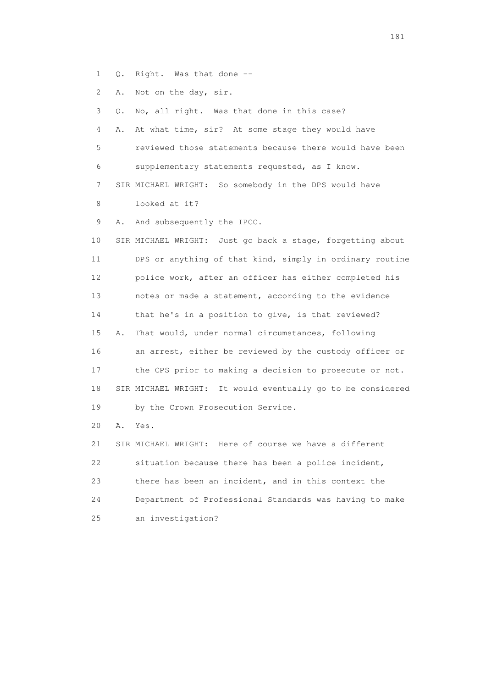- 1 Q. Right. Was that done --
- 2 A. Not on the day, sir.

3 Q. No, all right. Was that done in this case?

 4 A. At what time, sir? At some stage they would have 5 reviewed those statements because there would have been 6 supplementary statements requested, as I know. 7 SIR MICHAEL WRIGHT: So somebody in the DPS would have

8 looked at it?

9 A. And subsequently the IPCC.

 10 SIR MICHAEL WRIGHT: Just go back a stage, forgetting about 11 DPS or anything of that kind, simply in ordinary routine 12 police work, after an officer has either completed his 13 notes or made a statement, according to the evidence 14 that he's in a position to give, is that reviewed? 15 A. That would, under normal circumstances, following 16 an arrest, either be reviewed by the custody officer or 17 the CPS prior to making a decision to prosecute or not. 18 SIR MICHAEL WRIGHT: It would eventually go to be considered 19 by the Crown Prosecution Service.

20 A. Yes.

 21 SIR MICHAEL WRIGHT: Here of course we have a different 22 situation because there has been a police incident, 23 there has been an incident, and in this context the 24 Department of Professional Standards was having to make 25 an investigation?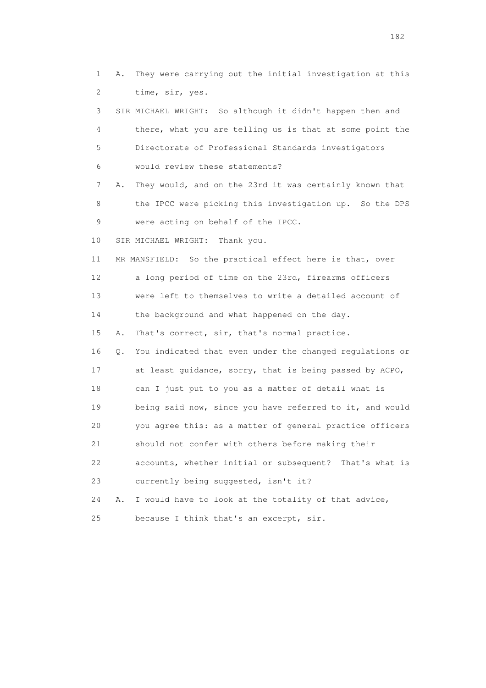1 A. They were carrying out the initial investigation at this 2 time, sir, yes. 3 SIR MICHAEL WRIGHT: So although it didn't happen then and 4 there, what you are telling us is that at some point the 5 Directorate of Professional Standards investigators 6 would review these statements? 7 A. They would, and on the 23rd it was certainly known that 8 the IPCC were picking this investigation up. So the DPS 9 were acting on behalf of the IPCC. 10 SIR MICHAEL WRIGHT: Thank you. 11 MR MANSFIELD: So the practical effect here is that, over 12 a long period of time on the 23rd, firearms officers 13 were left to themselves to write a detailed account of 14 the background and what happened on the day. 15 A. That's correct, sir, that's normal practice. 16 Q. You indicated that even under the changed regulations or 17 at least guidance, sorry, that is being passed by ACPO, 18 can I just put to you as a matter of detail what is 19 being said now, since you have referred to it, and would 20 you agree this: as a matter of general practice officers 21 should not confer with others before making their 22 accounts, whether initial or subsequent? That's what is 23 currently being suggested, isn't it? 24 A. I would have to look at the totality of that advice, 25 because I think that's an excerpt, sir.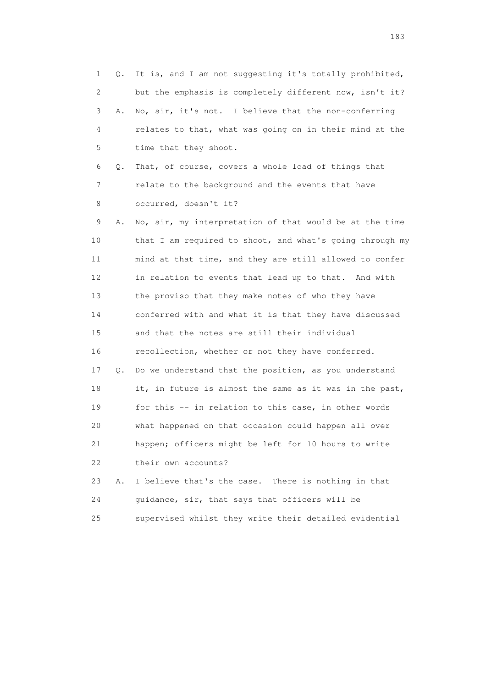1 Q. It is, and I am not suggesting it's totally prohibited, 2 but the emphasis is completely different now, isn't it? 3 A. No, sir, it's not. I believe that the non-conferring 4 relates to that, what was going on in their mind at the 5 time that they shoot. 6 Q. That, of course, covers a whole load of things that 7 relate to the background and the events that have 8 occurred, doesn't it? 9 A. No, sir, my interpretation of that would be at the time 10 that I am required to shoot, and what's going through my 11 mind at that time, and they are still allowed to confer 12 in relation to events that lead up to that. And with 13 the proviso that they make notes of who they have 14 conferred with and what it is that they have discussed 15 and that the notes are still their individual 16 recollection, whether or not they have conferred. 17 Q. Do we understand that the position, as you understand 18 it, in future is almost the same as it was in the past, 19 for this -- in relation to this case, in other words 20 what happened on that occasion could happen all over 21 happen; officers might be left for 10 hours to write 22 their own accounts? 23 A. I believe that's the case. There is nothing in that 24 guidance, sir, that says that officers will be

25 supervised whilst they write their detailed evidential

183 and the contract of the contract of the contract of the contract of the contract of the contract of the contract of the contract of the contract of the contract of the contract of the contract of the contract of the co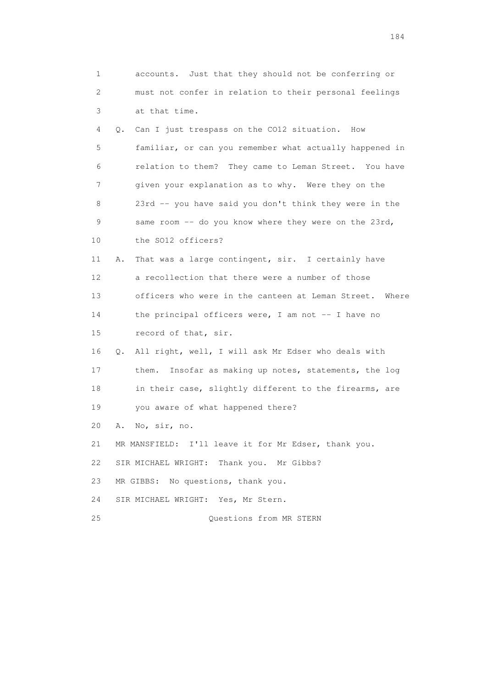| 1                         | accounts. Just that they should not be conferring or     |
|---------------------------|----------------------------------------------------------|
| $\mathbf{2}^{\mathsf{I}}$ | must not confer in relation to their personal feelings   |
| 3                         | at that time.                                            |
| 4                         | Can I just trespass on the CO12 situation. How<br>Q.     |
| 5                         | familiar, or can you remember what actually happened in  |
| 6                         | relation to them? They came to Leman Street. You have    |
| 7                         | given your explanation as to why. Were they on the       |
| 8                         | 23rd -- you have said you don't think they were in the   |
| 9                         | same room -- do you know where they were on the 23rd,    |
| 10                        | the SO12 officers?                                       |
| 11                        | That was a large contingent, sir. I certainly have<br>Α. |
| 12                        | a recollection that there were a number of those         |
| 13                        | officers who were in the canteen at Leman Street. Where  |
| 14                        | the principal officers were, I am not -- I have no       |
| 15                        | record of that, sir.                                     |
| 16                        | Q. All right, well, I will ask Mr Edser who deals with   |
| 17                        | Insofar as making up notes, statements, the log<br>them. |
| 18                        | in their case, slightly different to the firearms, are   |
| 19                        | you aware of what happened there?                        |
| 20                        | No, sir, no.<br>Α.                                       |
| 21                        | MR MANSFIELD: I'll leave it for Mr Edser, thank you.     |
| 22                        | SIR MICHAEL WRIGHT: Thank you. Mr Gibbs?                 |
| 23                        | MR GIBBS: No questions, thank you.                       |
| 24                        | SIR MICHAEL WRIGHT: Yes, Mr Stern.                       |
| 25                        | Questions from MR STERN                                  |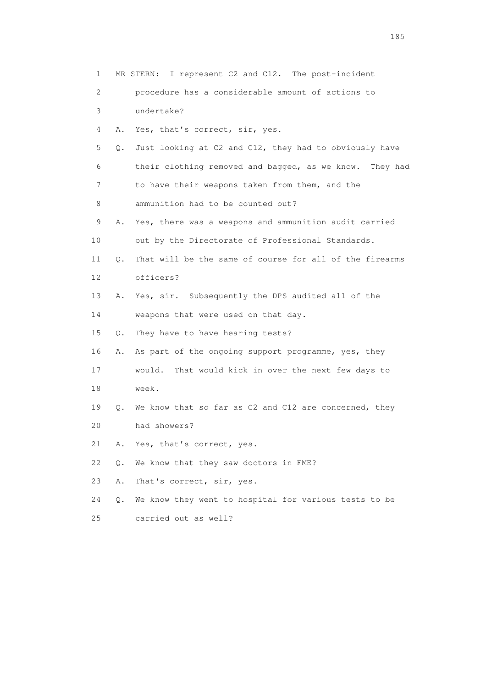| 1  |    | I represent C2 and C12. The post-incident<br>MR STERN:     |
|----|----|------------------------------------------------------------|
| 2  |    | procedure has a considerable amount of actions to          |
| 3  |    | undertake?                                                 |
| 4  | Α. | Yes, that's correct, sir, yes.                             |
| 5  | Q. | Just looking at C2 and C12, they had to obviously have     |
| 6  |    | their clothing removed and bagged, as we know.<br>They had |
| 7  |    | to have their weapons taken from them, and the             |
| 8  |    | ammunition had to be counted out?                          |
| 9  | Α. | Yes, there was a weapons and ammunition audit carried      |
| 10 |    | out by the Directorate of Professional Standards.          |
| 11 | О. | That will be the same of course for all of the firearms    |
| 12 |    | officers?                                                  |
| 13 | Α. | Yes, sir. Subsequently the DPS audited all of the          |
| 14 |    | weapons that were used on that day.                        |
| 15 | Q. | They have to have hearing tests?                           |
| 16 | Α. | As part of the ongoing support programme, yes, they        |
| 17 |    | would.<br>That would kick in over the next few days to     |
| 18 |    | week.                                                      |
| 19 | Q. | We know that so far as C2 and C12 are concerned, they      |
| 20 |    | had showers?                                               |
| 21 | Α. | Yes, that's correct, yes.                                  |
| 22 | Q. | We know that they saw doctors in FME?                      |
| 23 | Α. | That's correct, sir, yes.                                  |
| 24 | Q. | We know they went to hospital for various tests to be      |
| 25 |    | carried out as well?                                       |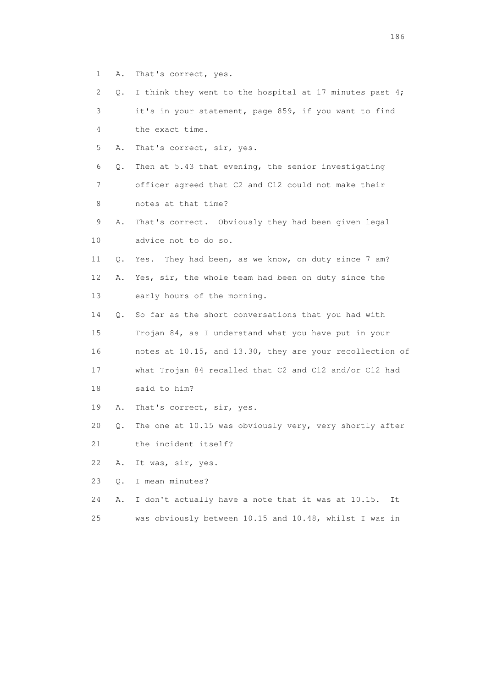- 1 A. That's correct, yes.
- 2 Q. I think they went to the hospital at 17 minutes past 4; 3 it's in your statement, page 859, if you want to find 4 the exact time.
- 5 A. That's correct, sir, yes.
- 6 Q. Then at 5.43 that evening, the senior investigating
- 7 officer agreed that C2 and C12 could not make their 8 notes at that time?
- 9 A. That's correct. Obviously they had been given legal 10 advice not to do so.
- 11 Q. Yes. They had been, as we know, on duty since 7 am? 12 A. Yes, sir, the whole team had been on duty since the
- 13 early hours of the morning.
- 14 Q. So far as the short conversations that you had with 15 Trojan 84, as I understand what you have put in your 16 notes at 10.15, and 13.30, they are your recollection of 17 what Trojan 84 recalled that C2 and C12 and/or C12 had
- 18 said to him?
- 19 A. That's correct, sir, yes.
- 20 Q. The one at 10.15 was obviously very, very shortly after
- 21 the incident itself?
- 22 A. It was, sir, yes.
- 23 Q. I mean minutes?
- 24 A. I don't actually have a note that it was at 10.15. It
- 25 was obviously between 10.15 and 10.48, whilst I was in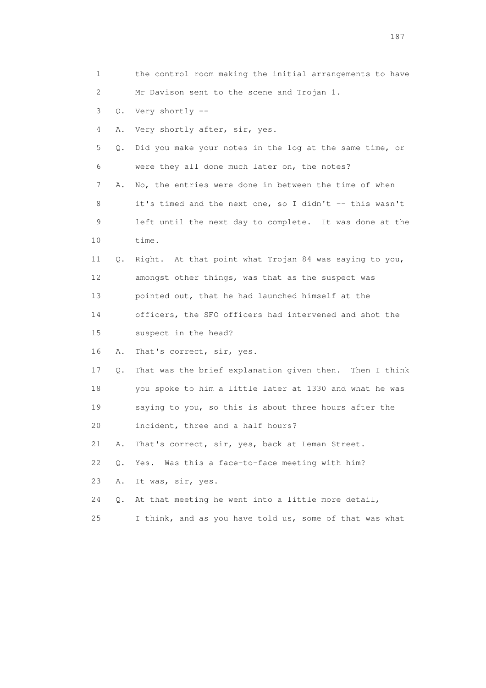1 the control room making the initial arrangements to have 2 Mr Davison sent to the scene and Trojan 1. 3 Q. Very shortly -- 4 A. Very shortly after, sir, yes. 5 Q. Did you make your notes in the log at the same time, or 6 were they all done much later on, the notes? 7 A. No, the entries were done in between the time of when 8 it's timed and the next one, so I didn't -- this wasn't 9 left until the next day to complete. It was done at the 10 time. 11 Q. Right. At that point what Trojan 84 was saying to you, 12 amongst other things, was that as the suspect was 13 pointed out, that he had launched himself at the 14 officers, the SFO officers had intervened and shot the 15 suspect in the head? 16 A. That's correct, sir, yes. 17 Q. That was the brief explanation given then. Then I think 18 you spoke to him a little later at 1330 and what he was 19 saying to you, so this is about three hours after the 20 incident, three and a half hours? 21 A. That's correct, sir, yes, back at Leman Street. 22 Q. Yes. Was this a face-to-face meeting with him? 23 A. It was, sir, yes. 24 Q. At that meeting he went into a little more detail, 25 I think, and as you have told us, some of that was what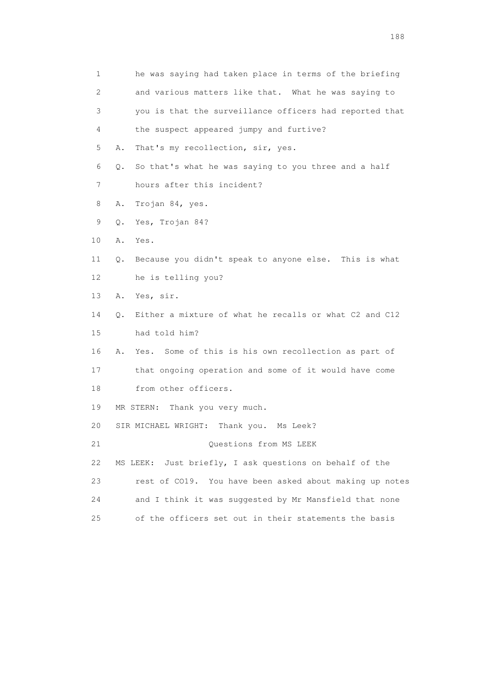| 1  | he was saying had taken place in terms of the briefing              |
|----|---------------------------------------------------------------------|
| 2  | and various matters like that. What he was saying to                |
| 3  | you is that the surveillance officers had reported that             |
| 4  | the suspect appeared jumpy and furtive?                             |
| 5  | That's my recollection, sir, yes.<br>Α.                             |
| 6  | So that's what he was saying to you three and a half<br>Q.          |
| 7  | hours after this incident?                                          |
| 8  | Trojan 84, yes.<br>Α.                                               |
| 9  | Yes, Trojan 84?<br>Q.                                               |
| 10 | Α.<br>Yes.                                                          |
| 11 | Because you didn't speak to anyone else. This is what<br>Q.         |
| 12 | he is telling you?                                                  |
| 13 | Α.<br>Yes, sir.                                                     |
| 14 | Either a mixture of what he recalls or what C2 and C12<br>$\circ$ . |
| 15 | had told him?                                                       |
| 16 | Some of this is his own recollection as part of<br>Α.<br>Yes.       |
| 17 | that ongoing operation and some of it would have come               |
| 18 | from other officers.                                                |
| 19 | MR STERN:<br>Thank you very much.                                   |
| 20 | SIR MICHAEL WRIGHT:<br>Thank you.<br>Ms Leek?                       |
| 21 | Questions from MS LEEK                                              |
| 22 | Just briefly, I ask questions on behalf of the<br>MS LEEK:          |
| 23 | rest of CO19. You have been asked about making up notes             |
| 24 | and I think it was suggested by Mr Mansfield that none              |
| 25 | of the officers set out in their statements the basis               |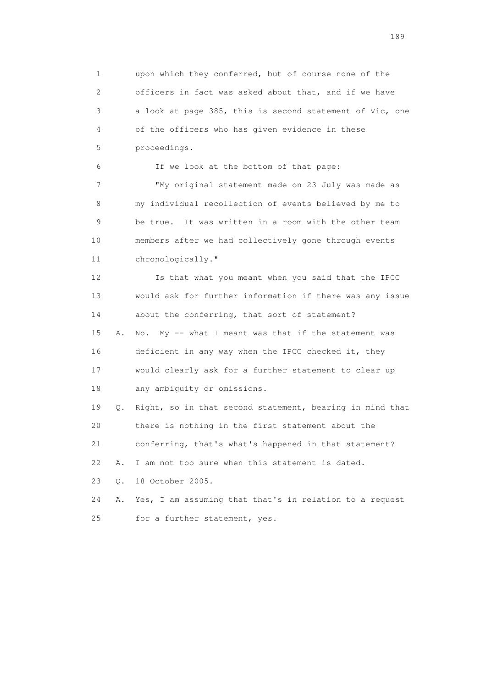1 upon which they conferred, but of course none of the 2 officers in fact was asked about that, and if we have 3 a look at page 385, this is second statement of Vic, one 4 of the officers who has given evidence in these 5 proceedings. 6 If we look at the bottom of that page: 7 "My original statement made on 23 July was made as 8 my individual recollection of events believed by me to 9 be true. It was written in a room with the other team 10 members after we had collectively gone through events 11 chronologically." 12 Is that what you meant when you said that the IPCC 13 would ask for further information if there was any issue 14 about the conferring, that sort of statement? 15 A. No. My -- what I meant was that if the statement was 16 deficient in any way when the IPCC checked it, they 17 would clearly ask for a further statement to clear up 18 any ambiguity or omissions. 19 Q. Right, so in that second statement, bearing in mind that 20 there is nothing in the first statement about the 21 conferring, that's what's happened in that statement? 22 A. I am not too sure when this statement is dated.

23 Q. 18 October 2005.

 24 A. Yes, I am assuming that that's in relation to a request 25 for a further statement, yes.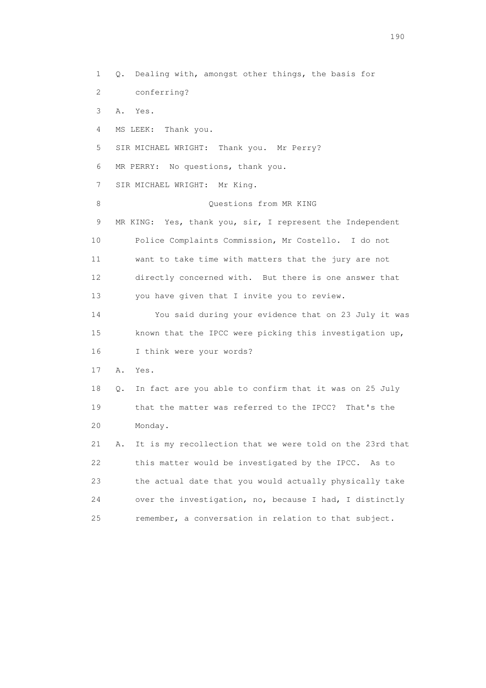1 Q. Dealing with, amongst other things, the basis for 2 conferring? 3 A. Yes. 4 MS LEEK: Thank you. 5 SIR MICHAEL WRIGHT: Thank you. Mr Perry? 6 MR PERRY: No questions, thank you. 7 SIR MICHAEL WRIGHT: Mr King. 8 Ouestions from MR KING 9 MR KING: Yes, thank you, sir, I represent the Independent 10 Police Complaints Commission, Mr Costello. I do not 11 want to take time with matters that the jury are not 12 directly concerned with. But there is one answer that 13 you have given that I invite you to review. 14 You said during your evidence that on 23 July it was 15 known that the IPCC were picking this investigation up, 16 I think were your words? 17 A. Yes. 18 Q. In fact are you able to confirm that it was on 25 July 19 that the matter was referred to the IPCC? That's the 20 Monday. 21 A. It is my recollection that we were told on the 23rd that 22 this matter would be investigated by the IPCC. As to 23 the actual date that you would actually physically take 24 over the investigation, no, because I had, I distinctly 25 remember, a conversation in relation to that subject.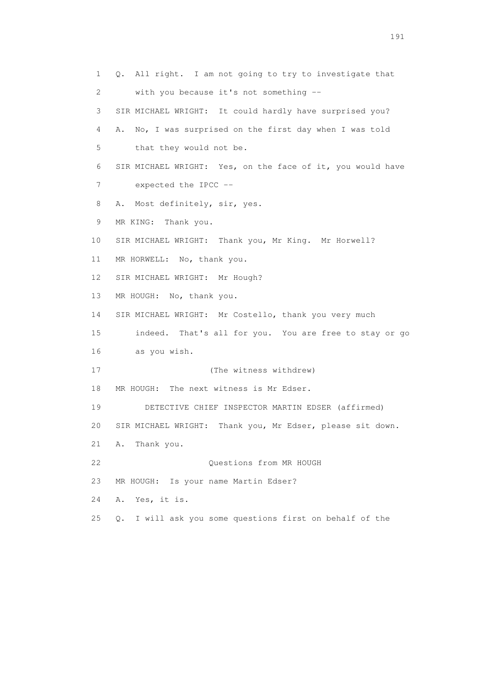1 Q. All right. I am not going to try to investigate that 2 with you because it's not something -- 3 SIR MICHAEL WRIGHT: It could hardly have surprised you? 4 A. No, I was surprised on the first day when I was told 5 that they would not be. 6 SIR MICHAEL WRIGHT: Yes, on the face of it, you would have 7 expected the IPCC -- 8 A. Most definitely, sir, yes. 9 MR KING: Thank you. 10 SIR MICHAEL WRIGHT: Thank you, Mr King. Mr Horwell? 11 MR HORWELL: No, thank you. 12 SIR MICHAEL WRIGHT: Mr Hough? 13 MR HOUGH: No, thank you. 14 SIR MICHAEL WRIGHT: Mr Costello, thank you very much 15 indeed. That's all for you. You are free to stay or go 16 as you wish. 17 (The witness withdrew) 18 MR HOUGH: The next witness is Mr Edser. 19 DETECTIVE CHIEF INSPECTOR MARTIN EDSER (affirmed) 20 SIR MICHAEL WRIGHT: Thank you, Mr Edser, please sit down. 21 A. Thank you. 22 **CONFIDENTIAL CONSTRUCTS** CONSISTS FROM MR HOUGH 23 MR HOUGH: Is your name Martin Edser? 24 A. Yes, it is. 25 Q. I will ask you some questions first on behalf of the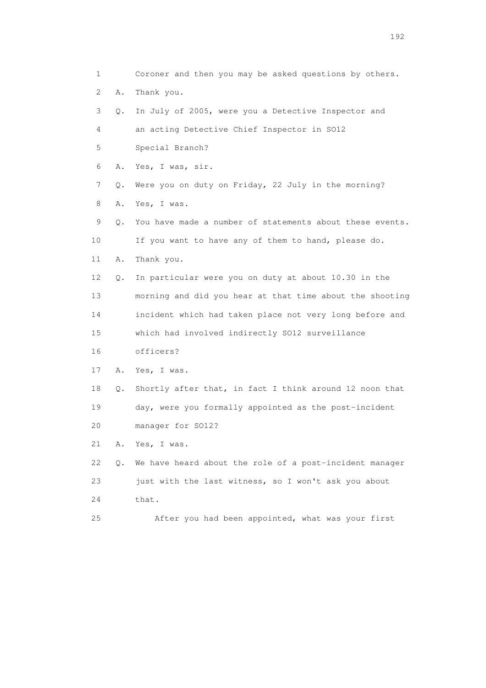1 Coroner and then you may be asked questions by others. 2 A. Thank you. 3 Q. In July of 2005, were you a Detective Inspector and 4 an acting Detective Chief Inspector in SO12 5 Special Branch? 6 A. Yes, I was, sir. 7 Q. Were you on duty on Friday, 22 July in the morning? 8 A. Yes, I was. 9 Q. You have made a number of statements about these events. 10 If you want to have any of them to hand, please do. 11 A. Thank you. 12 Q. In particular were you on duty at about 10.30 in the 13 morning and did you hear at that time about the shooting 14 incident which had taken place not very long before and 15 which had involved indirectly SO12 surveillance 16 officers? 17 A. Yes, I was. 18 Q. Shortly after that, in fact I think around 12 noon that 19 day, were you formally appointed as the post-incident 20 manager for SO12? 21 A. Yes, I was. 22 Q. We have heard about the role of a post-incident manager 23 just with the last witness, so I won't ask you about 24 that. 25 After you had been appointed, what was your first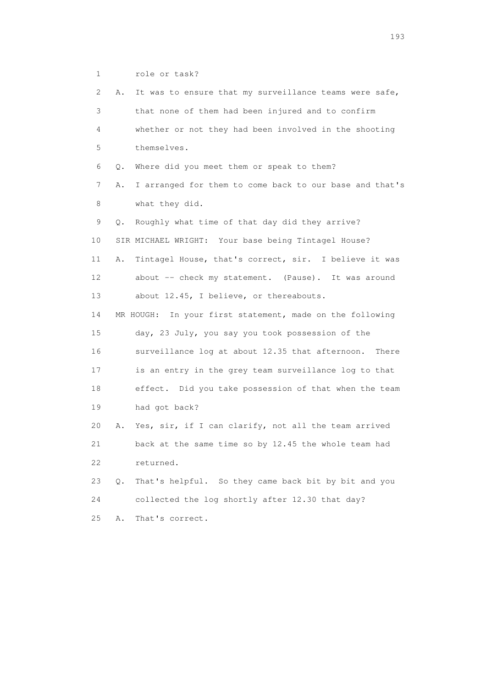1 role or task?

| 2  | It was to ensure that my surveillance teams were safe,<br>Α.  |
|----|---------------------------------------------------------------|
| 3  | that none of them had been injured and to confirm             |
| 4  | whether or not they had been involved in the shooting         |
| 5  | themselves.                                                   |
| 6  | Where did you meet them or speak to them?<br>Q.               |
| 7  | I arranged for them to come back to our base and that's<br>Α. |
| 8  | what they did.                                                |
| 9  | Roughly what time of that day did they arrive?<br>О.          |
| 10 | SIR MICHAEL WRIGHT: Your base being Tintagel House?           |
| 11 | Tintagel House, that's correct, sir. I believe it was<br>Α.   |
| 12 | about -- check my statement. (Pause). It was around           |
| 13 | about 12.45, I believe, or thereabouts.                       |
| 14 | MR HOUGH: In your first statement, made on the following      |
| 15 | day, 23 July, you say you took possession of the              |
| 16 | surveillance log at about 12.35 that afternoon.<br>There      |
| 17 | is an entry in the grey team surveillance log to that         |
| 18 | effect. Did you take possession of that when the team         |
| 19 | had got back?                                                 |
| 20 | Yes, sir, if I can clarify, not all the team arrived<br>Α.    |
| 21 | back at the same time so by 12.45 the whole team had          |
| 22 | returned.                                                     |
| 23 | That's helpful. So they came back bit by bit and you<br>0.    |
| 24 | collected the log shortly after 12.30 that day?               |
| 25 | That's correct.<br>Α.                                         |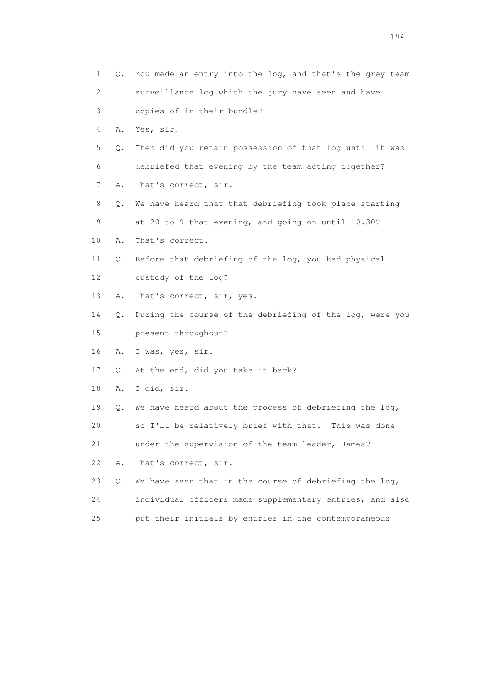| 1                         |    | Q. You made an entry into the log, and that's the grey team |
|---------------------------|----|-------------------------------------------------------------|
| $\mathbf{2}^{\mathsf{I}}$ |    | surveillance log which the jury have seen and have          |
| 3                         |    | copies of in their bundle?                                  |
| 4                         | Α. | Yes, sir.                                                   |
| 5                         | Q. | Then did you retain possession of that log until it was     |
| 6                         |    | debriefed that evening by the team acting together?         |
| 7                         | Α. | That's correct, sir.                                        |
| 8                         | Q. | We have heard that that debriefing took place starting      |
| 9                         |    | at 20 to 9 that evening, and going on until 10.30?          |
| 10                        | Α. | That's correct.                                             |
| 11                        | Q. | Before that debriefing of the log, you had physical         |
| 12                        |    | custody of the log?                                         |
| 13                        | Α. | That's correct, sir, yes.                                   |
| 14                        | Q. | During the course of the debriefing of the log, were you    |
| 15                        |    | present throughout?                                         |
| 16                        | Α. | I was, yes, sir.                                            |
| 17                        | Q. | At the end, did you take it back?                           |
| 18                        | Α. | I did, sir.                                                 |
| 19                        | Q. | We have heard about the process of debriefing the log,      |
| 20                        |    | so I'll be relatively brief with that.<br>This was done     |
| 21                        |    | under the supervision of the team leader, James?            |
| 22                        | Α. | That's correct, sir.                                        |
| 23                        | Q. | We have seen that in the course of debriefing the $log_{1}$ |
| 24                        |    | individual officers made supplementary entries, and also    |
| 25                        |    | put their initials by entries in the contemporaneous        |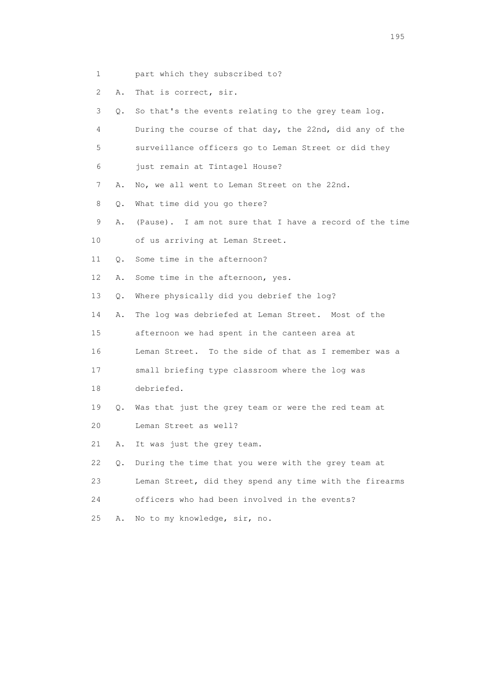- 1 part which they subscribed to?
- 2 A. That is correct, sir.
- 3 Q. So that's the events relating to the grey team log.
- 4 During the course of that day, the 22nd, did any of the
- 5 surveillance officers go to Leman Street or did they
- 6 just remain at Tintagel House?
- 7 A. No, we all went to Leman Street on the 22nd.
- 8 Q. What time did you go there?
- 9 A. (Pause). I am not sure that I have a record of the time
- 10 of us arriving at Leman Street.
- 11 Q. Some time in the afternoon?
- 12 A. Some time in the afternoon, yes.
- 13 Q. Where physically did you debrief the log?
- 14 A. The log was debriefed at Leman Street. Most of the
- 15 afternoon we had spent in the canteen area at
- 16 Leman Street. To the side of that as I remember was a
- 17 small briefing type classroom where the log was
- 18 debriefed.
- 19 Q. Was that just the grey team or were the red team at
- 20 Leman Street as well?
- 21 A. It was just the grey team.
- 22 Q. During the time that you were with the grey team at
- 23 Leman Street, did they spend any time with the firearms
- 24 officers who had been involved in the events?
- 25 A. No to my knowledge, sir, no.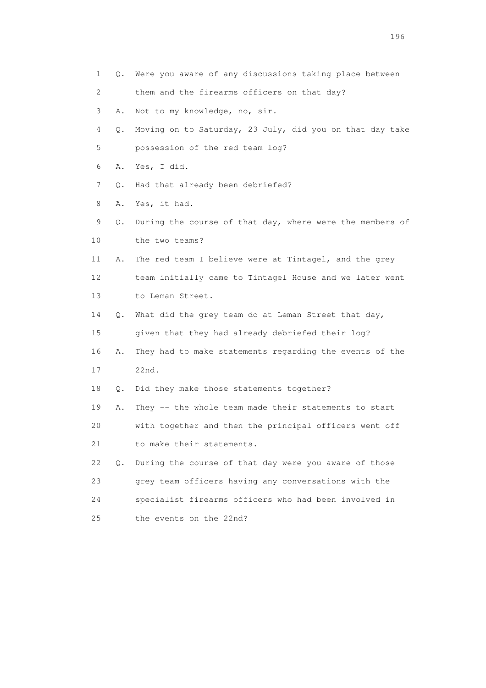1 Q. Were you aware of any discussions taking place between 2 them and the firearms officers on that day? 3 A. Not to my knowledge, no, sir. 4 Q. Moving on to Saturday, 23 July, did you on that day take 5 possession of the red team log? 6 A. Yes, I did. 7 Q. Had that already been debriefed? 8 A. Yes, it had. 9 Q. During the course of that day, where were the members of 10 the two teams? 11 A. The red team I believe were at Tintagel, and the grey 12 team initially came to Tintagel House and we later went 13 to Leman Street. 14 Q. What did the grey team do at Leman Street that day, 15 given that they had already debriefed their log? 16 A. They had to make statements regarding the events of the 17 22nd. 18 Q. Did they make those statements together? 19 A. They -- the whole team made their statements to start 20 with together and then the principal officers went off 21 to make their statements. 22 Q. During the course of that day were you aware of those 23 grey team officers having any conversations with the 24 specialist firearms officers who had been involved in 25 the events on the 22nd?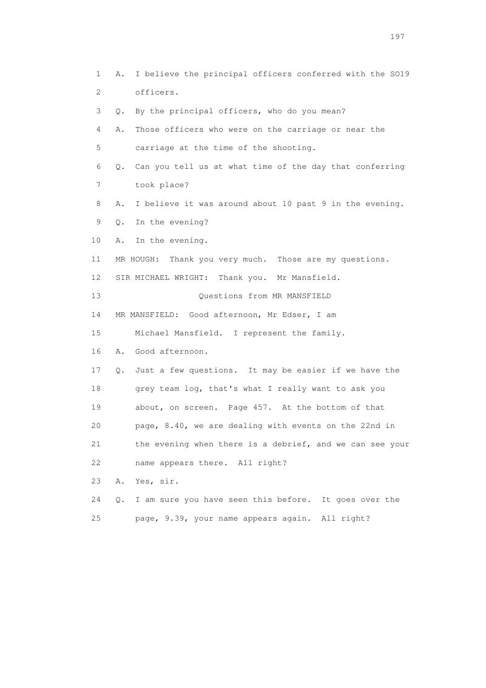1 A. I believe the principal officers conferred with the SO19 2 officers. 3 Q. By the principal officers, who do you mean? 4 A. Those officers who were on the carriage or near the 5 carriage at the time of the shooting. 6 Q. Can you tell us at what time of the day that conferring 7 took place? 8 A. I believe it was around about 10 past 9 in the evening. 9 Q. In the evening? 10 A. In the evening. 11 MR HOUGH: Thank you very much. Those are my questions. 12 SIR MICHAEL WRIGHT: Thank you. Mr Mansfield. 13 Questions from MR MANSFIELD 14 MR MANSFIELD: Good afternoon, Mr Edser, I am 15 Michael Mansfield. I represent the family. 16 A. Good afternoon. 17 Q. Just a few questions. It may be easier if we have the 18 grey team log, that's what I really want to ask you 19 about, on screen. Page 457. At the bottom of that 20 page, 8.40, we are dealing with events on the 22nd in 21 the evening when there is a debrief, and we can see your 22 name appears there. All right? 23 A. Yes, sir. 24 Q. I am sure you have seen this before. It goes over the 25 page, 9.39, your name appears again. All right?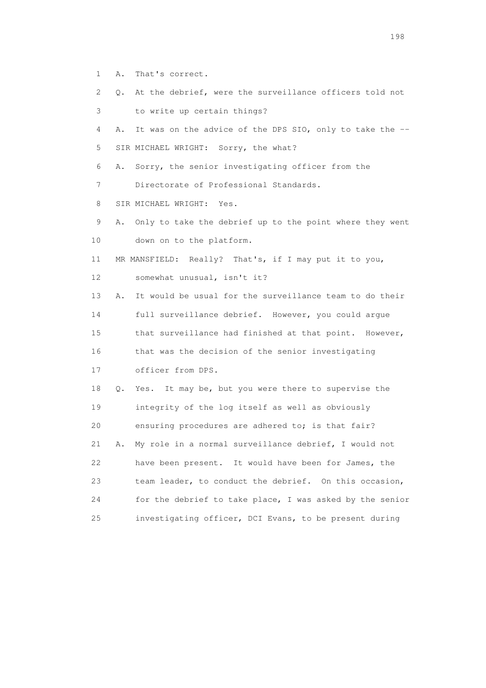- 1 A. That's correct.
- 2 Q. At the debrief, were the surveillance officers told not
- 3 to write up certain things?
- 4 A. It was on the advice of the DPS SIO, only to take the -- 5 SIR MICHAEL WRIGHT: Sorry, the what?

6 A. Sorry, the senior investigating officer from the

7 Directorate of Professional Standards.

- 8 SIR MICHAEL WRIGHT: Yes.
- 9 A. Only to take the debrief up to the point where they went 10 down on to the platform.
- 11 MR MANSFIELD: Really? That's, if I may put it to you,
- 12 somewhat unusual, isn't it?
- 13 A. It would be usual for the surveillance team to do their 14 full surveillance debrief. However, you could argue 15 that surveillance had finished at that point. However, 16 that was the decision of the senior investigating
- 17 officer from DPS.
- 18 Q. Yes. It may be, but you were there to supervise the 19 integrity of the log itself as well as obviously 20 ensuring procedures are adhered to; is that fair? 21 A. My role in a normal surveillance debrief, I would not 22 have been present. It would have been for James, the
- 23 team leader, to conduct the debrief. On this occasion, 24 for the debrief to take place, I was asked by the senior 25 investigating officer, DCI Evans, to be present during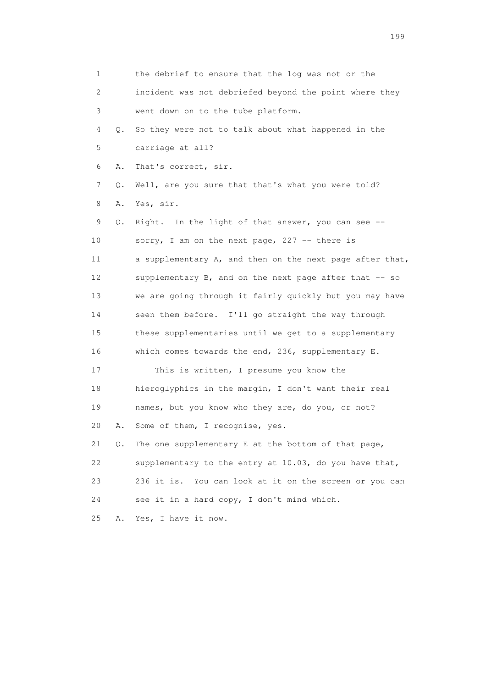1 the debrief to ensure that the log was not or the 2 incident was not debriefed beyond the point where they 3 went down on to the tube platform. 4 Q. So they were not to talk about what happened in the 5 carriage at all? 6 A. That's correct, sir. 7 Q. Well, are you sure that that's what you were told? 8 A. Yes, sir. 9 Q. Right. In the light of that answer, you can see -- 10 sorry, I am on the next page, 227 -- there is 11 a supplementary A, and then on the next page after that, 12 supplementary B, and on the next page after that -- so 13 we are going through it fairly quickly but you may have 14 seen them before. I'll go straight the way through 15 these supplementaries until we get to a supplementary 16 which comes towards the end, 236, supplementary E. 17 This is written, I presume you know the 18 hieroglyphics in the margin, I don't want their real 19 names, but you know who they are, do you, or not? 20 A. Some of them, I recognise, yes. 21 Q. The one supplementary E at the bottom of that page, 22 supplementary to the entry at 10.03, do you have that, 23 236 it is. You can look at it on the screen or you can 24 see it in a hard copy, I don't mind which. 25 A. Yes, I have it now.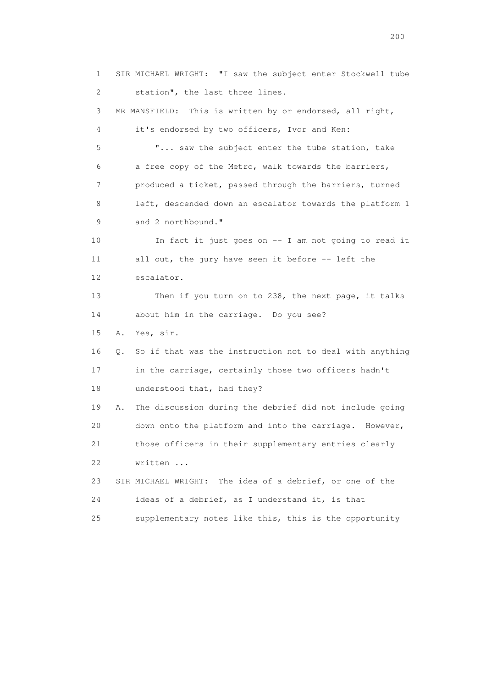1 SIR MICHAEL WRIGHT: "I saw the subject enter Stockwell tube 2 station", the last three lines. 3 MR MANSFIELD: This is written by or endorsed, all right, 4 it's endorsed by two officers, Ivor and Ken: 5 "... saw the subject enter the tube station, take 6 a free copy of the Metro, walk towards the barriers, 7 produced a ticket, passed through the barriers, turned 8 left, descended down an escalator towards the platform 1 9 and 2 northbound." 10 In fact it just goes on -- I am not going to read it 11 all out, the jury have seen it before -- left the 12 escalator. 13 Then if you turn on to 238, the next page, it talks 14 about him in the carriage. Do you see? 15 A. Yes, sir. 16 Q. So if that was the instruction not to deal with anything 17 in the carriage, certainly those two officers hadn't 18 understood that, had they? 19 A. The discussion during the debrief did not include going 20 down onto the platform and into the carriage. However, 21 those officers in their supplementary entries clearly 22 written ... 23 SIR MICHAEL WRIGHT: The idea of a debrief, or one of the 24 ideas of a debrief, as I understand it, is that 25 supplementary notes like this, this is the opportunity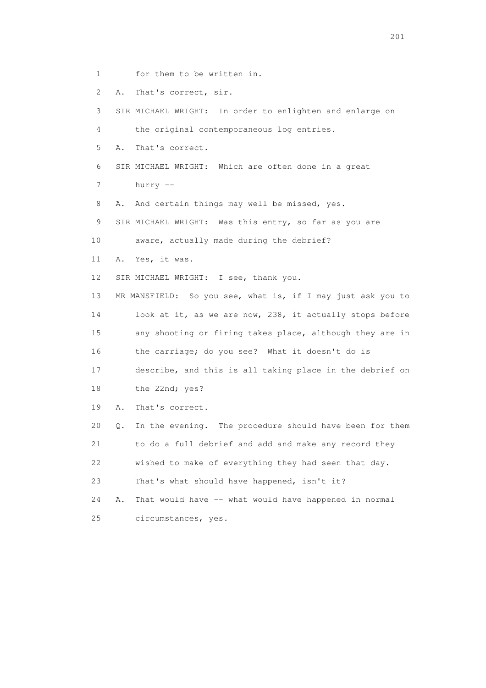- 1 for them to be written in.
- 2 A. That's correct, sir.

 3 SIR MICHAEL WRIGHT: In order to enlighten and enlarge on 4 the original contemporaneous log entries. 5 A. That's correct. 6 SIR MICHAEL WRIGHT: Which are often done in a great 7 hurry -- 8 A. And certain things may well be missed, yes. 9 SIR MICHAEL WRIGHT: Was this entry, so far as you are 10 aware, actually made during the debrief? 11 A. Yes, it was. 12 SIR MICHAEL WRIGHT: I see, thank you. 13 MR MANSFIELD: So you see, what is, if I may just ask you to 14 look at it, as we are now, 238, it actually stops before 15 any shooting or firing takes place, although they are in 16 the carriage; do you see? What it doesn't do is 17 describe, and this is all taking place in the debrief on 18 the 22nd; yes? 19 A. That's correct. 20 Q. In the evening. The procedure should have been for them 21 to do a full debrief and add and make any record they 22 wished to make of everything they had seen that day. 23 That's what should have happened, isn't it? 24 A. That would have -- what would have happened in normal 25 circumstances, yes.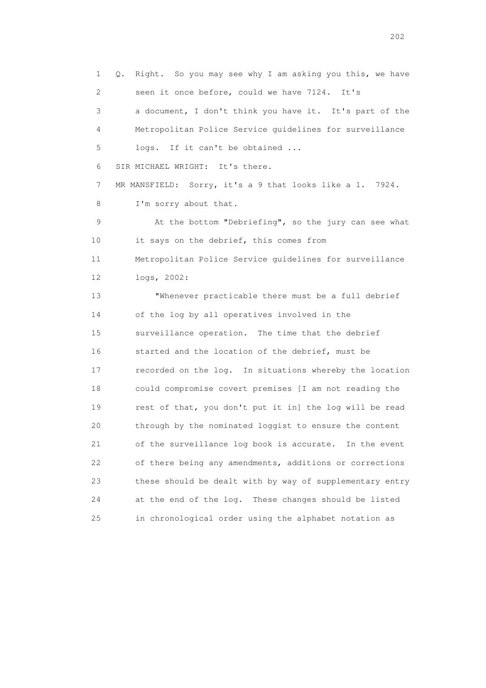1 Q. Right. So you may see why I am asking you this, we have 2 seen it once before, could we have 7124. It's 3 a document, I don't think you have it. It's part of the 4 Metropolitan Police Service guidelines for surveillance 5 logs. If it can't be obtained ... 6 SIR MICHAEL WRIGHT: It's there. 7 MR MANSFIELD: Sorry, it's a 9 that looks like a 1. 7924. 8 I'm sorry about that. 9 At the bottom "Debriefing", so the jury can see what 10 it says on the debrief, this comes from 11 Metropolitan Police Service guidelines for surveillance 12 logs, 2002: 13 "Whenever practicable there must be a full debrief 14 of the log by all operatives involved in the 15 surveillance operation. The time that the debrief 16 started and the location of the debrief, must be 17 recorded on the log. In situations whereby the location 18 could compromise covert premises [I am not reading the 19 rest of that, you don't put it in] the log will be read 20 through by the nominated loggist to ensure the content 21 of the surveillance log book is accurate. In the event 22 of there being any amendments, additions or corrections 23 these should be dealt with by way of supplementary entry 24 at the end of the log. These changes should be listed 25 in chronological order using the alphabet notation as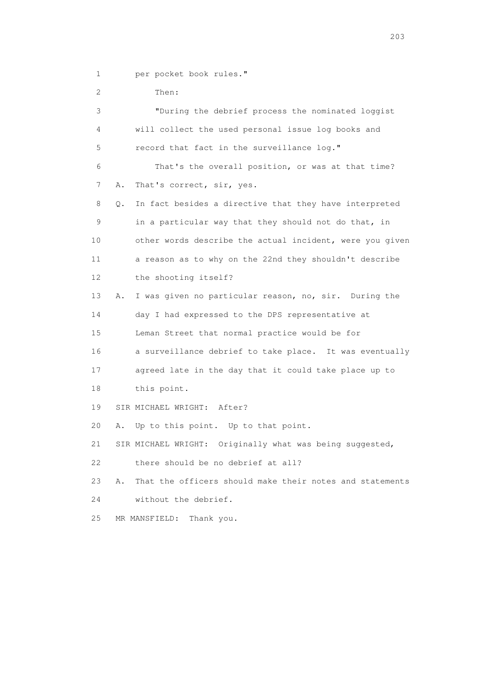1 per pocket book rules."

| 2               |    | Then:                                                       |
|-----------------|----|-------------------------------------------------------------|
| 3               |    | "During the debrief process the nominated loggist           |
| 4               |    | will collect the used personal issue log books and          |
| 5               |    | record that fact in the surveillance log."                  |
| 6               |    | That's the overall position, or was at that time?           |
| 7               | Α. | That's correct, sir, yes.                                   |
| 8               | Q. | In fact besides a directive that they have interpreted      |
| 9               |    | in a particular way that they should not do that, in        |
| 10              |    | other words describe the actual incident, were you given    |
| 11              |    | a reason as to why on the 22nd they shouldn't describe      |
| 12 <sup>°</sup> |    | the shooting itself?                                        |
| 13              | Α. | I was given no particular reason, no, sir. During the       |
| 14              |    | day I had expressed to the DPS representative at            |
| 15              |    | Leman Street that normal practice would be for              |
| 16              |    | a surveillance debrief to take place. It was eventually     |
| 17              |    | agreed late in the day that it could take place up to       |
| 18              |    | this point.                                                 |
| 19              |    | SIR MICHAEL WRIGHT: After?                                  |
| 20              | Α. | Up to this point. Up to that point.                         |
| 21              |    | Originally what was being suggested,<br>SIR MICHAEL WRIGHT: |
| 22              |    | there should be no debrief at all?                          |
| 23              | Α. | That the officers should make their notes and statements    |
| 24              |    | without the debrief.                                        |
| 25              |    | MR MANSFIELD:<br>Thank you.                                 |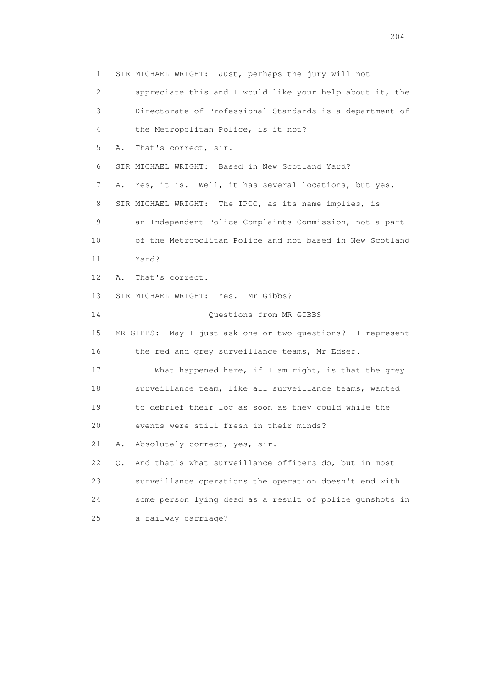1 SIR MICHAEL WRIGHT: Just, perhaps the jury will not 2 appreciate this and I would like your help about it, the 3 Directorate of Professional Standards is a department of 4 the Metropolitan Police, is it not? 5 A. That's correct, sir. 6 SIR MICHAEL WRIGHT: Based in New Scotland Yard? 7 A. Yes, it is. Well, it has several locations, but yes. 8 SIR MICHAEL WRIGHT: The IPCC, as its name implies, is 9 an Independent Police Complaints Commission, not a part 10 of the Metropolitan Police and not based in New Scotland 11 Yard? 12 A. That's correct. 13 SIR MICHAEL WRIGHT: Yes. Mr Gibbs? 14 Questions from MR GIBBS 15 MR GIBBS: May I just ask one or two questions? I represent 16 the red and grey surveillance teams, Mr Edser. 17 What happened here, if I am right, is that the grey 18 surveillance team, like all surveillance teams, wanted 19 to debrief their log as soon as they could while the 20 events were still fresh in their minds? 21 A. Absolutely correct, yes, sir. 22 Q. And that's what surveillance officers do, but in most 23 surveillance operations the operation doesn't end with 24 some person lying dead as a result of police gunshots in 25 a railway carriage?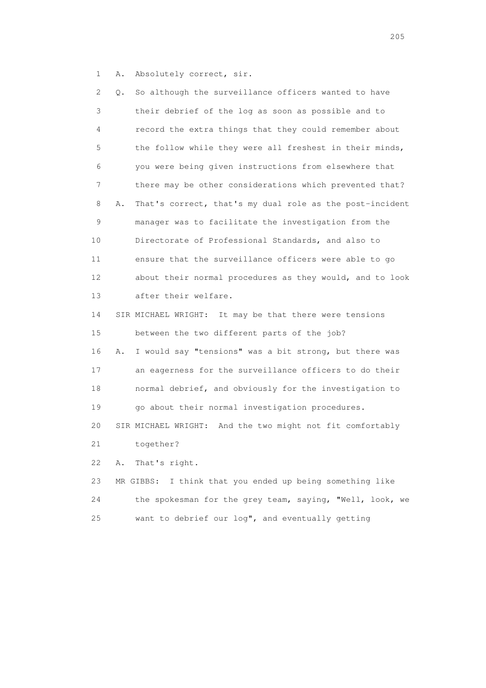1 A. Absolutely correct, sir.

| 2. | Q. | So although the surveillance officers wanted to have        |
|----|----|-------------------------------------------------------------|
| 3  |    | their debrief of the log as soon as possible and to         |
| 4  |    | record the extra things that they could remember about      |
| 5  |    | the follow while they were all freshest in their minds,     |
| 6  |    | you were being given instructions from elsewhere that       |
| 7  |    | there may be other considerations which prevented that?     |
| 8  | Α. | That's correct, that's my dual role as the post-incident    |
| 9  |    | manager was to facilitate the investigation from the        |
| 10 |    | Directorate of Professional Standards, and also to          |
| 11 |    | ensure that the surveillance officers were able to go       |
| 12 |    | about their normal procedures as they would, and to look    |
| 13 |    | after their welfare.                                        |
| 14 |    | SIR MICHAEL WRIGHT: It may be that there were tensions      |
| 15 |    | between the two different parts of the job?                 |
| 16 | Α. | I would say "tensions" was a bit strong, but there was      |
| 17 |    | an eagerness for the surveillance officers to do their      |
| 18 |    | normal debrief, and obviously for the investigation to      |
| 19 |    | go about their normal investigation procedures.             |
| 20 |    | SIR MICHAEL WRIGHT: And the two might not fit comfortably   |
| 21 |    | together?                                                   |
| 22 | Α. | That's right.                                               |
| 23 |    | I think that you ended up being something like<br>MR GIBBS: |
| 24 |    | the spokesman for the grey team, saying, "Well, look, we    |
| 25 |    | want to debrief our log", and eventually getting            |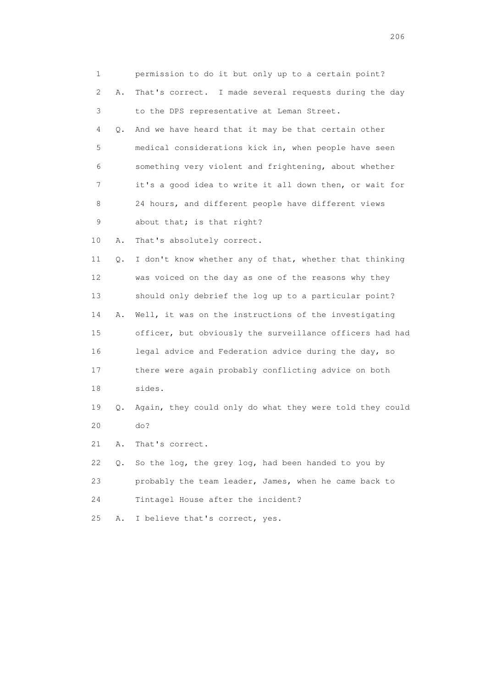| 1           |    | permission to do it but only up to a certain point?      |
|-------------|----|----------------------------------------------------------|
| 2           | Α. | That's correct. I made several requests during the day   |
| 3           |    | to the DPS representative at Leman Street.               |
| 4           | Q. | And we have heard that it may be that certain other      |
| 5           |    | medical considerations kick in, when people have seen    |
| 6           |    | something very violent and frightening, about whether    |
| 7           |    | it's a good idea to write it all down then, or wait for  |
| 8           |    | 24 hours, and different people have different views      |
| $\mathsf 9$ |    | about that; is that right?                               |
| 10          | Α. | That's absolutely correct.                               |
| 11          | Q. | I don't know whether any of that, whether that thinking  |
| 12          |    | was voiced on the day as one of the reasons why they     |
| 13          |    | should only debrief the log up to a particular point?    |
| 14          | Α. | Well, it was on the instructions of the investigating    |
| 15          |    | officer, but obviously the surveillance officers had had |
| 16          |    | legal advice and Federation advice during the day, so    |
| 17          |    | there were again probably conflicting advice on both     |
| 18          |    | sides.                                                   |
| 19          | Q. | Again, they could only do what they were told they could |
| 20          |    | do?                                                      |
| 21          | Α. | That's correct.                                          |
| 22          | Q. | So the log, the grey log, had been handed to you by      |
| 23          |    | probably the team leader, James, when he came back to    |
| 24          |    | Tintagel House after the incident?                       |
| 25          | Α. | I believe that's correct, yes.                           |
|             |    |                                                          |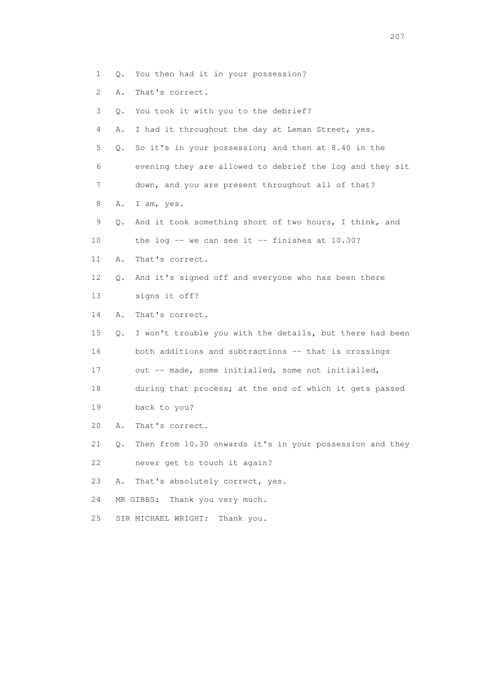- 1 Q. You then had it in your possession?
- 2 A. That's correct.
- 3 Q. You took it with you to the debrief? 4 A. I had it throughout the day at Leman Street, yes. 5 Q. So it's in your possession; and then at 8.40 in the 6 evening they are allowed to debrief the log and they sit 7 down, and you are present throughout all of that? 8 A. I am, yes. 9 Q. And it took something short of two hours, I think, and 10 the log -- we can see it -- finishes at 10.30? 11 A. That's correct. 12 Q. And it's signed off and everyone who has been there 13 signs it off? 14 A. That's correct. 15 Q. I won't trouble you with the details, but there had been 16 both additions and subtractions -- that is crossings 17 out -- made, some initialled, some not initialled, 18 during that process; at the end of which it gets passed 19 back to you? 20 A. That's correct. 21 Q. Then from 10.30 onwards it's in your possession and they 22 never get to touch it again? 23 A. That's absolutely correct, yes. 24 MR GIBBS: Thank you very much.
- 25 SIR MICHAEL WRIGHT: Thank you.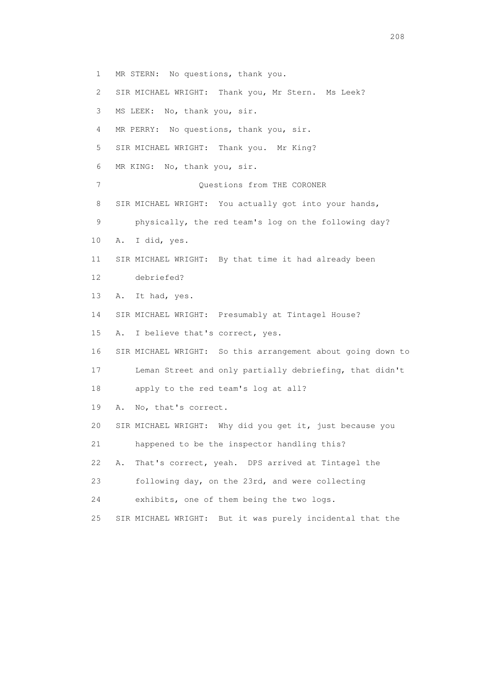1 MR STERN: No questions, thank you. 2 SIR MICHAEL WRIGHT: Thank you, Mr Stern. Ms Leek? 3 MS LEEK: No, thank you, sir. 4 MR PERRY: No questions, thank you, sir. 5 SIR MICHAEL WRIGHT: Thank you. Mr King? 6 MR KING: No, thank you, sir. 7 Ouestions from THE CORONER 8 SIR MICHAEL WRIGHT: You actually got into your hands, 9 physically, the red team's log on the following day? 10 A. I did, yes. 11 SIR MICHAEL WRIGHT: By that time it had already been 12 debriefed? 13 A. It had, yes. 14 SIR MICHAEL WRIGHT: Presumably at Tintagel House? 15 A. I believe that's correct, yes. 16 SIR MICHAEL WRIGHT: So this arrangement about going down to 17 Leman Street and only partially debriefing, that didn't 18 apply to the red team's log at all? 19 A. No, that's correct. 20 SIR MICHAEL WRIGHT: Why did you get it, just because you 21 happened to be the inspector handling this? 22 A. That's correct, yeah. DPS arrived at Tintagel the 23 following day, on the 23rd, and were collecting 24 exhibits, one of them being the two logs. 25 SIR MICHAEL WRIGHT: But it was purely incidental that the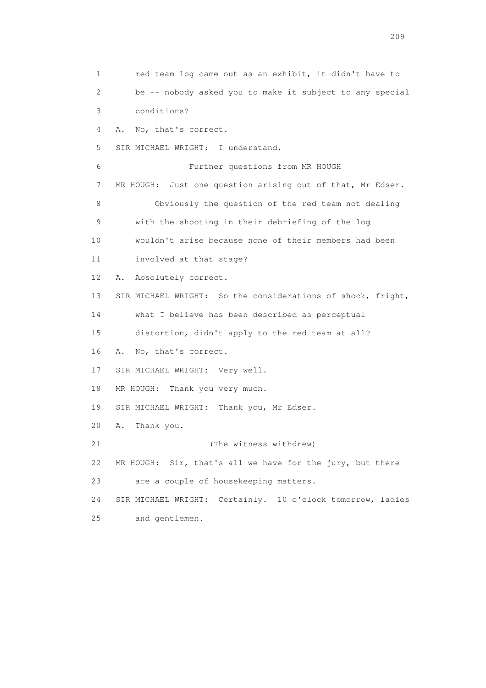1 red team log came out as an exhibit, it didn't have to 2 be -- nobody asked you to make it subject to any special 3 conditions? 4 A. No, that's correct. 5 SIR MICHAEL WRIGHT: I understand. 6 Further questions from MR HOUGH 7 MR HOUGH: Just one question arising out of that, Mr Edser. 8 Obviously the question of the red team not dealing 9 with the shooting in their debriefing of the log 10 wouldn't arise because none of their members had been 11 involved at that stage? 12 A. Absolutely correct. 13 SIR MICHAEL WRIGHT: So the considerations of shock, fright, 14 what I believe has been described as perceptual 15 distortion, didn't apply to the red team at all? 16 A. No, that's correct. 17 SIR MICHAEL WRIGHT: Very well. 18 MR HOUGH: Thank you very much. 19 SIR MICHAEL WRIGHT: Thank you, Mr Edser. 20 A. Thank you. 21 (The witness withdrew) 22 MR HOUGH: Sir, that's all we have for the jury, but there 23 are a couple of housekeeping matters. 24 SIR MICHAEL WRIGHT: Certainly. 10 o'clock tomorrow, ladies 25 and gentlemen.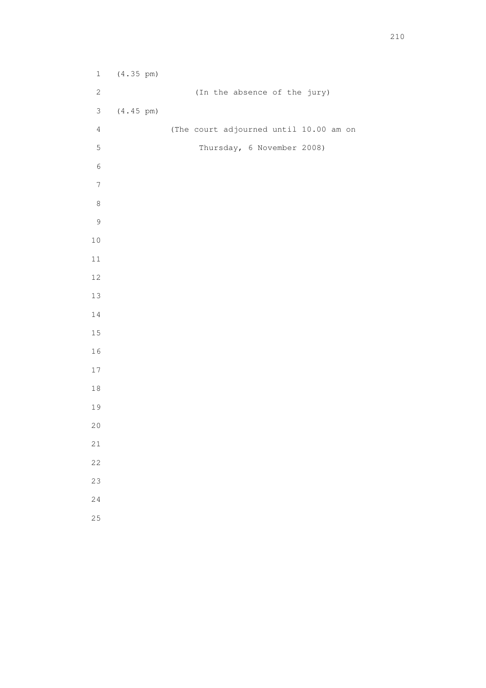1 (4.35 pm) 2 (In the absence of the jury) 3 (4.45 pm) 4 (The court adjourned until 10.00 am on 5 Thursday, 6 November 2008)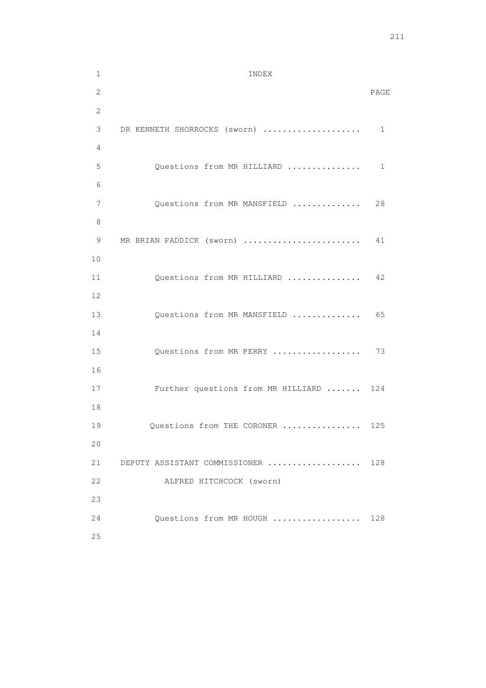| $\mathbf 1$  | INDEX                              |              |
|--------------|------------------------------------|--------------|
| $\mathbf{2}$ |                                    | PAGE         |
| $\mathbf{2}$ |                                    |              |
| 3            | DR KENNETH SHORROCKS (sworn)       | $\mathbf{1}$ |
| 4            |                                    |              |
| 5            | Questions from MR HILLIARD         | 1            |
| 6            |                                    |              |
| 7            | Questions from MR MANSFIELD        | 28           |
| 8            |                                    |              |
| 9            | MR BRIAN PADDICK (sworn)           | 41           |
| $10$         |                                    |              |
| 11           | Questions from MR HILLIARD         | 42           |
| 12           |                                    |              |
| 13           | Questions from MR MANSFIELD        | 65           |
| 14           |                                    |              |
| 15           | Questions from MR PERRY            | 73           |
| 16           |                                    |              |
| 17           | Further questions from MR HILLIARD | 124          |
| 18           |                                    |              |
| 19           | Questions from THE CORONER         | 125          |
| 20           |                                    |              |
| 21           | DEPUTY ASSISTANT COMMISSIONER      | 128          |
| 22           | ALFRED HITCHCOCK (sworn)           |              |
| 23           |                                    |              |
| 24           | Ouestions from MR HOUGH            | 128          |
| 25           |                                    |              |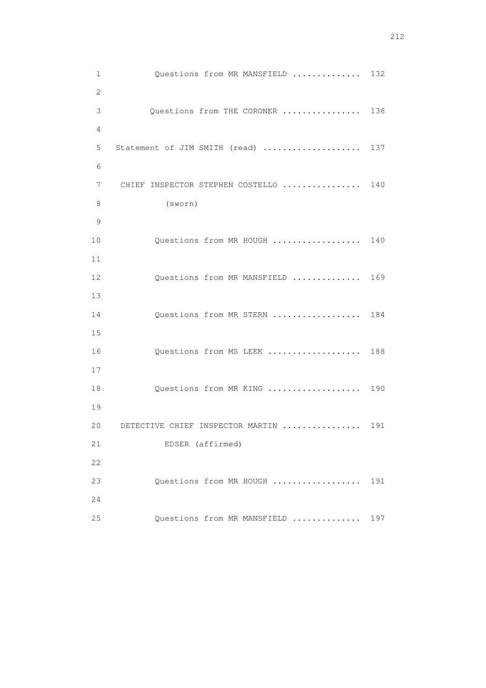1 Questions from MR MANSFIELD .............. 132 2 3 Questions from THE CORONER ................ 136 4 5 Statement of JIM SMITH (read) ..................... 137 6 7 CHIEF INSPECTOR STEPHEN COSTELLO ................ 140 8 (sworn) 9 10 Questions from MR HOUGH .................. 140 11 12 Questions from MR MANSFIELD .............. 169 13 14 Questions from MR STERN .................. 184 15 16 Questions from MS LEEK ................... 188 17 18 Questions from MR KING .................... 190 19 20 DETECTIVE CHIEF INSPECTOR MARTIN ................. 191 21 EDSER (affirmed) 22 23 Questions from MR HOUGH .................. 191 24 25 Questions from MR MANSFIELD .............. 197